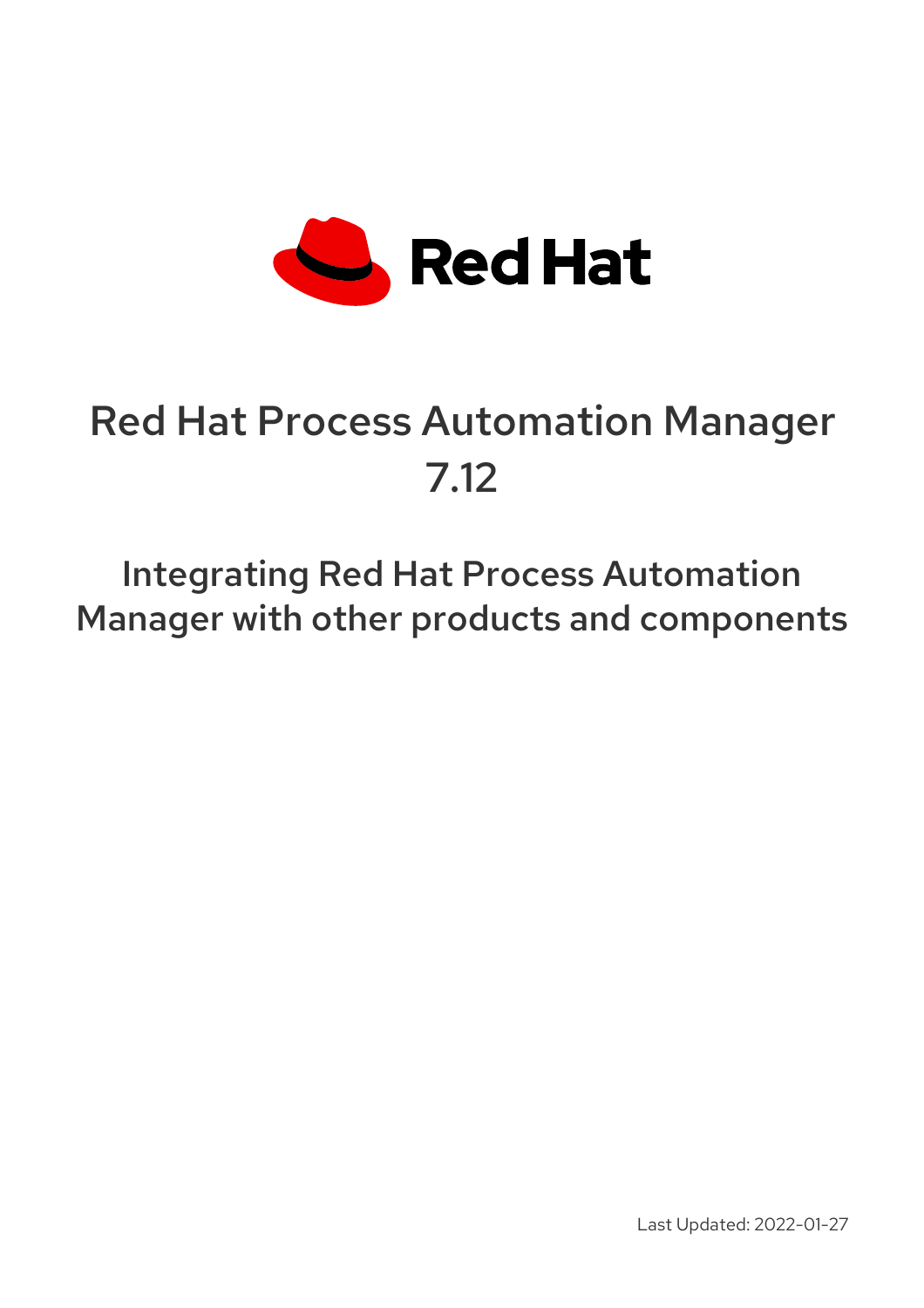

# Red Hat Process Automation Manager 7.12

Integrating Red Hat Process Automation Manager with other products and components

Last Updated: 2022-01-27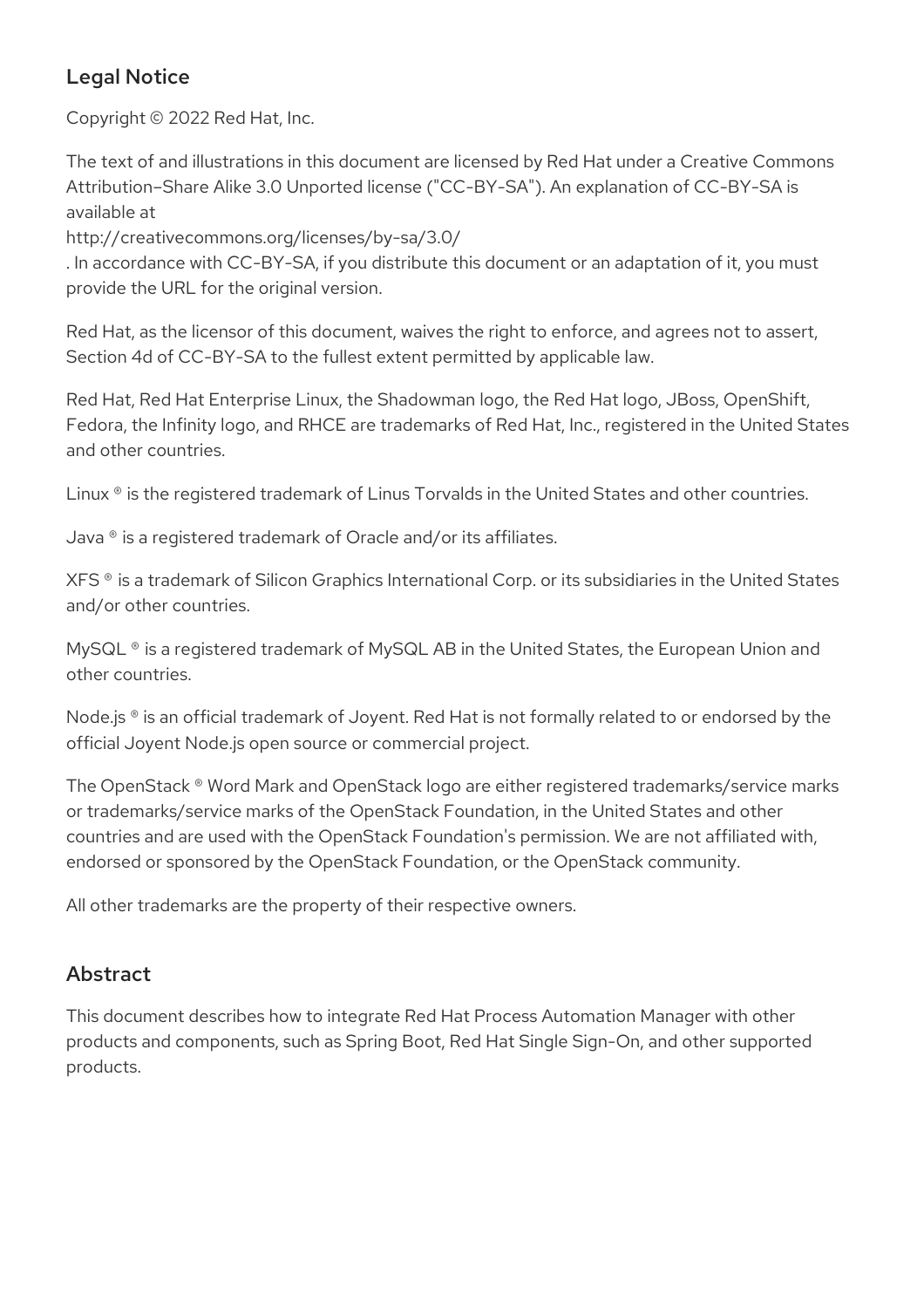### Legal Notice

Copyright © 2022 Red Hat, Inc.

The text of and illustrations in this document are licensed by Red Hat under a Creative Commons Attribution–Share Alike 3.0 Unported license ("CC-BY-SA"). An explanation of CC-BY-SA is available at

http://creativecommons.org/licenses/by-sa/3.0/

. In accordance with CC-BY-SA, if you distribute this document or an adaptation of it, you must provide the URL for the original version.

Red Hat, as the licensor of this document, waives the right to enforce, and agrees not to assert, Section 4d of CC-BY-SA to the fullest extent permitted by applicable law.

Red Hat, Red Hat Enterprise Linux, the Shadowman logo, the Red Hat logo, JBoss, OpenShift, Fedora, the Infinity logo, and RHCE are trademarks of Red Hat, Inc., registered in the United States and other countries.

Linux ® is the registered trademark of Linus Torvalds in the United States and other countries.

Java ® is a registered trademark of Oracle and/or its affiliates.

XFS ® is a trademark of Silicon Graphics International Corp. or its subsidiaries in the United States and/or other countries.

MySQL<sup>®</sup> is a registered trademark of MySQL AB in the United States, the European Union and other countries.

Node.js ® is an official trademark of Joyent. Red Hat is not formally related to or endorsed by the official Joyent Node.js open source or commercial project.

The OpenStack ® Word Mark and OpenStack logo are either registered trademarks/service marks or trademarks/service marks of the OpenStack Foundation, in the United States and other countries and are used with the OpenStack Foundation's permission. We are not affiliated with, endorsed or sponsored by the OpenStack Foundation, or the OpenStack community.

All other trademarks are the property of their respective owners.

### Abstract

This document describes how to integrate Red Hat Process Automation Manager with other products and components, such as Spring Boot, Red Hat Single Sign-On, and other supported products.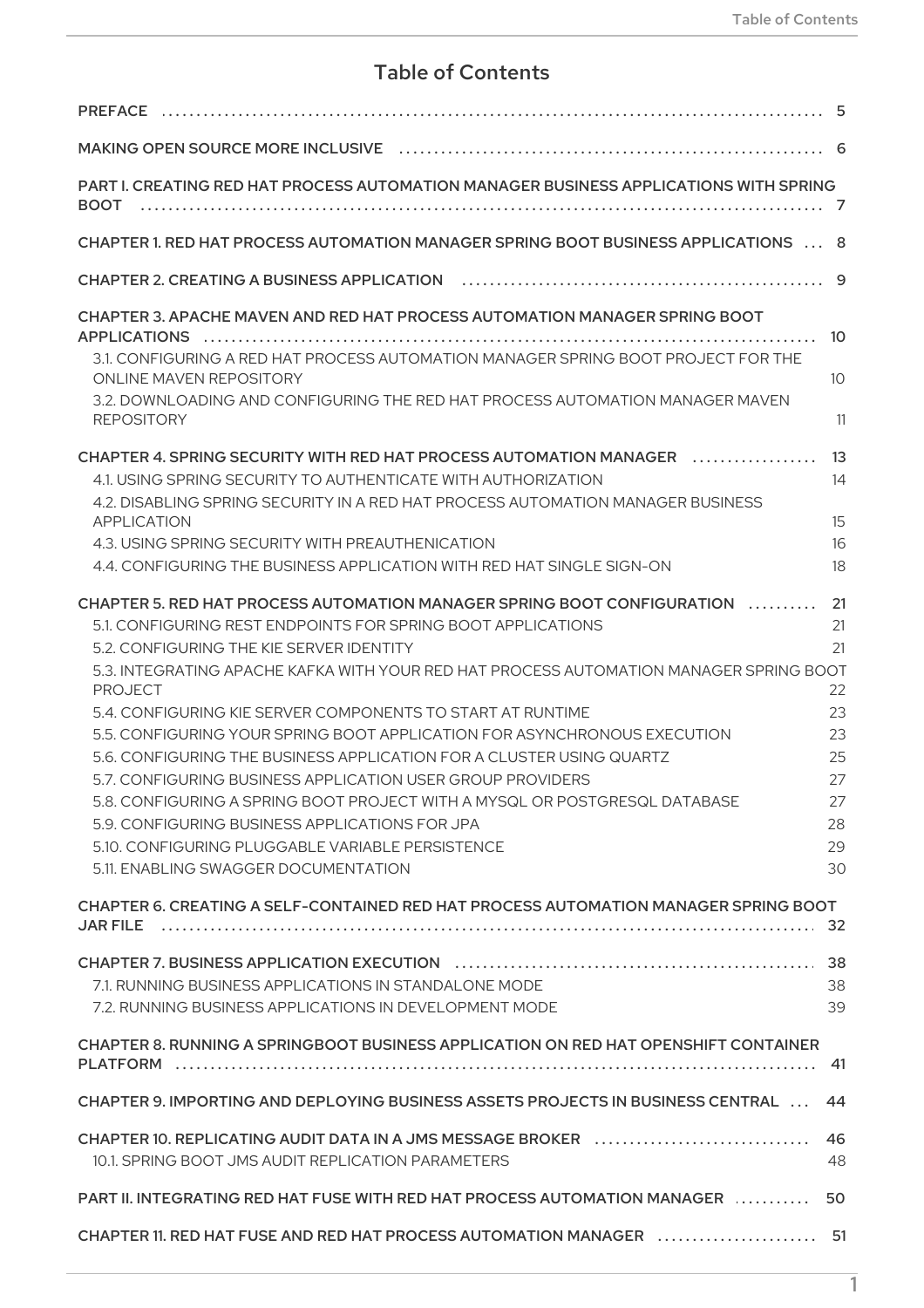### Table of Contents

| <b>PREFACE</b>                                                                                                                           |          |
|------------------------------------------------------------------------------------------------------------------------------------------|----------|
|                                                                                                                                          |          |
| PART I. CREATING RED HAT PROCESS AUTOMATION MANAGER BUSINESS APPLICATIONS WITH SPRING                                                    |          |
| CHAPTER 1. RED HAT PROCESS AUTOMATION MANAGER SPRING BOOT BUSINESS APPLICATIONS  8                                                       |          |
|                                                                                                                                          |          |
| CHAPTER 3. APACHE MAVEN AND RED HAT PROCESS AUTOMATION MANAGER SPRING BOOT                                                               | -10      |
| 3.1. CONFIGURING A RED HAT PROCESS AUTOMATION MANAGER SPRING BOOT PROJECT FOR THE<br>ONLINE MAVEN REPOSITORY                             | 10       |
| 3.2. DOWNLOADING AND CONFIGURING THE RED HAT PROCESS AUTOMATION MANAGER MAVEN<br><b>REPOSITORY</b>                                       | 11       |
| CHAPTER 4. SPRING SECURITY WITH RED HAT PROCESS AUTOMATION MANAGER<br>.                                                                  |          |
| 4.1. USING SPRING SECURITY TO AUTHENTICATE WITH AUTHORIZATION                                                                            | 14       |
| 4.2. DISABLING SPRING SECURITY IN A RED HAT PROCESS AUTOMATION MANAGER BUSINESS                                                          |          |
| APPLICATION                                                                                                                              | 15       |
| 4.3. USING SPRING SECURITY WITH PREAUTHENICATION                                                                                         | 16<br>18 |
| 4.4. CONFIGURING THE BUSINESS APPLICATION WITH RED HAT SINGLE SIGN-ON                                                                    |          |
| CHAPTER 5. RED HAT PROCESS AUTOMATION MANAGER SPRING BOOT CONFIGURATION                                                                  | 21       |
| 5.1. CONFIGURING REST ENDPOINTS FOR SPRING BOOT APPLICATIONS                                                                             | 21       |
| 5.2. CONFIGURING THE KIE SERVER IDENTITY                                                                                                 | 21       |
| 5.3. INTEGRATING APACHE KAFKA WITH YOUR RED HAT PROCESS AUTOMATION MANAGER SPRING BOOT                                                   |          |
| <b>PROJECT</b>                                                                                                                           | 22       |
| 5.4. CONFIGURING KIE SERVER COMPONENTS TO START AT RUNTIME                                                                               | 23       |
| 5.5. CONFIGURING YOUR SPRING BOOT APPLICATION FOR ASYNCHRONOUS EXECUTION                                                                 | 23       |
| 5.6. CONFIGURING THE BUSINESS APPLICATION FOR A CLUSTER USING QUARTZ                                                                     | 25       |
| 5.7. CONFIGURING BUSINESS APPLICATION USER GROUP PROVIDERS<br>5.8. CONFIGURING A SPRING BOOT PROJECT WITH A MYSQL OR POSTGRESQL DATABASE | 27<br>27 |
| 5.9. CONFIGURING BUSINESS APPLICATIONS FOR JPA                                                                                           | 28       |
| 5.10. CONFIGURING PLUGGABLE VARIABLE PERSISTENCE                                                                                         | 29       |
| 5.11. ENABLING SWAGGER DOCUMENTATION                                                                                                     | 30       |
|                                                                                                                                          |          |
| CHAPTER 6. CREATING A SELF-CONTAINED RED HAT PROCESS AUTOMATION MANAGER SPRING BOOT                                                      |          |
|                                                                                                                                          |          |
|                                                                                                                                          |          |
| 7.1. RUNNING BUSINESS APPLICATIONS IN STANDALONE MODE                                                                                    | 38       |
| 7.2. RUNNING BUSINESS APPLICATIONS IN DEVELOPMENT MODE                                                                                   | 39       |
|                                                                                                                                          |          |
| CHAPTER 8. RUNNING A SPRINGBOOT BUSINESS APPLICATION ON RED HAT OPENSHIFT CONTAINER                                                      |          |
|                                                                                                                                          |          |
| CHAPTER 9. IMPORTING AND DEPLOYING BUSINESS ASSETS PROJECTS IN BUSINESS CENTRAL  44                                                      |          |
| CHAPTER 10. REPLICATING AUDIT DATA IN A JMS MESSAGE BROKER<br>10.1. SPRING BOOT JMS AUDIT REPLICATION PARAMETERS                         | 48       |
| PART II. INTEGRATING RED HAT FUSE WITH RED HAT PROCESS AUTOMATION MANAGER  50                                                            |          |
|                                                                                                                                          |          |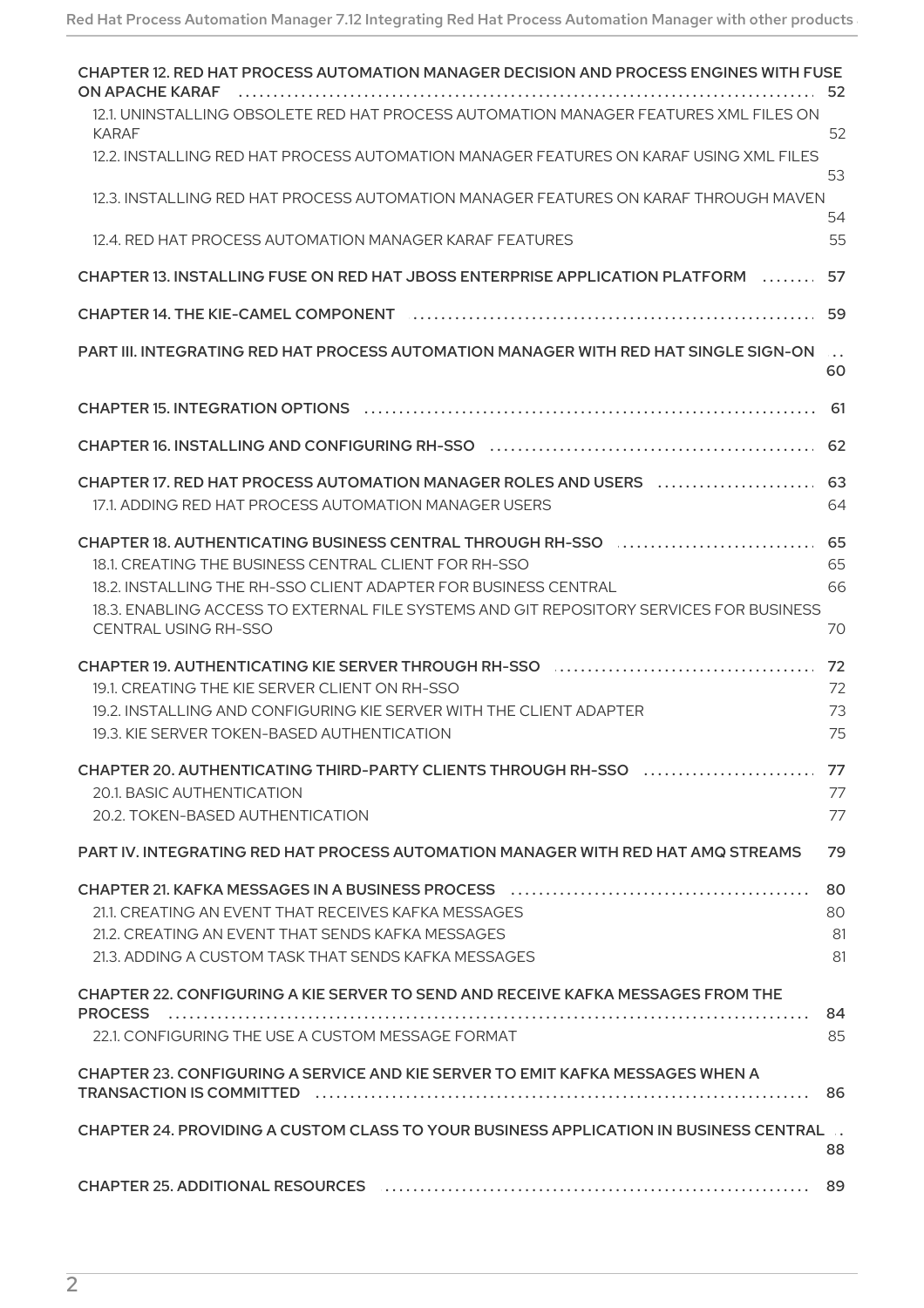| CHAPTER 12. RED HAT PROCESS AUTOMATION MANAGER DECISION AND PROCESS ENGINES WITH FUSE<br><b>ON APACHE KARAF</b>        | 52                         |
|------------------------------------------------------------------------------------------------------------------------|----------------------------|
| 12.1. UNINSTALLING OBSOLETE RED HAT PROCESS AUTOMATION MANAGER FEATURES XML FILES ON<br><b>KARAF</b>                   | 52                         |
| 12.2. INSTALLING RED HAT PROCESS AUTOMATION MANAGER FEATURES ON KARAF USING XML FILES                                  | 53                         |
| 12.3. INSTALLING RED HAT PROCESS AUTOMATION MANAGER FEATURES ON KARAF THROUGH MAVEN                                    | 54                         |
| 12.4. RED HAT PROCESS AUTOMATION MANAGER KARAF FEATURES                                                                | 55                         |
| CHAPTER 13. INSTALLING FUSE ON RED HAT JBOSS ENTERPRISE APPLICATION PLATFORM                                           | 57                         |
| CHAPTER 14. THE KIE-CAMEL COMPONENT<br>.                                                                               | 59                         |
| PART III. INTEGRATING RED HAT PROCESS AUTOMATION MANAGER WITH RED HAT SINGLE SIGN-ON                                   | $\sim$ $\sim$ $\sim$<br>60 |
|                                                                                                                        | 61                         |
|                                                                                                                        | 62                         |
| CHAPTER 17. RED HAT PROCESS AUTOMATION MANAGER ROLES AND USERS                                                         | 63                         |
| 17.1. ADDING RED HAT PROCESS AUTOMATION MANAGER USERS                                                                  | 64                         |
| CHAPTER 18. AUTHENTICATING BUSINESS CENTRAL THROUGH RH-SSO<br>18.1. CREATING THE BUSINESS CENTRAL CLIENT FOR RH-SSO    | 65<br>65                   |
| 18.2. INSTALLING THE RH-SSO CLIENT ADAPTER FOR BUSINESS CENTRAL                                                        | 66                         |
| 18.3. ENABLING ACCESS TO EXTERNAL FILE SYSTEMS AND GIT REPOSITORY SERVICES FOR BUSINESS<br><b>CENTRAL USING RH-SSO</b> | 70                         |
|                                                                                                                        | 72                         |
| 19.1. CREATING THE KIE SERVER CLIENT ON RH-SSO                                                                         | 72                         |
| 19.2. INSTALLING AND CONFIGURING KIE SERVER WITH THE CLIENT ADAPTER<br>19.3. KIE SERVER TOKEN-BASED AUTHENTICATION     | 73<br>75                   |
|                                                                                                                        |                            |
| 20.1. BASIC AUTHENTICATION<br>20.2. TOKEN-BASED AUTHENTICATION                                                         | 77<br>77                   |
|                                                                                                                        |                            |
| PART IV. INTEGRATING RED HAT PROCESS AUTOMATION MANAGER WITH RED HAT AMQ STREAMS                                       | 79                         |
|                                                                                                                        | 80                         |
| 21.1 CREATING AN EVENT THAT RECEIVES KAEKA MESSAGES<br>21.2. CREATING AN EVENT THAT SENDS KAFKA MESSAGES               | 80<br>81                   |
| 21.3. ADDING A CUSTOM TASK THAT SENDS KAFKA MESSAGES                                                                   | 81                         |
| CHAPTER 22. CONFIGURING A KIE SERVER TO SEND AND RECEIVE KAFKA MESSAGES FROM THE                                       | 84                         |
| 22.1. CONFIGURING THE USE A CUSTOM MESSAGE FORMAT                                                                      | 85                         |
| CHAPTER 23. CONFIGURING A SERVICE AND KIE SERVER TO EMIT KAFKA MESSAGES WHEN A                                         |                            |
|                                                                                                                        |                            |
| CHAPTER 24. PROVIDING A CUSTOM CLASS TO YOUR BUSINESS APPLICATION IN BUSINESS CENTRAL                                  | 88                         |
|                                                                                                                        |                            |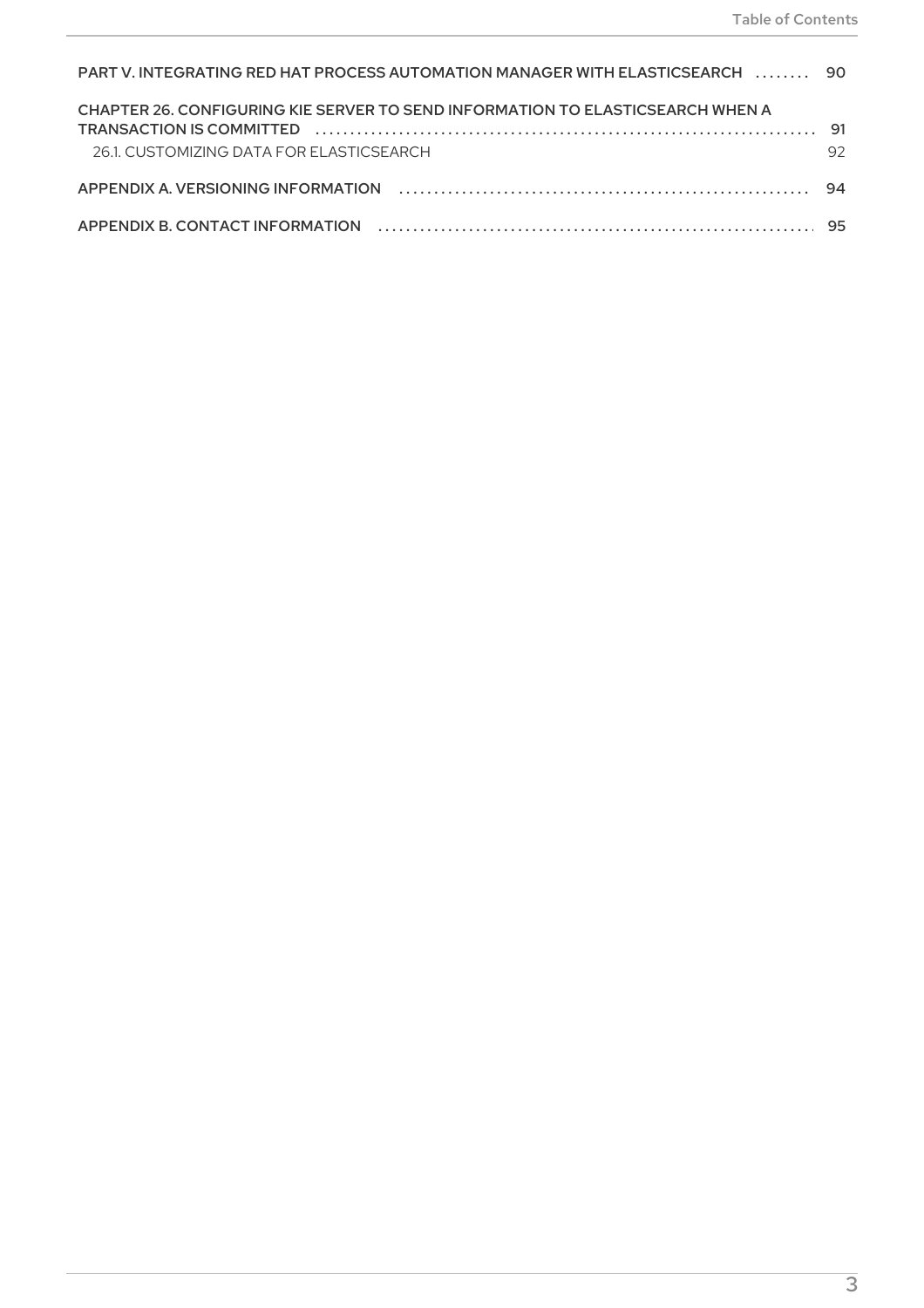| PART V. INTEGRATING RED HAT PROCESS AUTOMATION MANAGER WITH ELASTICSEARCH  90  |    |
|--------------------------------------------------------------------------------|----|
| CHAPTER 26, CONFIGURING KIE SERVER TO SEND INFORMATION TO ELASTICSEARCH WHEN A |    |
| 26.1 CUSTOMIZING DATA FOR FLASTICSFARCH                                        | 92 |
|                                                                                |    |
|                                                                                |    |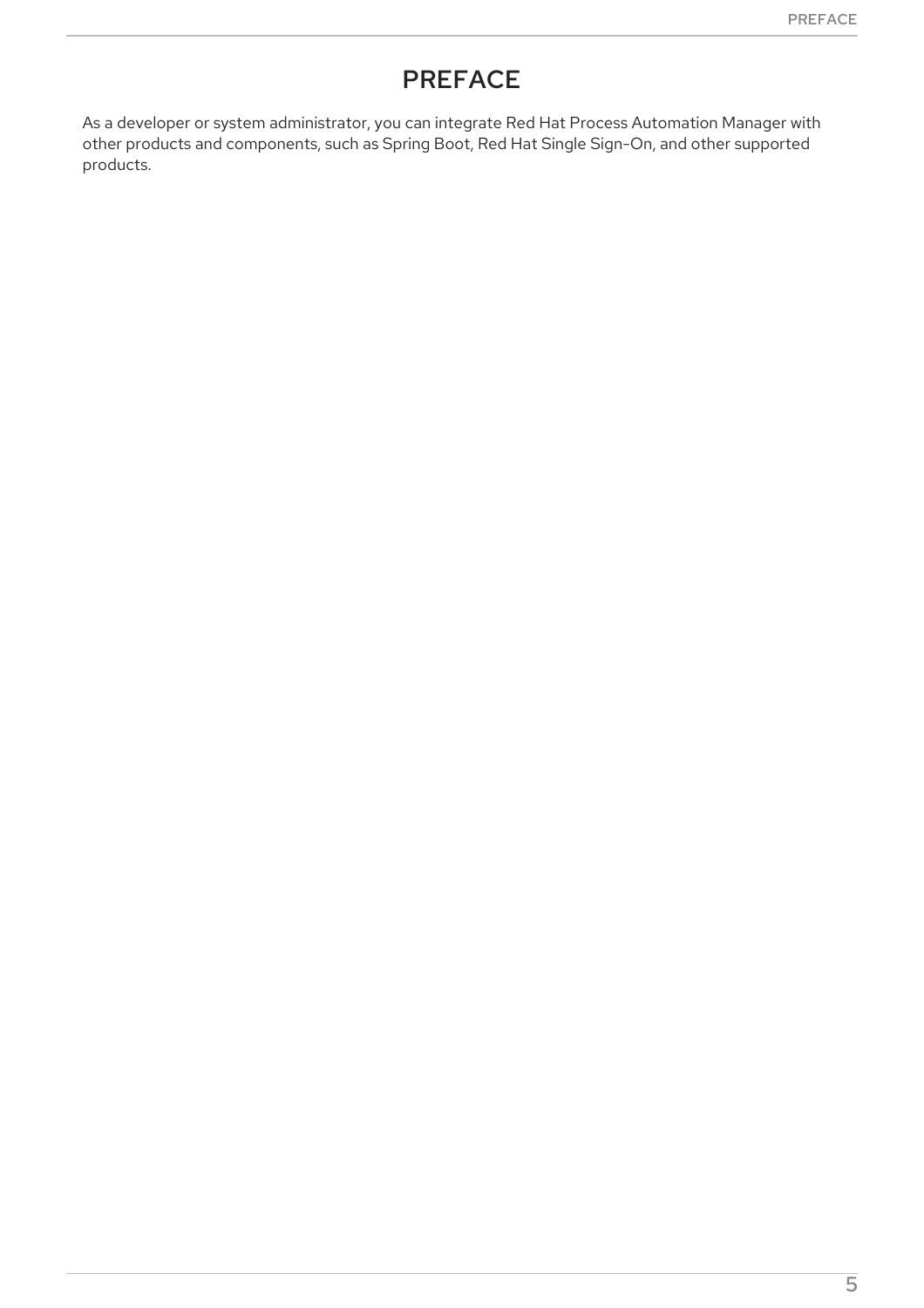# PREFACE

<span id="page-8-0"></span>As a developer or system administrator, you can integrate Red Hat Process Automation Manager with other products and components, such as Spring Boot, Red Hat Single Sign-On, and other supported products.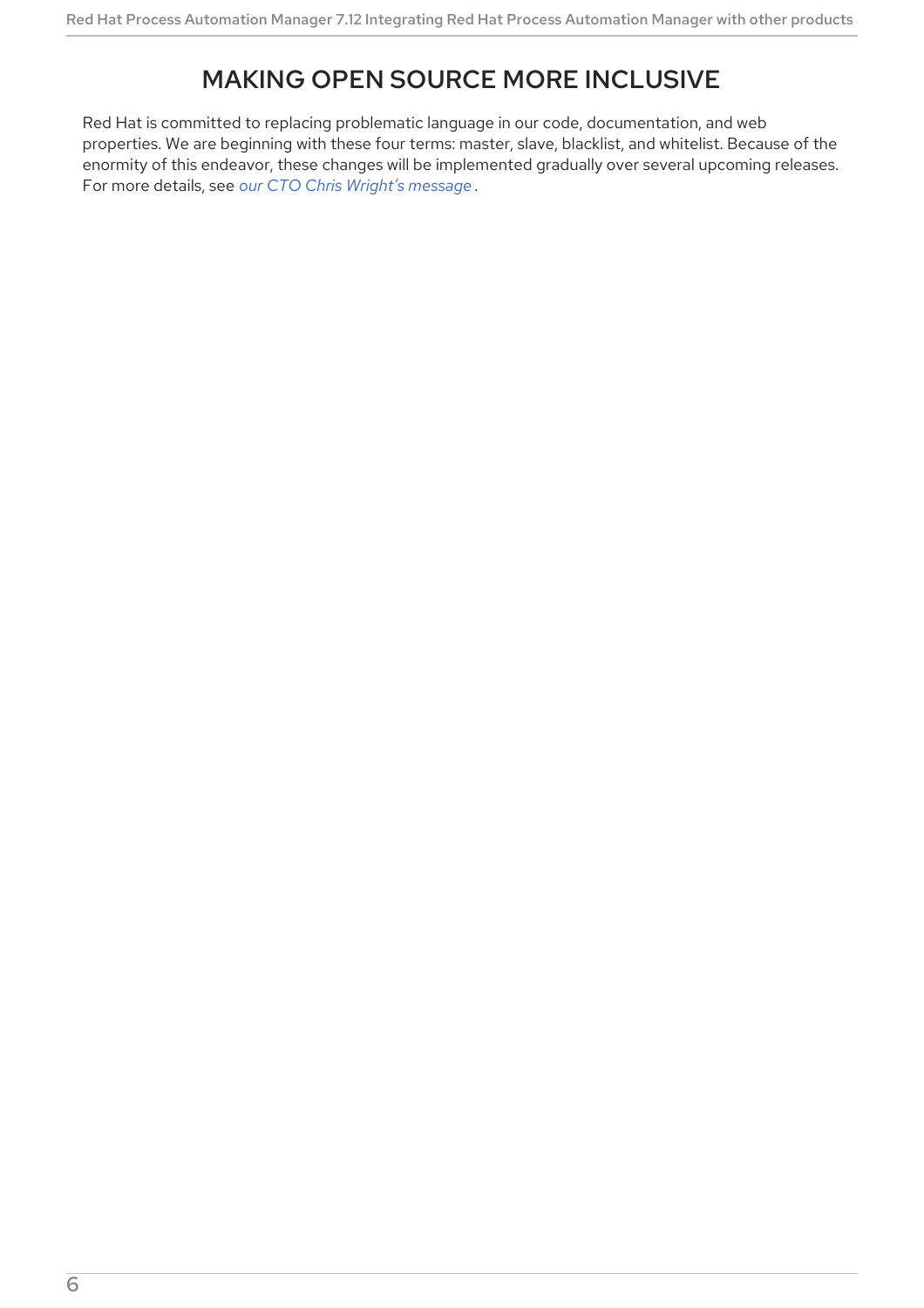# MAKING OPEN SOURCE MORE INCLUSIVE

<span id="page-9-0"></span>Red Hat is committed to replacing problematic language in our code, documentation, and web properties. We are beginning with these four terms: master, slave, blacklist, and whitelist. Because of the enormity of this endeavor, these changes will be implemented gradually over several upcoming releases. For more details, see *our CTO Chris Wright's [message](https://www.redhat.com/en/blog/making-open-source-more-inclusive-eradicating-problematic-language)* .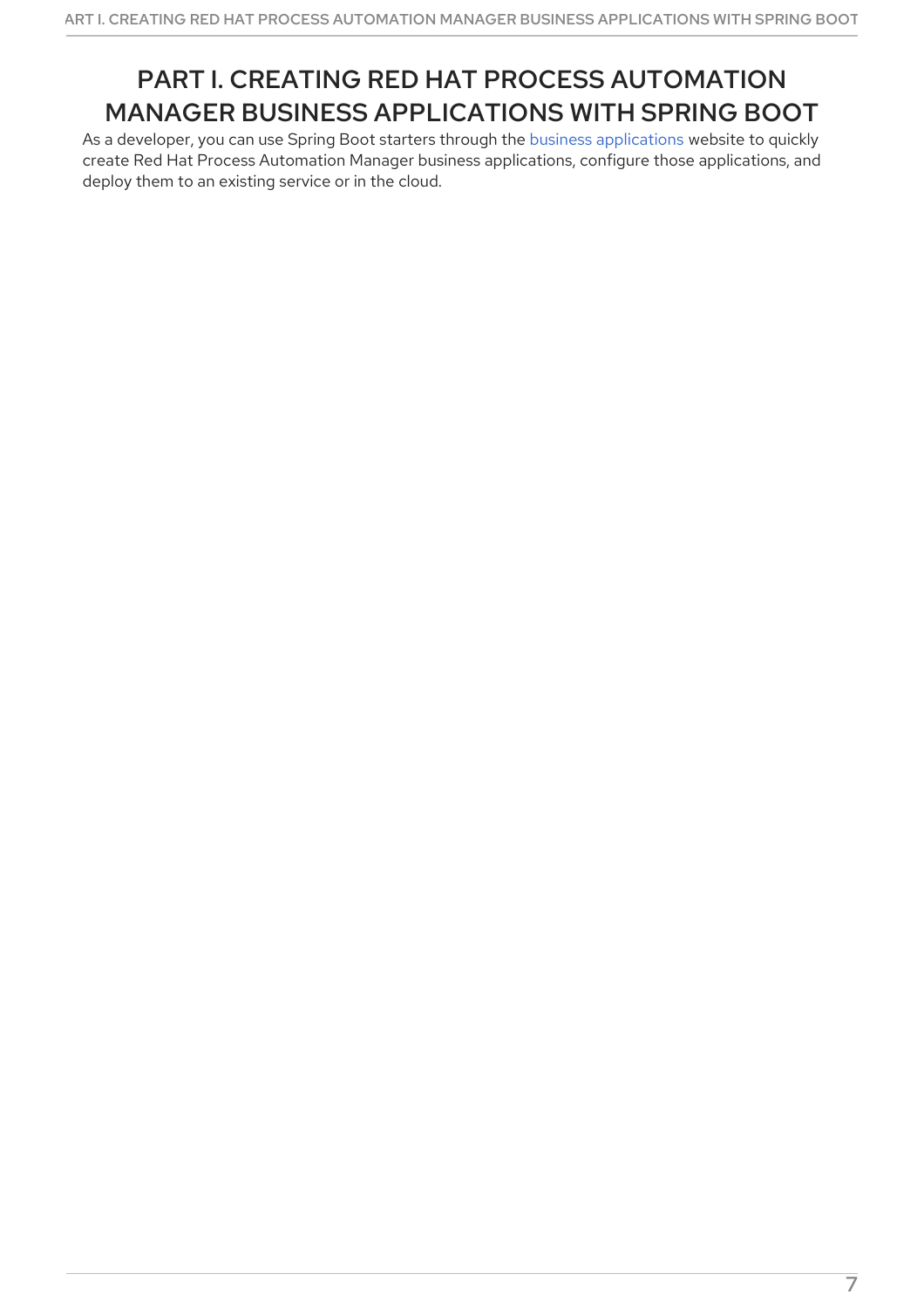# <span id="page-10-0"></span>PART I. CREATING RED HAT PROCESS AUTOMATION MANAGER BUSINESS APPLICATIONS WITH SPRING BOOT

As a developer, you can use Spring Boot starters through the business [applications](https://start.jbpm.org) website to quickly create Red Hat Process Automation Manager business applications, configure those applications, and deploy them to an existing service or in the cloud.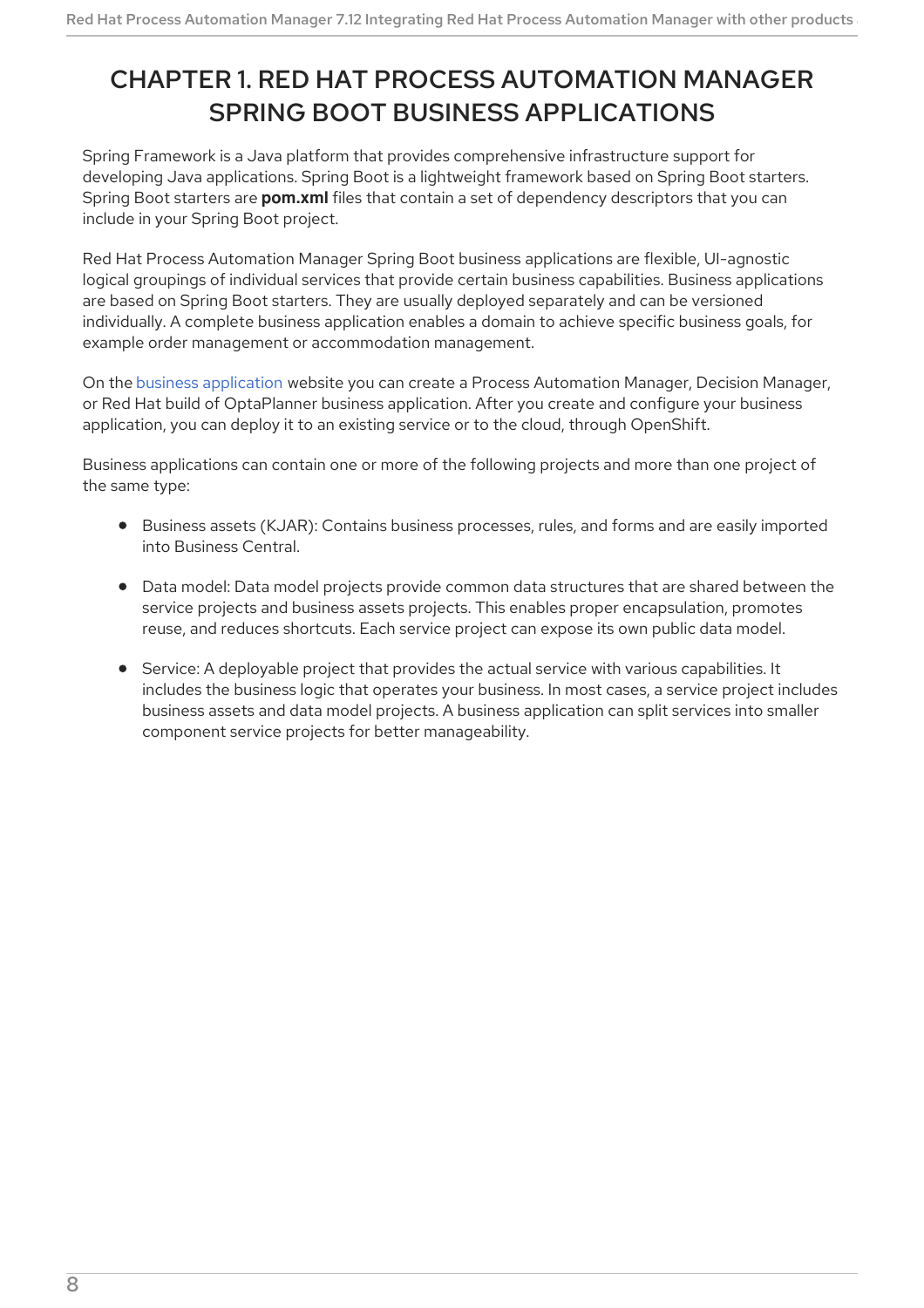# <span id="page-11-0"></span>CHAPTER 1. RED HAT PROCESS AUTOMATION MANAGER SPRING BOOT BUSINESS APPLICATIONS

Spring Framework is a Java platform that provides comprehensive infrastructure support for developing Java applications. Spring Boot is a lightweight framework based on Spring Boot starters. Spring Boot starters are **pom.xml** files that contain a set of dependency descriptors that you can include in your Spring Boot project.

Red Hat Process Automation Manager Spring Boot business applications are flexible, UI-agnostic logical groupings of individual services that provide certain business capabilities. Business applications are based on Spring Boot starters. They are usually deployed separately and can be versioned individually. A complete business application enables a domain to achieve specific business goals, for example order management or accommodation management.

On the business [application](https://start.jbpm.org) website you can create a Process Automation Manager, Decision Manager, or Red Hat build of OptaPlanner business application. After you create and configure your business application, you can deploy it to an existing service or to the cloud, through OpenShift.

Business applications can contain one or more of the following projects and more than one project of the same type:

- Business assets (KJAR): Contains business processes, rules, and forms and are easily imported into Business Central.
- Data model: Data model projects provide common data structures that are shared between the service projects and business assets projects. This enables proper encapsulation, promotes reuse, and reduces shortcuts. Each service project can expose its own public data model.
- Service: A deployable project that provides the actual service with various capabilities. It includes the business logic that operates your business. In most cases, a service project includes business assets and data model projects. A business application can split services into smaller component service projects for better manageability.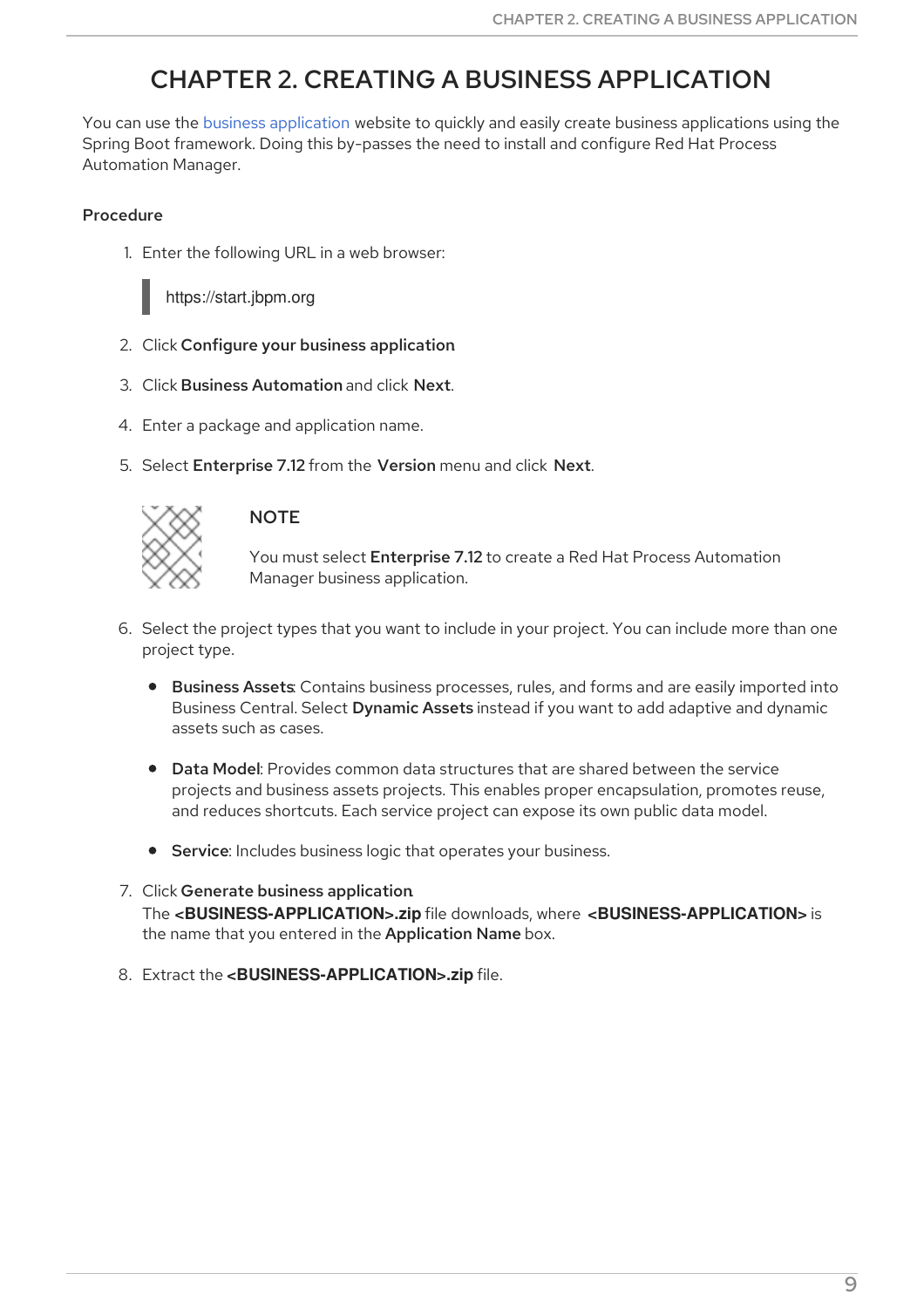# CHAPTER 2. CREATING A BUSINESS APPLICATION

<span id="page-12-0"></span>You can use the business [application](https://start.jbpm.org) website to quickly and easily create business applications using the Spring Boot framework. Doing this by-passes the need to install and configure Red Hat Process Automation Manager.

#### Procedure

1. Enter the following URL in a web browser:



https://start.jbpm.org

- 2. Click Configure your business application.
- 3. Click Business Automation and click Next.
- 4. Enter a package and application name.
- 5. Select Enterprise 7.12 from the Version menu and click Next.



#### **NOTE**

You must select Enterprise 7.12 to create a Red Hat Process Automation Manager business application.

- 6. Select the project types that you want to include in your project. You can include more than one project type.
	- **Business Assets:** Contains business processes, rules, and forms and are easily imported into Business Central. Select Dynamic Assets instead if you want to add adaptive and dynamic assets such as cases.
	- Data Model: Provides common data structures that are shared between the service projects and business assets projects. This enables proper encapsulation, promotes reuse, and reduces shortcuts. Each service project can expose its own public data model.
	- **Service:** Includes business logic that operates your business.
- 7. Click Generate business application. The **<BUSINESS-APPLICATION>.zip** file downloads, where **<BUSINESS-APPLICATION>** is the name that you entered in the Application Name box.
- 8. Extract the **<BUSINESS-APPLICATION>.zip** file.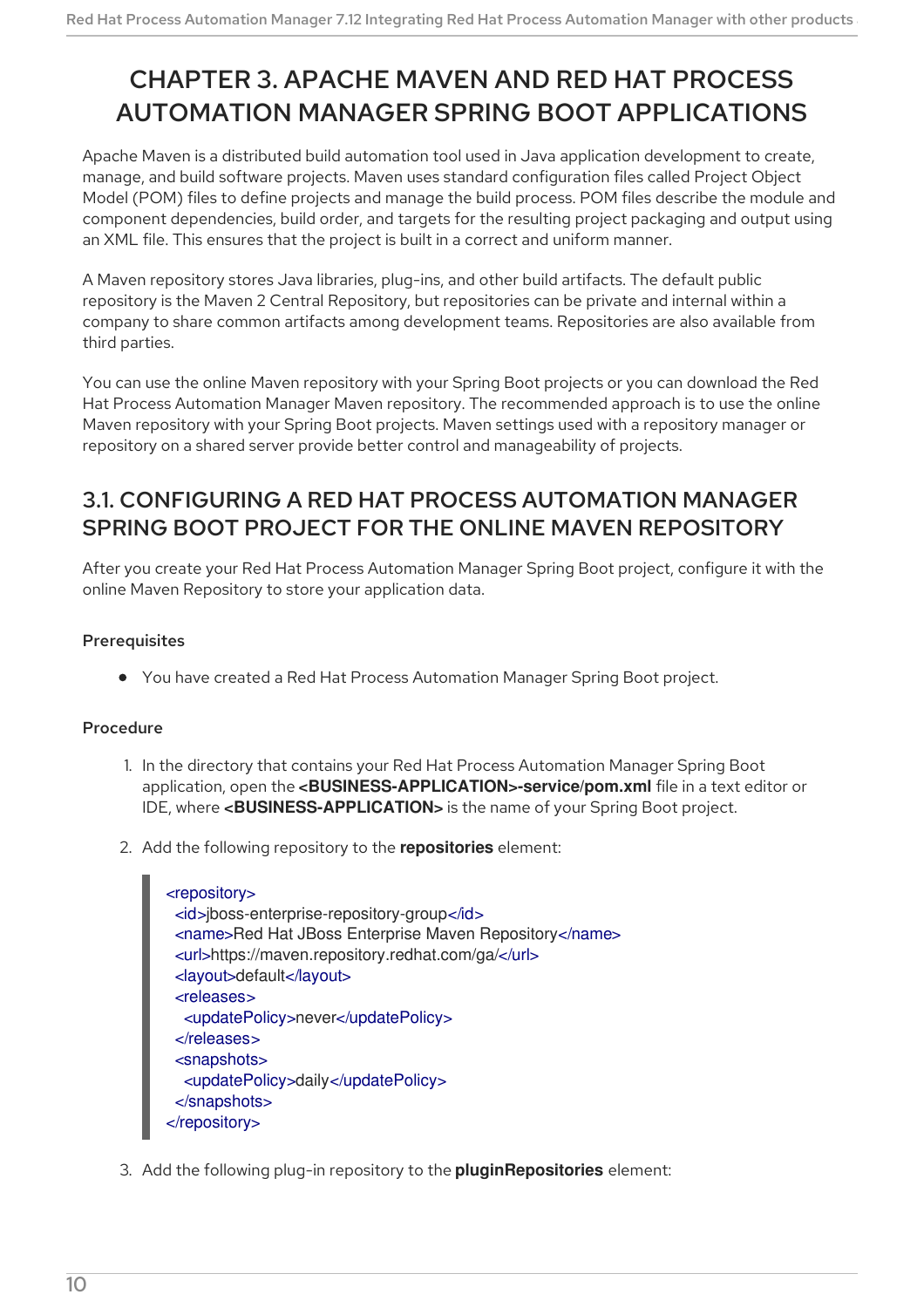# <span id="page-13-0"></span>CHAPTER 3. APACHE MAVEN AND RED HAT PROCESS AUTOMATION MANAGER SPRING BOOT APPLICATIONS

Apache Maven is a distributed build automation tool used in Java application development to create, manage, and build software projects. Maven uses standard configuration files called Project Object Model (POM) files to define projects and manage the build process. POM files describe the module and component dependencies, build order, and targets for the resulting project packaging and output using an XML file. This ensures that the project is built in a correct and uniform manner.

A Maven repository stores Java libraries, plug-ins, and other build artifacts. The default public repository is the Maven 2 Central Repository, but repositories can be private and internal within a company to share common artifacts among development teams. Repositories are also available from third parties.

You can use the online Maven repository with your Spring Boot projects or you can download the Red Hat Process Automation Manager Maven repository. The recommended approach is to use the online Maven repository with your Spring Boot projects. Maven settings used with a repository manager or repository on a shared server provide better control and manageability of projects.

### <span id="page-13-1"></span>3.1. CONFIGURING A RED HAT PROCESS AUTOMATION MANAGER SPRING BOOT PROJECT FOR THE ONLINE MAVEN REPOSITORY

After you create your Red Hat Process Automation Manager Spring Boot project, configure it with the online Maven Repository to store your application data.

#### **Prerequisites**

You have created a Red Hat Process Automation Manager Spring Boot project.

#### **Procedure**

- 1. In the directory that contains your Red Hat Process Automation Manager Spring Boot application, open the **<BUSINESS-APPLICATION>-service/pom.xml** file in a text editor or IDE, where **<BUSINESS-APPLICATION>** is the name of your Spring Boot project.
- 2. Add the following repository to the **repositories** element:

```
<repository>
 <id>jboss-enterprise-repository-group</id>
 <name>Red Hat JBoss Enterprise Maven Repository</name>
 <url>https://maven.repository.redhat.com/ga/</url>
 <layout>default</layout>
 <releases>
  <updatePolicy>never</updatePolicy>
 </releases>
 <snapshots>
  <updatePolicy>daily</updatePolicy>
 </snapshots>
</repository>
```
3. Add the following plug-in repository to the **pluginRepositories** element: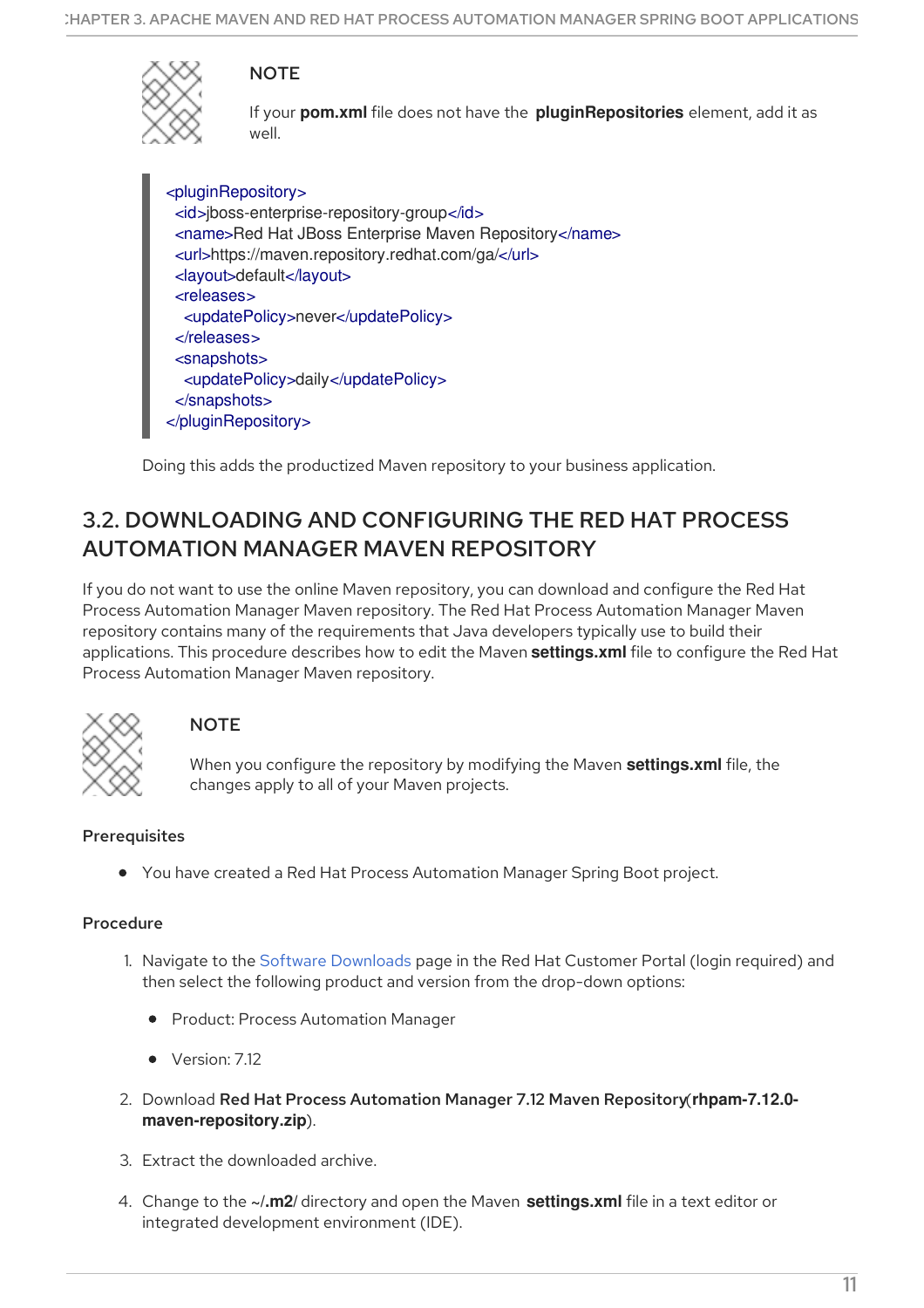

**NOTE** 

If your **pom.xml** file does not have the **pluginRepositories** element, add it as well.

<pluginRepository> <id>jboss-enterprise-repository-group</id> <name>Red Hat JBoss Enterprise Maven Repository</name> <url>https://maven.repository.redhat.com/ga/</url> <layout>default</layout> <releases> <updatePolicy>never</updatePolicy> </releases> <snapshots> <updatePolicy>daily</updatePolicy> </snapshots> </pluginRepository>

Doing this adds the productized Maven repository to your business application.

### <span id="page-14-0"></span>3.2. DOWNLOADING AND CONFIGURING THE RED HAT PROCESS AUTOMATION MANAGER MAVEN REPOSITORY

If you do not want to use the online Maven repository, you can download and configure the Red Hat Process Automation Manager Maven repository. The Red Hat Process Automation Manager Maven repository contains many of the requirements that Java developers typically use to build their applications. This procedure describes how to edit the Maven **settings.xml** file to configure the Red Hat Process Automation Manager Maven repository.



#### **NOTE**

When you configure the repository by modifying the Maven **settings.xml** file, the changes apply to all of your Maven projects.

#### **Prerequisites**

You have created a Red Hat Process Automation Manager Spring Boot project.

#### Procedure

- 1. Navigate to the Software [Downloads](https://access.redhat.com/jbossnetwork/restricted/listSoftware.html) page in the Red Hat Customer Portal (login required) and then select the following product and version from the drop-down options:
	- **•** Product: Process Automation Manager
	- Version: 7.12
- 2. Download Red Hat Process Automation Manager 7.12 Maven Repository(**rhpam-7.12.0 maven-repository.zip**).
- 3. Extract the downloaded archive.
- 4. Change to the **~/.m2/** directory and open the Maven **settings.xml** file in a text editor or integrated development environment (IDE).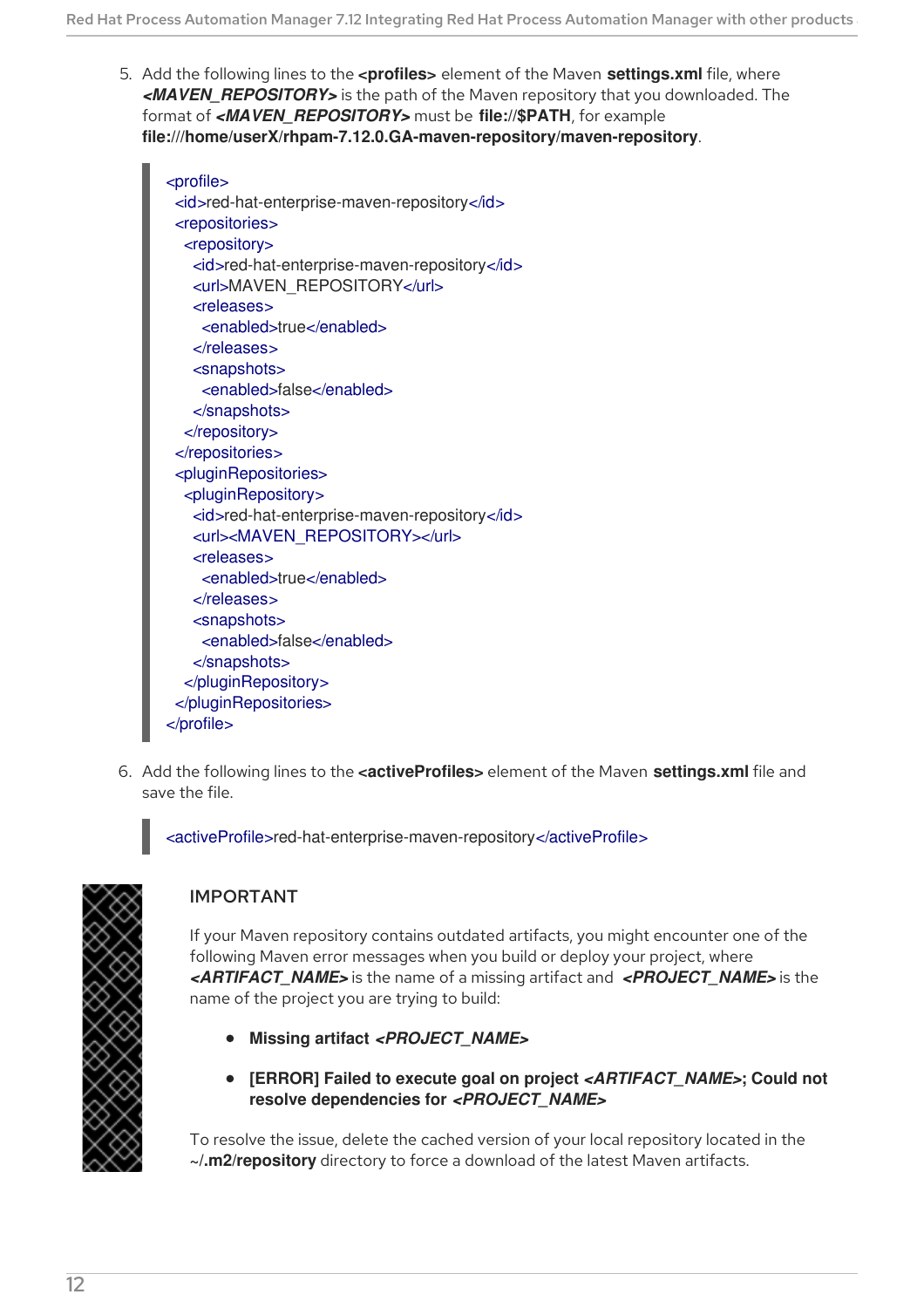- 5. Add the following lines to the **<profiles>** element of the Maven **settings.xml** file, where *<MAVEN\_REPOSITORY>* is the path of the Maven repository that you downloaded. The format of *<MAVEN\_REPOSITORY>* must be **file://\$PATH**, for example **file:///home/userX/rhpam-7.12.0.GA-maven-repository/maven-repository**.
	- <profile> <id>red-hat-enterprise-maven-repository</id> <repositories> <repository> <id>red-hat-enterprise-maven-repository</id> <url>MAVEN\_REPOSITORY</url> <releases> <enabled>true</enabled> </releases> <snapshots> <enabled>false</enabled> </snapshots> </repository> </repositories> <pluginRepositories> <pluginRepository> <id>red-hat-enterprise-maven-repository</id> <url><MAVEN\_REPOSITORY></url> <releases> <enabled>true</enabled> </releases> <snapshots> <enabled>false</enabled> </snapshots> </pluginRepository> </pluginRepositories> </profile>
- 6. Add the following lines to the **<activeProfiles>** element of the Maven **settings.xml** file and save the file.

<activeProfile>red-hat-enterprise-maven-repository</activeProfile>



#### IMPORTANT

If your Maven repository contains outdated artifacts, you might encounter one of the following Maven error messages when you build or deploy your project, where *<ARTIFACT\_NAME>* is the name of a missing artifact and *<PROJECT\_NAME>* is the name of the project you are trying to build:

- **Missing artifact** *<PROJECT\_NAME>*
- **[ERROR] Failed to execute goal on project** *<ARTIFACT\_NAME>***; Could not resolve dependencies for** *<PROJECT\_NAME>*

To resolve the issue, delete the cached version of your local repository located in the **~/.m2/repository** directory to force a download of the latest Maven artifacts.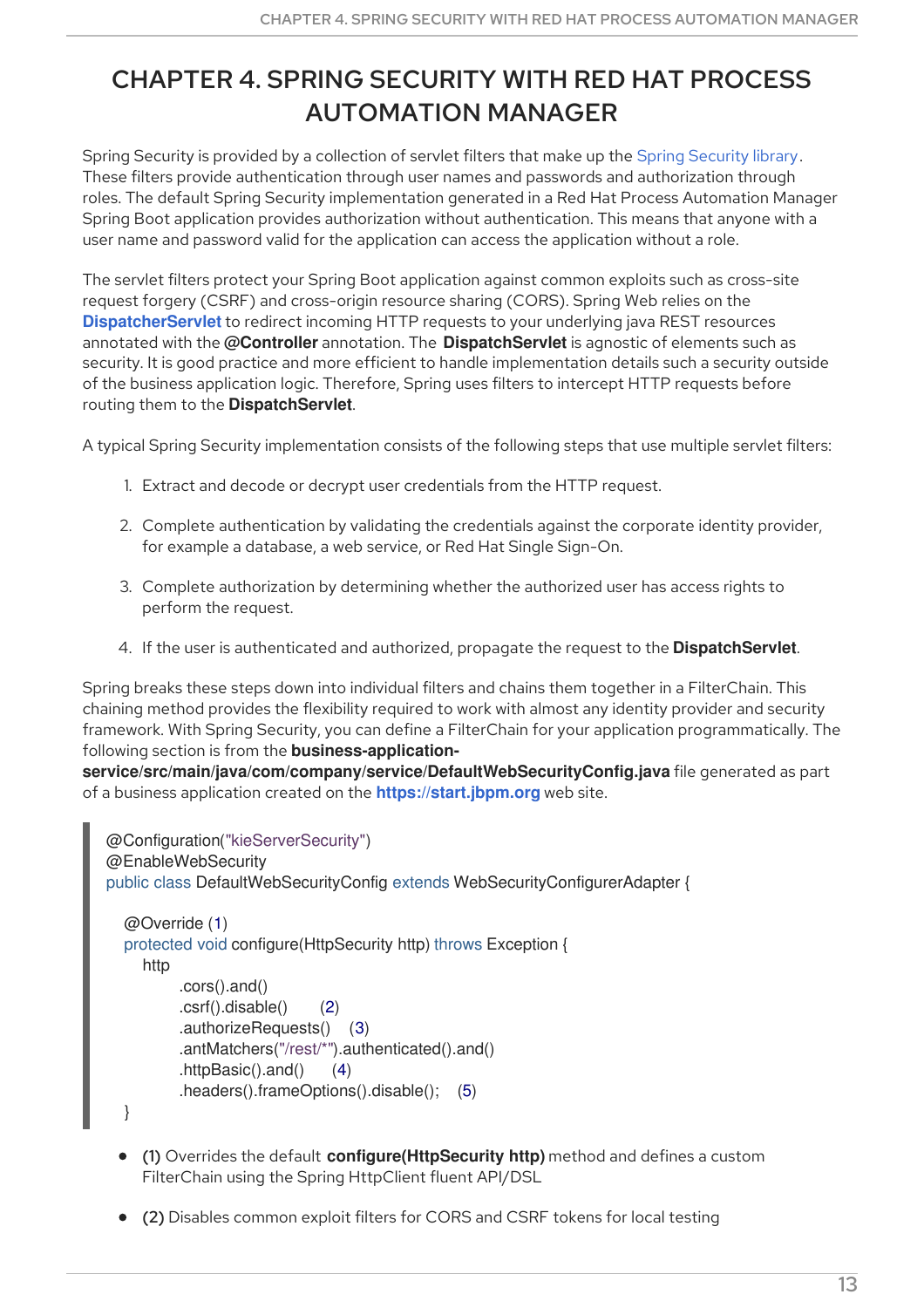# <span id="page-16-0"></span>CHAPTER 4. SPRING SECURITY WITH RED HAT PROCESS AUTOMATION MANAGER

Spring Security is provided by a collection of servlet filters that make up the Spring [Security](https://spring.io/projects/spring-security) library. These filters provide authentication through user names and passwords and authorization through roles. The default Spring Security implementation generated in a Red Hat Process Automation Manager Spring Boot application provides authorization without authentication. This means that anyone with a user name and password valid for the application can access the application without a role.

The servlet filters protect your Spring Boot application against common exploits such as cross-site request forgery (CSRF) and cross-origin resource sharing (CORS). Spring Web relies on the **[DispatcherServlet](https://docs.spring.io/spring/docs/current/spring-framework-reference/web.html#mvc-servlet)** to redirect incoming HTTP requests to your underlying java REST resources annotated with the **@Controller** annotation. The **DispatchServlet** is agnostic of elements such as security. It is good practice and more efficient to handle implementation details such a security outside of the business application logic. Therefore, Spring uses filters to intercept HTTP requests before routing them to the **DispatchServlet**.

A typical Spring Security implementation consists of the following steps that use multiple servlet filters:

- 1. Extract and decode or decrypt user credentials from the HTTP request.
- 2. Complete authentication by validating the credentials against the corporate identity provider, for example a database, a web service, or Red Hat Single Sign-On.
- 3. Complete authorization by determining whether the authorized user has access rights to perform the request.
- 4. If the user is authenticated and authorized, propagate the request to the **DispatchServlet**.

Spring breaks these steps down into individual filters and chains them together in a FilterChain. This chaining method provides the flexibility required to work with almost any identity provider and security framework. With Spring Security, you can define a FilterChain for your application programmatically. The following section is from the **business-application-**

**service/src/main/java/com/company/service/DefaultWebSecurityConfig.java** file generated as part of a business application created on the **<https://start.jbpm.org>** web site.

```
@Configuration("kieServerSecurity")
@EnableWebSecurity
public class DefaultWebSecurityConfig extends WebSecurityConfigurerAdapter {
  @Override (1)
  protected void configure(HttpSecurity http) throws Exception {
     http
         .cors().and()
         .csrf().disable() (2)
         .authorizeRequests() (3)
         .antMatchers("/rest/*").authenticated().and()
         .httpBasic().and() (4)
         .headers().frameOptions().disable(); (5)
  }
```
- (1) Overrides the default **configure(HttpSecurity http)** method and defines a custom FilterChain using the Spring HttpClient fluent API/DSL
- (2) Disables common exploit filters for CORS and CSRF tokens for local testing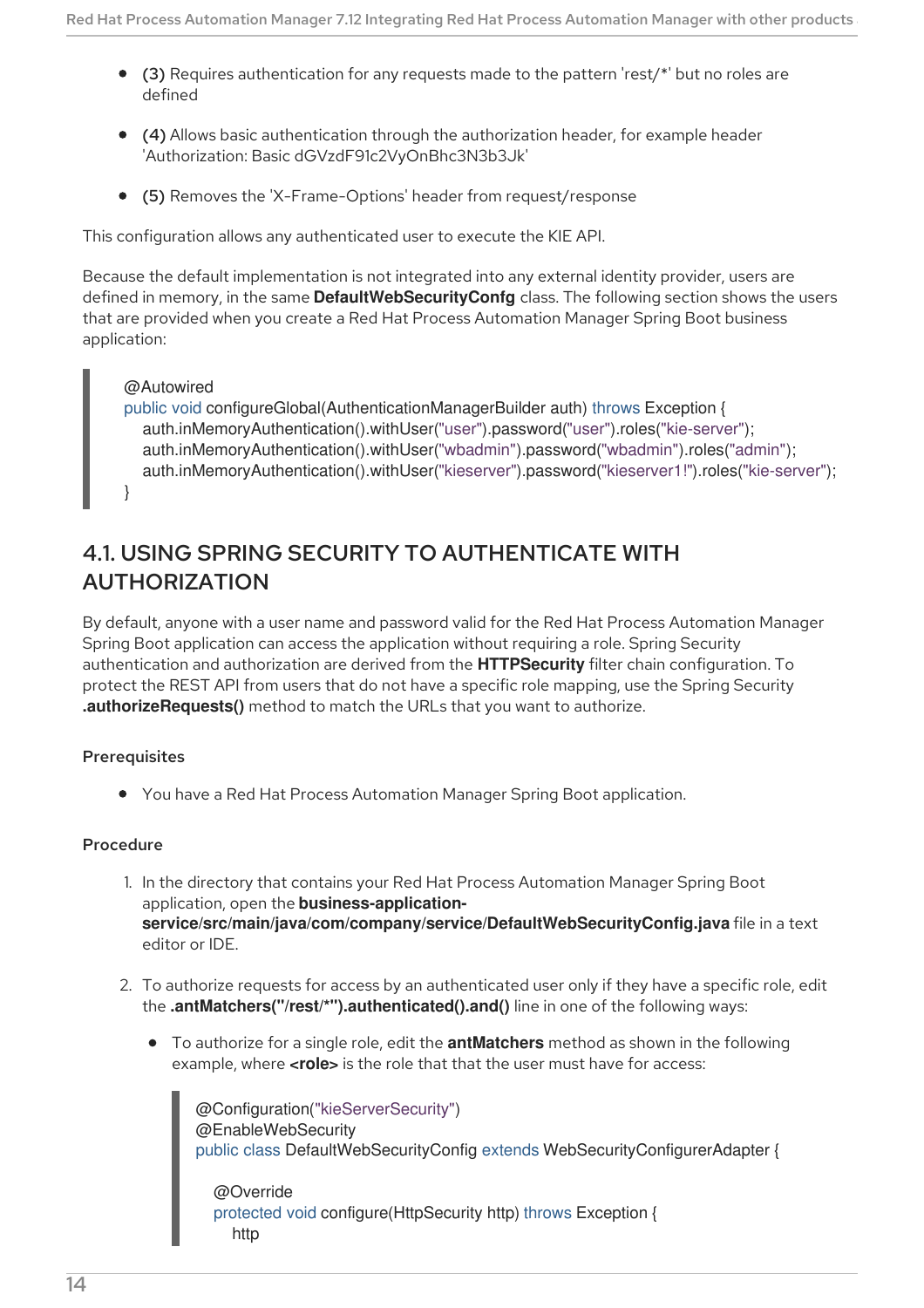- (3) Requires authentication for any requests made to the pattern 'rest/\*' but no roles are defined
- (4) Allows basic authentication through the authorization header, for example header 'Authorization: Basic dGVzdF91c2VyOnBhc3N3b3Jk'
- (5) Removes the 'X-Frame-Options' header from request/response

This configuration allows any authenticated user to execute the KIE API.

Because the default implementation is not integrated into any external identity provider, users are defined in memory, in the same **DefaultWebSecurityConfg** class. The following section shows the users that are provided when you create a Red Hat Process Automation Manager Spring Boot business application:

#### @Autowired

```
public void configureGlobal(AuthenticationManagerBuilder auth) throws Exception {
  auth.inMemoryAuthentication().withUser("user").password("user").roles("kie-server");
  auth.inMemoryAuthentication().withUser("wbadmin").password("wbadmin").roles("admin");
  auth.inMemoryAuthentication().withUser("kieserver").password("kieserver1!").roles("kie-server");
}
```
### <span id="page-17-0"></span>4.1. USING SPRING SECURITY TO AUTHENTICATE WITH AUTHORIZATION

By default, anyone with a user name and password valid for the Red Hat Process Automation Manager Spring Boot application can access the application without requiring a role. Spring Security authentication and authorization are derived from the **HTTPSecurity** filter chain configuration. To protect the REST API from users that do not have a specific role mapping, use the Spring Security **.authorizeRequests()** method to match the URLs that you want to authorize.

#### **Prerequisites**

You have a Red Hat Process Automation Manager Spring Boot application.

#### Procedure

- 1. In the directory that contains your Red Hat Process Automation Manager Spring Boot application, open the **business-applicationservice/src/main/java/com/company/service/DefaultWebSecurityConfig.java** file in a text editor or IDE.
- 2. To authorize requests for access by an authenticated user only if they have a specific role, edit the **.antMatchers("/rest/\*").authenticated().and()** line in one of the following ways:
	- To authorize for a single role, edit the **antMatchers** method as shown in the following example, where **<role>** is the role that that the user must have for access:

@Configuration("kieServerSecurity") @EnableWebSecurity public class DefaultWebSecurityConfig extends WebSecurityConfigurerAdapter { @Override

protected void configure(HttpSecurity http) throws Exception { http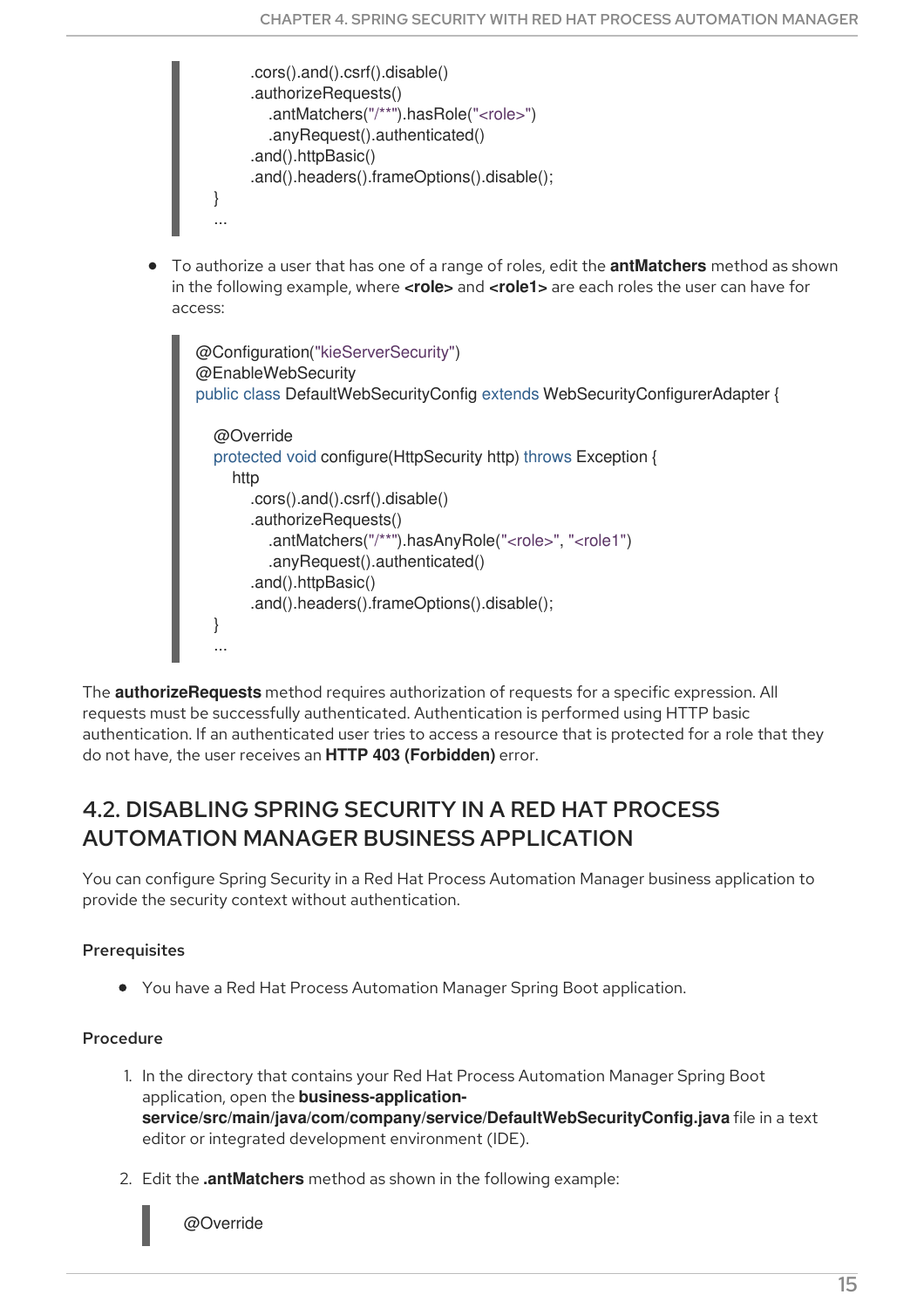```
.cors().and().csrf().disable()
     .authorizeRequests()
        .antMatchers("/**").hasRole("<role>")
        .anyRequest().authenticated()
     .and().httpBasic()
     .and().headers().frameOptions().disable();
}
...
```
To authorize a user that has one of a range of roles, edit the **antMatchers** method as shown in the following example, where **<role>** and **<role1>** are each roles the user can have for access:

```
@Configuration("kieServerSecurity")
@EnableWebSecurity
public class DefaultWebSecurityConfig extends WebSecurityConfigurerAdapter {
  @Override
  protected void configure(HttpSecurity http) throws Exception {
    http
       .cors().and().csrf().disable()
       .authorizeRequests()
          .antMatchers("/**").hasAnyRole("<role>", "<role1")
          .anyRequest().authenticated()
       .and().httpBasic()
       .and().headers().frameOptions().disable();
  }
  ...
```
The **authorizeRequests** method requires authorization of requests for a specific expression. All requests must be successfully authenticated. Authentication is performed using HTTP basic authentication. If an authenticated user tries to access a resource that is protected for a role that they do not have, the user receives an **HTTP 403 (Forbidden)** error.

### <span id="page-18-0"></span>4.2. DISABLING SPRING SECURITY IN A RED HAT PROCESS AUTOMATION MANAGER BUSINESS APPLICATION

You can configure Spring Security in a Red Hat Process Automation Manager business application to provide the security context without authentication.

#### **Prerequisites**

You have a Red Hat Process Automation Manager Spring Boot application.

#### Procedure

- 1. In the directory that contains your Red Hat Process Automation Manager Spring Boot application, open the **business-applicationservice/src/main/java/com/company/service/DefaultWebSecurityConfig.java** file in a text editor or integrated development environment (IDE).
- 2. Edit the **.antMatchers** method as shown in the following example:

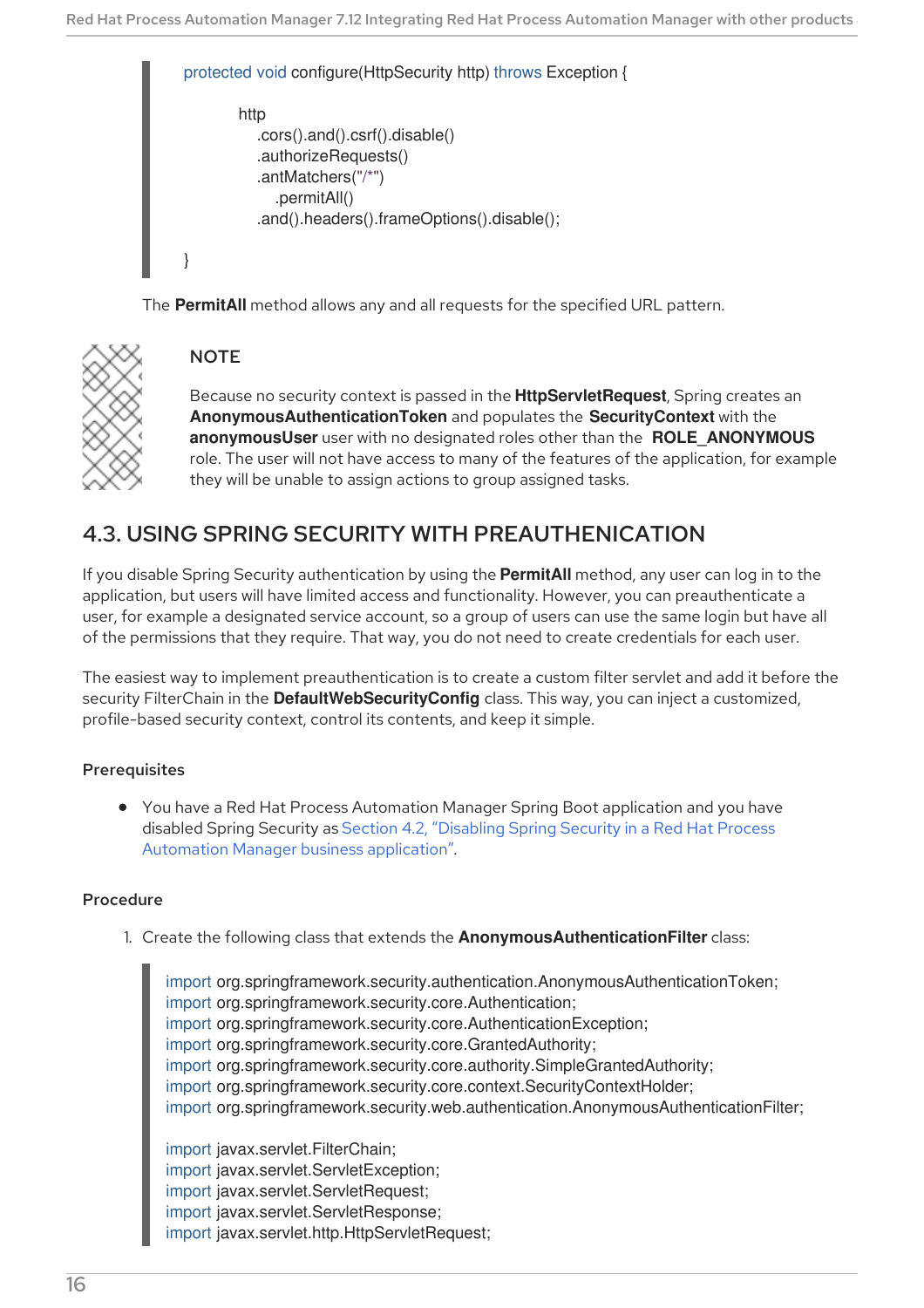| protected void configure (HttpSecurity http) throws Exception { |  |
|-----------------------------------------------------------------|--|
| http<br>$.cors()$ .and $()$ .csrf $()$ .disable $()$            |  |
| .authorizeRequests()<br>.antMatchers( $\frac{n}{r}$ ")          |  |
| .permitAll()<br>.and().headers().frameOptions().disable();      |  |
|                                                                 |  |

The **PermitAll** method allows any and all requests for the specified URL pattern.



#### **NOTE**

Because no security context is passed in the **HttpServletRequest**, Spring creates an **AnonymousAuthenticationToken** and populates the **SecurityContext** with the **anonymousUser** user with no designated roles other than the **ROLE\_ANONYMOUS** role. The user will not have access to many of the features of the application, for example they will be unable to assign actions to group assigned tasks.

### <span id="page-19-0"></span>4.3. USING SPRING SECURITY WITH PREAUTHENICATION

If you disable Spring Security authentication by using the **PermitAll** method, any user can log in to the application, but users will have limited access and functionality. However, you can preauthenticate a user, for example a designated service account, so a group of users can use the same login but have all of the permissions that they require. That way, you do not need to create credentials for each user.

The easiest way to implement preauthentication is to create a custom filter servlet and add it before the security FilterChain in the **DefaultWebSecurityConfig** class. This way, you can inject a customized, profile-based security context, control its contents, and keep it simple.

#### Prerequisites

You have a Red Hat Process Automation Manager Spring Boot application and you have disabled Spring Security as Section 4.2, "Disabling Spring Security in a Red Hat Process Automation Manager business [application".](#page-18-0)

#### Procedure

1. Create the following class that extends the **AnonymousAuthenticationFilter** class:

import org.springframework.security.authentication.AnonymousAuthenticationToken; import org.springframework.security.core.Authentication; import org.springframework.security.core.AuthenticationException; import org.springframework.security.core.GrantedAuthority; import org.springframework.security.core.authority.SimpleGrantedAuthority; import org.springframework.security.core.context.SecurityContextHolder; import org.springframework.security.web.authentication.AnonymousAuthenticationFilter; import javax.servlet.FilterChain; import javax.servlet.ServletException; import javax.servlet.ServletRequest; import javax.servlet.ServletResponse; import javax.servlet.http.HttpServletRequest;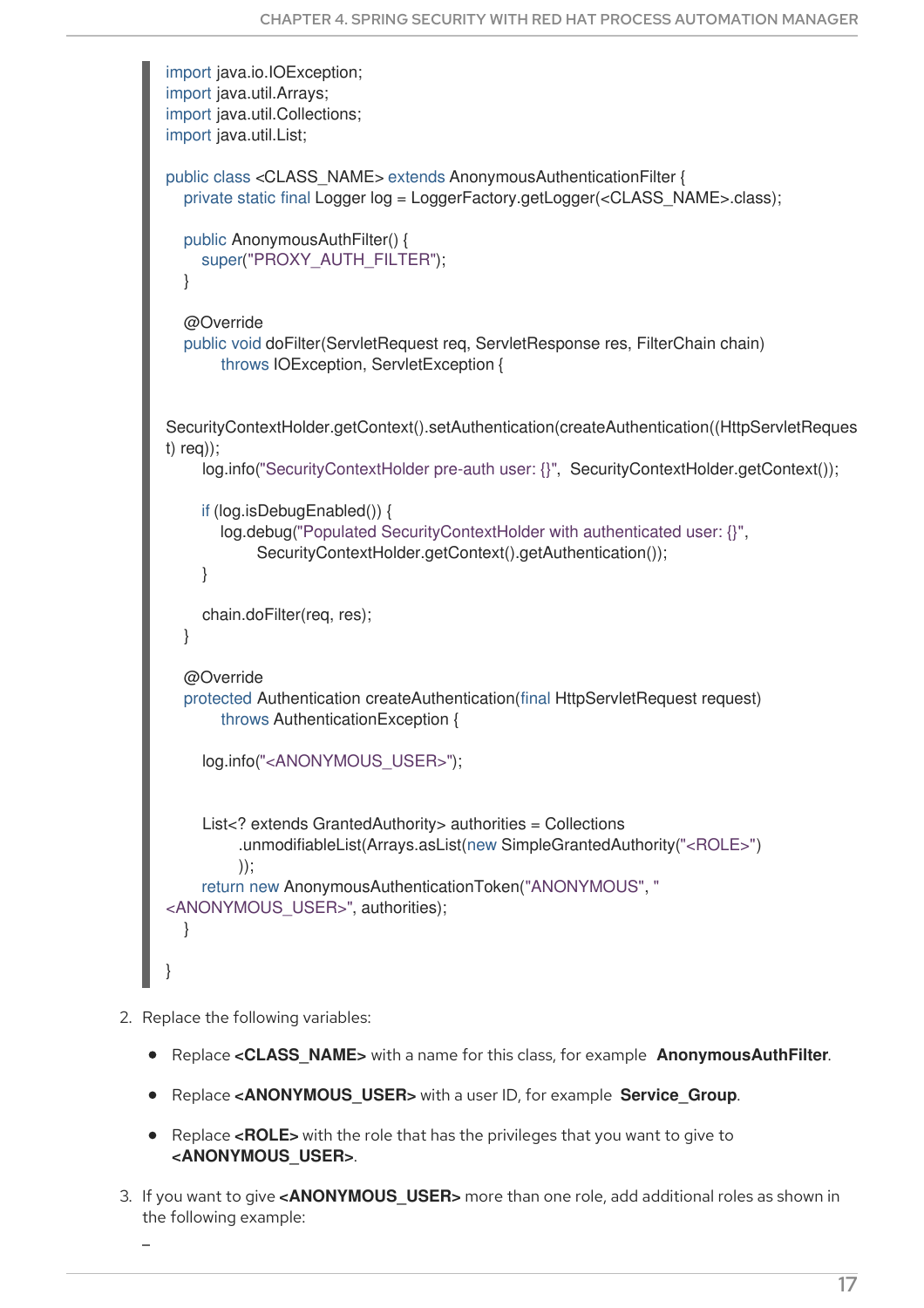```
import java.io.IOException;
import java.util.Arrays;
import java.util.Collections;
import java.util.List;
public class <CLASS_NAME> extends AnonymousAuthenticationFilter {
  private static final Logger log = LoggerFactory.getLogger(<CLASS_NAME>.class);
  public AnonymousAuthFilter() {
    super("PROXY_AUTH_FILTER");
  }
  @Override
  public void doFilter(ServletRequest req, ServletResponse res, FilterChain chain)
       throws IOException, ServletException {
SecurityContextHolder.getContext().setAuthentication(createAuthentication((HttpServletReques
t) req));
    log.info("SecurityContextHolder pre-auth user: {}", SecurityContextHolder.getContext());
    if (log.isDebugEnabled()) {
       log.debug("Populated SecurityContextHolder with authenticated user: {}",
            SecurityContextHolder.getContext().getAuthentication());
    }
    chain.doFilter(req, res);
  }
  @Override
  protected Authentication createAuthentication(final HttpServletRequest request)
       throws AuthenticationException {
    log.info("<ANONYMOUS_USER>");
    List<? extends GrantedAuthority> authorities = Collections
          .unmodifiableList(Arrays.asList(new SimpleGrantedAuthority("<ROLE>")
         ));
    return new AnonymousAuthenticationToken("ANONYMOUS", "
<ANONYMOUS_USER>", authorities);
  }
}
```
- 2. Replace the following variables:
	- Replace **<CLASS\_NAME>** with a name for this class, for example **AnonymousAuthFilter**.
	- **•** Replace <ANONYMOUS USER> with a user ID, for example Service Group.
	- Replace **<ROLE>** with the role that has the privileges that you want to give to **<ANONYMOUS\_USER>**.
- 3. If you want to give **<ANONYMOUS\_USER>** more than one role, add additional roles as shown in the following example: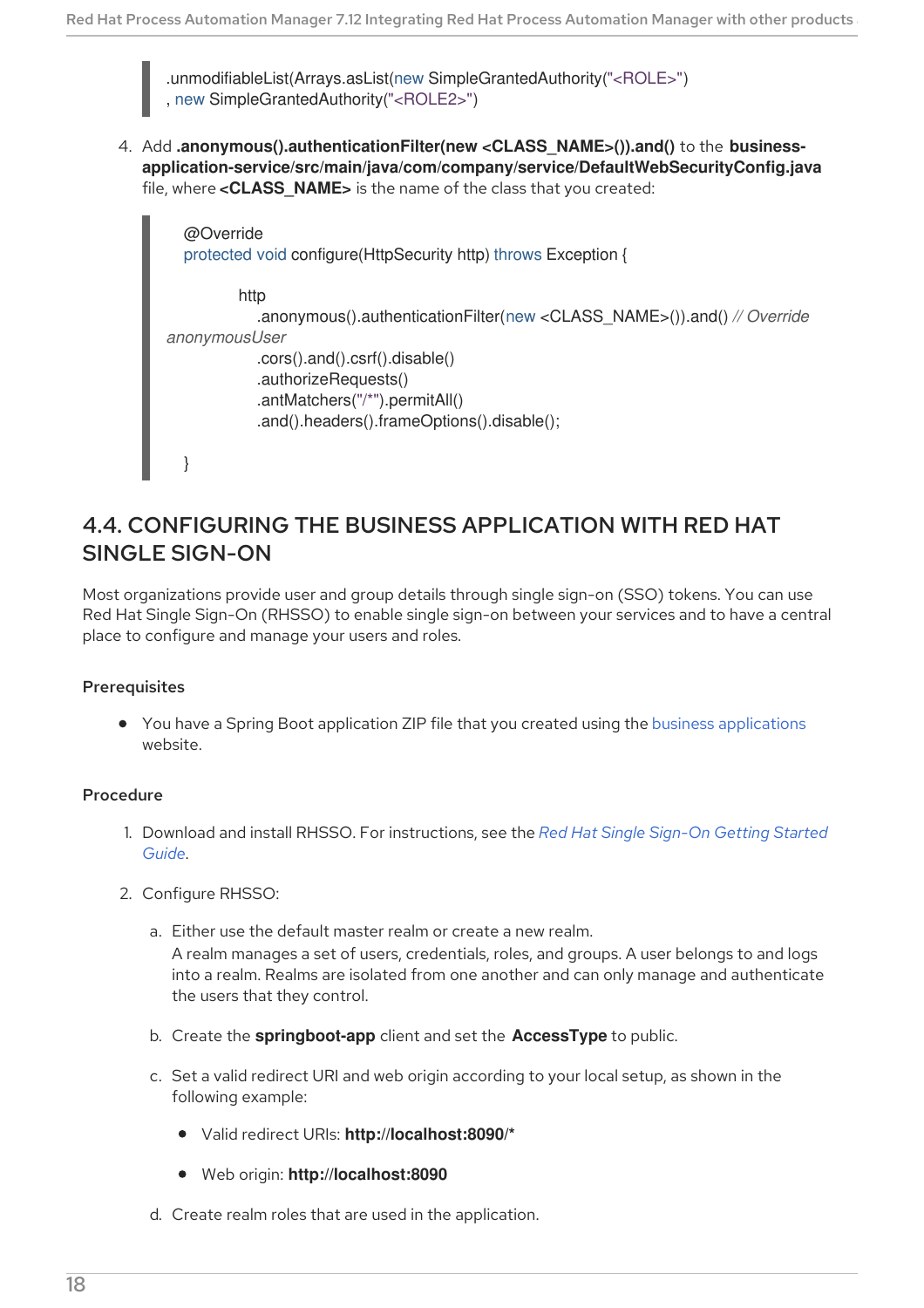.unmodifiableList(Arrays.asList(new SimpleGrantedAuthority("<ROLE>") , new SimpleGrantedAuthority("<ROLE2>")

4. Add **.anonymous().authenticationFilter(new <CLASS\_NAME>()).and()** to the **businessapplication-service/src/main/java/com/company/service/DefaultWebSecurityConfig.java** file, where <CLASS NAME> is the name of the class that you created:

```
@Override
  protected void configure(HttpSecurity http) throws Exception {
         http
            .anonymous().authenticationFilter(new <CLASS_NAME>()).and() // Override
anonymousUser
            .cors().and().csrf().disable()
            .authorizeRequests()
            .antMatchers("/*").permitAll()
            .and().headers().frameOptions().disable();
  }
```
### <span id="page-21-0"></span>4.4. CONFIGURING THE BUSINESS APPLICATION WITH RED HAT SINGLE SIGN-ON

Most organizations provide user and group details through single sign-on (SSO) tokens. You can use Red Hat Single Sign-On (RHSSO) to enable single sign-on between your services and to have a central place to configure and manage your users and roles.

#### **Prerequisites**

• You have a Spring Boot application ZIP file that you created using the business [applications](http://start.jbpm.org) website.

#### Procedure

- 1. Download and install RHSSO. For [instructions,](https://access.redhat.com/documentation/en-us/red_hat_single_sign-on/7.5/html/getting_started_guide/) see the *Red Hat Single Sign-On Getting Started Guide*.
- 2. Configure RHSSO:
	- a. Either use the default master realm or create a new realm.

A realm manages a set of users, credentials, roles, and groups. A user belongs to and logs into a realm. Realms are isolated from one another and can only manage and authenticate the users that they control.

- b. Create the **springboot-app** client and set the **AccessType** to public.
- c. Set a valid redirect URI and web origin according to your local setup, as shown in the following example:
	- Valid redirect URIs: **http://localhost:8090/\***
	- Web origin: **http://localhost:8090**
- d. Create realm roles that are used in the application.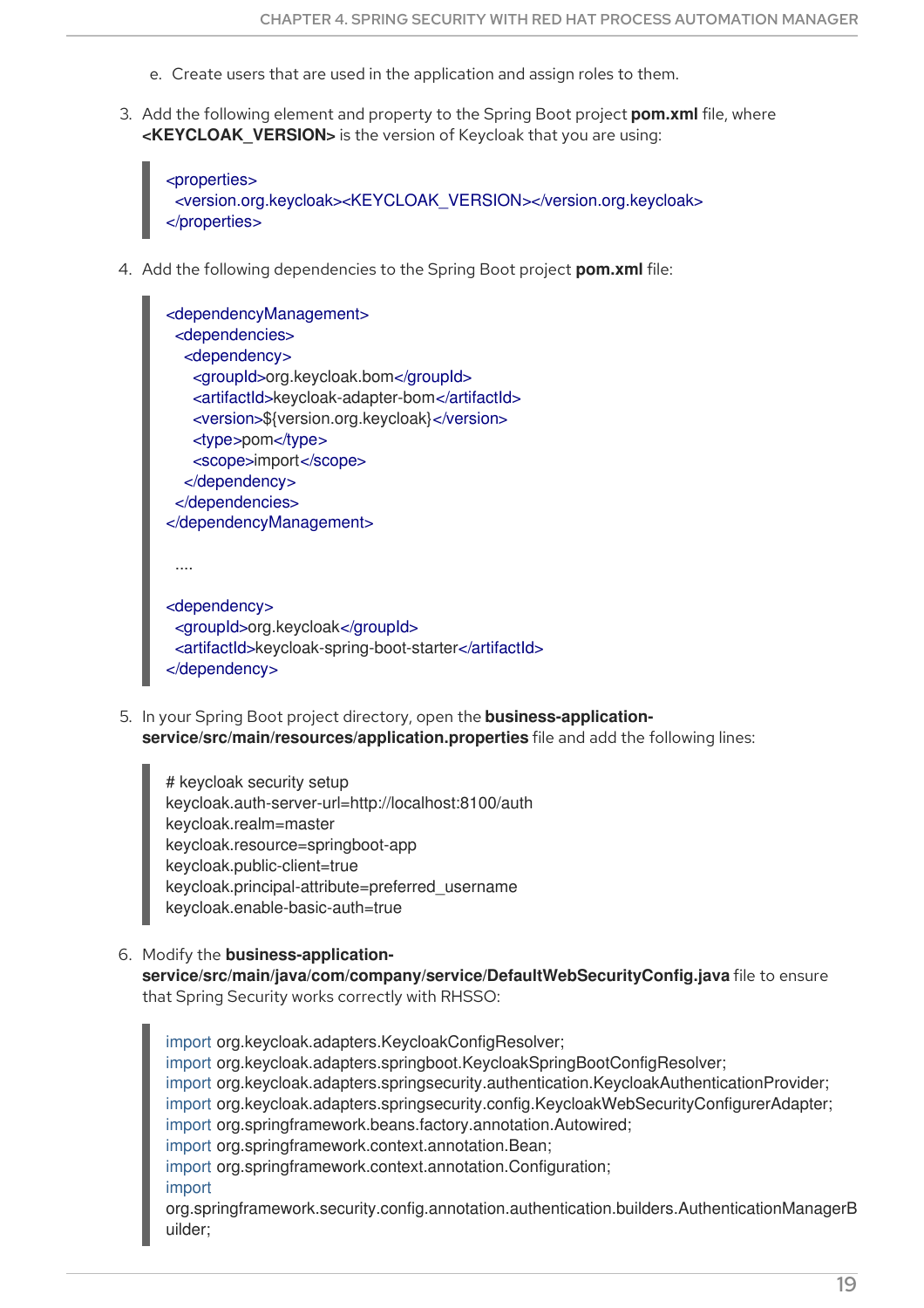- e. Create users that are used in the application and assign roles to them.
- 3. Add the following element and property to the Spring Boot project **pom.xml** file, where **<KEYCLOAK VERSION>** is the version of Keycloak that you are using:

```
<properties>
 <version.org.keycloak><KEYCLOAK_VERSION></version.org.keycloak>
</properties>
```
4. Add the following dependencies to the Spring Boot project **pom.xml** file:

```
<dependencyManagement>
 <dependencies>
  <dependency>
   <groupId>org.keycloak.bom</groupId>
   <artifactId>keycloak-adapter-bom</artifactId>
   <version>${version.org.keycloak}</version>
   <type>pom</type>
   <scope>import</scope>
  </dependency>
 </dependencies>
</dependencyManagement>
 ....
<dependency>
 <groupId>org.keycloak</groupId>
```
<artifactId>keycloak-spring-boot-starter</artifactId>

5. In your Spring Boot project directory, open the **business-application-**</dependency>

**service/src/main/resources/application.properties** file and add the following lines:

# keycloak security setup keycloak.auth-server-url=http://localhost:8100/auth keycloak.realm=master keycloak.resource=springboot-app keycloak.public-client=true keycloak.principal-attribute=preferred\_username keycloak.enable-basic-auth=true

6. Modify the **business-application-**

**service/src/main/java/com/company/service/DefaultWebSecurityConfig.java** file to ensure that Spring Security works correctly with RHSSO:

import org.keycloak.adapters.KeycloakConfigResolver; import org.keycloak.adapters.springboot.KeycloakSpringBootConfigResolver; import org.keycloak.adapters.springsecurity.authentication.KeycloakAuthenticationProvider; import org.keycloak.adapters.springsecurity.config.KeycloakWebSecurityConfigurerAdapter; import org.springframework.beans.factory.annotation.Autowired; import org.springframework.context.annotation.Bean; import org.springframework.context.annotation.Configuration; import org.springframework.security.config.annotation.authentication.builders.AuthenticationManagerB uilder;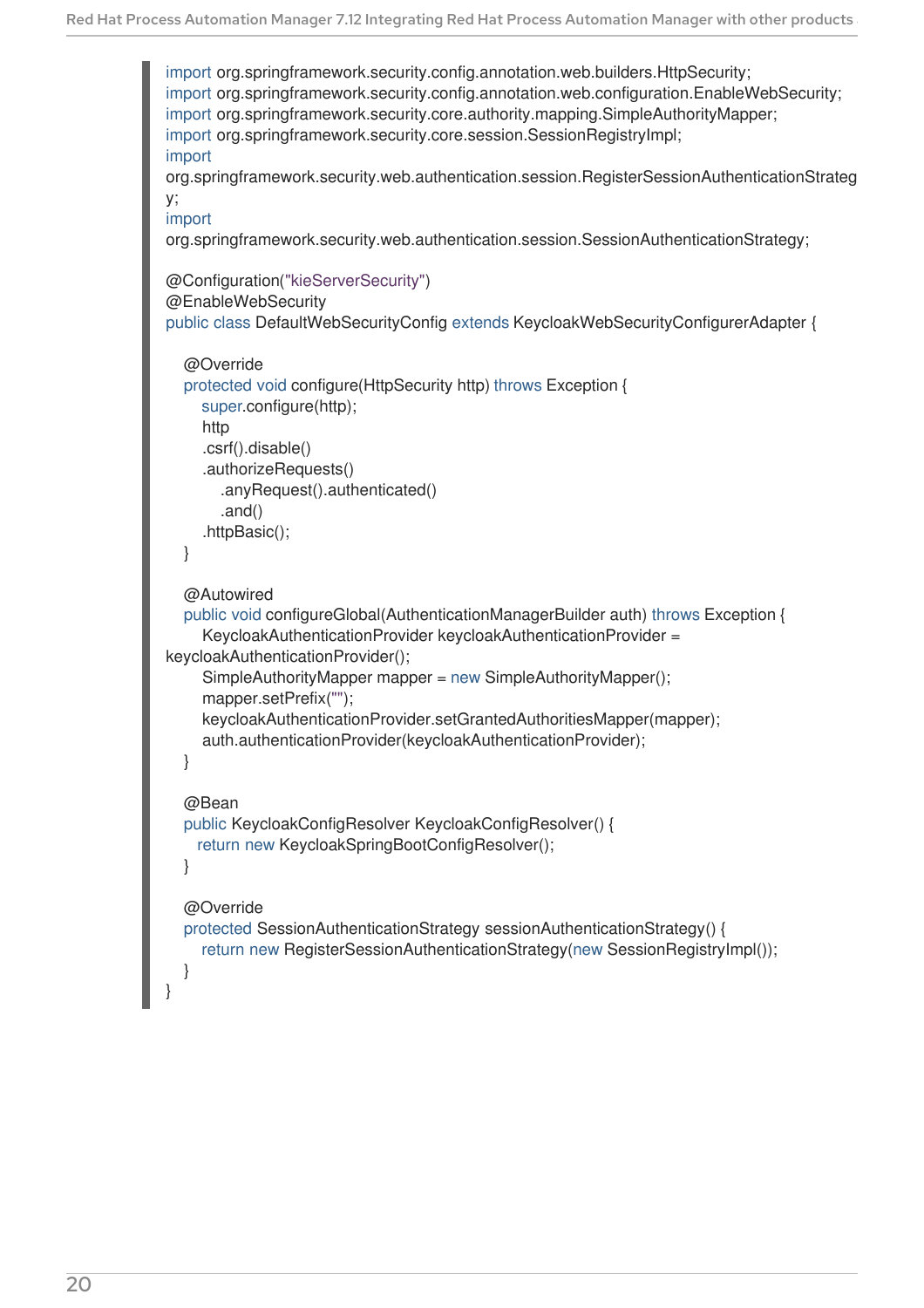```
import org.springframework.security.config.annotation.web.builders.HttpSecurity;
import org.springframework.security.config.annotation.web.configuration.EnableWebSecurity;
import org.springframework.security.core.authority.mapping.SimpleAuthorityMapper;
import org.springframework.security.core.session.SessionRegistryImpl;
import
org.springframework.security.web.authentication.session.RegisterSessionAuthenticationStrateg
y;
import
org.springframework.security.web.authentication.session.SessionAuthenticationStrategy;
@Configuration("kieServerSecurity")
@EnableWebSecurity
public class DefaultWebSecurityConfig extends KeycloakWebSecurityConfigurerAdapter {
  @Override
  protected void configure(HttpSecurity http) throws Exception {
    super.configure(http);
    http
    .csrf().disable()
     .authorizeRequests()
       .anyRequest().authenticated()
       .and()
    .httpBasic();
  }
  @Autowired
  public void configureGlobal(AuthenticationManagerBuilder auth) throws Exception {
    KeycloakAuthenticationProvider keycloakAuthenticationProvider =
keycloakAuthenticationProvider();
    SimpleAuthorityMapper mapper = new SimpleAuthorityMapper();
    mapper.setPrefix("");
    keycloakAuthenticationProvider.setGrantedAuthoritiesMapper(mapper);
    auth.authenticationProvider(keycloakAuthenticationProvider);
  }
  @Bean
  public KeycloakConfigResolver KeycloakConfigResolver() {
    return new KeycloakSpringBootConfigResolver();
  }
  @Override
  protected SessionAuthenticationStrategy sessionAuthenticationStrategy() {
    return new RegisterSessionAuthenticationStrategy(new SessionRegistryImpl());
  }
}
```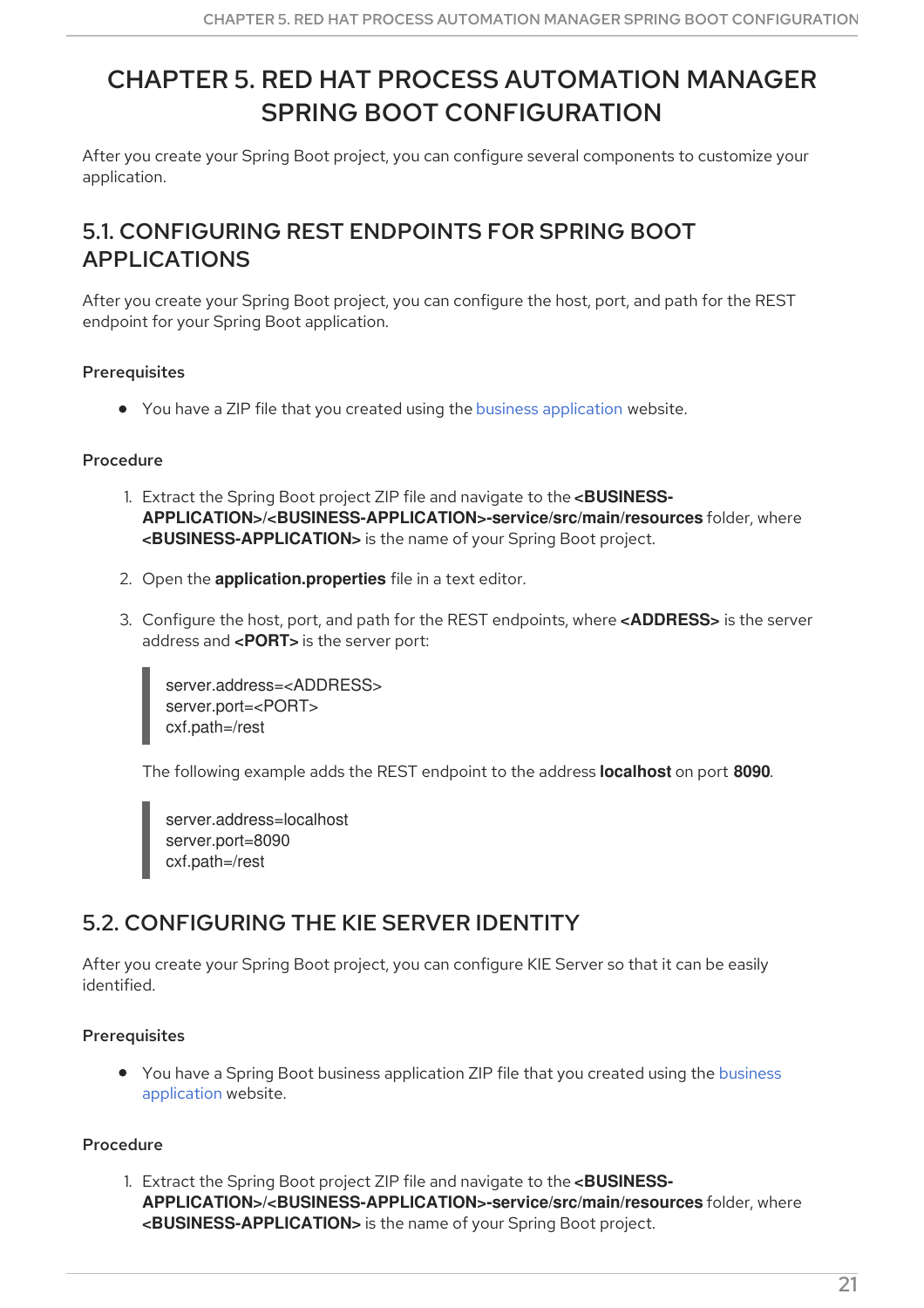# <span id="page-24-0"></span>CHAPTER 5. RED HAT PROCESS AUTOMATION MANAGER SPRING BOOT CONFIGURATION

After you create your Spring Boot project, you can configure several components to customize your application.

### <span id="page-24-1"></span>5.1. CONFIGURING REST ENDPOINTS FOR SPRING BOOT APPLICATIONS

After you create your Spring Boot project, you can configure the host, port, and path for the REST endpoint for your Spring Boot application.

#### **Prerequisites**

You have a ZIP file that you created using the business [application](http://start.jbpm.org) website.

#### Procedure

- 1. Extract the Spring Boot project ZIP file and navigate to the **<BUSINESS-APPLICATION>/<BUSINESS-APPLICATION>-service/src/main/resources** folder, where **<BUSINESS-APPLICATION>** is the name of your Spring Boot project.
- 2. Open the **application.properties** file in a text editor.
- 3. Configure the host, port, and path for the REST endpoints, where **<ADDRESS>** is the server address and **<PORT>** is the server port:

server.address=<ADDRESS> server.port=<PORT> cxf.path=/rest

The following example adds the REST endpoint to the address **localhost** on port **8090**.

server.address=localhost server.port=8090 cxf.path=/rest

### <span id="page-24-2"></span>5.2. CONFIGURING THE KIE SERVER IDENTITY

After you create your Spring Boot project, you can configure KIE Server so that it can be easily identified.

#### **Prerequisites**

You have a Spring Boot business [application](http://start.jbpm.org) ZIP file that you created using the business application website.

#### Procedure

1. Extract the Spring Boot project ZIP file and navigate to the **<BUSINESS-APPLICATION>/<BUSINESS-APPLICATION>-service/src/main/resources** folder, where **<BUSINESS-APPLICATION>** is the name of your Spring Boot project.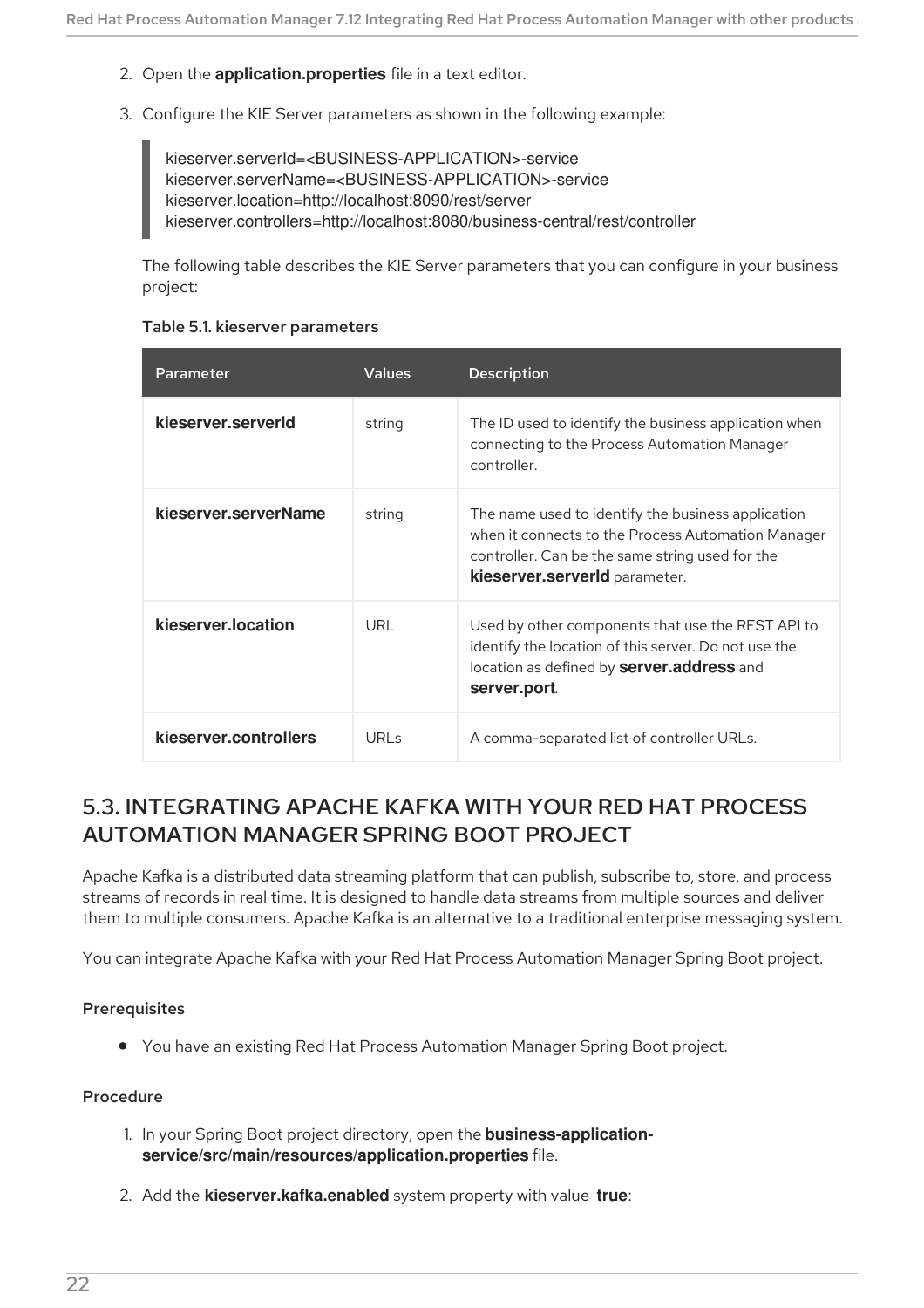- 2. Open the **application.properties** file in a text editor.
- 3. Configure the KIE Server parameters as shown in the following example:

kieserver.serverId=<BUSINESS-APPLICATION>-service kieserver.serverName=<BUSINESS-APPLICATION>-service kieserver.location=http://localhost:8090/rest/server kieserver.controllers=http://localhost:8080/business-central/rest/controller

The following table describes the KIE Server parameters that you can configure in your business project:

|  |  |  | Table 5.1. kieserver parameters |
|--|--|--|---------------------------------|
|--|--|--|---------------------------------|

| Parameter             | <b>Values</b> | <b>Description</b>                                                                                                                                                                           |
|-----------------------|---------------|----------------------------------------------------------------------------------------------------------------------------------------------------------------------------------------------|
| kieserver.serverld    | string        | The ID used to identify the business application when<br>connecting to the Process Automation Manager<br>controller.                                                                         |
| kieserver.serverName  | string        | The name used to identify the business application<br>when it connects to the Process Automation Manager<br>controller. Can be the same string used for the<br>kieserver.serverld parameter. |
| kieserver.location    | URL           | Used by other components that use the REST API to<br>identify the location of this server. Do not use the<br>location as defined by server.address and<br>server.port.                       |
| kieserver.controllers | $URI \leq$    | A comma-separated list of controller URLs.                                                                                                                                                   |

### <span id="page-25-0"></span>5.3. INTEGRATING APACHE KAFKA WITH YOUR RED HAT PROCESS AUTOMATION MANAGER SPRING BOOT PROJECT

Apache Kafka is a distributed data streaming platform that can publish, subscribe to, store, and process streams of records in real time. It is designed to handle data streams from multiple sources and deliver them to multiple consumers. Apache Kafka is an alternative to a traditional enterprise messaging system.

You can integrate Apache Kafka with your Red Hat Process Automation Manager Spring Boot project.

#### **Prerequisites**

You have an existing Red Hat Process Automation Manager Spring Boot project.

#### Procedure

- 1. In your Spring Boot project directory, open the **business-applicationservice/src/main/resources/application.properties** file.
- 2. Add the **kieserver.kafka.enabled** system property with value **true**: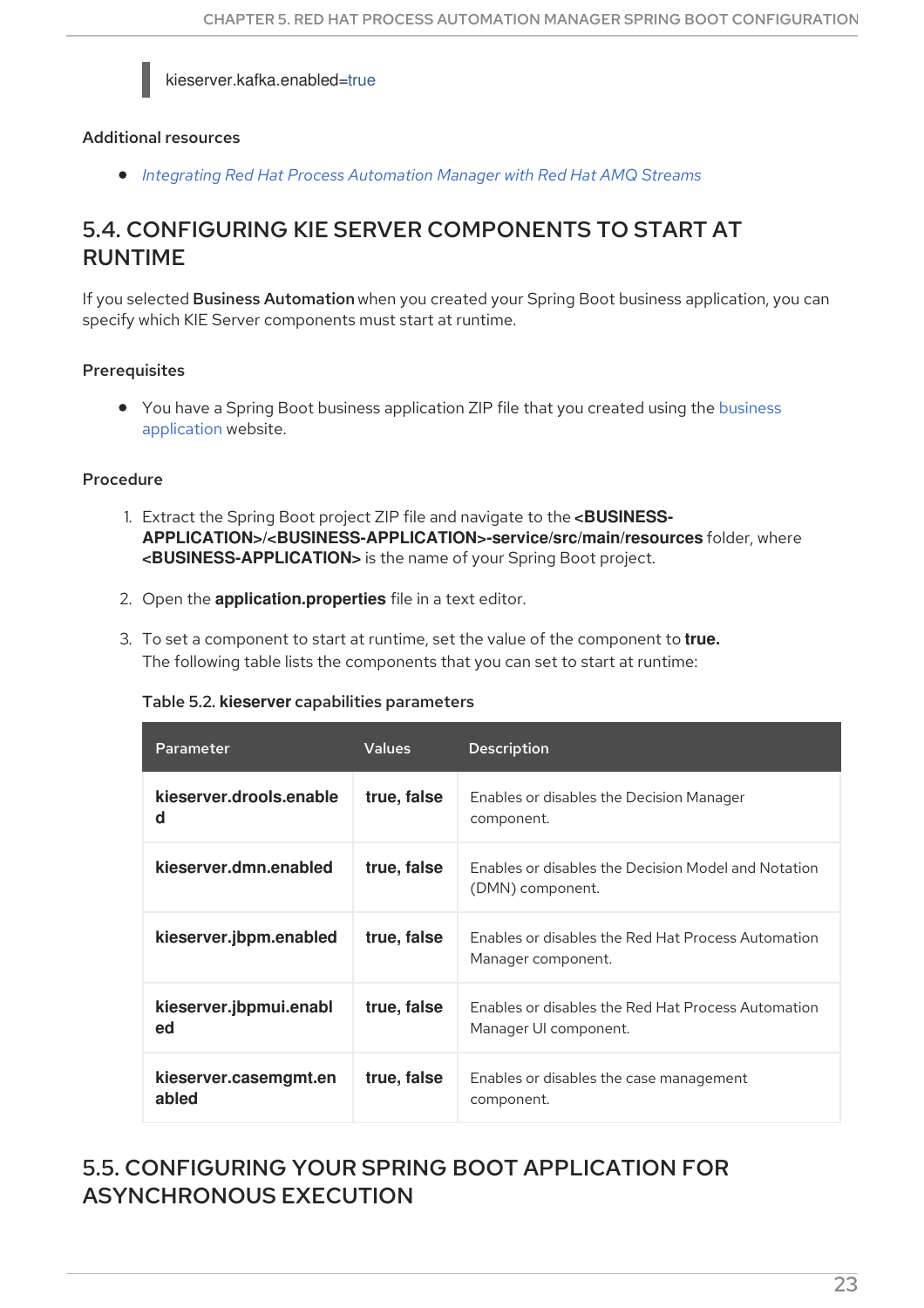#### kieserver.kafka.enabled=true

#### Additional resources

*Integrating Red Hat Process [Automation](https://access.redhat.com/documentation/en-us/red_hat_process_automation_manager/7.12/html-single/integrating_red_hat_process_automation_manager_with_other_products_and_components#assembly-integrating-amq-streams) Manager with Red Hat AMQ Streams*

### <span id="page-26-0"></span>5.4. CONFIGURING KIE SERVER COMPONENTS TO START AT RUNTIME

If you selected Business Automation when you created your Spring Boot business application, you can specify which KIE Server components must start at runtime.

#### **Prerequisites**

• You have a Spring Boot business [application](http://start.jbpm.org) ZIP file that you created using the business application website.

#### Procedure

- 1. Extract the Spring Boot project ZIP file and navigate to the **<BUSINESS-APPLICATION>/<BUSINESS-APPLICATION>-service/src/main/resources** folder, where **<BUSINESS-APPLICATION>** is the name of your Spring Boot project.
- 2. Open the **application.properties** file in a text editor.
- 3. To set a component to start at runtime, set the value of the component to **true.** The following table lists the components that you can set to start at runtime:

| Table 5.2. kieserver capabilities parameters |  |  |  |  |
|----------------------------------------------|--|--|--|--|
|----------------------------------------------|--|--|--|--|

| Parameter                      | <b>Values</b> | <b>Description</b>                                                          |
|--------------------------------|---------------|-----------------------------------------------------------------------------|
| kieserver.drools.enable<br>d   | true, false   | Enables or disables the Decision Manager<br>component.                      |
| kieserver.dmn.enabled          | true, false   | Enables or disables the Decision Model and Notation<br>(DMN) component.     |
| kieserver.jbpm.enabled         | true, false   | Enables or disables the Red Hat Process Automation<br>Manager component.    |
| kieserver.jbpmui.enabl<br>ed   | true, false   | Enables or disables the Red Hat Process Automation<br>Manager UI component. |
| kieserver.casemgmt.en<br>abled | true, false   | Enables or disables the case management<br>component.                       |

### <span id="page-26-1"></span>5.5. CONFIGURING YOUR SPRING BOOT APPLICATION FOR ASYNCHRONOUS EXECUTION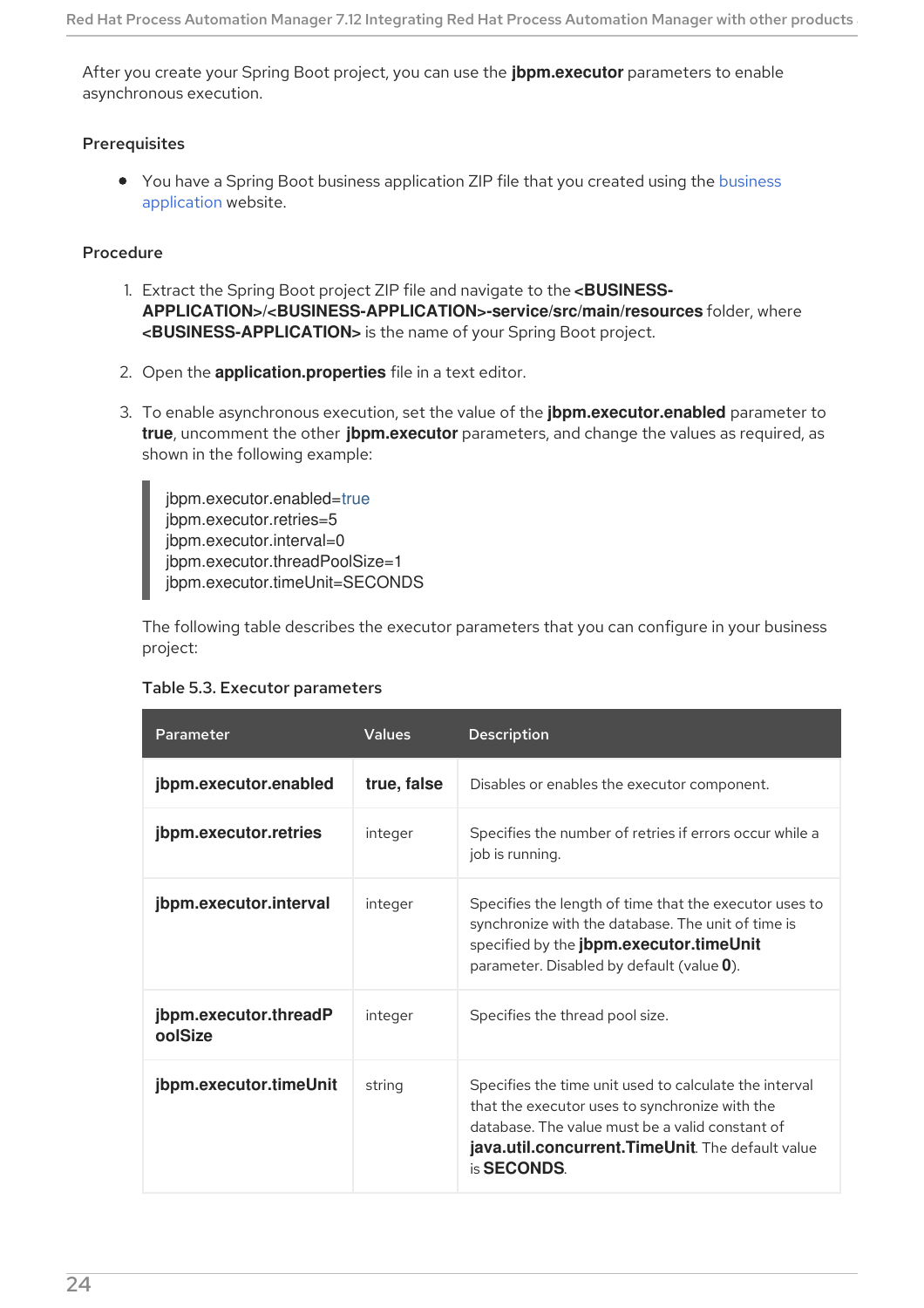After you create your Spring Boot project, you can use the **jbpm.executor** parameters to enable asynchronous execution.

#### Prerequisites

• You have a Spring Boot business [application](http://start.jbpm.org) ZIP file that you created using the business application website.

#### Procedure

- 1. Extract the Spring Boot project ZIP file and navigate to the **<BUSINESS-APPLICATION>/<BUSINESS-APPLICATION>-service/src/main/resources** folder, where **<BUSINESS-APPLICATION>** is the name of your Spring Boot project.
- 2. Open the **application.properties** file in a text editor.
- 3. To enable asynchronous execution, set the value of the **jbpm.executor.enabled** parameter to **true**, uncomment the other **jbpm.executor** parameters, and change the values as required, as shown in the following example:

jbpm.executor.enabled=true jbpm.executor.retries=5 jbpm.executor.interval=0 jbpm.executor.threadPoolSize=1 jbpm.executor.timeUnit=SECONDS

The following table describes the executor parameters that you can configure in your business project:

| Parameter                        | <b>Values</b> | <b>Description</b>                                                                                                                                                                                                                      |
|----------------------------------|---------------|-----------------------------------------------------------------------------------------------------------------------------------------------------------------------------------------------------------------------------------------|
| jbpm.executor.enabled            | true, false   | Disables or enables the executor component.                                                                                                                                                                                             |
| jbpm.executor.retries            | integer       | Specifies the number of retries if errors occur while a<br>job is running.                                                                                                                                                              |
| jbpm.executor.interval           | integer       | Specifies the length of time that the executor uses to<br>synchronize with the database. The unit of time is<br>specified by the jbpm.executor.timeUnit<br>parameter. Disabled by default (value 0).                                    |
| jbpm.executor.threadP<br>oolSize | integer       | Specifies the thread pool size.                                                                                                                                                                                                         |
| jbpm.executor.timeUnit           | string        | Specifies the time unit used to calculate the interval<br>that the executor uses to synchronize with the<br>database. The value must be a valid constant of<br>java.util.concurrent. TimeUnit. The default value<br>is <b>SECONDS</b> . |

#### Table 5.3. Executor parameters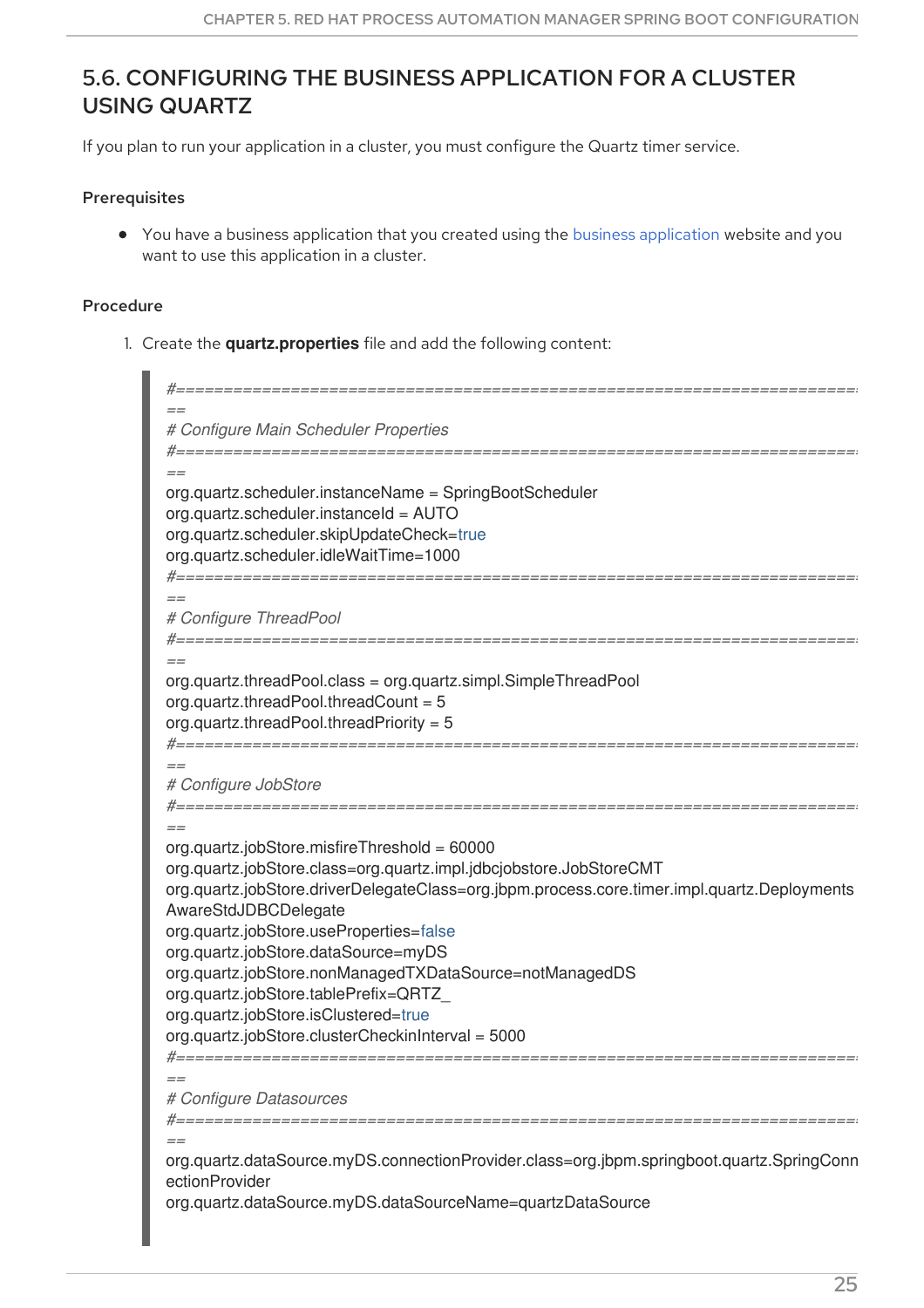### <span id="page-28-0"></span>5.6. CONFIGURING THE BUSINESS APPLICATION FOR A CLUSTER USING QUARTZ

If you plan to run your application in a cluster, you must configure the Quartz timer service.

#### **Prerequisites**

You have a business application that you created using the business [application](http://start.jbpm.org) website and you want to use this application in a cluster.

#### Procedure

1. Create the **quartz.properties** file and add the following content:

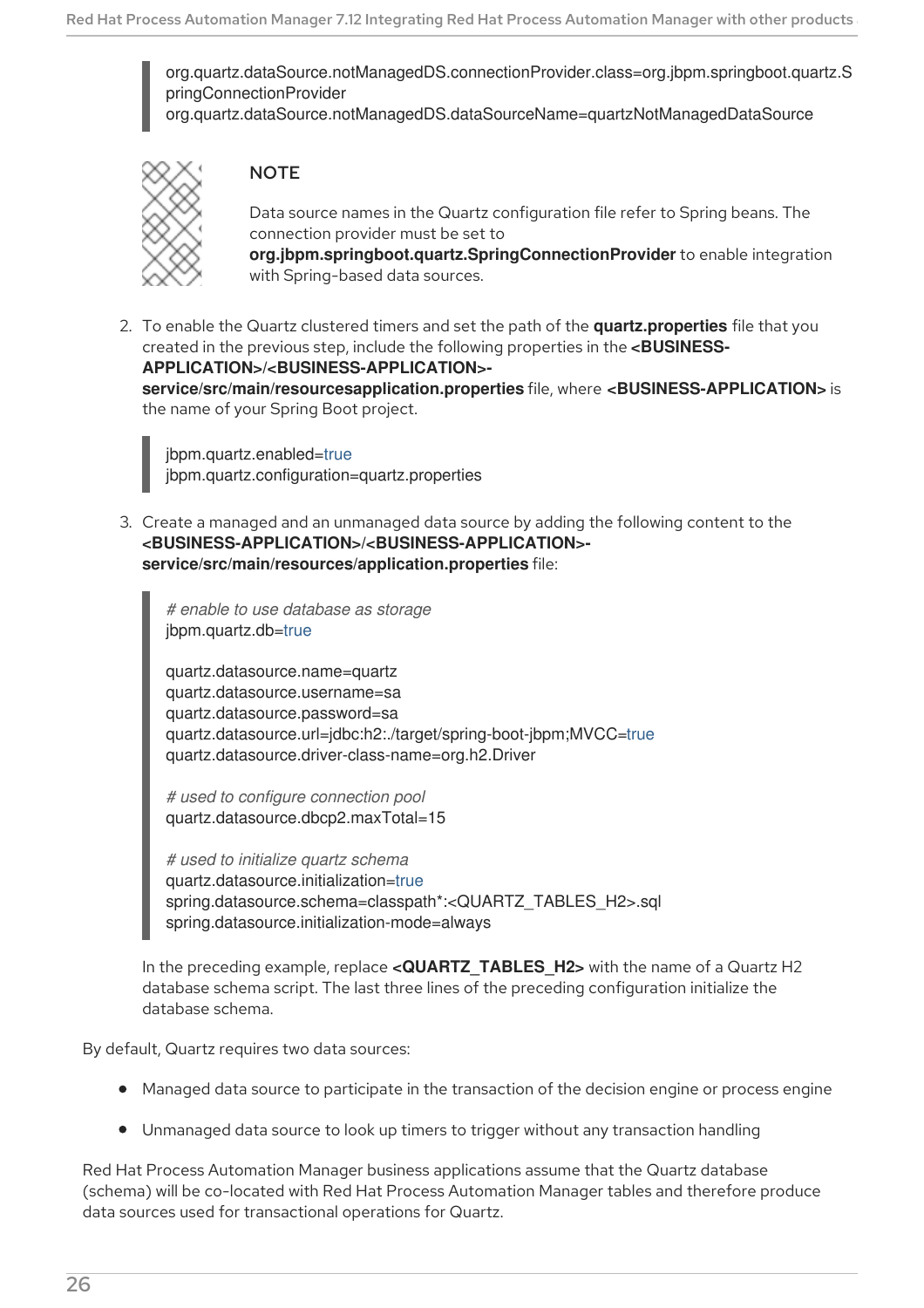org.quartz.dataSource.notManagedDS.connectionProvider.class=org.jbpm.springboot.quartz.S pringConnectionProvider

org.quartz.dataSource.notManagedDS.dataSourceName=quartzNotManagedDataSource



#### **NOTE**

Data source names in the Quartz configuration file refer to Spring beans. The connection provider must be set to

**org.jbpm.springboot.quartz.SpringConnectionProvider** to enable integration with Spring-based data sources.

2. To enable the Quartz clustered timers and set the path of the **quartz.properties** file that you created in the previous step, include the following properties in the **<BUSINESS-APPLICATION>/<BUSINESS-APPLICATION> service/src/main/resourcesapplication.properties** file, where **<BUSINESS-APPLICATION>** is the name of your Spring Boot project.

jbpm.quartz.enabled=true jbpm.quartz.configuration=quartz.properties

3. Create a managed and an unmanaged data source by adding the following content to the **<BUSINESS-APPLICATION>/<BUSINESS-APPLICATION> service/src/main/resources/application.properties** file:

*# enable to use database as storage* jbpm.quartz.db=true

quartz.datasource.name=quartz quartz.datasource.username=sa quartz.datasource.password=sa quartz.datasource.url=jdbc:h2:./target/spring-boot-jbpm;MVCC=true quartz.datasource.driver-class-name=org.h2.Driver

*# used to configure connection pool* quartz.datasource.dbcp2.maxTotal=15

*# used to initialize quartz schema* quartz.datasource.initialization=true spring.datasource.schema=classpath\*:<QUARTZ\_TABLES\_H2>.sql spring.datasource.initialization-mode=always

In the preceding example, replace **<QUARTZ\_TABLES\_H2>** with the name of a Quartz H2 database schema script. The last three lines of the preceding configuration initialize the database schema.

By default, Quartz requires two data sources:

- Managed data source to participate in the transaction of the decision engine or process engine
- Unmanaged data source to look up timers to trigger without any transaction handling

Red Hat Process Automation Manager business applications assume that the Quartz database (schema) will be co-located with Red Hat Process Automation Manager tables and therefore produce data sources used for transactional operations for Quartz.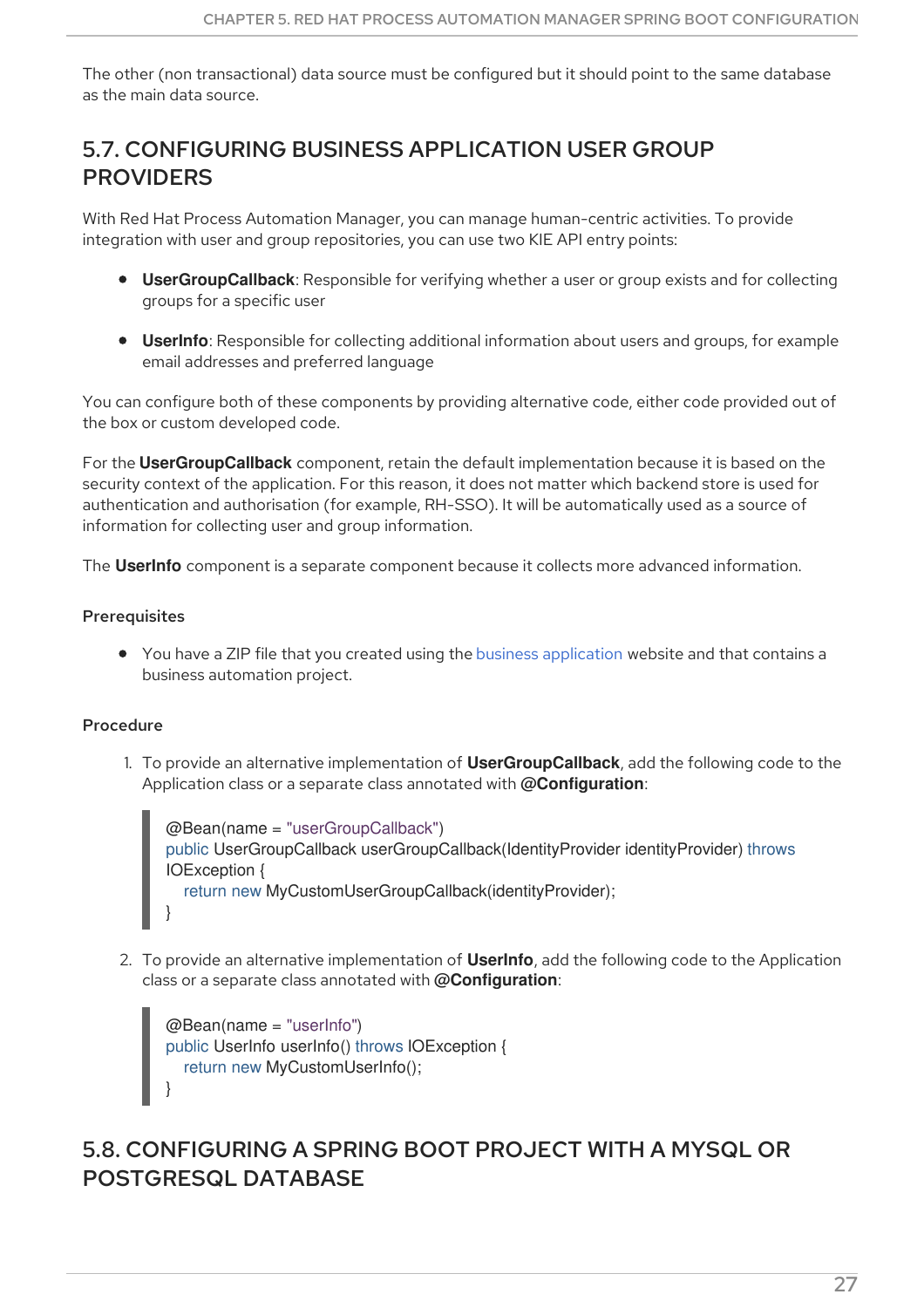The other (non transactional) data source must be configured but it should point to the same database as the main data source.

### <span id="page-30-0"></span>5.7. CONFIGURING BUSINESS APPLICATION USER GROUP PROVIDERS

With Red Hat Process Automation Manager, you can manage human-centric activities. To provide integration with user and group repositories, you can use two KIE API entry points:

- **UserGroupCallback**: Responsible for verifying whether a user or group exists and for collecting groups for a specific user
- **UserInfo**: Responsible for collecting additional information about users and groups, for example email addresses and preferred language

You can configure both of these components by providing alternative code, either code provided out of the box or custom developed code.

For the **UserGroupCallback** component, retain the default implementation because it is based on the security context of the application. For this reason, it does not matter which backend store is used for authentication and authorisation (for example, RH-SSO). It will be automatically used as a source of information for collecting user and group information.

The **UserInfo** component is a separate component because it collects more advanced information.

#### **Prerequisites**

• You have a ZIP file that you created using the business [application](http://start.jbpm.org) website and that contains a business automation project.

#### Procedure

1. To provide an alternative implementation of **UserGroupCallback**, add the following code to the Application class or a separate class annotated with **@Configuration**:

```
@Bean(name = "userGroupCallback")
public UserGroupCallback userGroupCallback(IdentityProvider identityProvider) throws
IOException {
  return new MyCustomUserGroupCallback(identityProvider);
}
```
2. To provide an alternative implementation of **UserInfo**, add the following code to the Application class or a separate class annotated with **@Configuration**:

```
@Bean(name = "userInfo")
public UserInfo userInfo() throws IOException {
  return new MyCustomUserInfo();
}
```
### <span id="page-30-1"></span>5.8. CONFIGURING A SPRING BOOT PROJECT WITH A MYSQL OR POSTGRESQL DATABASE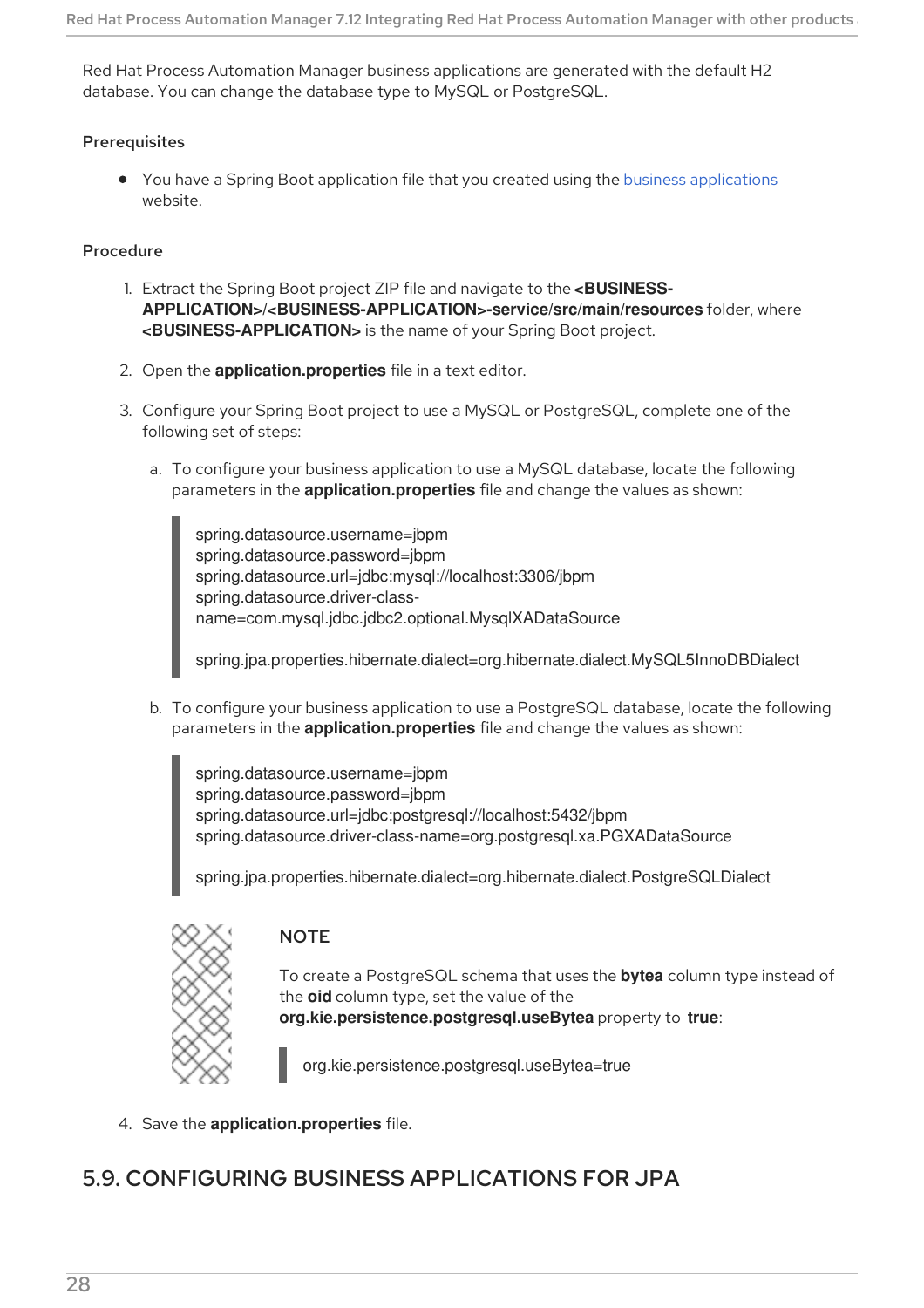Red Hat Process Automation Manager business applications are generated with the default H2 database. You can change the database type to MySQL or PostgreSQL.

#### **Prerequisites**

You have a Spring Boot application file that you created using the business [applications](http://start.jbpm.org) website.

#### Procedure

- 1. Extract the Spring Boot project ZIP file and navigate to the **<BUSINESS-APPLICATION>/<BUSINESS-APPLICATION>-service/src/main/resources** folder, where **<BUSINESS-APPLICATION>** is the name of your Spring Boot project.
- 2. Open the **application.properties** file in a text editor.
- 3. Configure your Spring Boot project to use a MySQL or PostgreSQL, complete one of the following set of steps:
	- a. To configure your business application to use a MySQL database, locate the following parameters in the **application.properties** file and change the values as shown:

spring.datasource.username=jbpm spring.datasource.password=jbpm spring.datasource.url=jdbc:mysql://localhost:3306/jbpm spring.datasource.driver-classname=com.mysql.jdbc.jdbc2.optional.MysqlXADataSource

spring.jpa.properties.hibernate.dialect=org.hibernate.dialect.MySQL5InnoDBDialect

b. To configure your business application to use a PostgreSQL database, locate the following parameters in the **application.properties** file and change the values as shown:

spring.datasource.username=jbpm spring.datasource.password=jbpm spring.datasource.url=jdbc:postgresql://localhost:5432/jbpm spring.datasource.driver-class-name=org.postgresql.xa.PGXADataSource

spring.jpa.properties.hibernate.dialect=org.hibernate.dialect.PostgreSQLDialect

| Ì |  |
|---|--|
|   |  |
|   |  |
|   |  |
|   |  |
|   |  |
|   |  |

#### **NOTE**

To create a PostgreSQL schema that uses the **bytea** column type instead of the **oid** column type, set the value of the **org.kie.persistence.postgresql.useBytea** property to **true**:

org.kie.persistence.postgresql.useBytea=true

4. Save the **application.properties** file.

### <span id="page-31-0"></span>5.9. CONFIGURING BUSINESS APPLICATIONS FOR JPA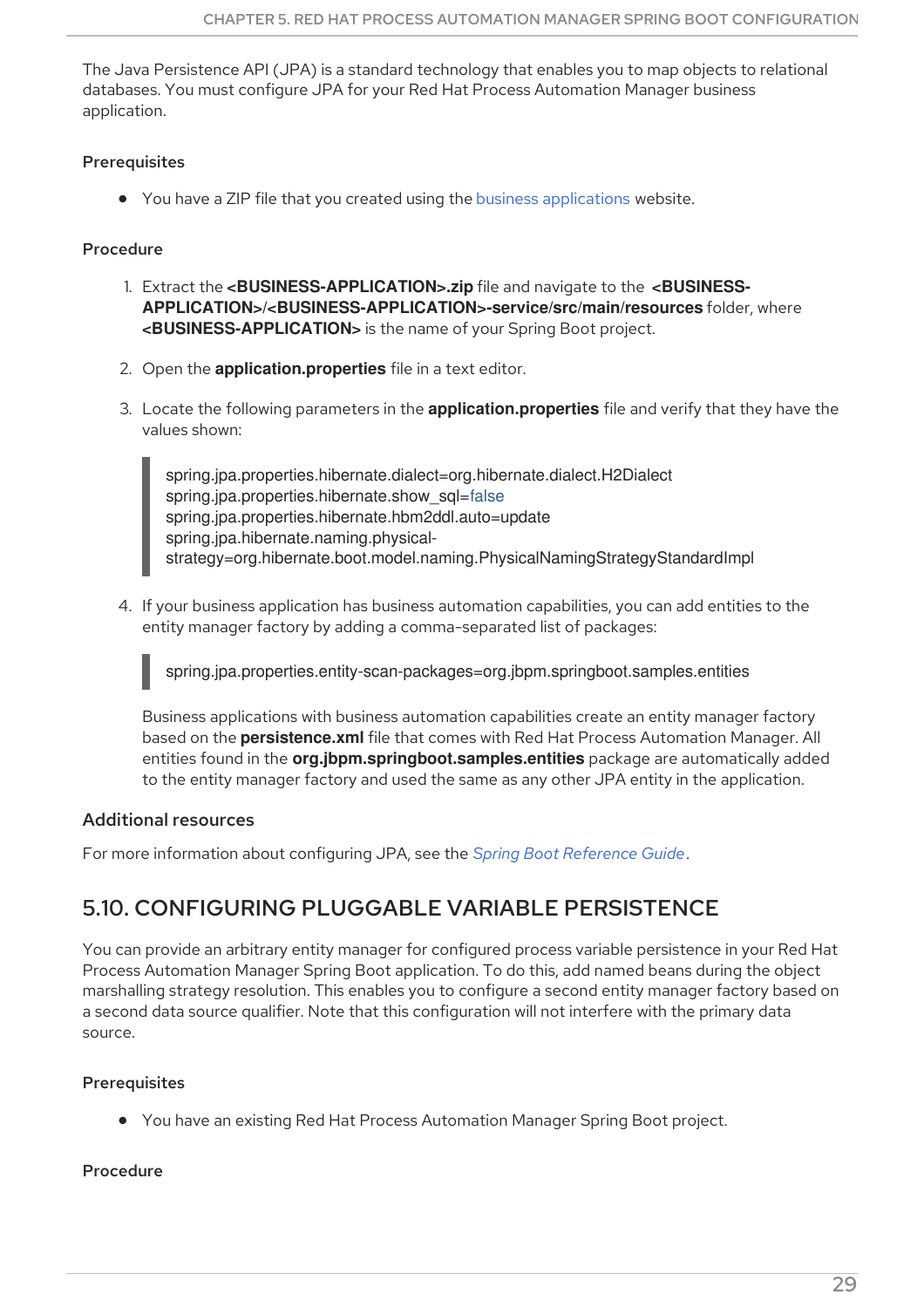The Java Persistence API (JPA) is a standard technology that enables you to map objects to relational databases. You must configure JPA for your Red Hat Process Automation Manager business application.

#### Prerequisites

You have a ZIP file that you created using the business [applications](http://start.jbpm.org) website.

#### Procedure

- 1. Extract the **<BUSINESS-APPLICATION>.zip** file and navigate to the **<BUSINESS-APPLICATION>/<BUSINESS-APPLICATION>-service/src/main/resources** folder, where **<BUSINESS-APPLICATION>** is the name of your Spring Boot project.
- 2. Open the **application.properties** file in a text editor.
- 3. Locate the following parameters in the **application.properties** file and verify that they have the values shown:

spring.jpa.properties.hibernate.dialect=org.hibernate.dialect.H2Dialect spring.jpa.properties.hibernate.show\_sql=false spring.jpa.properties.hibernate.hbm2ddl.auto=update spring.jpa.hibernate.naming.physicalstrategy=org.hibernate.boot.model.naming.PhysicalNamingStrategyStandardImpl

4. If your business application has business automation capabilities, you can add entities to the entity manager factory by adding a comma-separated list of packages:

spring.jpa.properties.entity-scan-packages=org.jbpm.springboot.samples.entities

Business applications with business automation capabilities create an entity manager factory based on the **persistence.xml** file that comes with Red Hat Process Automation Manager. All entities found in the **org.jbpm.springboot.samples.entities** package are automatically added to the entity manager factory and used the same as any other JPA entity in the application.

#### Additional resources

For more information about configuring JPA, see the *Spring Boot [Reference](https://docs.spring.io/spring-boot/docs/2.3.4.RELEASE/reference/htmlsingle/#boot-features-jpa-and-spring-data) Guide*.

### <span id="page-32-0"></span>5.10. CONFIGURING PLUGGABLE VARIABLE PERSISTENCE

You can provide an arbitrary entity manager for configured process variable persistence in your Red Hat Process Automation Manager Spring Boot application. To do this, add named beans during the object marshalling strategy resolution. This enables you to configure a second entity manager factory based on a second data source qualifier. Note that this configuration will not interfere with the primary data source.

#### **Prerequisites**

You have an existing Red Hat Process Automation Manager Spring Boot project.

#### Procedure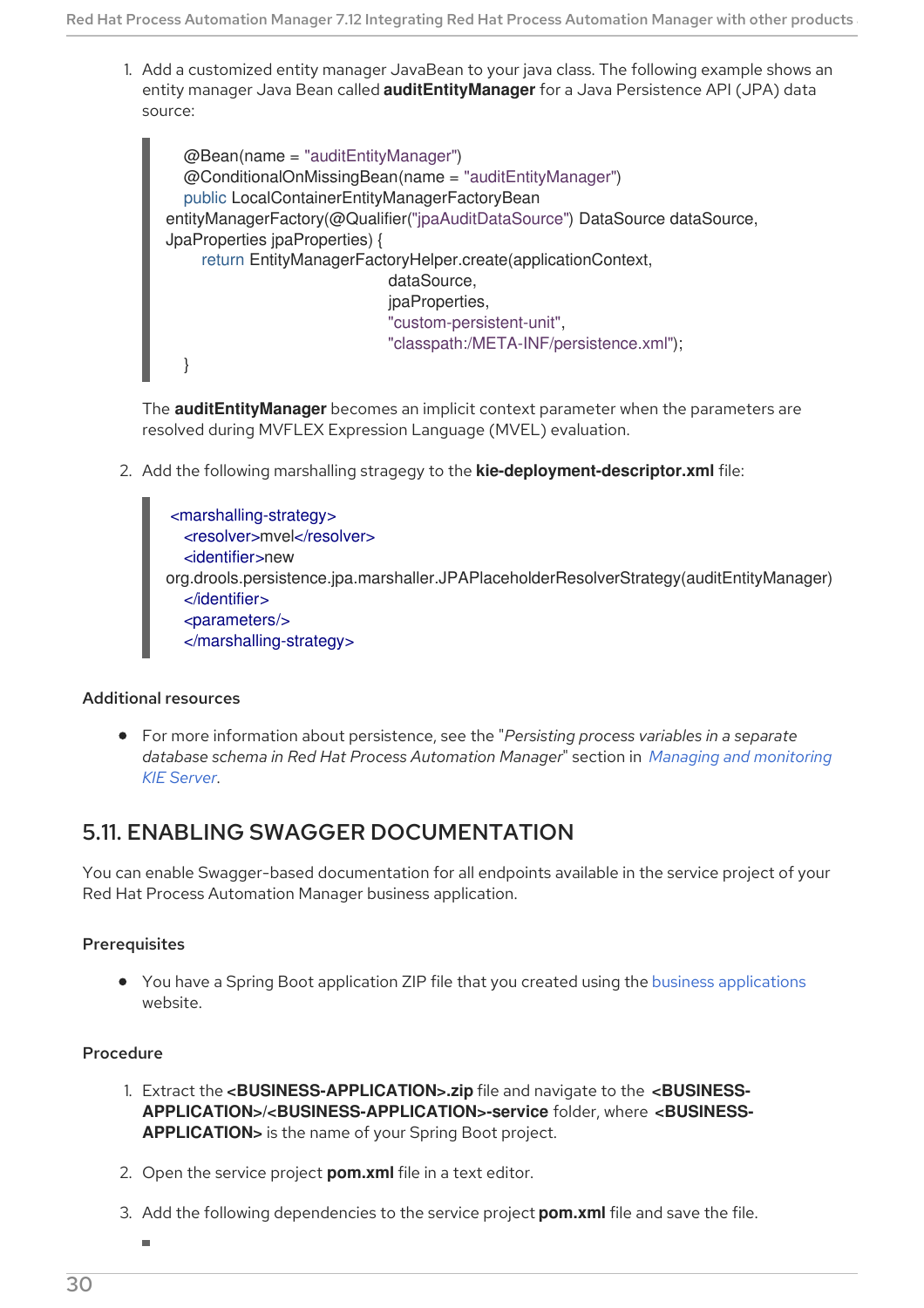1. Add a customized entity manager JavaBean to your java class. The following example shows an entity manager Java Bean called **auditEntityManager** for a Java Persistence API (JPA) data source:

```
@Bean(name = "auditEntityManager")
  @ConditionalOnMissingBean(name = "auditEntityManager")
  public LocalContainerEntityManagerFactoryBean
entityManagerFactory(@Qualifier("jpaAuditDataSource") DataSource dataSource,
JpaProperties ipaProperties) {
    return EntityManagerFactoryHelper.create(applicationContext,
                             dataSource,
                             jpaProperties,
                             "custom-persistent-unit",
                             "classpath:/META-INF/persistence.xml");
  }
```
The **auditEntityManager** becomes an implicit context parameter when the parameters are resolved during MVFLEX Expression Language (MVEL) evaluation.

2. Add the following marshalling stragegy to the **kie-deployment-descriptor.xml** file:

```
<marshalling-strategy>
  <resolver>mvel</resolver>
  <identifier>new
org.drools.persistence.jpa.marshaller.JPAPlaceholderResolverStrategy(auditEntityManager)
  </identifier>
  <parameters/>
  </marshalling-strategy>
```
#### Additional resources

For more information about persistence, see the "*Persisting process variables in a separate database schema in Red Hat Process [Automation](https://access.redhat.com/documentation/en-us/red_hat_process_automation_manager/7.12/html-single/managing_red_hat_process_automation_manager_and_kie_server_settings#process-variables-persist-proc_execution-server) Manager*" section in *Managing and monitoring KIE Server*.

### <span id="page-33-0"></span>5.11. ENABLING SWAGGER DOCUMENTATION

You can enable Swagger-based documentation for all endpoints available in the service project of your Red Hat Process Automation Manager business application.

#### **Prerequisites**

You have a Spring Boot application ZIP file that you created using the business [applications](http://start.jbpm.org) website.

#### Procedure

- 1. Extract the **<BUSINESS-APPLICATION>.zip** file and navigate to the **<BUSINESS-APPLICATION>/<BUSINESS-APPLICATION>-service** folder, where **<BUSINESS-APPLICATION>** is the name of your Spring Boot project.
- 2. Open the service project **pom.xml** file in a text editor.
- 3. Add the following dependencies to the service project **pom.xml** file and save the file.

٠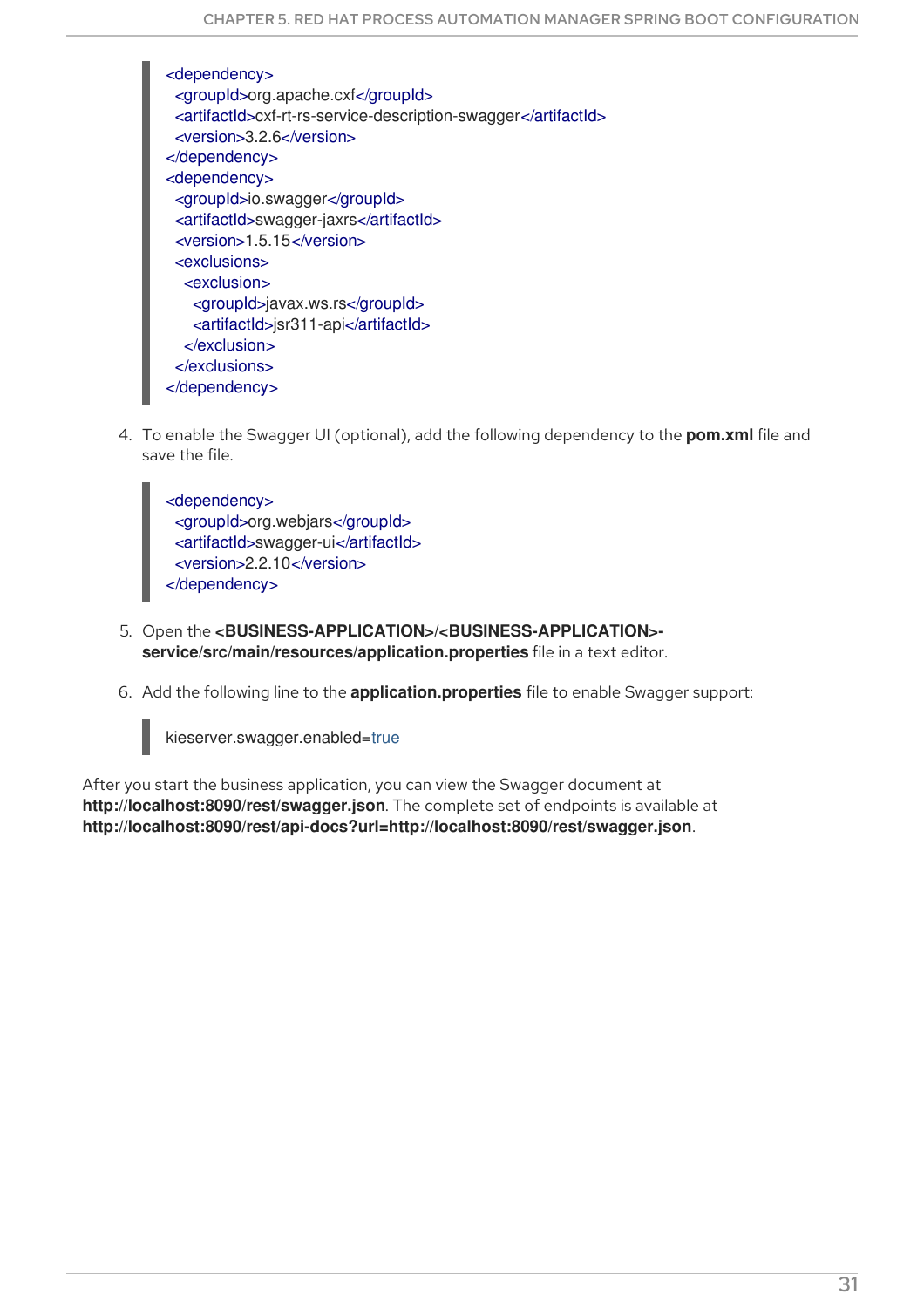<dependency> <groupId>org.apache.cxf</groupId> <artifactId>cxf-rt-rs-service-description-swagger</artifactId> <version>3.2.6</version> </dependency> <dependency> <groupId>io.swagger</groupId> <artifactId>swagger-jaxrs</artifactId> <version>1.5.15</version> <exclusions> <exclusion> <groupId>javax.ws.rs</groupId> <artifactId>jsr311-api</artifactId> </exclusion> </exclusions> </dependency>

4. To enable the Swagger UI (optional), add the following dependency to the **pom.xml** file and save the file.

<dependency> <groupId>org.webjars</groupId> <artifactId>swagger-ui</artifactId> <version>2.2.10</version> </dependency>

- 5. Open the **<BUSINESS-APPLICATION>/<BUSINESS-APPLICATION> service/src/main/resources/application.properties** file in a text editor.
- 6. Add the following line to the **application.properties** file to enable Swagger support:



After you start the business application, you can view the Swagger document at **http://localhost:8090/rest/swagger.json**. The complete set of endpoints is available at **http://localhost:8090/rest/api-docs?url=http://localhost:8090/rest/swagger.json**.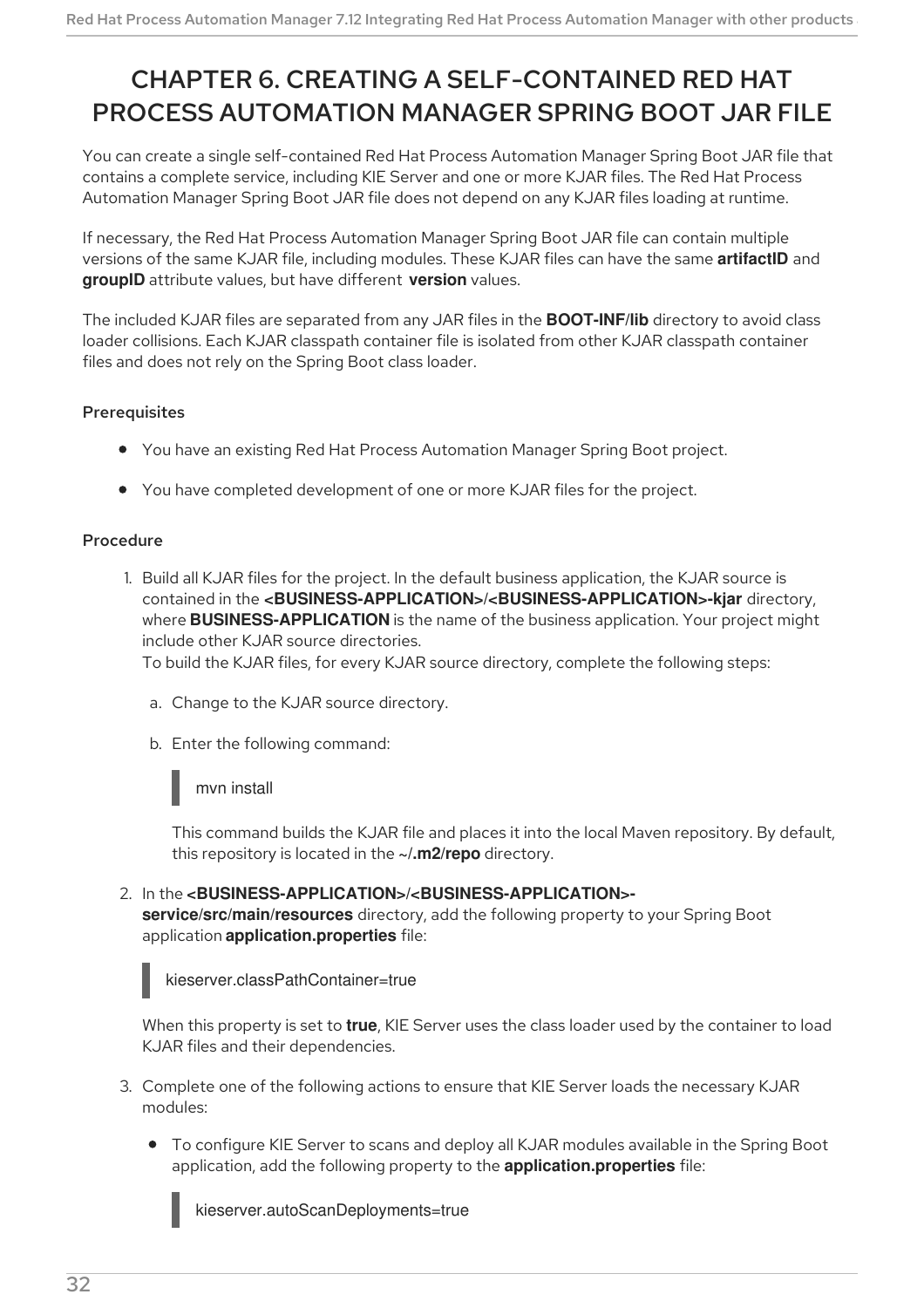# <span id="page-35-0"></span>CHAPTER 6. CREATING A SELF-CONTAINED RED HAT PROCESS AUTOMATION MANAGER SPRING BOOT JAR FILE

You can create a single self-contained Red Hat Process Automation Manager Spring Boot JAR file that contains a complete service, including KIE Server and one or more KJAR files. The Red Hat Process Automation Manager Spring Boot JAR file does not depend on any KJAR files loading at runtime.

If necessary, the Red Hat Process Automation Manager Spring Boot JAR file can contain multiple versions of the same KJAR file, including modules. These KJAR files can have the same **artifactID** and **groupID** attribute values, but have different **version** values.

The included KJAR files are separated from any JAR files in the **BOOT-INF/lib** directory to avoid class loader collisions. Each KJAR classpath container file is isolated from other KJAR classpath container files and does not rely on the Spring Boot class loader.

#### Prerequisites

- You have an existing Red Hat Process Automation Manager Spring Boot project.
- You have completed development of one or more KJAR files for the project.

#### Procedure

1. Build all KJAR files for the project. In the default business application, the KJAR source is contained in the **<BUSINESS-APPLICATION>/<BUSINESS-APPLICATION>-kjar** directory, where **BUSINESS-APPLICATION** is the name of the business application. Your project might include other KJAR source directories.

To build the KJAR files, for every KJAR source directory, complete the following steps:

- a. Change to the KJAR source directory.
- b. Enter the following command:

#### mvn install

This command builds the KJAR file and places it into the local Maven repository. By default, this repository is located in the **~/.m2/repo** directory.

2. In the **<BUSINESS-APPLICATION>/<BUSINESS-APPLICATION> service/src/main/resources** directory, add the following property to your Spring Boot application **application.properties** file:



kieserver.classPathContainer=true

When this property is set to **true**, KIE Server uses the class loader used by the container to load KJAR files and their dependencies.

- 3. Complete one of the following actions to ensure that KIE Server loads the necessary KJAR modules:
	- To configure KIE Server to scans and deploy all KJAR modules available in the Spring Boot application, add the following property to the **application.properties** file:

kieserver.autoScanDeployments=true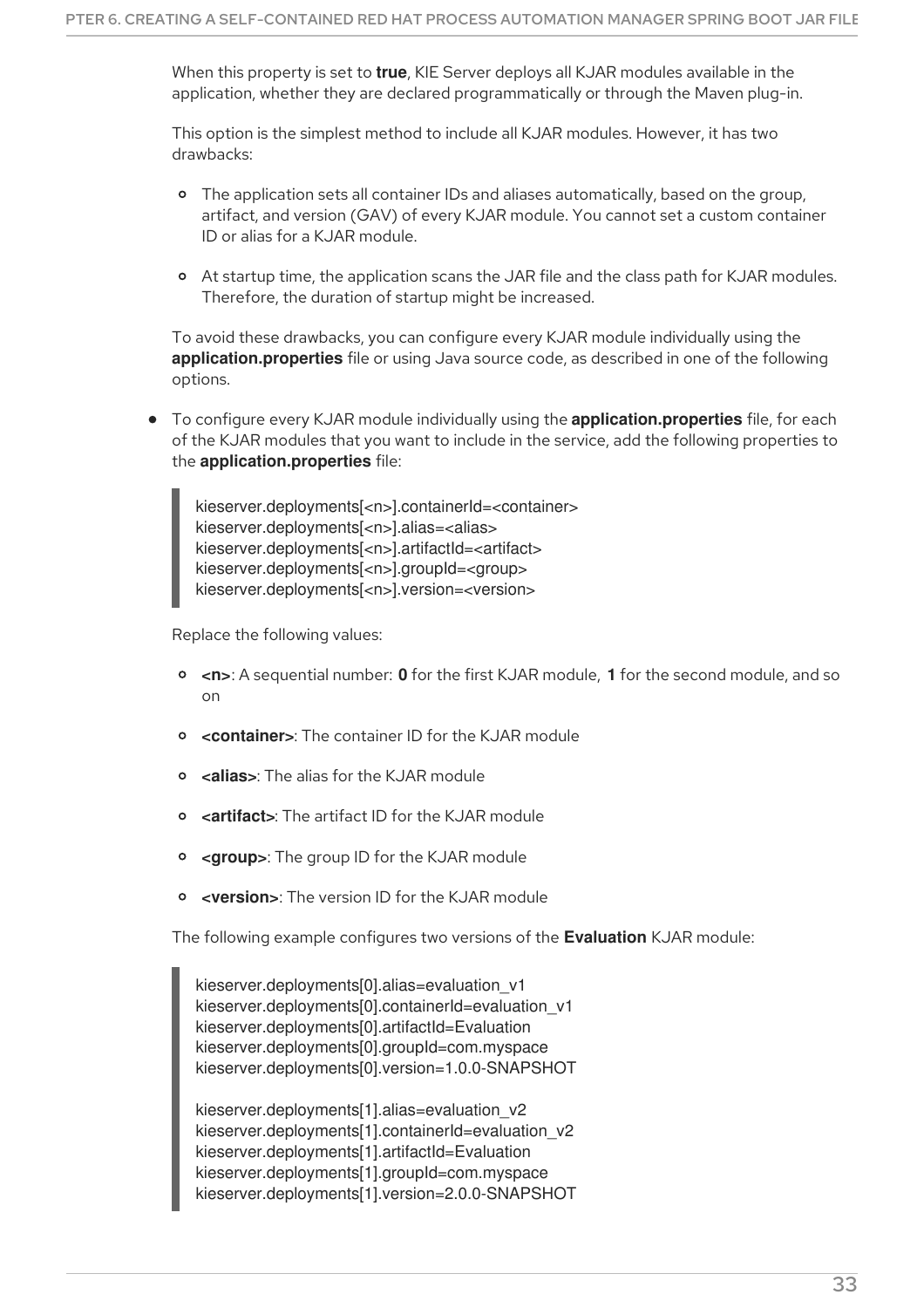When this property is set to **true**, KIE Server deploys all KJAR modules available in the application, whether they are declared programmatically or through the Maven plug-in.

This option is the simplest method to include all KJAR modules. However, it has two drawbacks:

- The application sets all container IDs and aliases automatically, based on the group, artifact, and version (GAV) of every KJAR module. You cannot set a custom container ID or alias for a KJAR module.
- At startup time, the application scans the JAR file and the class path for KJAR modules. Therefore, the duration of startup might be increased.

To avoid these drawbacks, you can configure every KJAR module individually using the **application.properties** file or using Java source code, as described in one of the following options.

To configure every KJAR module individually using the **application.properties** file, for each of the KJAR modules that you want to include in the service, add the following properties to the **application.properties** file:

kieserver.deployments[<n>].containerld=<container> kieserver.deployments[<n>].alias=<alias> kieserver.deployments[<n>].artifactId=<artifact> kieserver.deployments[<n>].groupId=<group> kieserver.deployments[<n>].version=<version>

Replace the following values:

- **<n>**: A sequential number: **0** for the first KJAR module, **1** for the second module, and so on
- $\circ$ **<container>**: The container ID for the KJAR module
- **<alias>**: The alias for the KJAR module
- **<artifact>**: The artifact ID for the KJAR module
- **<group>**: The group ID for the KJAR module  $\circ$
- $\circ$ **<version>**: The version ID for the KJAR module

The following example configures two versions of the **Evaluation** KJAR module:

kieserver.deployments[0].alias=evaluation\_v1 kieserver.deployments[0].containerId=evaluation\_v1 kieserver.deployments[0].artifactId=Evaluation kieserver.deployments[0].groupId=com.myspace kieserver.deployments[0].version=1.0.0-SNAPSHOT

kieserver.deployments[1].alias=evaluation\_v2 kieserver.deployments[1].containerId=evaluation\_v2 kieserver.deployments[1].artifactId=Evaluation kieserver.deployments[1].groupId=com.myspace kieserver.deployments[1].version=2.0.0-SNAPSHOT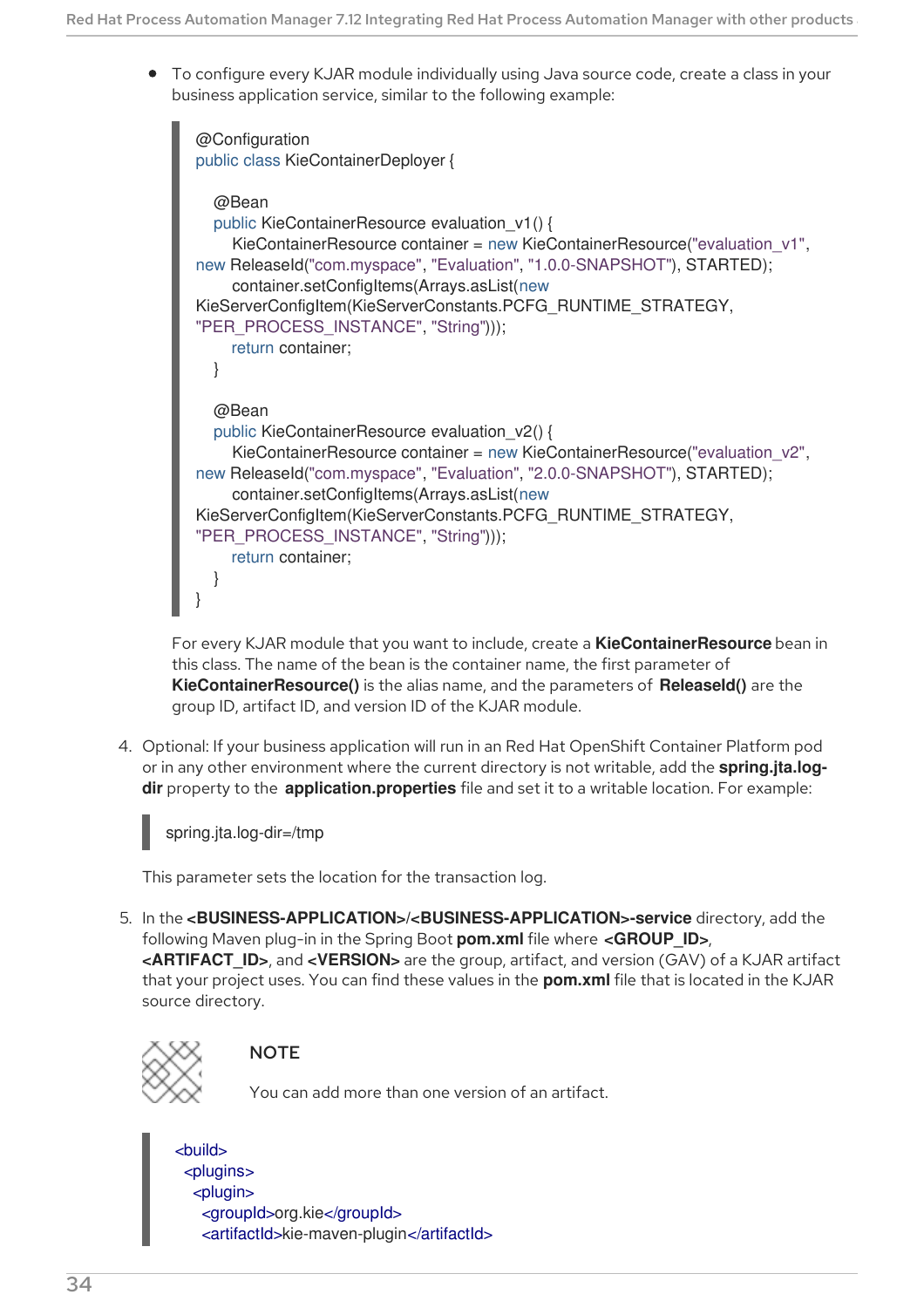<span id="page-37-0"></span>To configure every KJAR module individually using Java source code, create a class in your business application service, similar to the following example:

```
@Configuration
public class KieContainerDeployer {
  @Bean
  public KieContainerResource evaluation_v1() {
    KieContainerResource container = new KieContainerResource("evaluation_v1",
new ReleaseId("com.myspace", "Evaluation", "1.0.0-SNAPSHOT"), STARTED);
    container.setConfigItems(Arrays.asList(new
KieServerConfigItem(KieServerConstants.PCFG_RUNTIME_STRATEGY,
"PER_PROCESS_INSTANCE", "String")));
    return container;
  }
  @Bean
  public KieContainerResource evaluation_v2() {
    KieContainerResource container = new KieContainerResource("evaluation_v2",
new ReleaseId("com.myspace", "Evaluation", "2.0.0-SNAPSHOT"), STARTED);
    container.setConfigItems(Arrays.asList(new
KieServerConfigItem(KieServerConstants.PCFG_RUNTIME_STRATEGY,
"PER_PROCESS_INSTANCE", "String")));
    return container;
  }
}
```
For every KJAR module that you want to include, create a **KieContainerResource** bean in this class. The name of the bean is the container name, the first parameter of **KieContainerResource()** is the alias name, and the parameters of **ReleaseId()** are the group ID, artifact ID, and version ID of the KJAR module.

4. Optional: If your business application will run in an Red Hat OpenShift Container Platform pod or in any other environment where the current directory is not writable, add the **spring.jta.logdir** property to the **application.properties** file and set it to a writable location. For example:



This parameter sets the location for the transaction log.

5. In the **<BUSINESS-APPLICATION>/<BUSINESS-APPLICATION>-service** directory, add the following Maven plug-in in the Spring Boot **pom.xml** file where **<GROUP\_ID>**, **<ARTIFACT\_ID>**, and **<VERSION>** are the group, artifact, and version (GAV) of a KJAR artifact that your project uses. You can find these values in the **pom.xml** file that is located in the KJAR source directory.



## **NOTE**

You can add more than one version of an artifact.

## <build>

<plugins> <plugin> <groupId>org.kie</groupId> <artifactId>kie-maven-plugin</artifactId>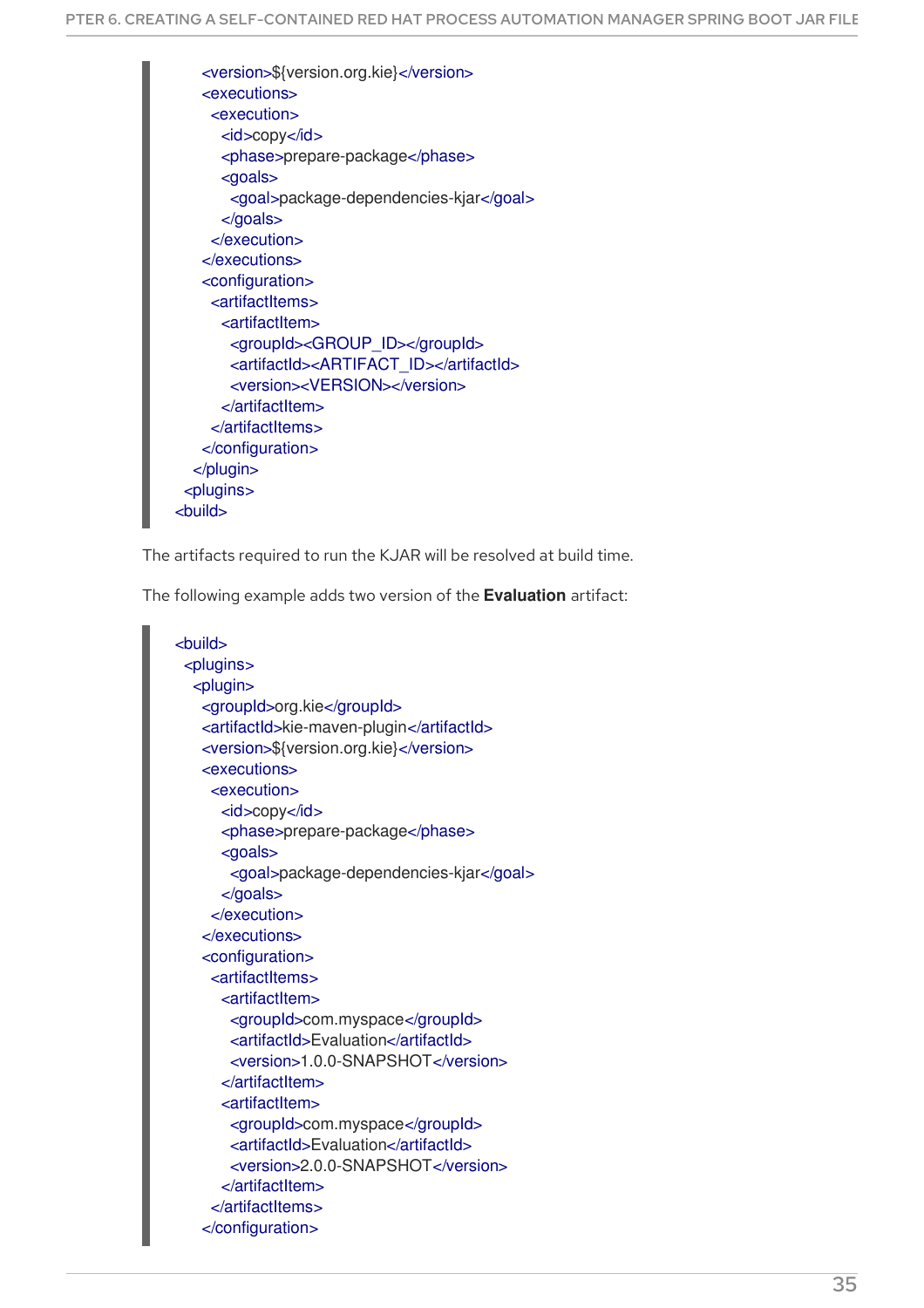<version>\${version.org.kie}</version> <executions> <execution> <id>copy</id> <phase>prepare-package</phase> <goals> <goal>package-dependencies-kjar</goal> </goals> </execution> </executions> <configuration> <artifactItems> <artifactItem> <groupId><GROUP\_ID></groupId> <artifactId><ARTIFACT\_ID></artifactId> <version><VERSION></version> </artifactItem> </artifactItems> </configuration> </plugin> <plugins> <build>

The artifacts required to run the KJAR will be resolved at build time.

The following example adds two version of the **Evaluation** artifact:

<build> <plugins> <plugin> <groupId>org.kie</groupId> <artifactId>kie-maven-plugin</artifactId> <version>\${version.org.kie}</version> <executions> <execution> <id>copy</id> <phase>prepare-package</phase> <goals> <goal>package-dependencies-kjar</goal> </goals> </execution> </executions> <configuration> <artifactItems> <artifactItem> <groupId>com.myspace</groupId> <artifactId>Evaluation</artifactId> <version>1.0.0-SNAPSHOT</version> </artifactItem> <artifactItem> <groupId>com.myspace</groupId> <artifactId>Evaluation</artifactId> <version>2.0.0-SNAPSHOT</version> </artifactItem> </artifactItems> </configuration>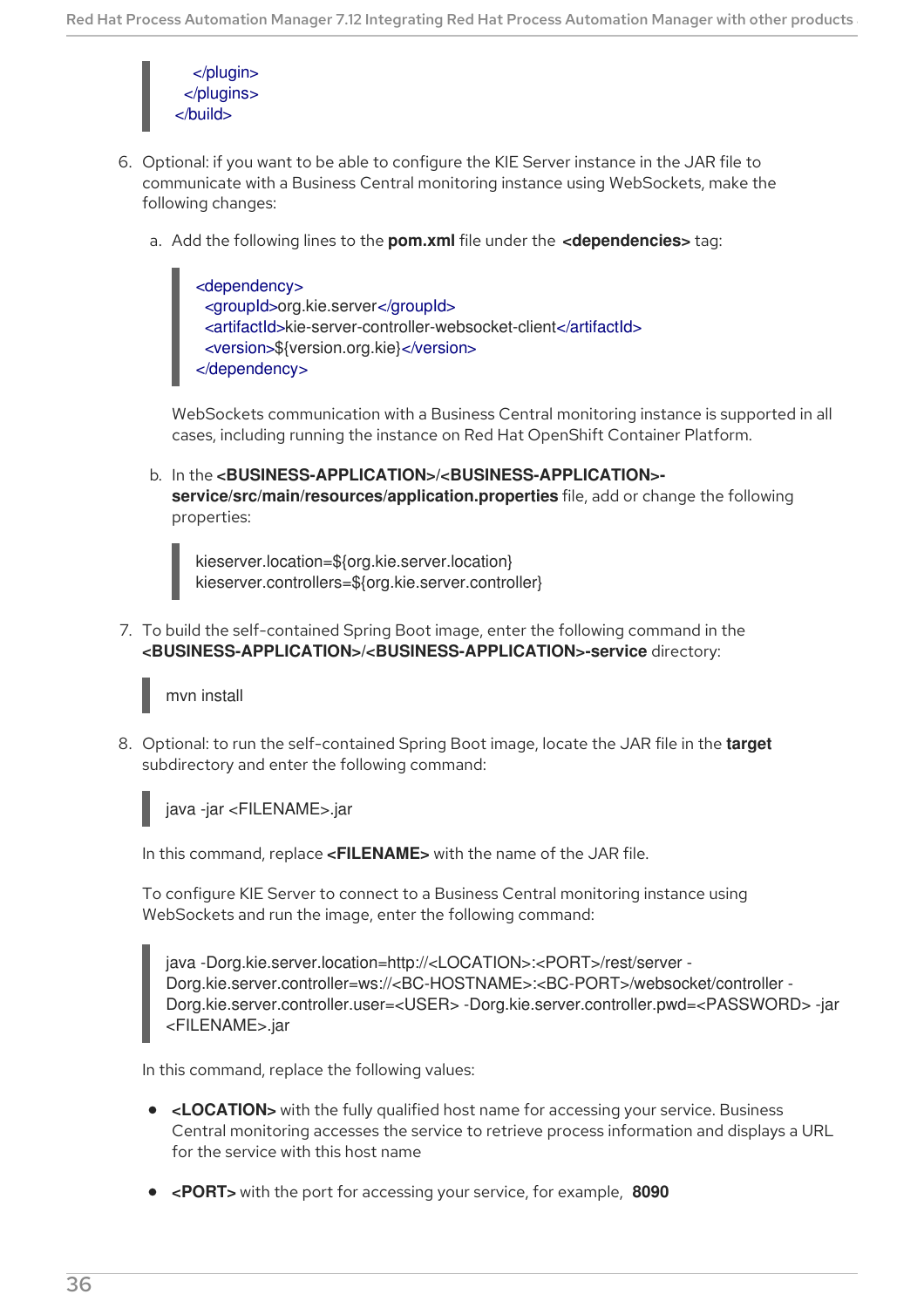

- 6. Optional: if you want to be able to configure the KIE Server instance in the JAR file to communicate with a Business Central monitoring instance using WebSockets, make the following changes:
	- a. Add the following lines to the **pom.xml** file under the **<dependencies>** tag:

<dependency> <groupId>org.kie.server</groupId> <artifactId>kie-server-controller-websocket-client</artifactId> <version>\${version.org.kie}</version> </dependency>

WebSockets communication with a Business Central monitoring instance is supported in all cases, including running the instance on Red Hat OpenShift Container Platform.

b. In the **<BUSINESS-APPLICATION>/<BUSINESS-APPLICATION> service/src/main/resources/application.properties** file, add or change the following properties:

kieserver.location=\${org.kie.server.location} kieserver.controllers=\${org.kie.server.controller}

7. To build the self-contained Spring Boot image, enter the following command in the **<BUSINESS-APPLICATION>/<BUSINESS-APPLICATION>-service** directory:

mvn install

8. Optional: to run the self-contained Spring Boot image, locate the JAR file in the **target** subdirectory and enter the following command:

java -jar <FILENAME>.jar

In this command, replace **<FILENAME>** with the name of the JAR file.

To configure KIE Server to connect to a Business Central monitoring instance using WebSockets and run the image, enter the following command:

java -Dorg.kie.server.location=http://<LOCATION>:<PORT>/rest/server - Dorg.kie.server.controller=ws://<BC-HOSTNAME>:<BC-PORT>/websocket/controller - Dorg.kie.server.controller.user=<USER> -Dorg.kie.server.controller.pwd=<PASSWORD> -jar <FILENAME>.jar

In this command, replace the following values:

- **<LOCATION>** with the fully qualified host name for accessing your service. Business Central monitoring accesses the service to retrieve process information and displays a URL for the service with this host name
- **<PORT>** with the port for accessing your service, for example, **8090**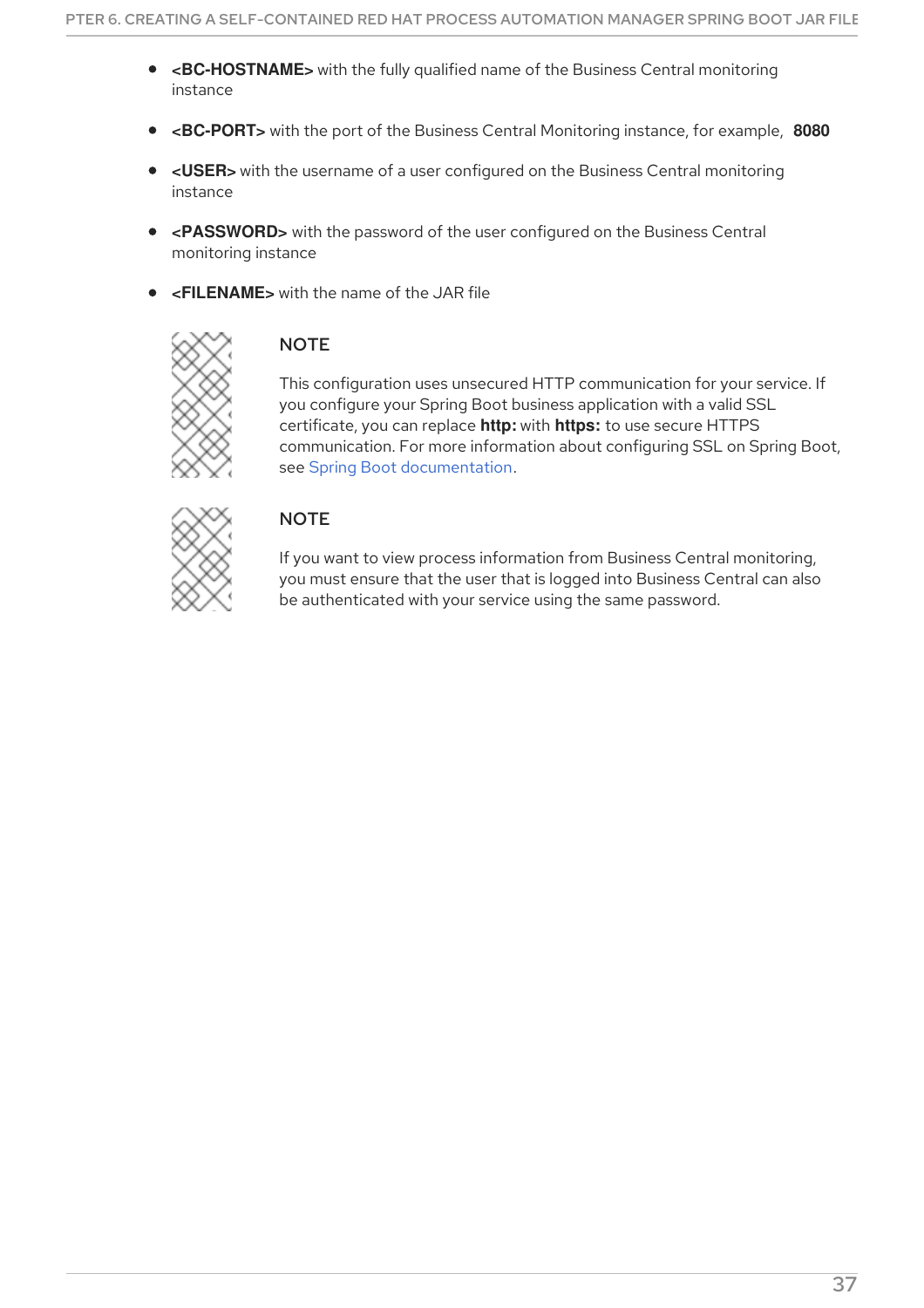- **<BC-HOSTNAME>** with the fully qualified name of the Business Central monitoring instance
- **<BC-PORT>** with the port of the Business Central Monitoring instance, for example, **8080**
- **<USER>** with the username of a user configured on the Business Central monitoring instance
- **<PASSWORD>** with the password of the user configured on the Business Central monitoring instance
- **<FILENAME>** with the name of the JAR file



## **NOTE**

This configuration uses unsecured HTTP communication for your service. If you configure your Spring Boot business application with a valid SSL certificate, you can replace **http:** with **https:** to use secure HTTPS communication. For more information about configuring SSL on Spring Boot, see Spring Boot [documentation.](https://docs.spring.io/spring-boot/docs/2.3.4.RELEASE/reference/html/howto.html#howto-configure-ssl)



## **NOTE**

If you want to view process information from Business Central monitoring, you must ensure that the user that is logged into Business Central can also be authenticated with your service using the same password.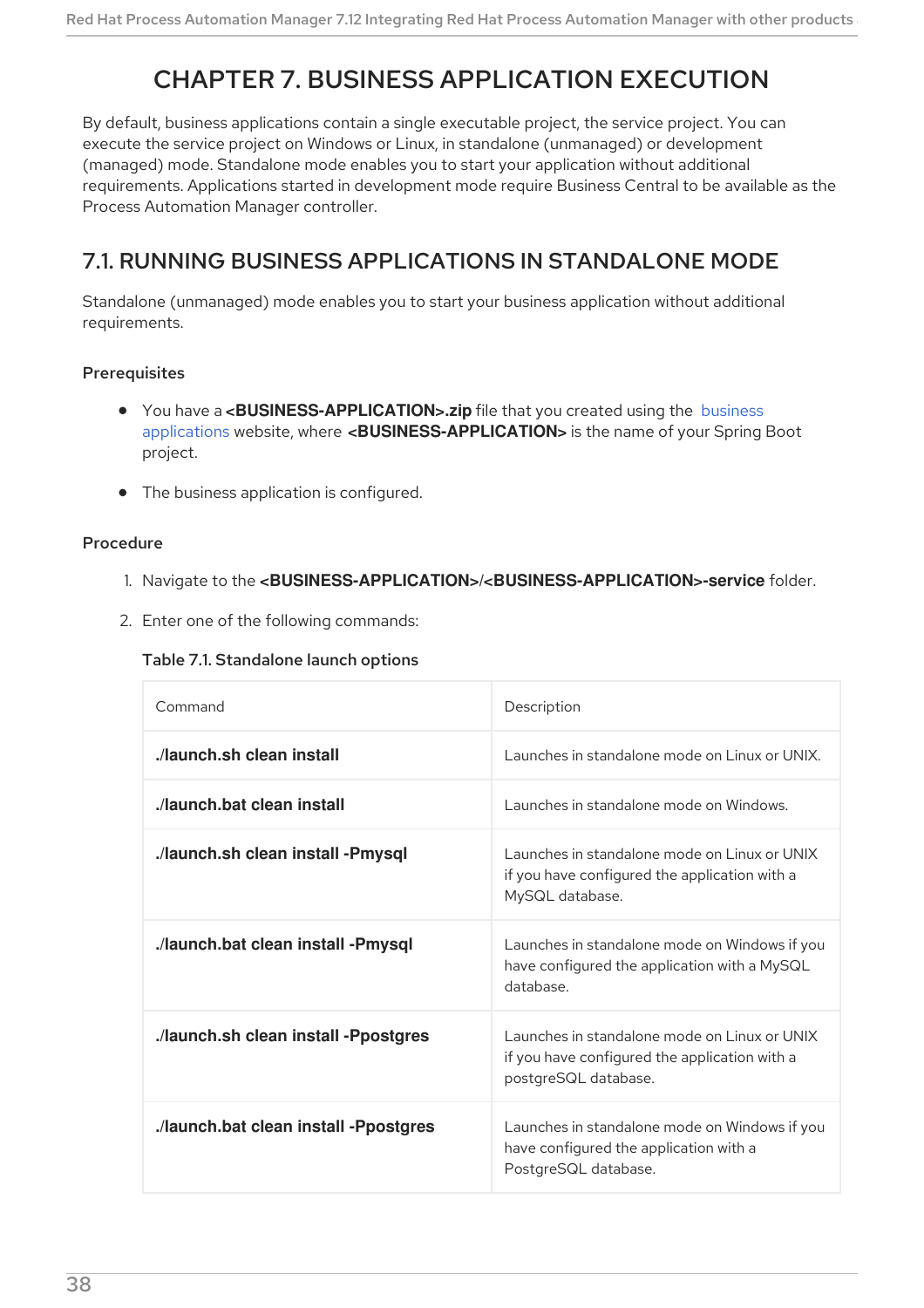# CHAPTER 7. BUSINESS APPLICATION EXECUTION

By default, business applications contain a single executable project, the service project. You can execute the service project on Windows or Linux, in standalone (unmanaged) or development (managed) mode. Standalone mode enables you to start your application without additional requirements. Applications started in development mode require Business Central to be available as the Process Automation Manager controller.

## 7.1. RUNNING BUSINESS APPLICATIONS IN STANDALONE MODE

Standalone (unmanaged) mode enables you to start your business application without additional requirements.

#### **Prerequisites**

- **You have a [<BUSINESS-APPLICATION>.zip](http://start.jbpm.org)** file that you created using the business applications website, where **<BUSINESS-APPLICATION>** is the name of your Spring Boot project.
- The business application is configured.

#### Procedure

- 1. Navigate to the **<BUSINESS-APPLICATION>/<BUSINESS-APPLICATION>-service** folder.
- 2. Enter one of the following commands:

#### Table 7.1. Standalone launch options

| Command                               | Description                                                                                                           |
|---------------------------------------|-----------------------------------------------------------------------------------------------------------------------|
| ./launch.sh clean install             | Launches in standalone mode on Linux or UNIX.                                                                         |
| ./launch.bat clean install            | Launches in standalone mode on Windows.                                                                               |
| ./launch.sh clean install -Pmysql     | Launches in standalone mode on Linux or UNIX<br>if you have configured the application with a<br>MySQL database.      |
| ./launch.bat clean install -Pmysql    | Launches in standalone mode on Windows if you<br>have configured the application with a MySQL<br>database.            |
| ./launch.sh clean install -Ppostgres  | Launches in standalone mode on Linux or UNIX<br>if you have configured the application with a<br>postgreSQL database. |
| ./launch.bat clean install -Ppostgres | Launches in standalone mode on Windows if you<br>have configured the application with a<br>PostgreSQL database.       |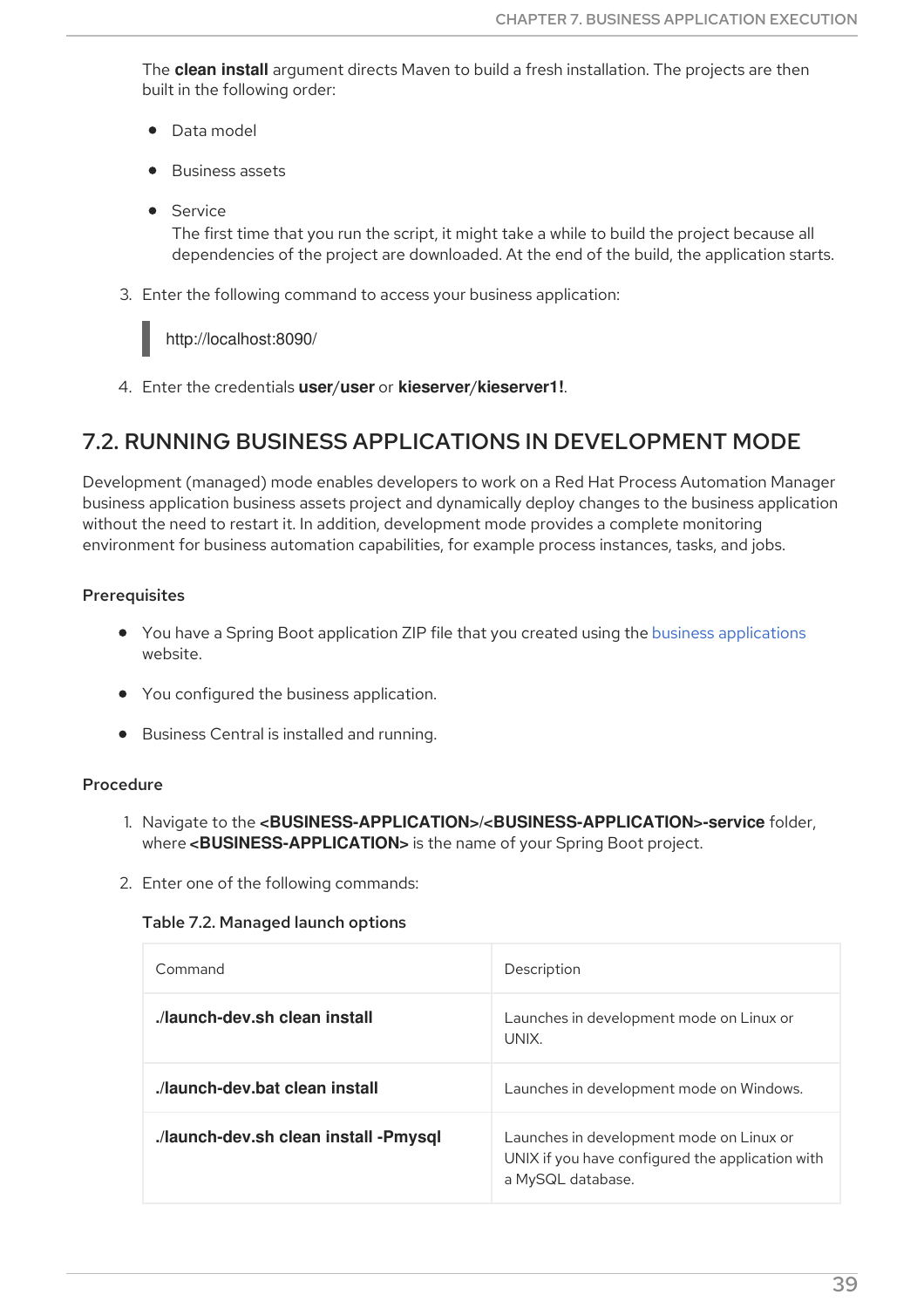The **clean install** argument directs Maven to build a fresh installation. The projects are then built in the following order:

- **•** Data model
- Business assets
- **•** Service

The first time that you run the script, it might take a while to build the project because all dependencies of the project are downloaded. At the end of the build, the application starts.

3. Enter the following command to access your business application:

http://localhost:8090/

4. Enter the credentials **user**/**user** or **kieserver**/**kieserver1!**.

## 7.2. RUNNING BUSINESS APPLICATIONS IN DEVELOPMENT MODE

Development (managed) mode enables developers to work on a Red Hat Process Automation Manager business application business assets project and dynamically deploy changes to the business application without the need to restart it. In addition, development mode provides a complete monitoring environment for business automation capabilities, for example process instances, tasks, and jobs.

## Prerequisites

- You have a Spring Boot application ZIP file that you created using the business [applications](http://start.jbpm.org) website.
- You configured the business application.
- **•** Business Central is installed and running.

#### Procedure

- 1. Navigate to the **<BUSINESS-APPLICATION>/<BUSINESS-APPLICATION>-service** folder, where **<BUSINESS-APPLICATION>** is the name of your Spring Boot project.
- 2. Enter one of the following commands:

#### Table 7.2. Managed launch options

| Command                               | Description                                                                                                       |
|---------------------------------------|-------------------------------------------------------------------------------------------------------------------|
| ./launch-dev.sh clean install         | Launches in development mode on Linux or<br>UNIX.                                                                 |
| launch-dev.bat clean install.         | Launches in development mode on Windows.                                                                          |
| ./launch-dev.sh clean install -Pmysql | Launches in development mode on Linux or<br>UNIX if you have configured the application with<br>a MySQL database. |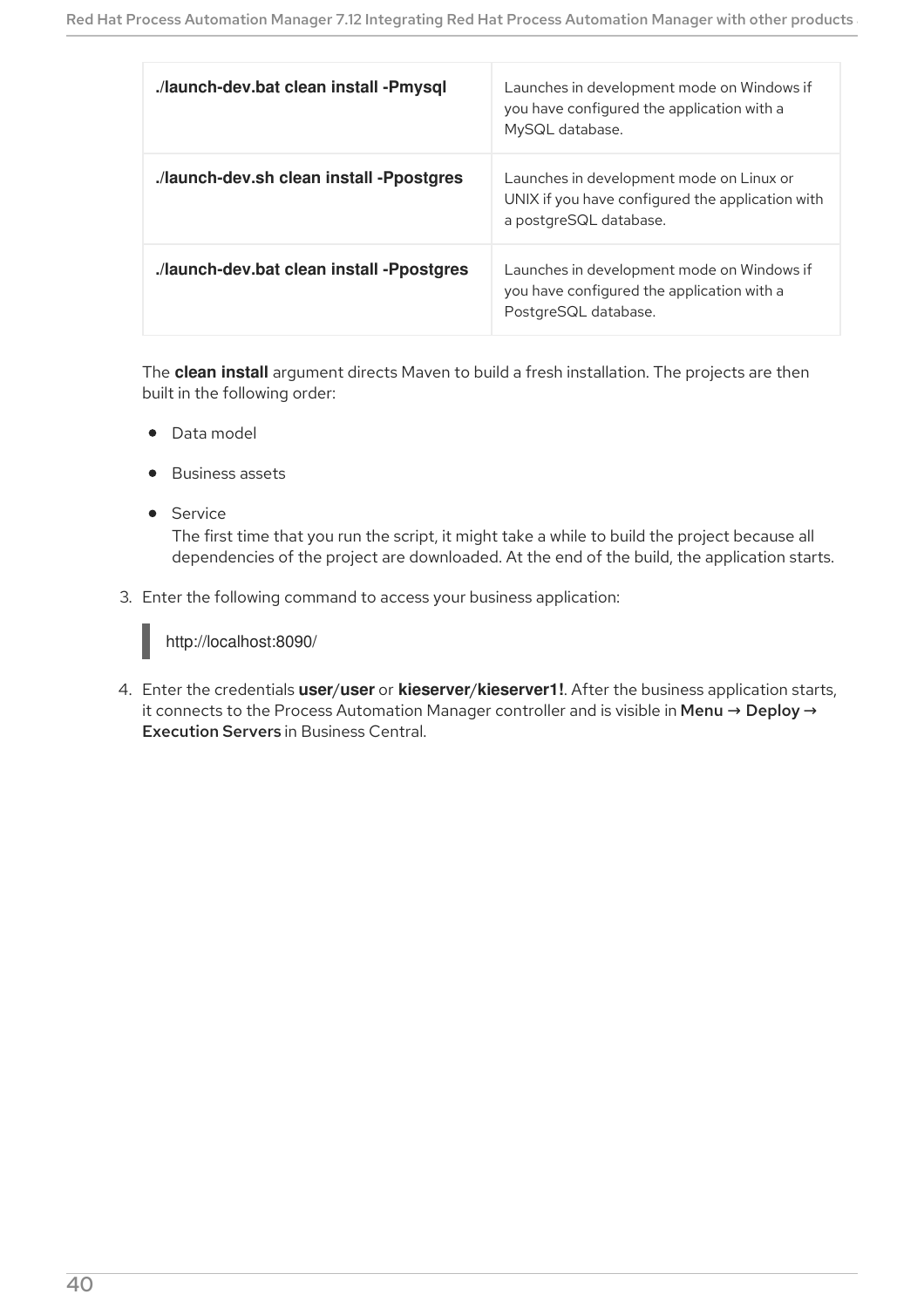| ./launch-dev.bat clean install -Pmysql    | Launches in development mode on Windows if<br>you have configured the application with a<br>MySQL database.            |
|-------------------------------------------|------------------------------------------------------------------------------------------------------------------------|
| ./launch-dev.sh clean install -Ppostgres  | Launches in development mode on Linux or<br>UNIX if you have configured the application with<br>a postgreSQL database. |
| ./launch-dev.bat clean install -Ppostgres | Launches in development mode on Windows if<br>you have configured the application with a<br>PostgreSQL database.       |

The **clean install** argument directs Maven to build a fresh installation. The projects are then built in the following order:

- Data model
- Business assets
- **•** Service

The first time that you run the script, it might take a while to build the project because all dependencies of the project are downloaded. At the end of the build, the application starts.

3. Enter the following command to access your business application:



4. Enter the credentials **user**/**user** or **kieserver**/**kieserver1!**. After the business application starts, it connects to the Process Automation Manager controller and is visible in Menu → Deploy → Execution Servers in Business Central.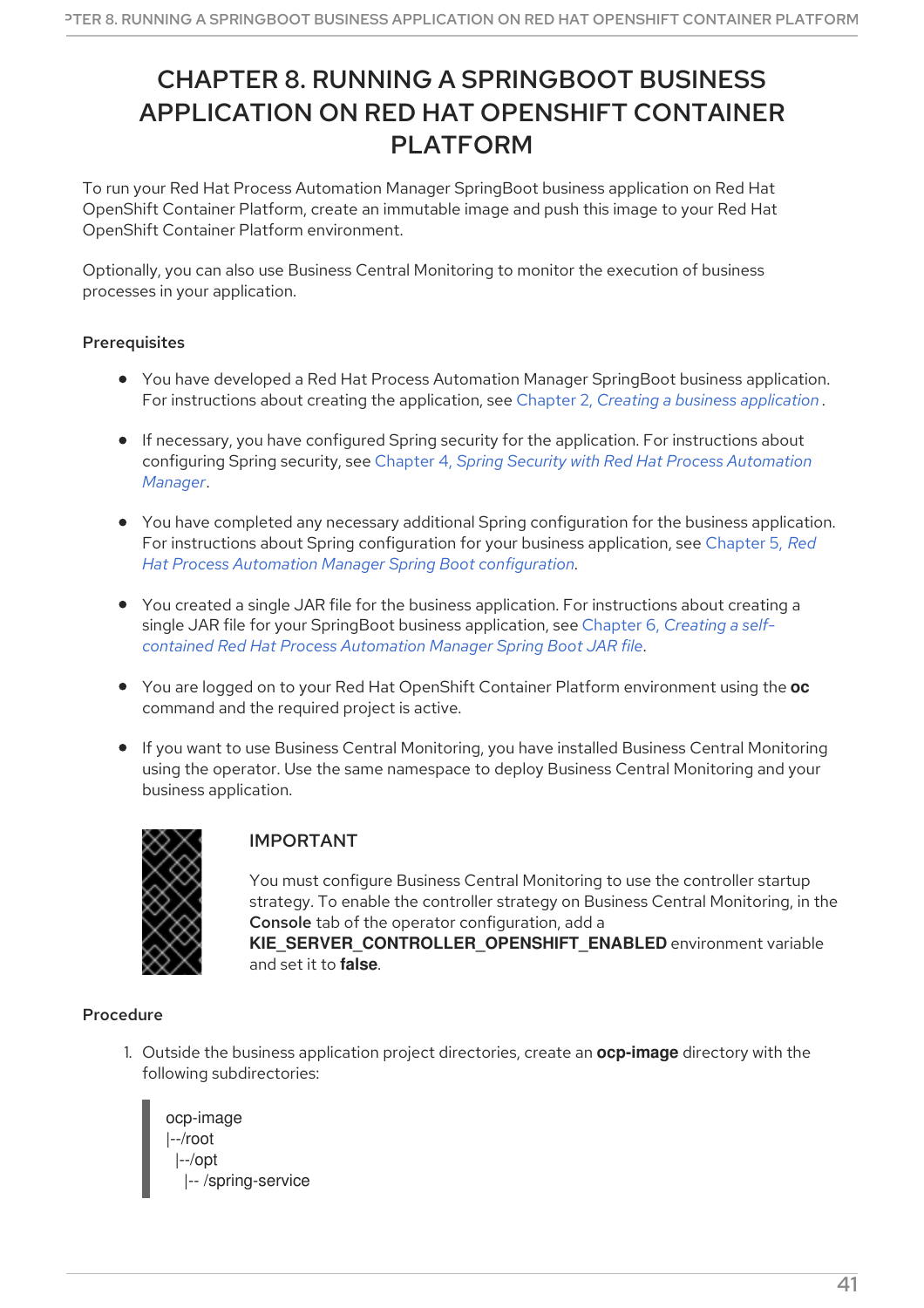# CHAPTER 8. RUNNING A SPRINGBOOT BUSINESS APPLICATION ON RED HAT OPENSHIFT CONTAINER PLATFORM

To run your Red Hat Process Automation Manager SpringBoot business application on Red Hat OpenShift Container Platform, create an immutable image and push this image to your Red Hat OpenShift Container Platform environment.

Optionally, you can also use Business Central Monitoring to monitor the execution of business processes in your application.

### Prerequisites

- You have developed a Red Hat Process Automation Manager SpringBoot business application. For instructions about creating the application, see Chapter 2, *Creating a business [application](#page-12-0)* .
- If necessary, you have configured Spring security for the application. For instructions about configuring Spring security, see Chapter 4, *Spring Security with Red Hat Process [Automation](#page-19-0) Manager*.
- You have completed any necessary additional Spring configuration for the business application. For instructions about Spring [configuration](#page-29-0) for your business application, see Chapter 5, *Red Hat Process Automation Manager Spring Boot configuration*.
- You created a single JAR file for the business application. For instructions about creating a single JAR file for your SpringBoot business application, see Chapter 6, *Creating a selfcontained Red Hat Process [Automation](#page-37-0) Manager Spring Boot JAR file*.
- You are logged on to your Red Hat OpenShift Container Platform environment using the **oc** command and the required project is active.
- If you want to use Business Central Monitoring, you have installed Business Central Monitoring using the operator. Use the same namespace to deploy Business Central Monitoring and your business application.



## IMPORTANT

You must configure Business Central Monitoring to use the controller startup strategy. To enable the controller strategy on Business Central Monitoring, in the Console tab of the operator configuration, add a

**KIE\_SERVER\_CONTROLLER\_OPENSHIFT\_ENABLED** environment variable and set it to **false**.

## Procedure

1. Outside the business application project directories, create an **ocp-image** directory with the following subdirectories:

ocp-image |--/root |--/opt |-- /spring-service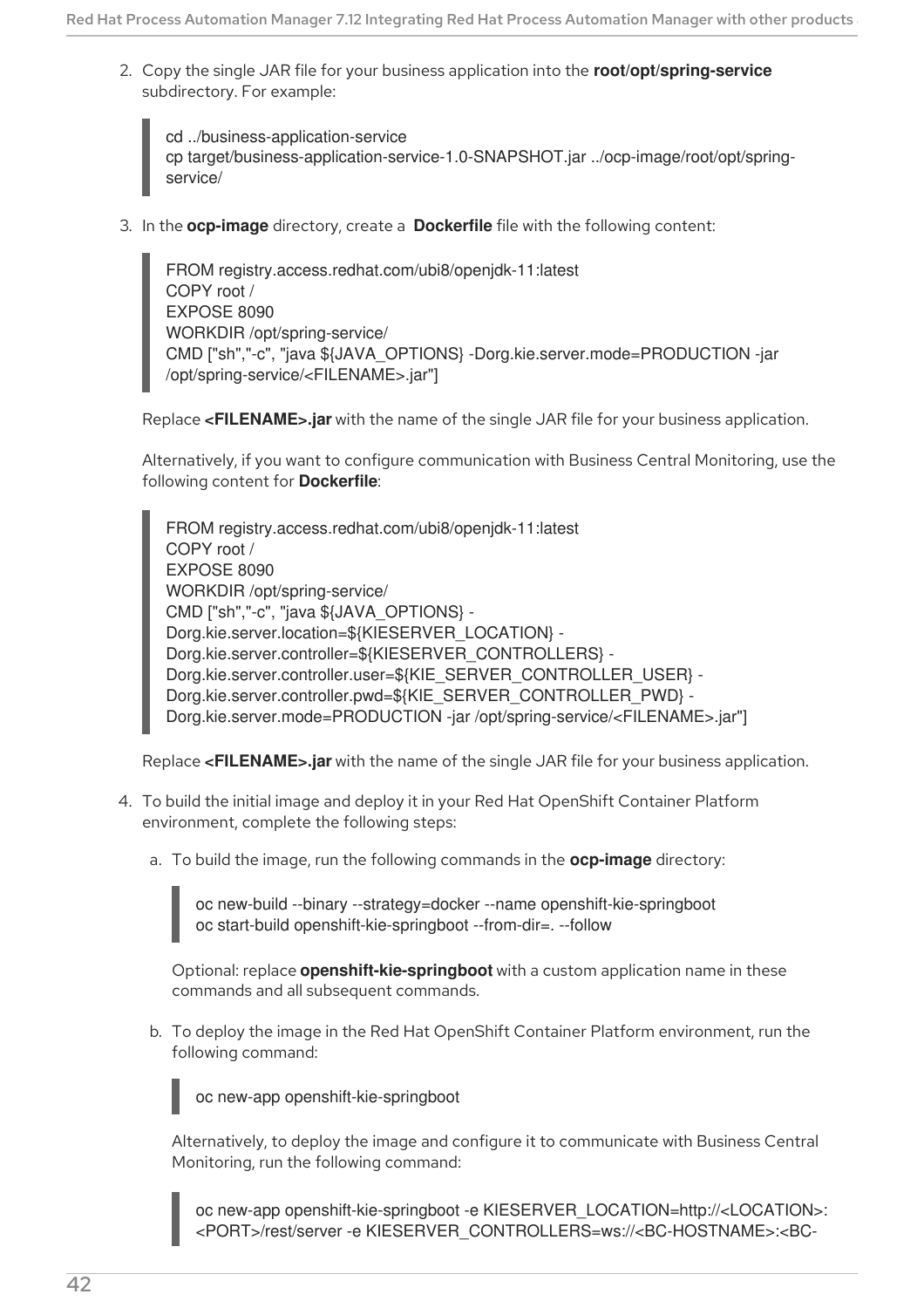2. Copy the single JAR file for your business application into the **root/opt/spring-service** subdirectory. For example:

cd ../business-application-service cp target/business-application-service-1.0-SNAPSHOT.jar ../ocp-image/root/opt/springservice/

3. In the **ocp-image** directory, create a **Dockerfile** file with the following content:

FROM registry.access.redhat.com/ubi8/openjdk-11:latest COPY root / EXPOSE 8090 WORKDIR /opt/spring-service/ CMD ["sh","-c", "java \${JAVA\_OPTIONS} -Dorg.kie.server.mode=PRODUCTION -jar /opt/spring-service/<FILENAME>.jar"]

Replace **<FILENAME>.jar** with the name of the single JAR file for your business application.

Alternatively, if you want to configure communication with Business Central Monitoring, use the following content for **Dockerfile**:

FROM registry.access.redhat.com/ubi8/openjdk-11:latest COPY root / EXPOSE 8090 WORKDIR /opt/spring-service/ CMD ["sh","-c", "java \${JAVA\_OPTIONS} - Dorg.kie.server.location=\${KIESERVER\_LOCATION} -Dorg.kie.server.controller=\${KIESERVER\_CONTROLLERS} -Dorg.kie.server.controller.user=\${KIE\_SERVER\_CONTROLLER\_USER} -Dorg.kie.server.controller.pwd=\${KIE\_SERVER\_CONTROLLER\_PWD} -Dorg.kie.server.mode=PRODUCTION -jar /opt/spring-service/<FILENAME>.jar"]

Replace **<FILENAME>.jar** with the name of the single JAR file for your business application.

- 4. To build the initial image and deploy it in your Red Hat OpenShift Container Platform environment, complete the following steps:
	- a. To build the image, run the following commands in the **ocp-image** directory:

oc new-build --binary --strategy=docker --name openshift-kie-springboot oc start-build openshift-kie-springboot --from-dir=. --follow

Optional: replace **openshift-kie-springboot** with a custom application name in these commands and all subsequent commands.

b. To deploy the image in the Red Hat OpenShift Container Platform environment, run the following command:

oc new-app openshift-kie-springboot

Alternatively, to deploy the image and configure it to communicate with Business Central Monitoring, run the following command:

oc new-app openshift-kie-springboot -e KIESERVER\_LOCATION=http://<LOCATION>: <PORT>/rest/server -e KIESERVER\_CONTROLLERS=ws://<BC-HOSTNAME>:<BC-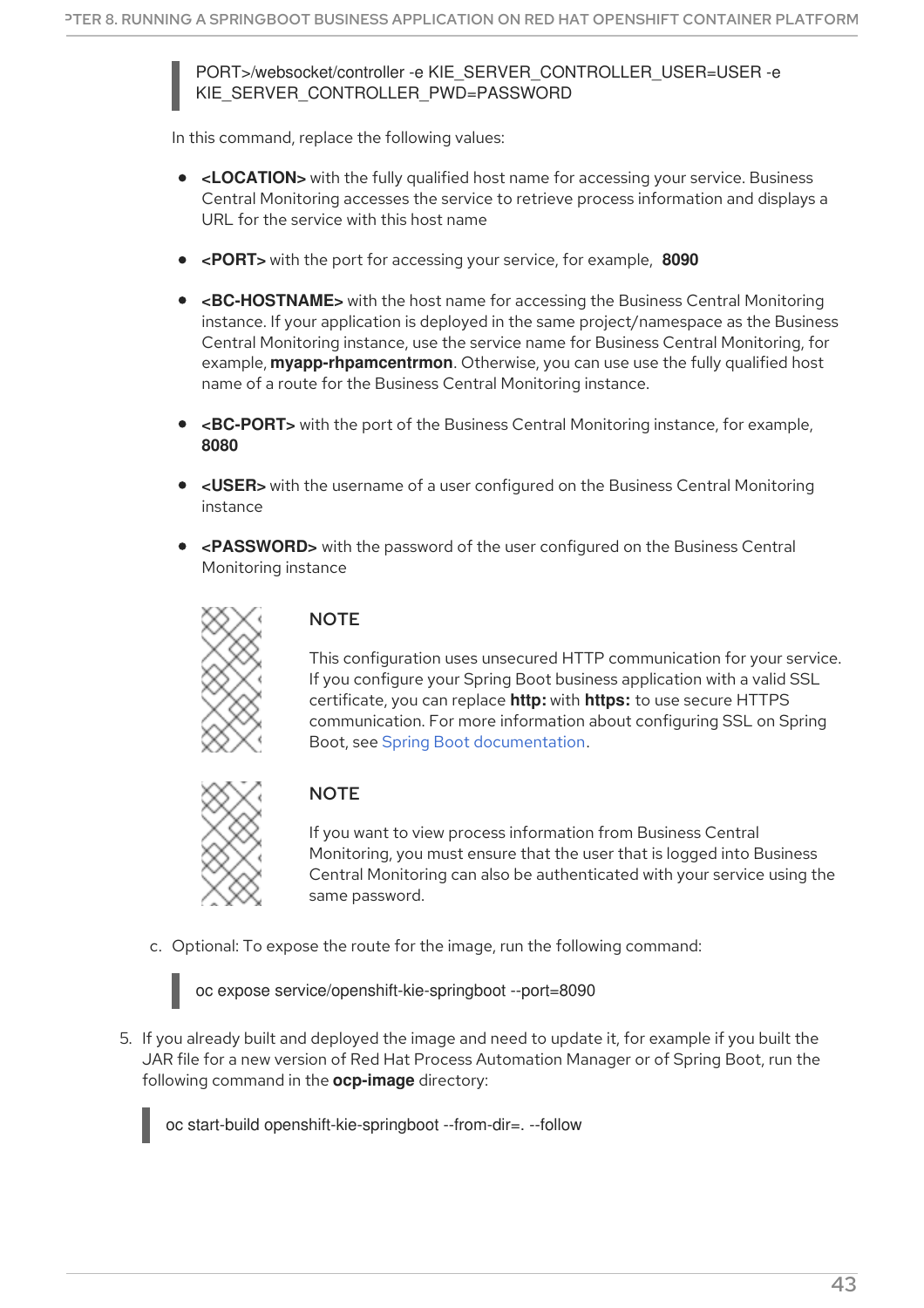PORT>/websocket/controller -e KIE\_SERVER\_CONTROLLER\_USER=USER -e KIE\_SERVER\_CONTROLLER\_PWD=PASSWORD

In this command, replace the following values:

- **<LOCATION>** with the fully qualified host name for accessing your service. Business Central Monitoring accesses the service to retrieve process information and displays a URL for the service with this host name
- **<PORT>** with the port for accessing your service, for example, **8090**
- **<BC-HOSTNAME>** with the host name for accessing the Business Central Monitoring instance. If your application is deployed in the same project/namespace as the Business Central Monitoring instance, use the service name for Business Central Monitoring, for example, **myapp-rhpamcentrmon**. Otherwise, you can use use the fully qualified host name of a route for the Business Central Monitoring instance.
- **<BC-PORT>** with the port of the Business Central Monitoring instance, for example, **8080**
- **<USER>** with the username of a user configured on the Business Central Monitoring instance
- **<PASSWORD>** with the password of the user configured on the Business Central Monitoring instance



## **NOTE**

This configuration uses unsecured HTTP communication for your service. If you configure your Spring Boot business application with a valid SSL certificate, you can replace **http:** with **https:** to use secure HTTPS communication. For more information about configuring SSL on Spring Boot, see Spring Boot [documentation.](https://docs.spring.io/spring-boot/docs/2.3.4.RELEASE/reference/html/howto.html#howto-configure-ssl)



## **NOTE**

If you want to view process information from Business Central Monitoring, you must ensure that the user that is logged into Business Central Monitoring can also be authenticated with your service using the same password.

c. Optional: To expose the route for the image, run the following command:

oc expose service/openshift-kie-springboot --port=8090

5. If you already built and deployed the image and need to update it, for example if you built the JAR file for a new version of Red Hat Process Automation Manager or of Spring Boot, run the following command in the **ocp-image** directory:

oc start-build openshift-kie-springboot --from-dir=. --follow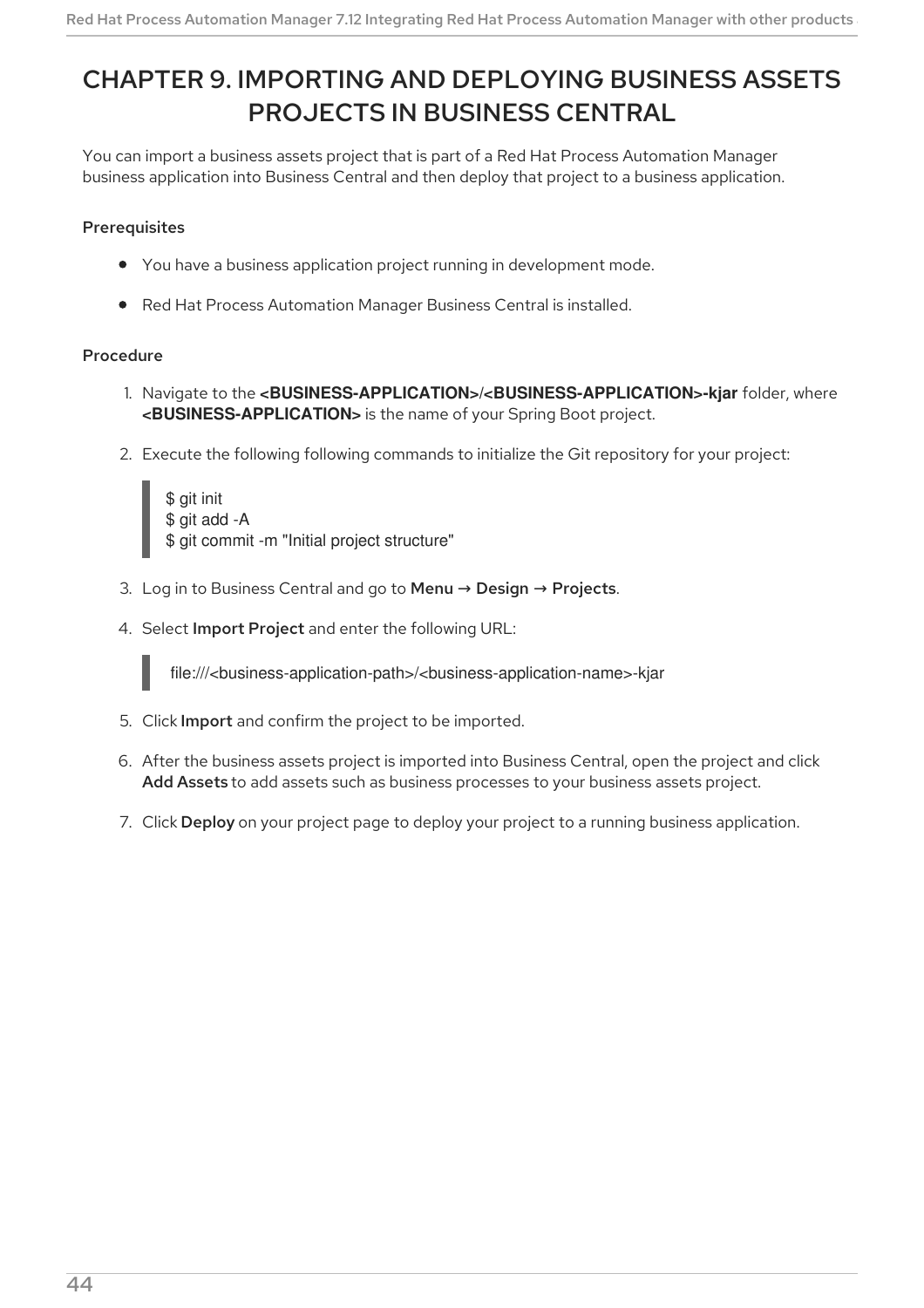# CHAPTER 9. IMPORTING AND DEPLOYING BUSINESS ASSETS PROJECTS IN BUSINESS CENTRAL

You can import a business assets project that is part of a Red Hat Process Automation Manager business application into Business Central and then deploy that project to a business application.

## **Prerequisites**

- You have a business application project running in development mode.
- Red Hat Process Automation Manager Business Central is installed.

### Procedure

- 1. Navigate to the **<BUSINESS-APPLICATION>/<BUSINESS-APPLICATION>-kjar** folder, where **<BUSINESS-APPLICATION>** is the name of your Spring Boot project.
- 2. Execute the following following commands to initialize the Git repository for your project:

\$ git init \$ git add -A \$ git commit -m "Initial project structure"

- 3. Log in to Business Central and go to Menu  $\rightarrow$  Design  $\rightarrow$  Projects.
- 4. Select Import Project and enter the following URL:

file:///<business-application-path>/<br/>susiness-application-name>-kjar

- 5. Click Import and confirm the project to be imported.
- 6. After the business assets project is imported into Business Central, open the project and click Add Assets to add assets such as business processes to your business assets project.
- 7. Click Deploy on your project page to deploy your project to a running business application.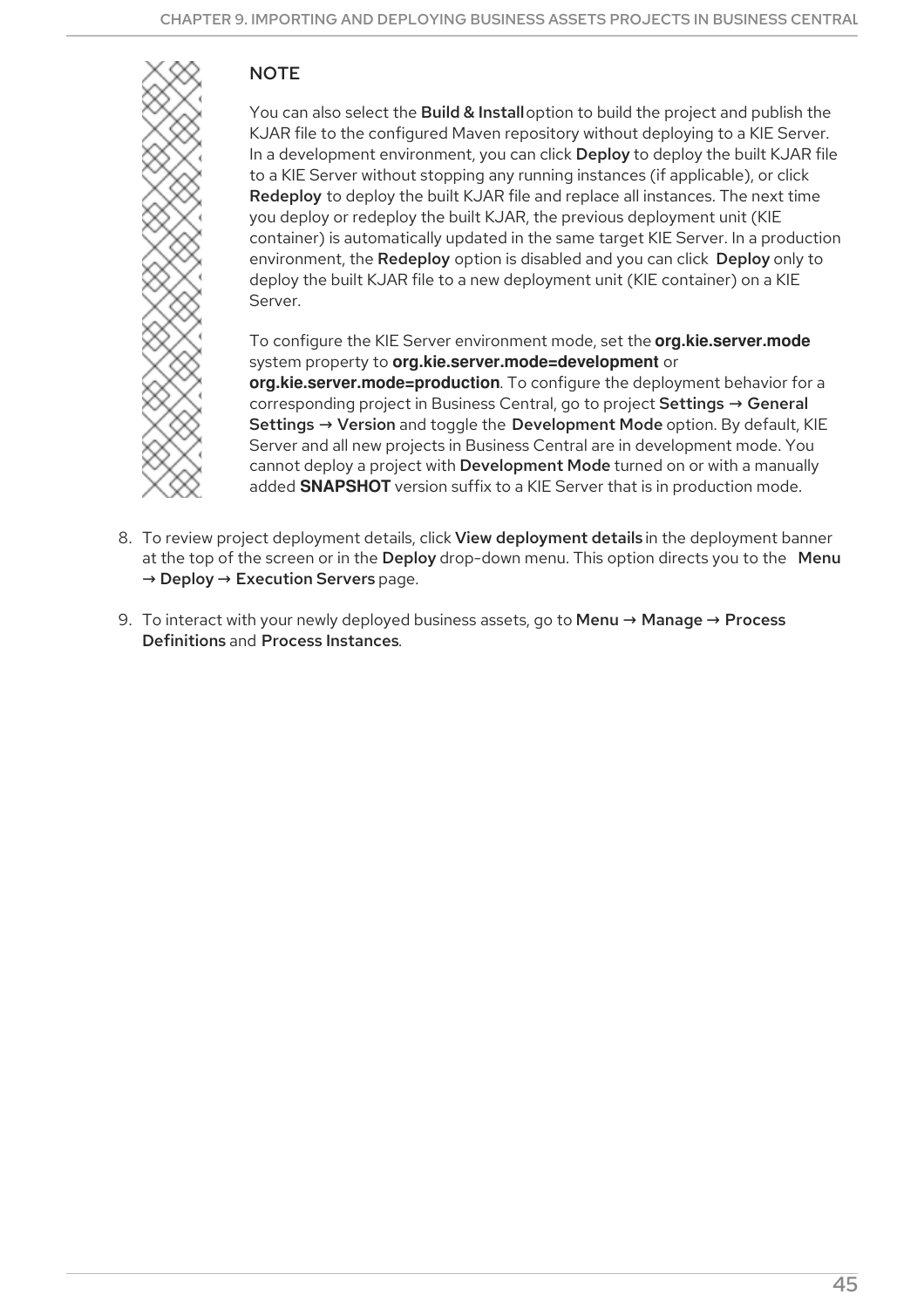## **NOTE**



You can also select the Build & Install option to build the project and publish the KJAR file to the configured Maven repository without deploying to a KIE Server. In a development environment, you can click Deploy to deploy the built KJAR file to a KIE Server without stopping any running instances (if applicable), or click Redeploy to deploy the built KJAR file and replace all instances. The next time you deploy or redeploy the built KJAR, the previous deployment unit (KIE container) is automatically updated in the same target KIE Server. In a production environment, the Redeploy option is disabled and you can click Deploy only to deploy the built KJAR file to a new deployment unit (KIE container) on a KIE Server.

To configure the KIE Server environment mode, set the **org.kie.server.mode** system property to **org.kie.server.mode=development** or **org.kie.server.mode=production**. To configure the deployment behavior for a corresponding project in Business Central, go to project Settings → General Settings → Version and toggle the Development Mode option. By default, KIE Server and all new projects in Business Central are in development mode. You cannot deploy a project with Development Mode turned on or with a manually added **SNAPSHOT** version suffix to a KIE Server that is in production mode.

- 8. To review project deployment details, click View deployment details in the deployment banner at the top of the screen or in the Deploy drop-down menu. This option directs you to the Menu  $\rightarrow$  Deploy  $\rightarrow$  Execution Servers page.
- 9. To interact with your newly deployed business assets, go to Menu → Manage → Process Definitions and Process Instances.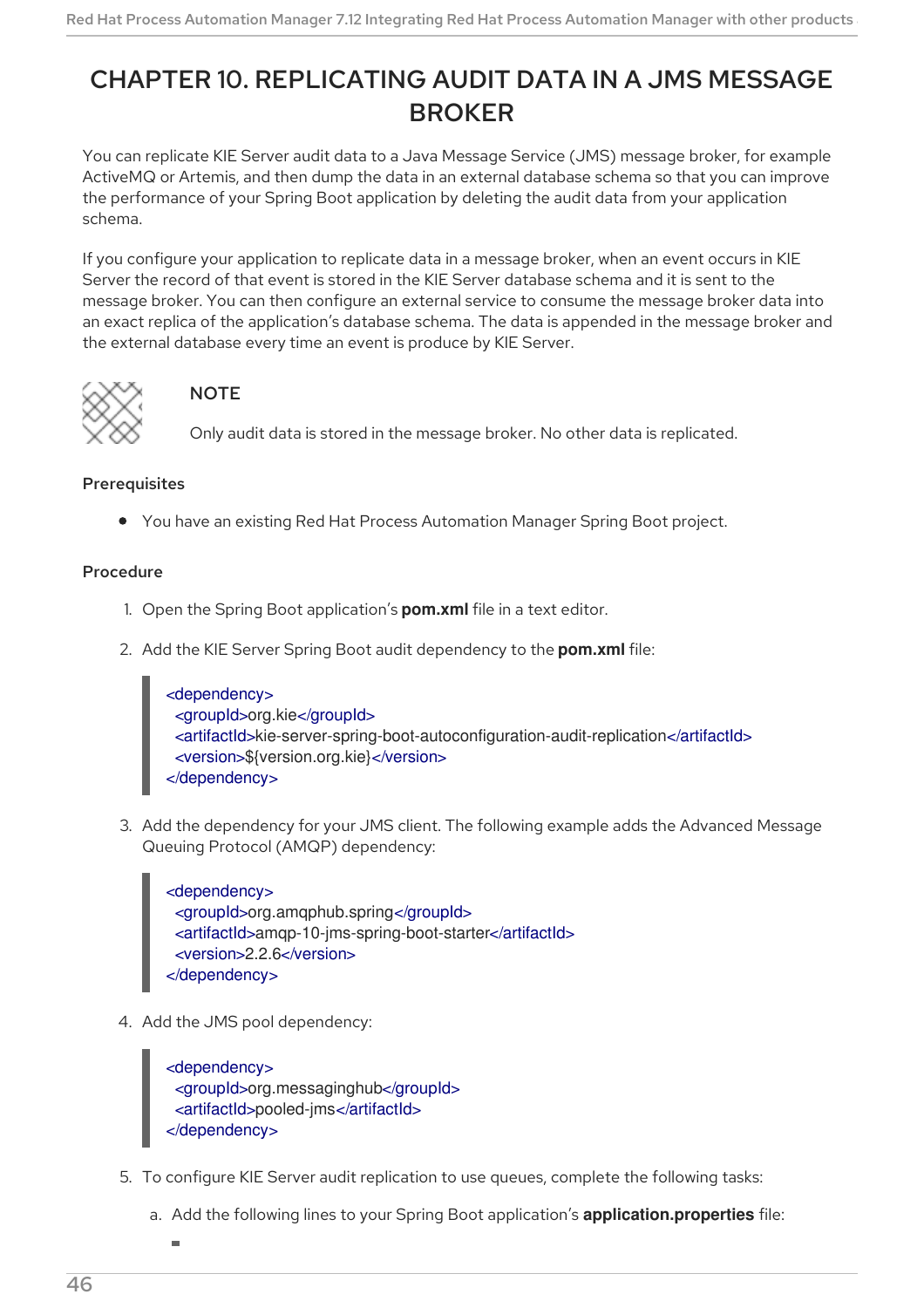# CHAPTER 10. REPLICATING AUDIT DATA IN A JMS MESSAGE **BROKER**

You can replicate KIE Server audit data to a Java Message Service (JMS) message broker, for example ActiveMQ or Artemis, and then dump the data in an external database schema so that you can improve the performance of your Spring Boot application by deleting the audit data from your application schema.

If you configure your application to replicate data in a message broker, when an event occurs in KIE Server the record of that event is stored in the KIE Server database schema and it is sent to the message broker. You can then configure an external service to consume the message broker data into an exact replica of the application's database schema. The data is appended in the message broker and the external database every time an event is produce by KIE Server.



## **NOTE**

Only audit data is stored in the message broker. No other data is replicated.

## Prerequisites

You have an existing Red Hat Process Automation Manager Spring Boot project.

### Procedure

- 1. Open the Spring Boot application's **pom.xml** file in a text editor.
- 2. Add the KIE Server Spring Boot audit dependency to the **pom.xml** file:

| <dependency></dependency>                                                           |  |
|-------------------------------------------------------------------------------------|--|
| <groupid>org.kie</groupid>                                                          |  |
| <artifactid>kie-server-spring-boot-autoconfiguration-audit-replication</artifactid> |  |
| <version>\${version.org.kie}</version>                                              |  |
| $\alpha$ dependency                                                                 |  |

3. Add the dependency for your JMS client. The following example adds the Advanced Message Queuing Protocol (AMQP) dependency:

<dependency> <groupId>org.amqphub.spring</groupId> <artifactId>amqp-10-jms-spring-boot-starter</artifactId> <version>2.2.6</version> </dependency>

4. Add the JMS pool dependency:

<dependency> <groupId>org.messaginghub</groupId> <artifactId>pooled-jms</artifactId> </dependency>

- 5. To configure KIE Server audit replication to use queues, complete the following tasks:
	- a. Add the following lines to your Spring Boot application's **application.properties** file: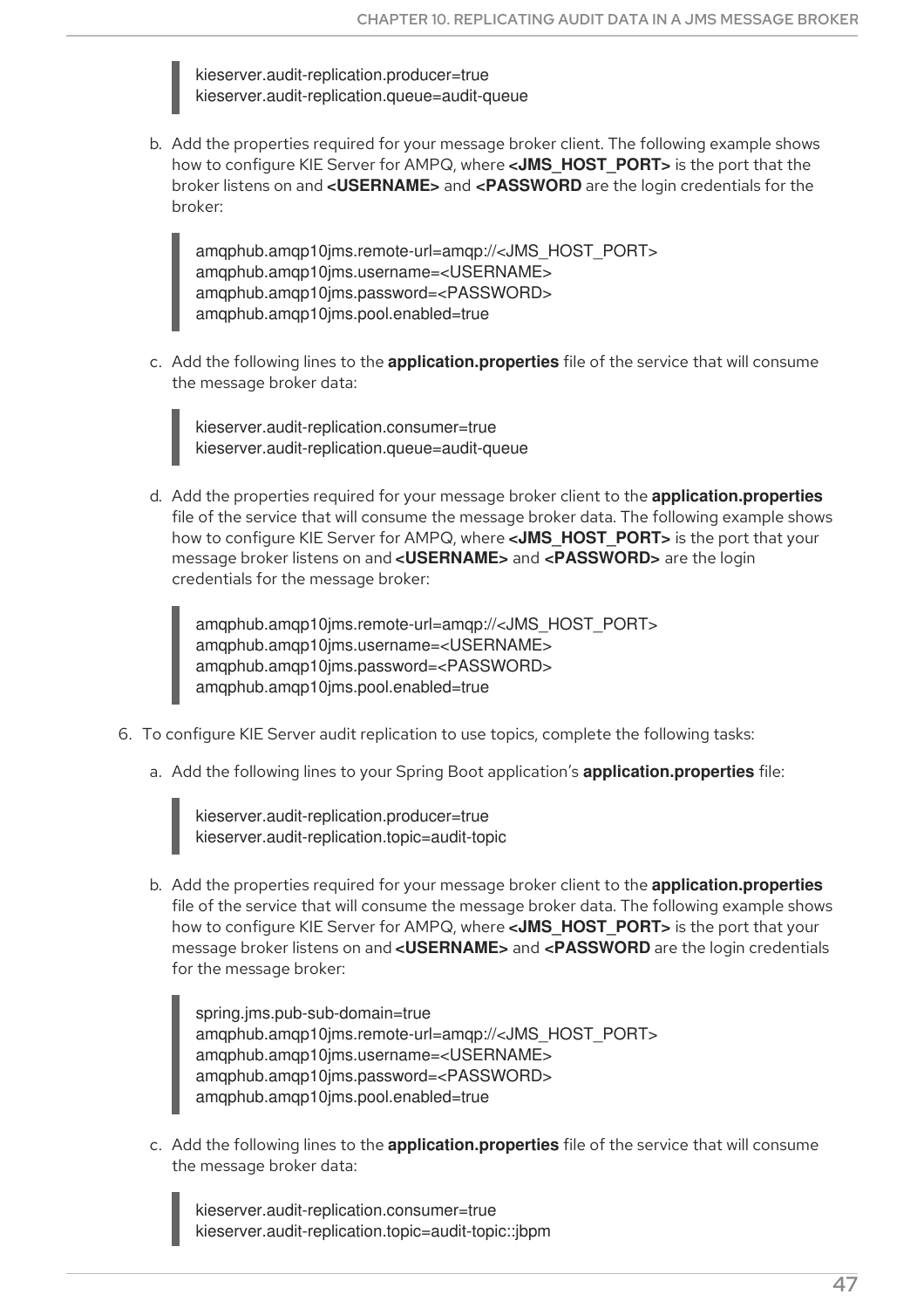kieserver.audit-replication.producer=true kieserver.audit-replication.queue=audit-queue

b. Add the properties required for your message broker client. The following example shows how to configure KIE Server for AMPQ, where **<JMS\_HOST\_PORT>** is the port that the broker listens on and **<USERNAME>** and **<PASSWORD** are the login credentials for the broker:

amqphub.amqp10jms.remote-url=amqp://<JMS\_HOST\_PORT> amqphub.amqp10jms.username=<USERNAME> amqphub.amqp10jms.password=<PASSWORD> amqphub.amqp10jms.pool.enabled=true

c. Add the following lines to the **application.properties** file of the service that will consume the message broker data:

kieserver.audit-replication.consumer=true kieserver.audit-replication.queue=audit-queue

d. Add the properties required for your message broker client to the **application.properties** file of the service that will consume the message broker data. The following example shows how to configure KIE Server for AMPQ, where **<JMS\_HOST\_PORT>** is the port that your message broker listens on and **<USERNAME>** and **<PASSWORD>** are the login credentials for the message broker:

amqphub.amqp10jms.remote-url=amqp://<JMS\_HOST\_PORT> amqphub.amqp10jms.username=<USERNAME> amqphub.amqp10jms.password=<PASSWORD> amqphub.amqp10jms.pool.enabled=true

- 6. To configure KIE Server audit replication to use topics, complete the following tasks:
	- a. Add the following lines to your Spring Boot application's **application.properties** file:

kieserver.audit-replication.producer=true kieserver.audit-replication.topic=audit-topic

b. Add the properties required for your message broker client to the **application.properties** file of the service that will consume the message broker data. The following example shows how to configure KIE Server for AMPQ, where **<JMS\_HOST\_PORT>** is the port that your message broker listens on and **<USERNAME>** and **<PASSWORD** are the login credentials for the message broker:

spring.jms.pub-sub-domain=true amqphub.amqp10jms.remote-url=amqp://<JMS\_HOST\_PORT> amqphub.amqp10jms.username=<USERNAME> amqphub.amqp10jms.password=<PASSWORD> amqphub.amqp10jms.pool.enabled=true

c. Add the following lines to the **application.properties** file of the service that will consume the message broker data:

kieserver.audit-replication.consumer=true kieserver.audit-replication.topic=audit-topic::jbpm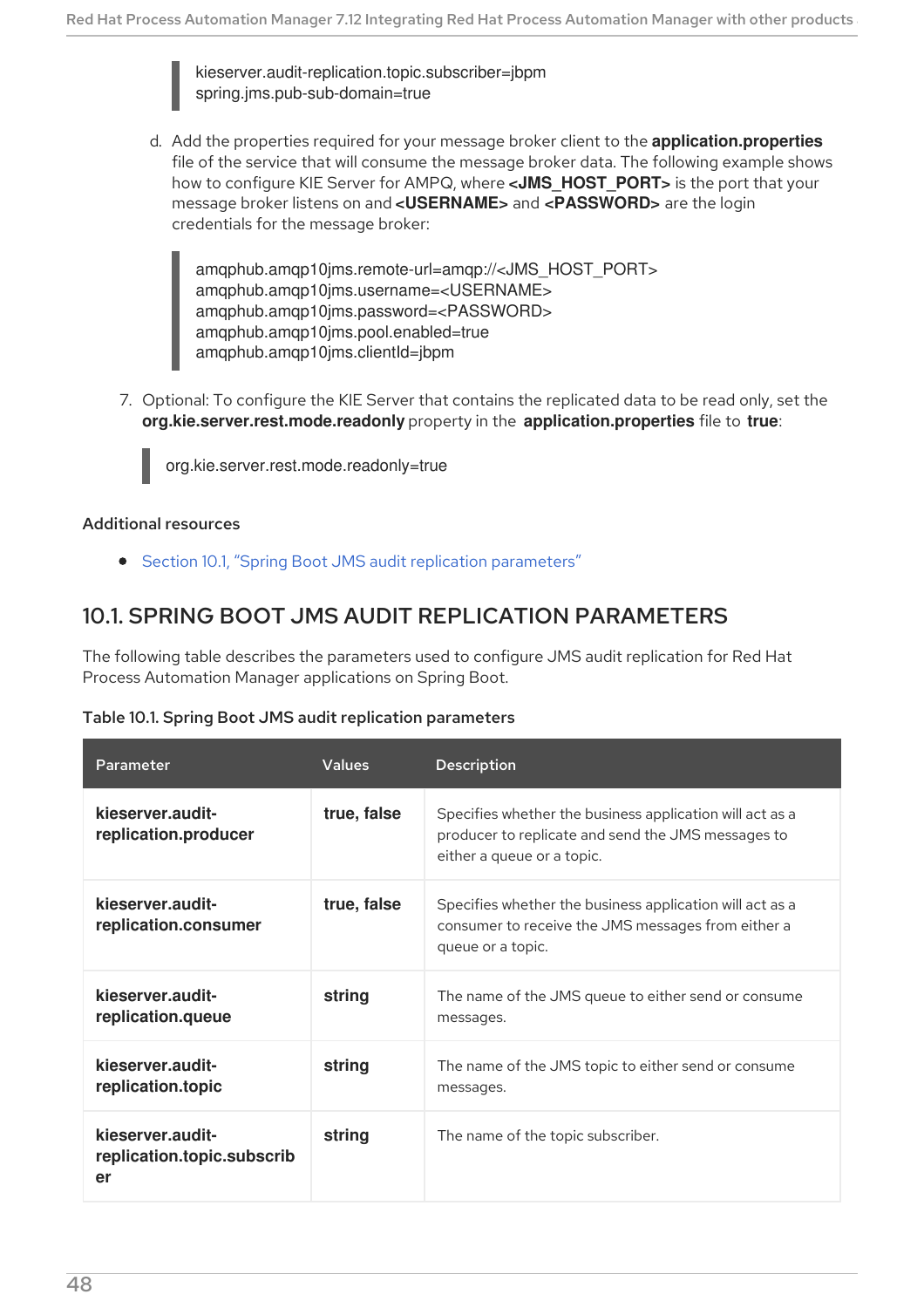kieserver.audit-replication.topic.subscriber=jbpm spring.jms.pub-sub-domain=true

d. Add the properties required for your message broker client to the **application.properties** file of the service that will consume the message broker data. The following example shows how to configure KIE Server for AMPQ, where **<JMS\_HOST\_PORT>** is the port that your message broker listens on and **<USERNAME>** and **<PASSWORD>** are the login credentials for the message broker:

amqphub.amqp10jms.remote-url=amqp://<JMS\_HOST\_PORT> amqphub.amqp10jms.username=<USERNAME> amqphub.amqp10jms.password=<PASSWORD> amqphub.amqp10jms.pool.enabled=true amqphub.amqp10jms.clientId=jbpm

7. Optional: To configure the KIE Server that contains the replicated data to be read only, set the **org.kie.server.rest.mode.readonly** property in the **application.properties** file to **true**:

org.kie.server.rest.mode.readonly=true

#### Additional resources

**•** Section 10.1, "Spring Boot JMS audit replication [parameters"](#page-51-0)

## <span id="page-51-0"></span>10.1. SPRING BOOT JMS AUDIT REPLICATION PARAMETERS

The following table describes the parameters used to configure JMS audit replication for Red Hat Process Automation Manager applications on Spring Boot.

#### Table 10.1. Spring Boot JMS audit replication parameters

| Parameter                                            | <b>Values</b> | <b>Description</b>                                                                                                                           |
|------------------------------------------------------|---------------|----------------------------------------------------------------------------------------------------------------------------------------------|
| kieserver.audit-<br>replication.producer             | true, false   | Specifies whether the business application will act as a<br>producer to replicate and send the JMS messages to<br>either a queue or a topic. |
| kieserver.audit-<br>replication.consumer             | true, false   | Specifies whether the business application will act as a<br>consumer to receive the JMS messages from either a<br>queue or a topic.          |
| kieserver.audit-<br>replication.queue                | string        | The name of the JMS queue to either send or consume<br>messages.                                                                             |
| kieserver.audit-<br>replication.topic                | string        | The name of the JMS topic to either send or consume<br>messages.                                                                             |
| kieserver.audit-<br>replication.topic.subscrib<br>er | string        | The name of the topic subscriber.                                                                                                            |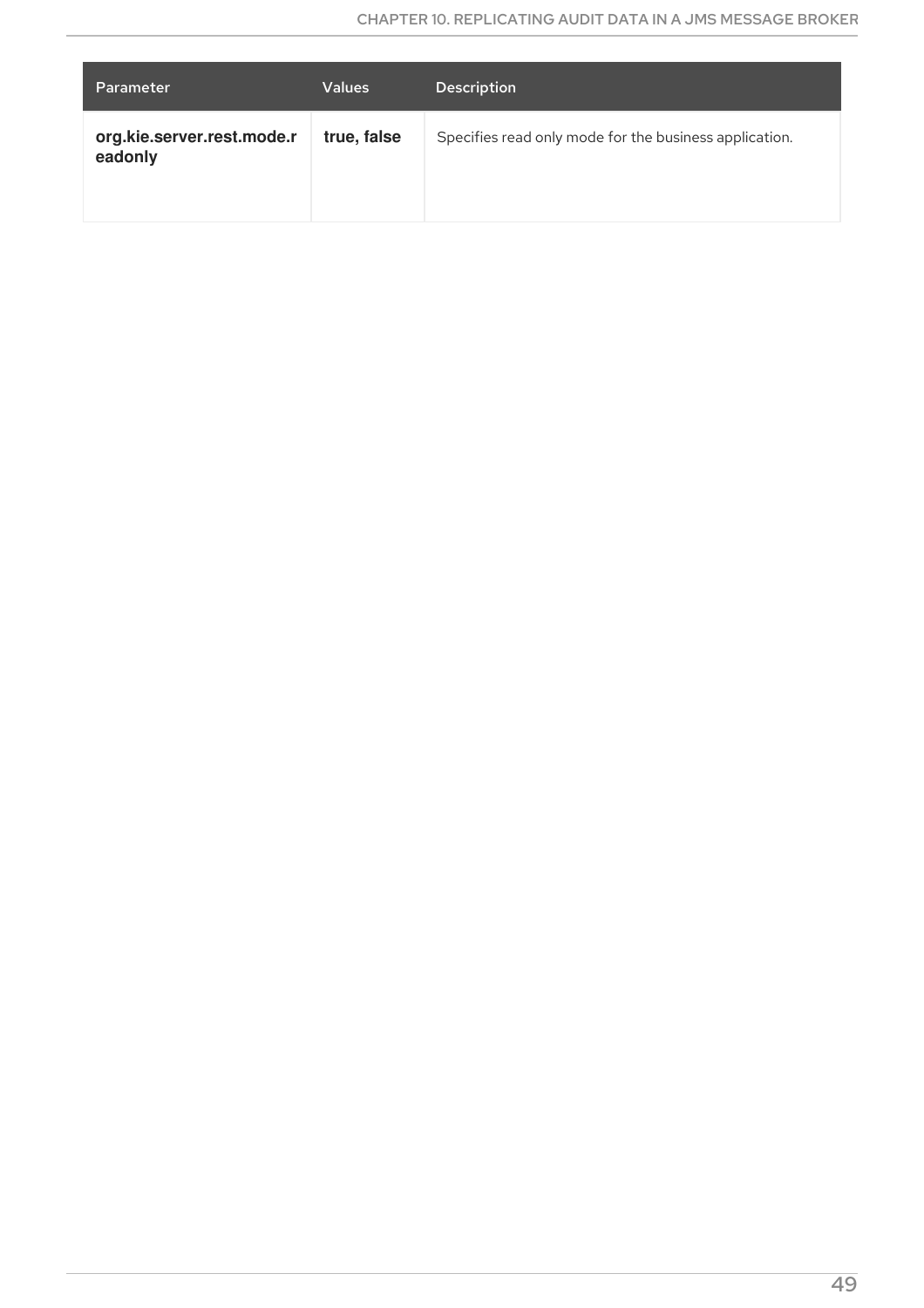| Parameter                             | <b>Values</b> | <b>Description</b>                                     |
|---------------------------------------|---------------|--------------------------------------------------------|
| org.kie.server.rest.mode.r<br>eadonly | true, false   | Specifies read only mode for the business application. |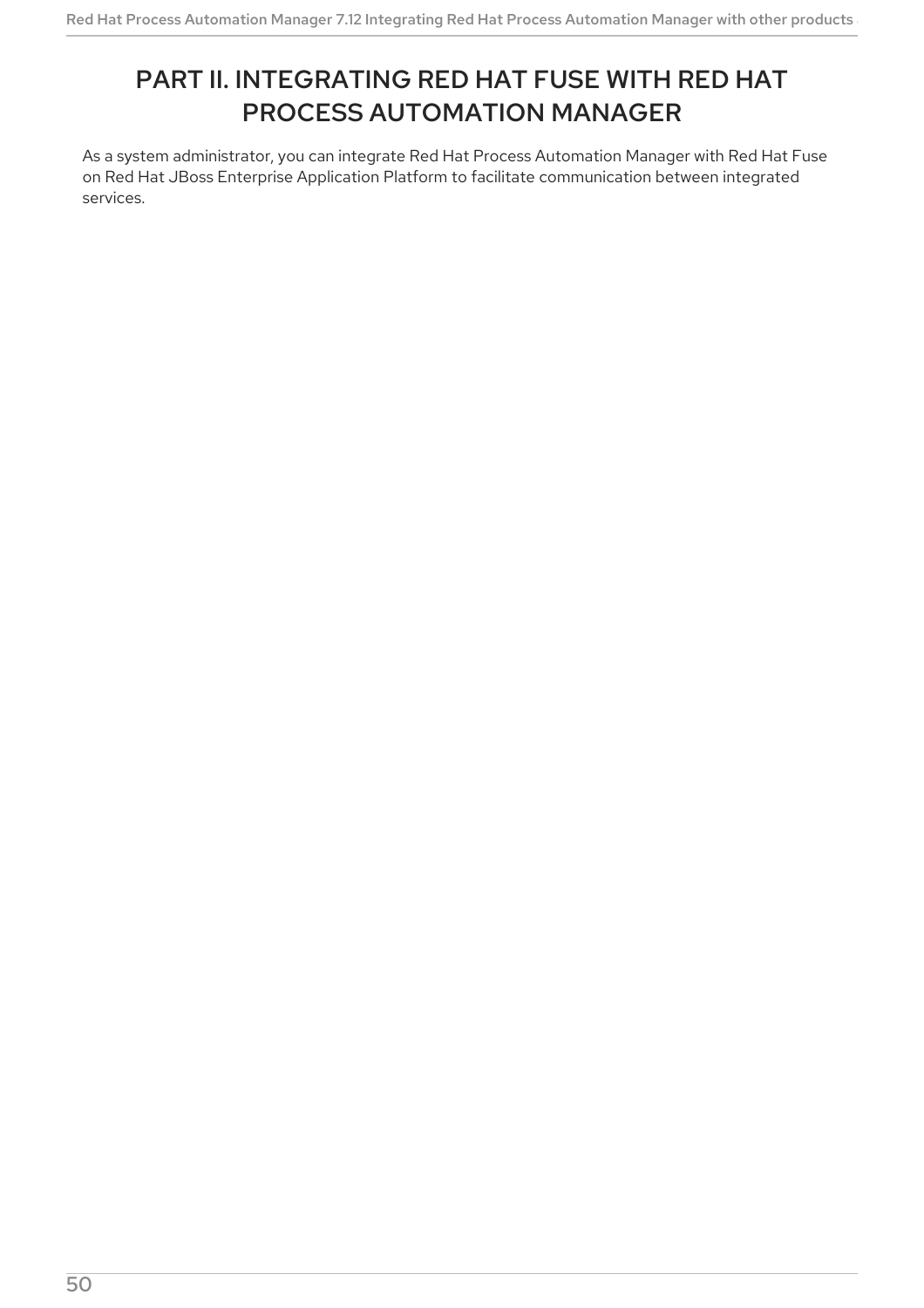# PART II. INTEGRATING RED HAT FUSE WITH RED HAT PROCESS AUTOMATION MANAGER

As a system administrator, you can integrate Red Hat Process Automation Manager with Red Hat Fuse on Red Hat JBoss Enterprise Application Platform to facilitate communication between integrated services.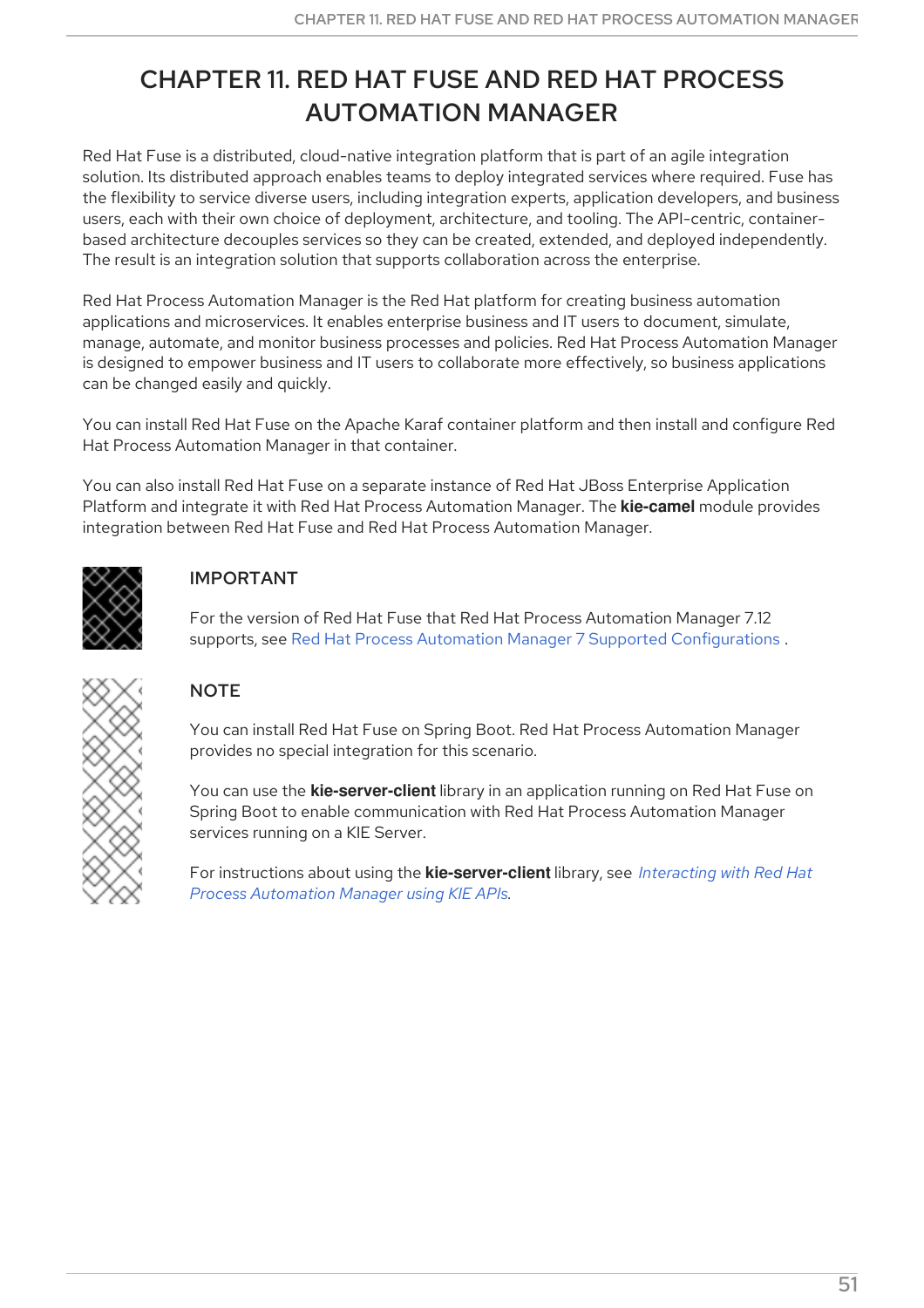# CHAPTER 11. RED HAT FUSE AND RED HAT PROCESS AUTOMATION MANAGER

Red Hat Fuse is a distributed, cloud-native integration platform that is part of an agile integration solution. Its distributed approach enables teams to deploy integrated services where required. Fuse has the flexibility to service diverse users, including integration experts, application developers, and business users, each with their own choice of deployment, architecture, and tooling. The API-centric, containerbased architecture decouples services so they can be created, extended, and deployed independently. The result is an integration solution that supports collaboration across the enterprise.

Red Hat Process Automation Manager is the Red Hat platform for creating business automation applications and microservices. It enables enterprise business and IT users to document, simulate, manage, automate, and monitor business processes and policies. Red Hat Process Automation Manager is designed to empower business and IT users to collaborate more effectively, so business applications can be changed easily and quickly.

You can install Red Hat Fuse on the Apache Karaf container platform and then install and configure Red Hat Process Automation Manager in that container.

You can also install Red Hat Fuse on a separate instance of Red Hat JBoss Enterprise Application Platform and integrate it with Red Hat Process Automation Manager. The **kie-camel** module provides integration between Red Hat Fuse and Red Hat Process Automation Manager.



## IMPORTANT

For the version of Red Hat Fuse that Red Hat Process Automation Manager 7.12 supports, see Red Hat Process Automation Manager 7 Supported [Configurations](https://access.redhat.com/articles/3405381) .



## **NOTE**

You can install Red Hat Fuse on Spring Boot. Red Hat Process Automation Manager provides no special integration for this scenario.

You can use the **kie-server-client** library in an application running on Red Hat Fuse on Spring Boot to enable communication with Red Hat Process Automation Manager services running on a KIE Server.

For instructions about using the **[kie-server-client](https://access.redhat.com/documentation/en-us/red_hat_process_automation_manager/7.12/html-single/deploying_and_managing_red_hat_process_automation_manager_services#kie-server-java-api-con_kie-apis)** library, see *Interacting with Red Hat Process Automation Manager using KIE APIs*.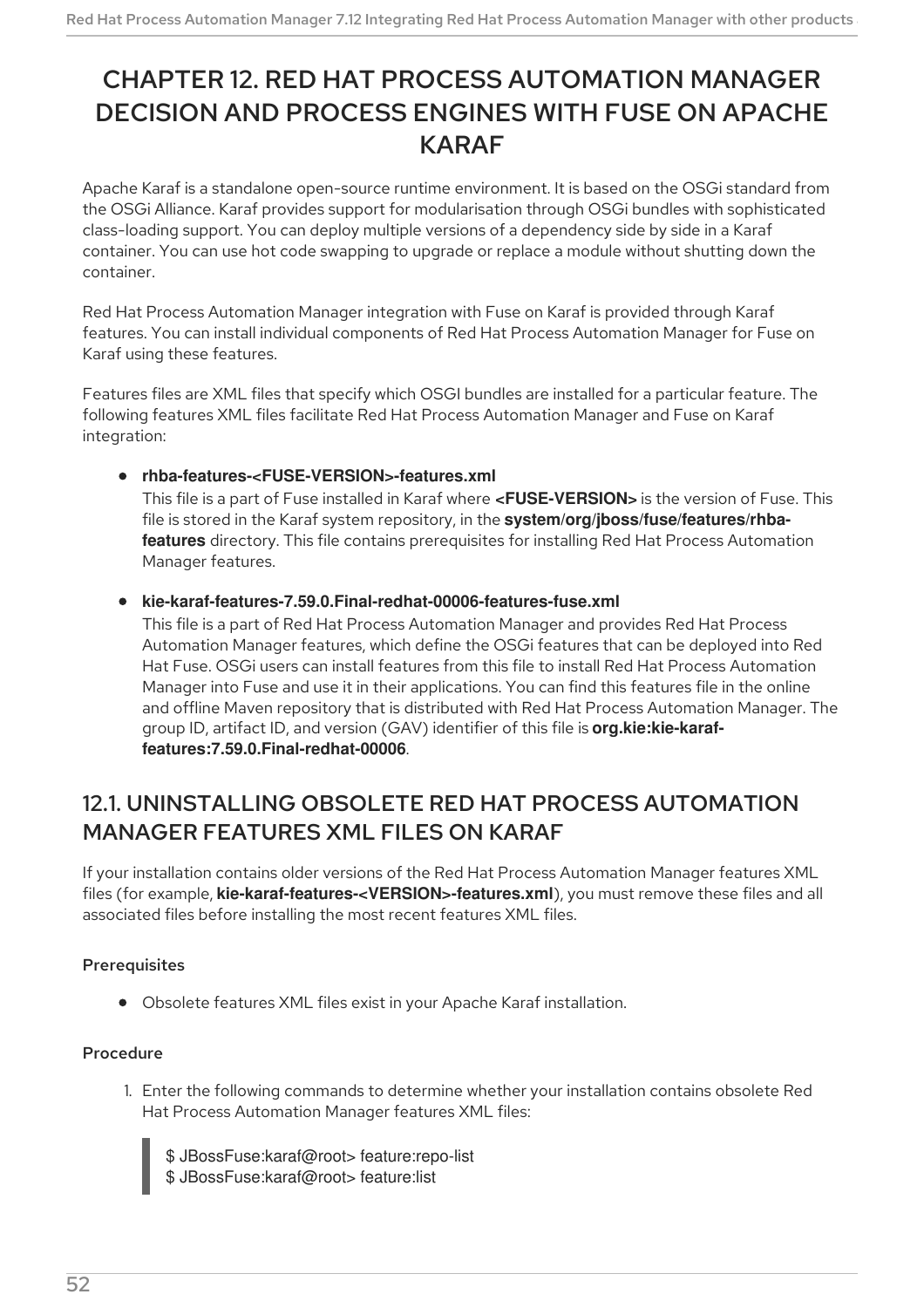# CHAPTER 12. RED HAT PROCESS AUTOMATION MANAGER DECISION AND PROCESS ENGINES WITH FUSE ON APACHE KARAF

Apache Karaf is a standalone open-source runtime environment. It is based on the OSGi standard from the OSGi Alliance. Karaf provides support for modularisation through OSGi bundles with sophisticated class-loading support. You can deploy multiple versions of a dependency side by side in a Karaf container. You can use hot code swapping to upgrade or replace a module without shutting down the container.

Red Hat Process Automation Manager integration with Fuse on Karaf is provided through Karaf features. You can install individual components of Red Hat Process Automation Manager for Fuse on Karaf using these features.

Features files are XML files that specify which OSGI bundles are installed for a particular feature. The following features XML files facilitate Red Hat Process Automation Manager and Fuse on Karaf integration:

## **rhba-features-<FUSE-VERSION>-features.xml**

This file is a part of Fuse installed in Karaf where **<FUSE-VERSION>** is the version of Fuse. This file is stored in the Karaf system repository, in the **system/org/jboss/fuse/features/rhbafeatures** directory. This file contains prerequisites for installing Red Hat Process Automation Manager features.

### **kie-karaf-features-7.59.0.Final-redhat-00006-features-fuse.xml**

This file is a part of Red Hat Process Automation Manager and provides Red Hat Process Automation Manager features, which define the OSGi features that can be deployed into Red Hat Fuse. OSGi users can install features from this file to install Red Hat Process Automation Manager into Fuse and use it in their applications. You can find this features file in the online and offline Maven repository that is distributed with Red Hat Process Automation Manager. The group ID, artifact ID, and version (GAV) identifier of this file is **org.kie:kie-karaffeatures:7.59.0.Final-redhat-00006**.

## 12.1. UNINSTALLING OBSOLETE RED HAT PROCESS AUTOMATION MANAGER FEATURES XML FILES ON KARAF

If your installation contains older versions of the Red Hat Process Automation Manager features XML files (for example, **kie-karaf-features-<VERSION>-features.xml**), you must remove these files and all associated files before installing the most recent features XML files.

## **Prerequisites**

Obsolete features XML files exist in your Apache Karaf installation.

## Procedure

1. Enter the following commands to determine whether your installation contains obsolete Red Hat Process Automation Manager features XML files:

\$ JBossFuse:karaf@root> feature:repo-list \$ JBossFuse:karaf@root> feature:list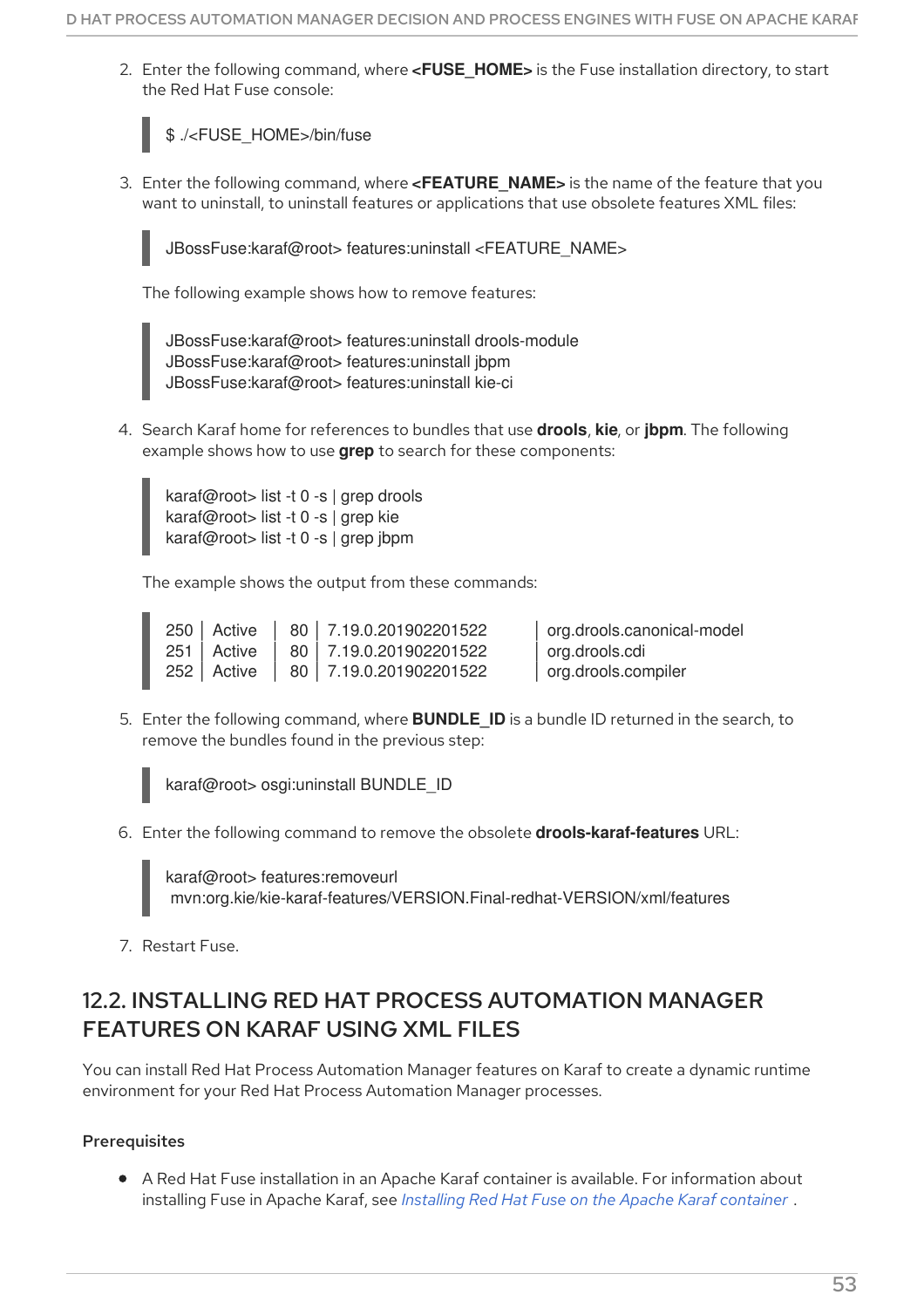<span id="page-56-0"></span>2. Enter the following command, where **<FUSE\_HOME>** is the Fuse installation directory, to start the Red Hat Fuse console:

\$ ./<FUSE\_HOME>/bin/fuse

3. Enter the following command, where **<FEATURE\_NAME>** is the name of the feature that you want to uninstall, to uninstall features or applications that use obsolete features XML files:



JBossFuse:karaf@root> features:uninstall <FEATURE\_NAME>

The following example shows how to remove features:

JBossFuse:karaf@root> features:uninstall drools-module JBossFuse:karaf@root> features:uninstall jbpm JBossFuse:karaf@root> features:uninstall kie-ci

4. Search Karaf home for references to bundles that use **drools**, **kie**, or **jbpm**. The following example shows how to use **grep** to search for these components:

karaf@root> list -t 0 -s | grep drools karaf@root> list -t 0 -s | grep kie karaf@root> list -t 0 -s | grep jbpm

The example shows the output from these commands:

250 │ Active │ 80 │ 7.19.0.201902201522 │ org.drools.canonical-model 251 │ Active │ 80 │ 7.19.0.201902201522 │ org.drools.cdi 252 │ Active │ 80 │ 7.19.0.201902201522 │ org.drools.compiler

5. Enter the following command, where **BUNDLE\_ID** is a bundle ID returned in the search, to remove the bundles found in the previous step:

karaf@root> osgi:uninstall BUNDLE\_ID

6. Enter the following command to remove the obsolete **drools-karaf-features** URL:

karaf@root> features:removeurl mvn:org.kie/kie-karaf-features/VERSION.Final-redhat-VERSION/xml/features

7. Restart Fuse.

## 12.2. INSTALLING RED HAT PROCESS AUTOMATION MANAGER FFATURES ON KARAF USING XML FILES

You can install Red Hat Process Automation Manager features on Karaf to create a dynamic runtime environment for your Red Hat Process Automation Manager processes.

## **Prerequisites**

A Red Hat Fuse installation in an Apache Karaf container is available. For information about installing Fuse in Apache Karaf, see *Installing Red Hat Fuse on the Apache Karaf [container](https://access.redhat.com/documentation/en-us/red_hat_fuse/7.9/html/installing_on_apache_karaf/index)* .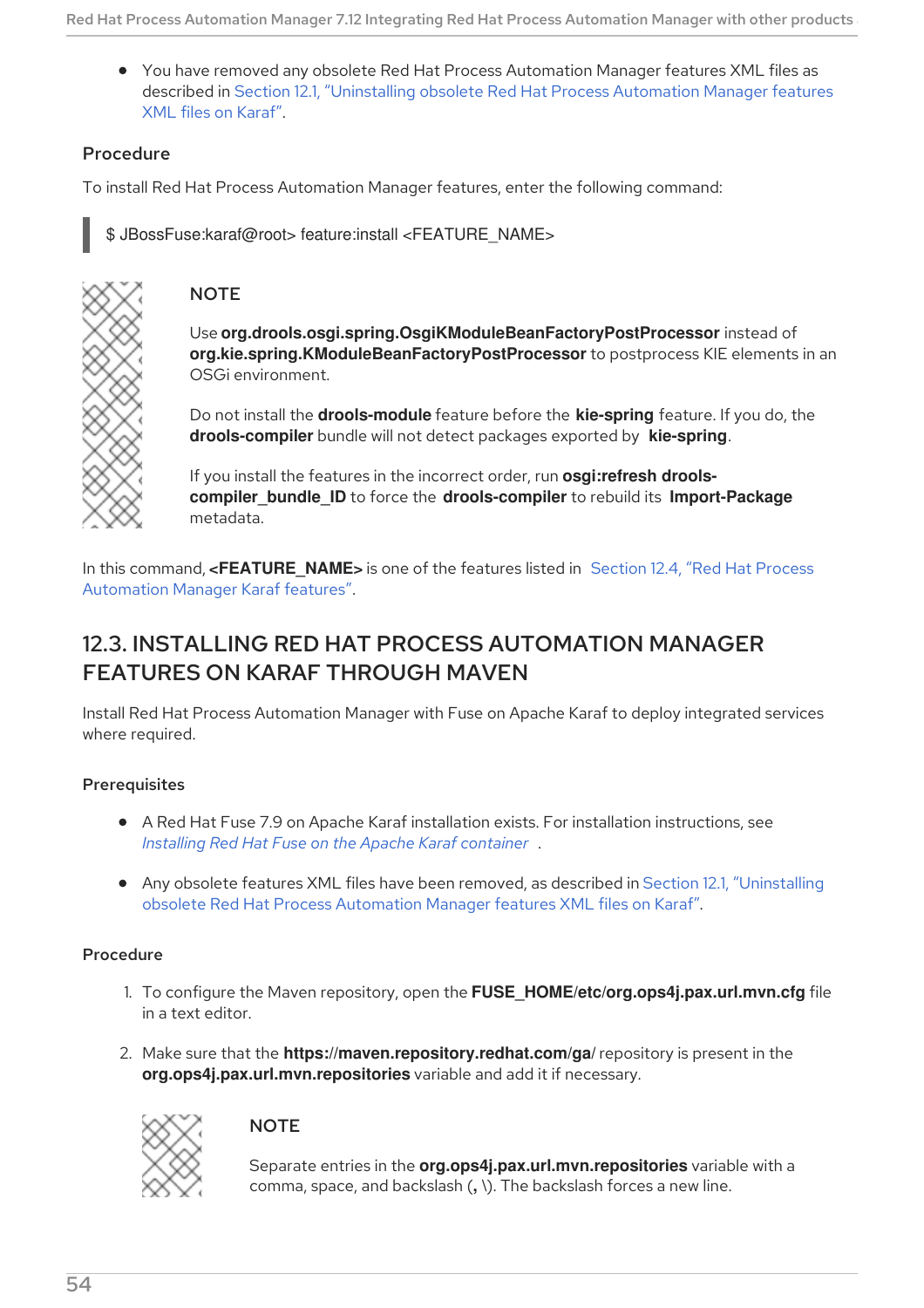You have removed any obsolete Red Hat Process Automation Manager features XML files as described in Section 12.1, ["Uninstalling](#page-56-0) obsolete Red Hat Process Automation Manager features XML files on Karaf".

## Procedure

To install Red Hat Process Automation Manager features, enter the following command:

\$ JBossFuse:karaf@root> feature:install <FEATURE\_NAME>



## **NOTE**

Use **org.drools.osgi.spring.OsgiKModuleBeanFactoryPostProcessor** instead of **org.kie.spring.KModuleBeanFactoryPostProcessor** to postprocess KIE elements in an OSGi environment.

Do not install the **drools-module** feature before the **kie-spring** feature. If you do, the **drools-compiler** bundle will not detect packages exported by **kie-spring**.

If you install the features in the incorrect order, run **osgi:refresh droolscompiler\_bundle\_ID** to force the **drools-compiler** to rebuild its **Import-Package** metadata.

In this command, <**FEATURE\_NAME>** is one of the features listed in Section 12.4, "Red Hat Process Automation Manager Karaf features".

## 12.3. INSTALLING RED HAT PROCESS AUTOMATION MANAGER FEATURES ON KARAF THROUGH MAVEN

Install Red Hat Process Automation Manager with Fuse on Apache Karaf to deploy integrated services where required.

## **Prerequisites**

- A Red Hat Fuse 7.9 on Apache Karaf installation exists. For installation instructions, see *Installing Red Hat Fuse on the Apache Karaf [container](https://access.redhat.com/documentation/en-us/red_hat_fuse/7.9/html-single/installing_on_apache_karaf/)* .
- Any obsolete features XML files have been removed, as described in Section 12.1, ["Uninstalling](#page-56-0) obsolete Red Hat Process Automation Manager features XML files on Karaf".

#### Procedure

- 1. To configure the Maven repository, open the **FUSE\_HOME/etc/org.ops4j.pax.url.mvn.cfg** file in a text editor.
- 2. Make sure that the **https://maven.repository.redhat.com/ga/** repository is present in the **org.ops4j.pax.url.mvn.repositories** variable and add it if necessary.



## **NOTE**

Separate entries in the **org.ops4j.pax.url.mvn.repositories** variable with a comma, space, and backslash (**, \**). The backslash forces a new line.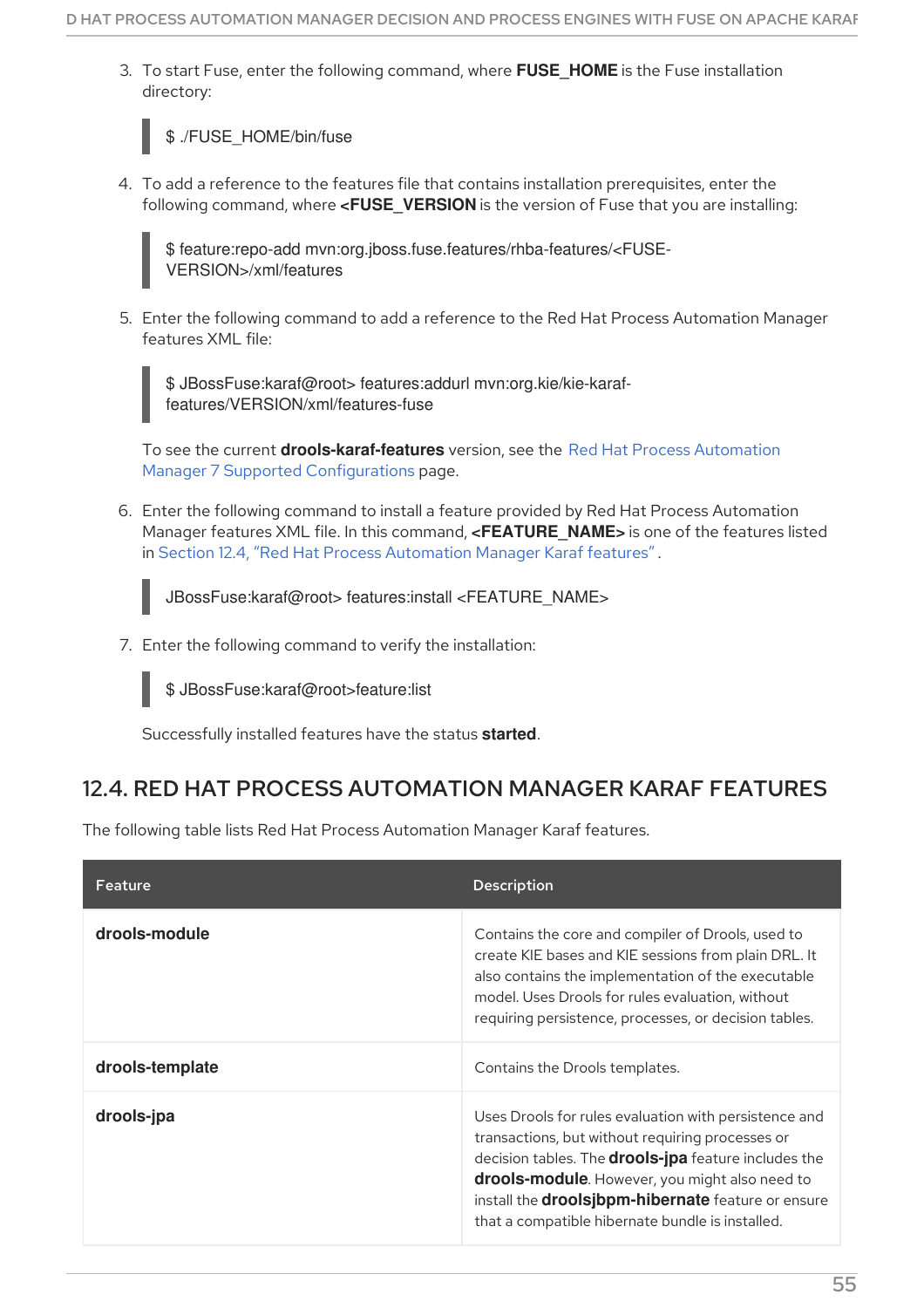3. To start Fuse, enter the following command, where **FUSE\_HOME** is the Fuse installation directory:



4. To add a reference to the features file that contains installation prerequisites, enter the following command, where **<FUSE\_VERSION** is the version of Fuse that you are installing:

\$ feature:repo-add mvn:org.jboss.fuse.features/rhba-features/<FUSE-VERSION>/xml/features

5. Enter the following command to add a reference to the Red Hat Process Automation Manager features XML file:

\$ JBossFuse:karaf@root> features:addurl mvn:org.kie/kie-karaffeatures/VERSION/xml/features-fuse

To see the current **[drools-karaf-features](https://access.redhat.com/articles/3405381)** version, see the Red Hat Process Automation Manager 7 Supported Configurations page.

6. Enter the following command to install a feature provided by Red Hat Process Automation Manager features XML file. In this command, **<FEATURE\_NAME>** is one of the features listed in Section 12.4, "Red Hat Process [Automation](#page-59-0) Manager Karaf features" .



JBossFuse:karaf@root> features:install <FEATURE\_NAME>

7. Enter the following command to verify the installation:

\$ JBossFuse:karaf@root>feature:list

Successfully installed features have the status **started**.

## 12.4. RED HAT PROCESS AUTOMATION MANAGER KARAF FEATURES

The following table lists Red Hat Process Automation Manager Karaf features.

| Feature         | <b>Description</b>                                                                                                                                                                                                                                                                                                                          |
|-----------------|---------------------------------------------------------------------------------------------------------------------------------------------------------------------------------------------------------------------------------------------------------------------------------------------------------------------------------------------|
| drools-module   | Contains the core and compiler of Drools, used to<br>create KIE bases and KIE sessions from plain DRL. It<br>also contains the implementation of the executable<br>model. Uses Drools for rules evaluation, without<br>requiring persistence, processes, or decision tables.                                                                |
| drools-template | Contains the Drools templates.                                                                                                                                                                                                                                                                                                              |
| drools-jpa      | Uses Drools for rules evaluation with persistence and<br>transactions, but without requiring processes or<br>decision tables. The <b>drools-jpa</b> feature includes the<br>drools-module. However, you might also need to<br>install the <b>droolsjbpm-hibernate</b> feature or ensure<br>that a compatible hibernate bundle is installed. |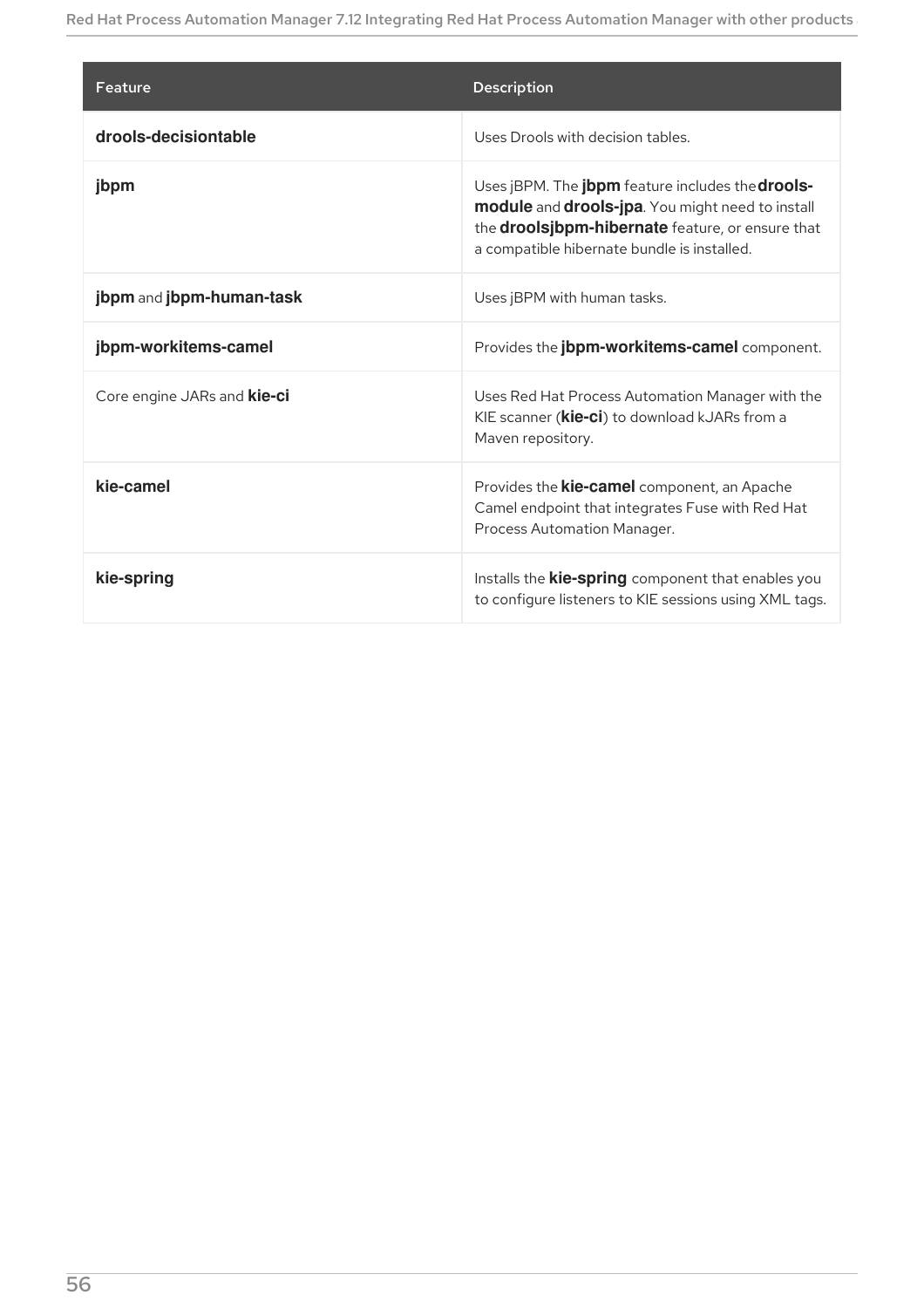<span id="page-59-0"></span>

| Feature                            | <b>Description</b>                                                                                                                                                                                      |
|------------------------------------|---------------------------------------------------------------------------------------------------------------------------------------------------------------------------------------------------------|
| drools-decisiontable               | Uses Drools with decision tables.                                                                                                                                                                       |
| jbpm                               | Uses jBPM. The jbpm feature includes the drools-<br>module and drools-jpa. You might need to install<br>the droolsjbpm-hibernate feature, or ensure that<br>a compatible hibernate bundle is installed. |
| jbpm and jbpm-human-task           | Uses jBPM with human tasks.                                                                                                                                                                             |
| jbpm-workitems-camel               | Provides the jbpm-workitems-camel component.                                                                                                                                                            |
| Core engine JARs and <b>kie-ci</b> | Uses Red Hat Process Automation Manager with the<br>KIE scanner ( <b>kie-ci</b> ) to download kJARs from a<br>Maven repository.                                                                         |
| kie-camel                          | Provides the <b>kie-camel</b> component, an Apache<br>Camel endpoint that integrates Fuse with Red Hat<br>Process Automation Manager.                                                                   |
| kie-spring                         | Installs the <b>kie-spring</b> component that enables you<br>to configure listeners to KIE sessions using XML tags.                                                                                     |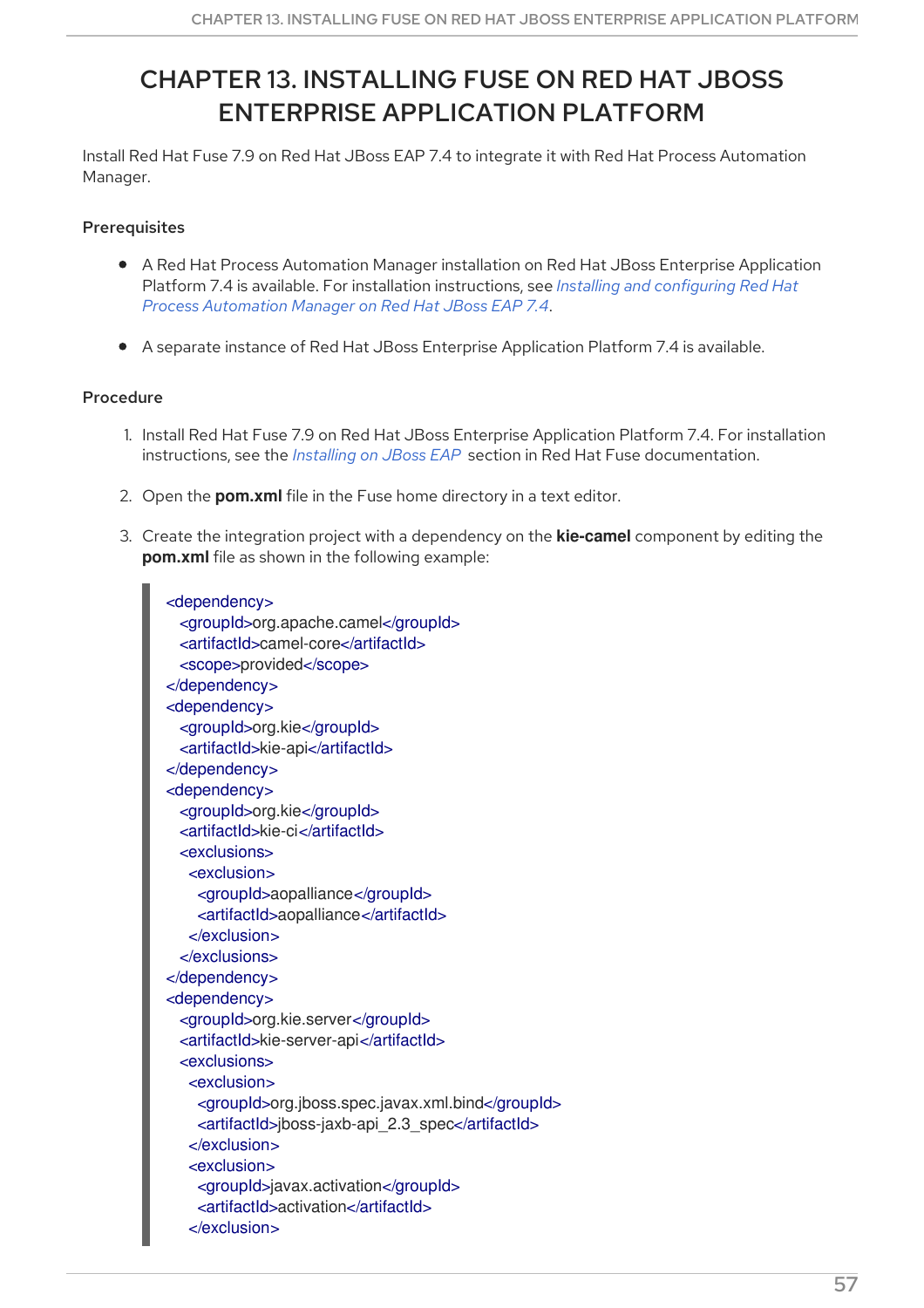# CHAPTER 13. INSTALLING FUSE ON RED HAT JBOSS ENTERPRISE APPLICATION PLATFORM

Install Red Hat Fuse 7.9 on Red Hat JBoss EAP 7.4 to integrate it with Red Hat Process Automation Manager.

## **Prerequisites**

- A Red Hat Process Automation Manager installation on Red Hat JBoss Enterprise Application Platform 7.4 is available. For installation [instructions,](https://access.redhat.com/documentation/en-us/red_hat_process_automation_manager/7.12/html-single/installing_and_configuring_red_hat_process_automation_manager#assembly-install-on-eap) see *Installing and configuring Red Hat Process Automation Manager on Red Hat JBoss EAP 7.4*.
- A separate instance of Red Hat JBoss Enterprise Application Platform 7.4 is available.

#### Procedure

- 1. Install Red Hat Fuse 7.9 on Red Hat JBoss Enterprise Application Platform 7.4. For installation instructions, see the *[Installing](https://access.redhat.com/documentation/en-us/red_hat_fuse/7.9/html-single/installing_on_jboss_eap/index) on JBoss EAP* section in Red Hat Fuse documentation.
- 2. Open the **pom.xml** file in the Fuse home directory in a text editor.
- 3. Create the integration project with a dependency on the **kie-camel** component by editing the **pom.xml** file as shown in the following example:

```
<dependency>
 <groupId>org.apache.camel</groupId>
 <artifactId>camel-core</artifactId>
 <scope>provided</scope>
</dependency>
<dependency>
 <groupId>org.kie</groupId>
  <artifactId>kie-api</artifactId>
</dependency>
<dependency>
 <groupId>org.kie</groupId>
 <artifactId>kie-ci</artifactId>
  <exclusions>
   <exclusion>
    <groupId>aopalliance</groupId>
    <artifactId>aopalliance</artifactId>
   </exclusion>
 </exclusions>
</dependency>
<dependency>
 <groupId>org.kie.server</groupId>
 <artifactId>kie-server-api</artifactId>
 <exclusions>
   <exclusion>
    <groupId>org.jboss.spec.javax.xml.bind</groupId>
    <artifactId>jboss-jaxb-api_2.3_spec</artifactId>
   </exclusion>
   <exclusion>
    <groupId>javax.activation</groupId>
    <artifactId>activation</artifactId>
   </exclusion>
```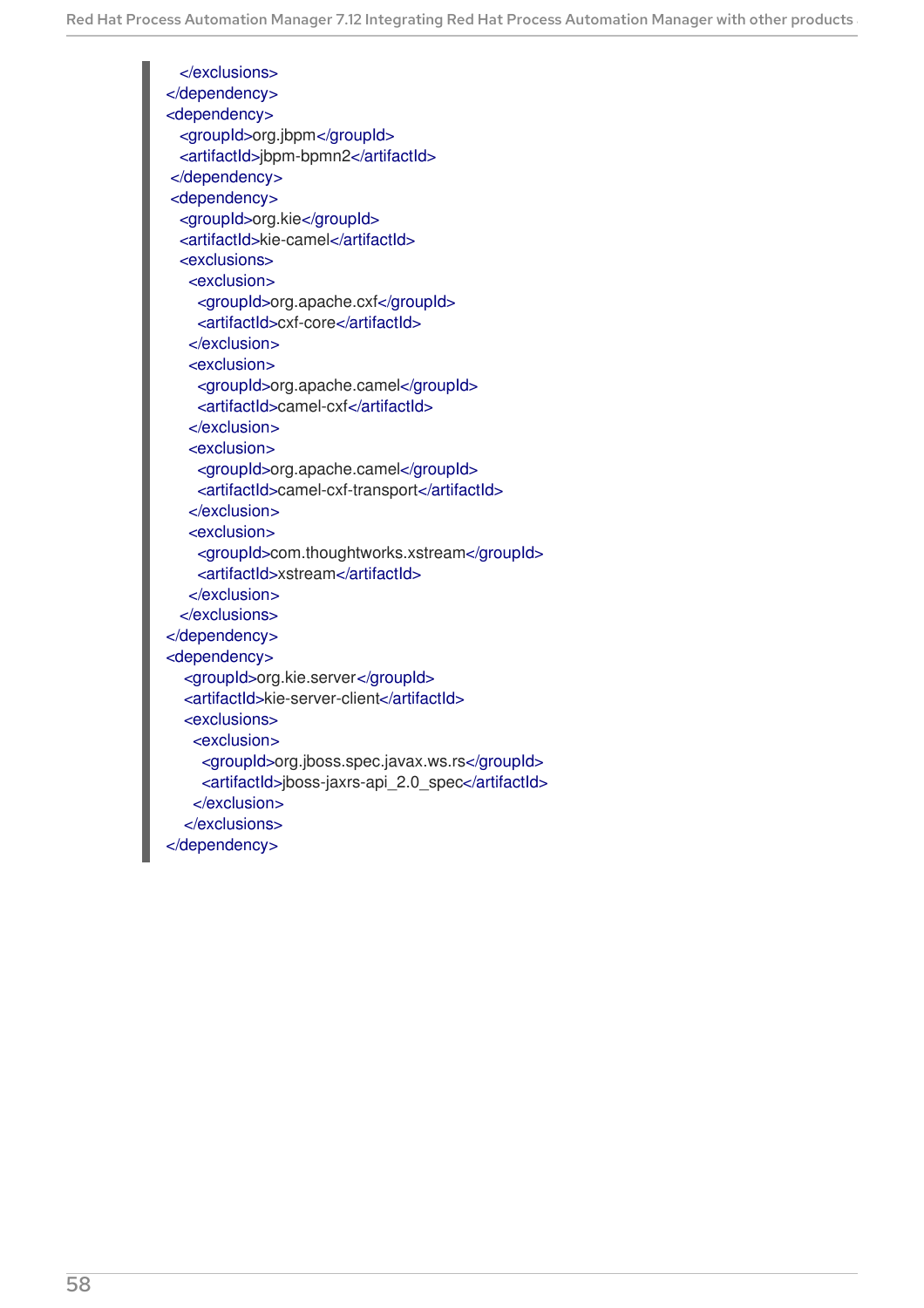</exclusions> </dependency> <dependency> <groupId>org.jbpm</groupId> <artifactId>jbpm-bpmn2</artifactId> </dependency> <dependency> <groupId>org.kie</groupId> <artifactId>kie-camel</artifactId> <exclusions> <exclusion> <groupId>org.apache.cxf</groupId> <artifactId>cxf-core</artifactId> </exclusion> <exclusion> <groupId>org.apache.camel</groupId> <artifactId>camel-cxf</artifactId> </exclusion> <exclusion> <groupId>org.apache.camel</groupId> <artifactId>camel-cxf-transport</artifactId> </exclusion> <exclusion> <groupId>com.thoughtworks.xstream</groupId> <artifactId>xstream</artifactId> </exclusion> </exclusions> </dependency> <dependency> <groupId>org.kie.server</groupId> <artifactId>kie-server-client</artifactId> <exclusions> <exclusion> <groupId>org.jboss.spec.javax.ws.rs</groupId> <artifactId>jboss-jaxrs-api\_2.0\_spec</artifactId> </exclusion> </exclusions> </dependency>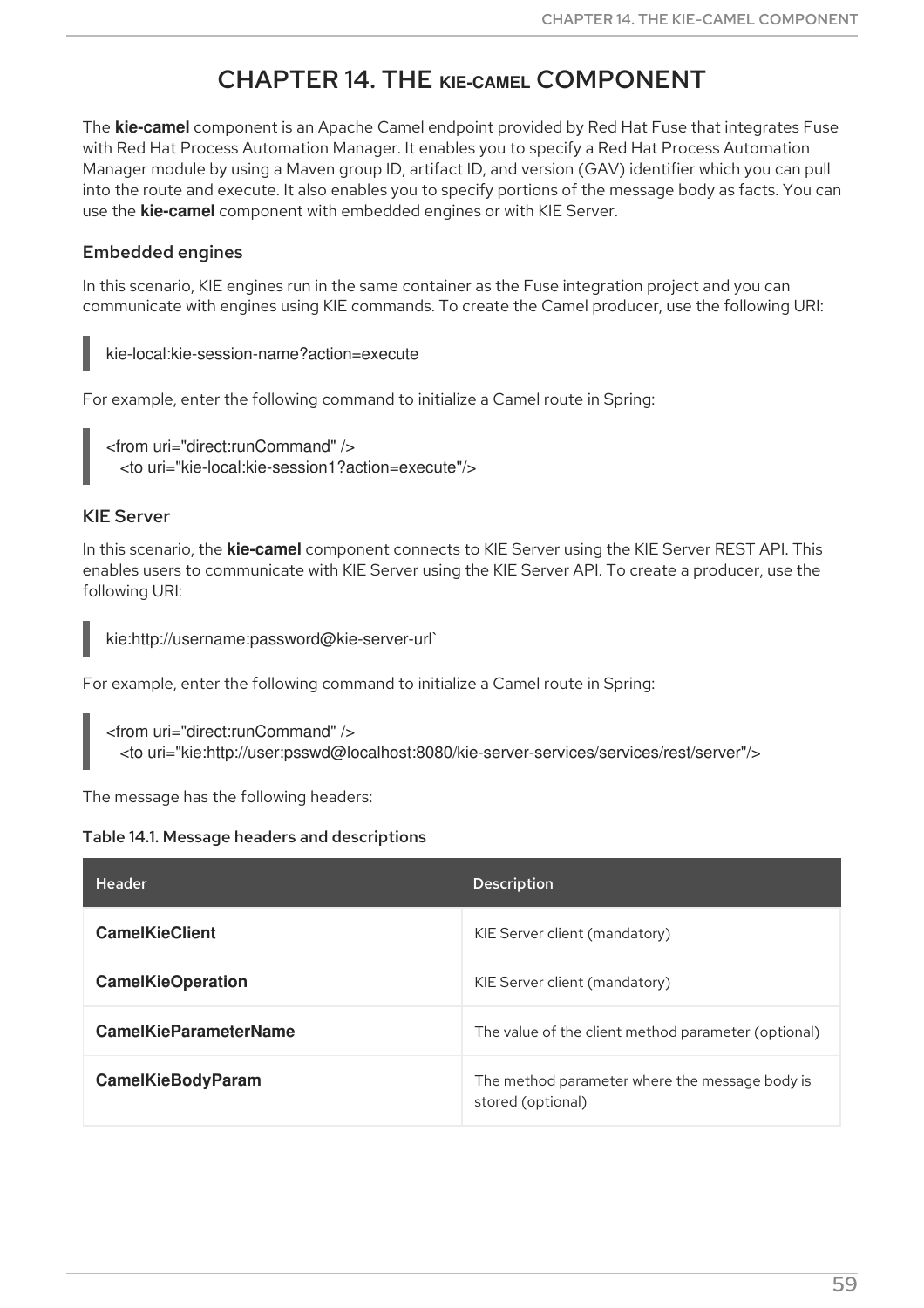## CHAPTER 14. THE **KIE-CAMEL** COMPONENT

The **kie-camel** component is an Apache Camel endpoint provided by Red Hat Fuse that integrates Fuse with Red Hat Process Automation Manager. It enables you to specify a Red Hat Process Automation Manager module by using a Maven group ID, artifact ID, and version (GAV) identifier which you can pull into the route and execute. It also enables you to specify portions of the message body as facts. You can use the **kie-camel** component with embedded engines or with KIE Server.

## Embedded engines

In this scenario, KIE engines run in the same container as the Fuse integration project and you can communicate with engines using KIE commands. To create the Camel producer, use the following URI:

kie-local:kie-session-name?action=execute

For example, enter the following command to initialize a Camel route in Spring:

<from uri="direct:runCommand" /> <to uri="kie-local:kie-session1?action=execute"/>

## KIE Server

In this scenario, the **kie-camel** component connects to KIE Server using the KIE Server REST API. This enables users to communicate with KIE Server using the KIE Server API. To create a producer, use the following URI:

kie:http://username:password@kie-server-url`

For example, enter the following command to initialize a Camel route in Spring:

<from uri="direct:runCommand" /> <to uri="kie:http://user:psswd@localhost:8080/kie-server-services/services/rest/server"/>

The message has the following headers:

#### Table 14.1. Message headers and descriptions

| <b>Header</b>                | <b>Description</b>                                                  |
|------------------------------|---------------------------------------------------------------------|
| <b>CamelKieClient</b>        | KIE Server client (mandatory)                                       |
| <b>CamelKieOperation</b>     | KIE Server client (mandatory)                                       |
| <b>CamelKieParameterName</b> | The value of the client method parameter (optional)                 |
| <b>CamelKieBodyParam</b>     | The method parameter where the message body is<br>stored (optional) |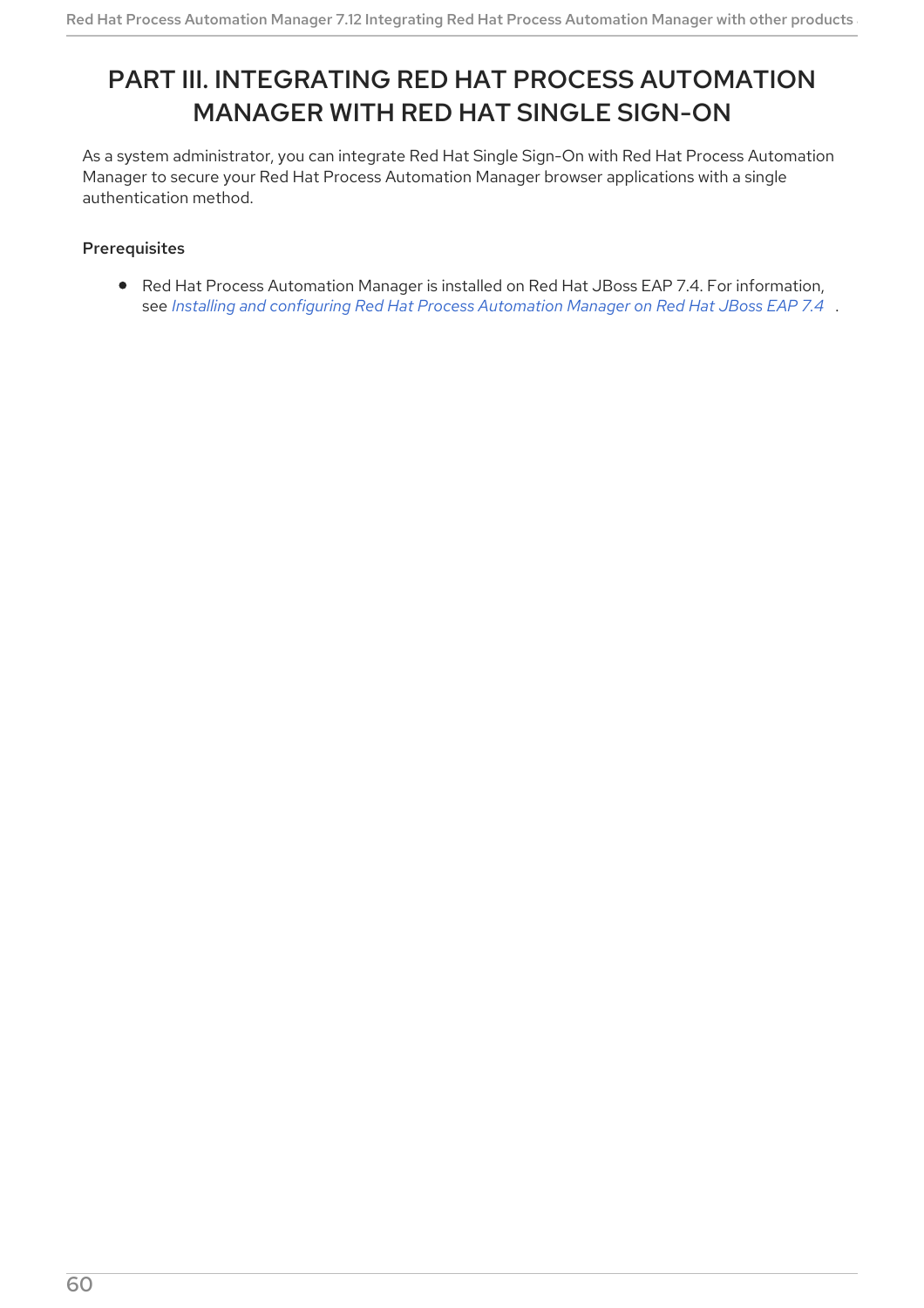# PART III. INTEGRATING RED HAT PROCESS AUTOMATION MANAGER WITH RED HAT SINGLE SIGN-ON

As a system administrator, you can integrate Red Hat Single Sign-On with Red Hat Process Automation Manager to secure your Red Hat Process Automation Manager browser applications with a single authentication method.

## Prerequisites

Red Hat Process Automation Manager is installed on Red Hat JBoss EAP 7.4. For information, see *Installing and configuring Red Hat Process [Automation](https://access.redhat.com/documentation/en-us/red_hat_process_automation_manager/7.12/html-single/installing_and_configuring_red_hat_process_automation_manager#assembly-install-on-eap) Manager on Red Hat JBoss EAP 7.4* .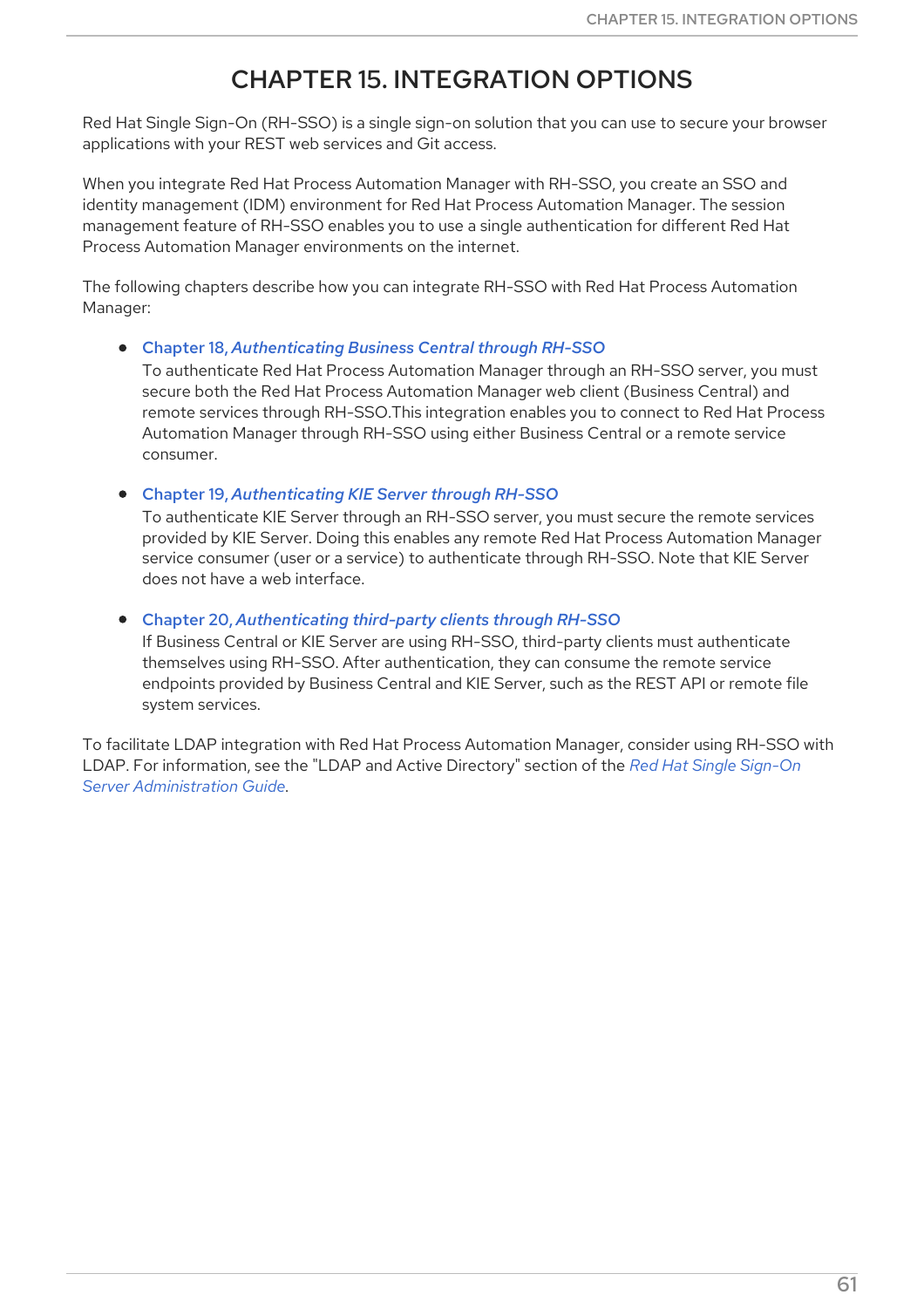# CHAPTER 15. INTEGRATION OPTIONS

Red Hat Single Sign-On (RH-SSO) is a single sign-on solution that you can use to secure your browser applications with your REST web services and Git access.

When you integrate Red Hat Process Automation Manager with RH-SSO, you create an SSO and identity management (IDM) environment for Red Hat Process Automation Manager. The session management feature of RH-SSO enables you to use a single authentication for different Red Hat Process Automation Manager environments on the internet.

The following chapters describe how you can integrate RH-SSO with Red Hat Process Automation Manager:

Chapter 18, *[Authenticating](#page-71-0) Business Central through RH-SSO*

To authenticate Red Hat Process Automation Manager through an RH-SSO server, you must secure both the Red Hat Process Automation Manager web client (Business Central) and remote services through RH-SSO.This integration enables you to connect to Red Hat Process Automation Manager through RH-SSO using either Business Central or a remote service consumer.

Chapter 19, *[Authenticating](#page-77-0) KIE Server through RH-SSO*

To authenticate KIE Server through an RH-SSO server, you must secure the remote services provided by KIE Server. Doing this enables any remote Red Hat Process Automation Manager service consumer (user or a service) to authenticate through RH-SSO. Note that KIE Server does not have a web interface.

Chapter 20, *[Authenticating](#page-80-0) third-party clients through RH-SSO*

If Business Central or KIE Server are using RH-SSO, third-party clients must authenticate themselves using RH-SSO. After authentication, they can consume the remote service endpoints provided by Business Central and KIE Server, such as the REST API or remote file system services.

To facilitate LDAP integration with Red Hat Process Automation Manager, consider using RH-SSO with LDAP. For information, see the "LDAP and Active Directory" section of the *Red Hat Single Sign-On Server [Administration](https://access.redhat.com/documentation/en-us/red_hat_single_sign-on/7.5/html-single/server_administration_guide) Guide*.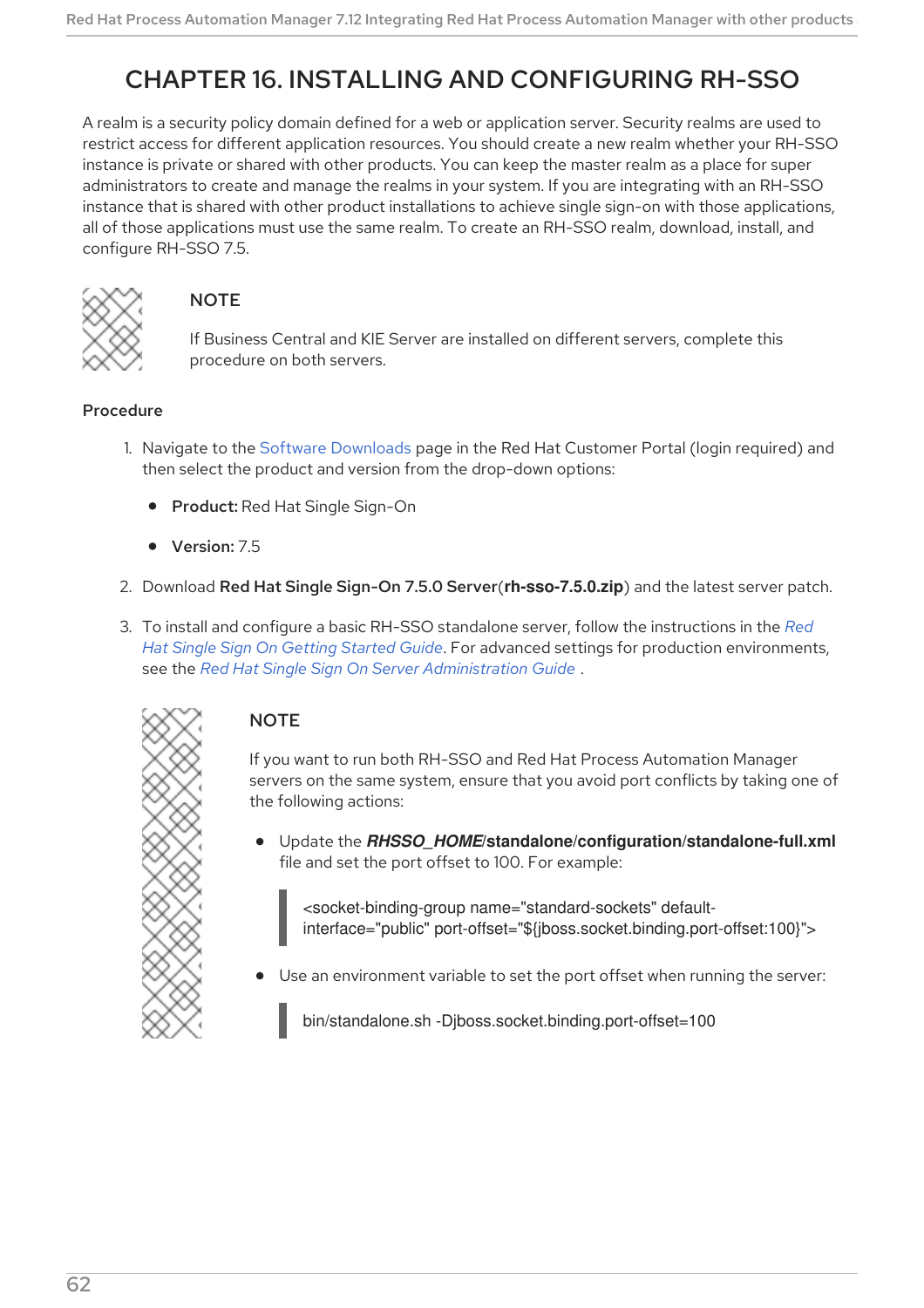# <span id="page-65-0"></span>CHAPTER 16. INSTALLING AND CONFIGURING RH-SSO

A realm is a security policy domain defined for a web or application server. Security realms are used to restrict access for different application resources. You should create a new realm whether your RH-SSO instance is private or shared with other products. You can keep the master realm as a place for super administrators to create and manage the realms in your system. If you are integrating with an RH-SSO instance that is shared with other product installations to achieve single sign-on with those applications, all of those applications must use the same realm. To create an RH-SSO realm, download, install, and configure RH-SSO 7.5.



## **NOTE**

If Business Central and KIE Server are installed on different servers, complete this procedure on both servers.

## Procedure

- 1. Navigate to the Software [Downloads](https://access.redhat.com/jbossnetwork/restricted/listSoftware.html) page in the Red Hat Customer Portal (login required) and then select the product and version from the drop-down options:
	- **Product: Red Hat Single Sign-On**
	- Version: 75
- 2. Download Red Hat Single Sign-On 7.5.0 Server(**rh-sso-7.5.0.zip**) and the latest server patch.
- 3. To install and configure a basic RH-SSO standalone server, follow the instructions in the *Red Hat Single Sign On Getting Started Guide*. For advanced settings for production [environment](https://access.redhat.com/documentation/en-us/red_hat_single_sign-on/7.5/html-single/getting_started_guide/)s, see the *Red Hat Single Sign On Server [Administration](https://access.redhat.com/documentation/en-us/red_hat_single_sign-on/7.5/html-single/server_administration_guide/) Guide* .



## **NOTE**

If you want to run both RH-SSO and Red Hat Process Automation Manager servers on the same system, ensure that you avoid port conflicts by taking one of the following actions:

Update the *RHSSO\_HOME***/standalone/configuration/standalone-full.xml** file and set the port offset to 100. For example:

<socket-binding-group name="standard-sockets" defaultinterface="public" port-offset="\${jboss.socket.binding.port-offset:100}">

Use an environment variable to set the port offset when running the server:

bin/standalone.sh -Djboss.socket.binding.port-offset=100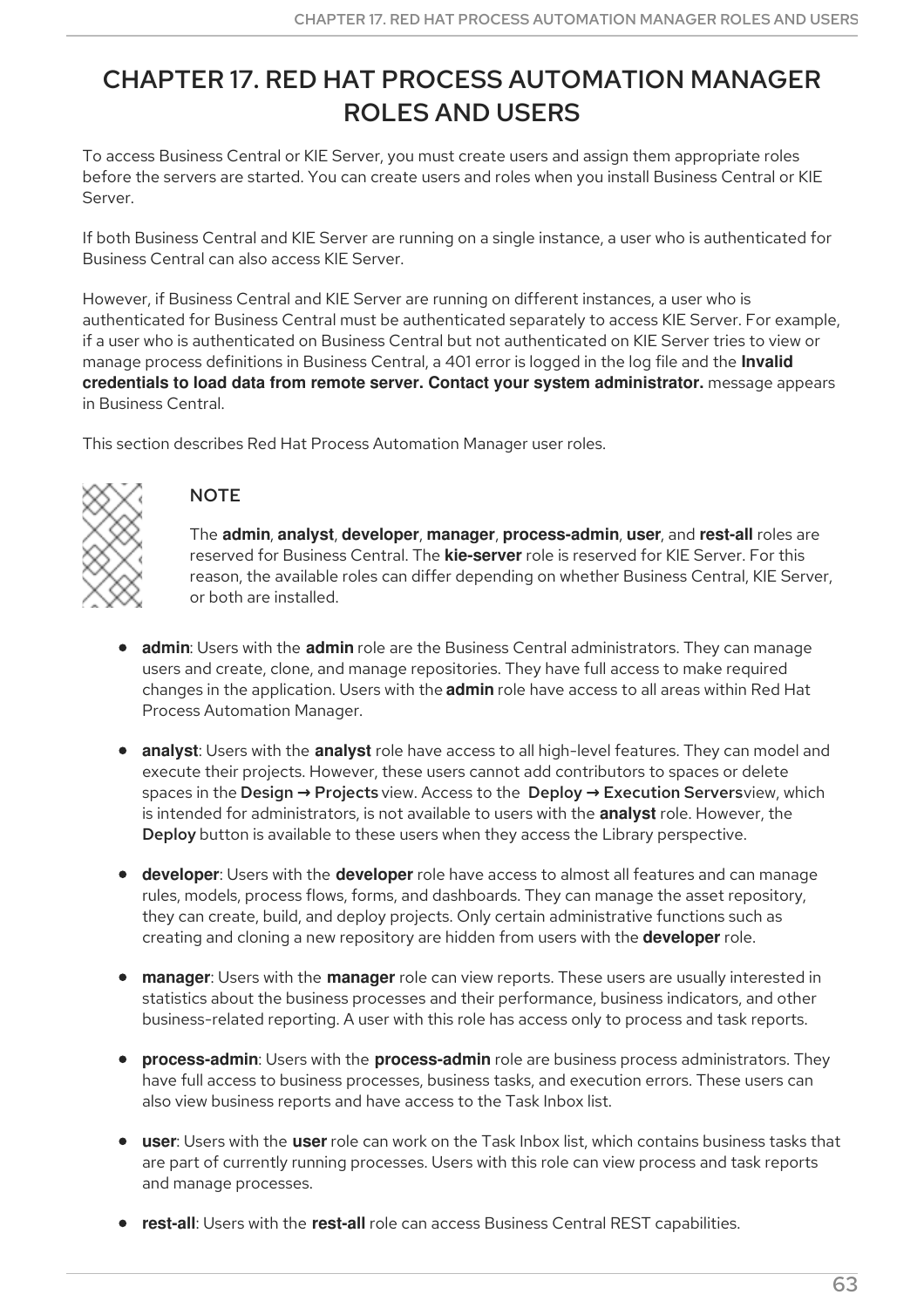# CHAPTER 17. RED HAT PROCESS AUTOMATION MANAGER ROLES AND USERS

To access Business Central or KIE Server, you must create users and assign them appropriate roles before the servers are started. You can create users and roles when you install Business Central or KIE Server.

If both Business Central and KIE Server are running on a single instance, a user who is authenticated for Business Central can also access KIE Server.

However, if Business Central and KIE Server are running on different instances, a user who is authenticated for Business Central must be authenticated separately to access KIE Server. For example, if a user who is authenticated on Business Central but not authenticated on KIE Server tries to view or manage process definitions in Business Central, a 401 error is logged in the log file and the **Invalid credentials to load data from remote server. Contact your system administrator.** message appears in Business Central.

This section describes Red Hat Process Automation Manager user roles.



## **NOTE**

The **admin**, **analyst**, **developer**, **manager**, **process-admin**, **user**, and **rest-all** roles are reserved for Business Central. The **kie-server** role is reserved for KIE Server. For this reason, the available roles can differ depending on whether Business Central, KIE Server, or both are installed.

- **admin**: Users with the **admin** role are the Business Central administrators. They can manage users and create, clone, and manage repositories. They have full access to make required changes in the application. Users with the **admin** role have access to all areas within Red Hat Process Automation Manager.
- **analyst**: Users with the **analyst** role have access to all high-level features. They can model and execute their projects. However, these users cannot add contributors to spaces or delete spaces in the Design **→** Projects view. Access to the Deploy **→** Execution Serversview, which is intended for administrators, is not available to users with the **analyst** role. However, the Deploy button is available to these users when they access the Library perspective.
- **developer**: Users with the **developer** role have access to almost all features and can manage rules, models, process flows, forms, and dashboards. They can manage the asset repository, they can create, build, and deploy projects. Only certain administrative functions such as creating and cloning a new repository are hidden from users with the **developer** role.
- **manager**: Users with the **manager** role can view reports. These users are usually interested in statistics about the business processes and their performance, business indicators, and other business-related reporting. A user with this role has access only to process and task reports.
- **process-admin**: Users with the **process-admin** role are business process administrators. They have full access to business processes, business tasks, and execution errors. These users can also view business reports and have access to the Task Inbox list.
- **user**: Users with the **user** role can work on the Task Inbox list, which contains business tasks that are part of currently running processes. Users with this role can view process and task reports and manage processes.
- **rest-all**: Users with the **rest-all** role can access Business Central REST capabilities.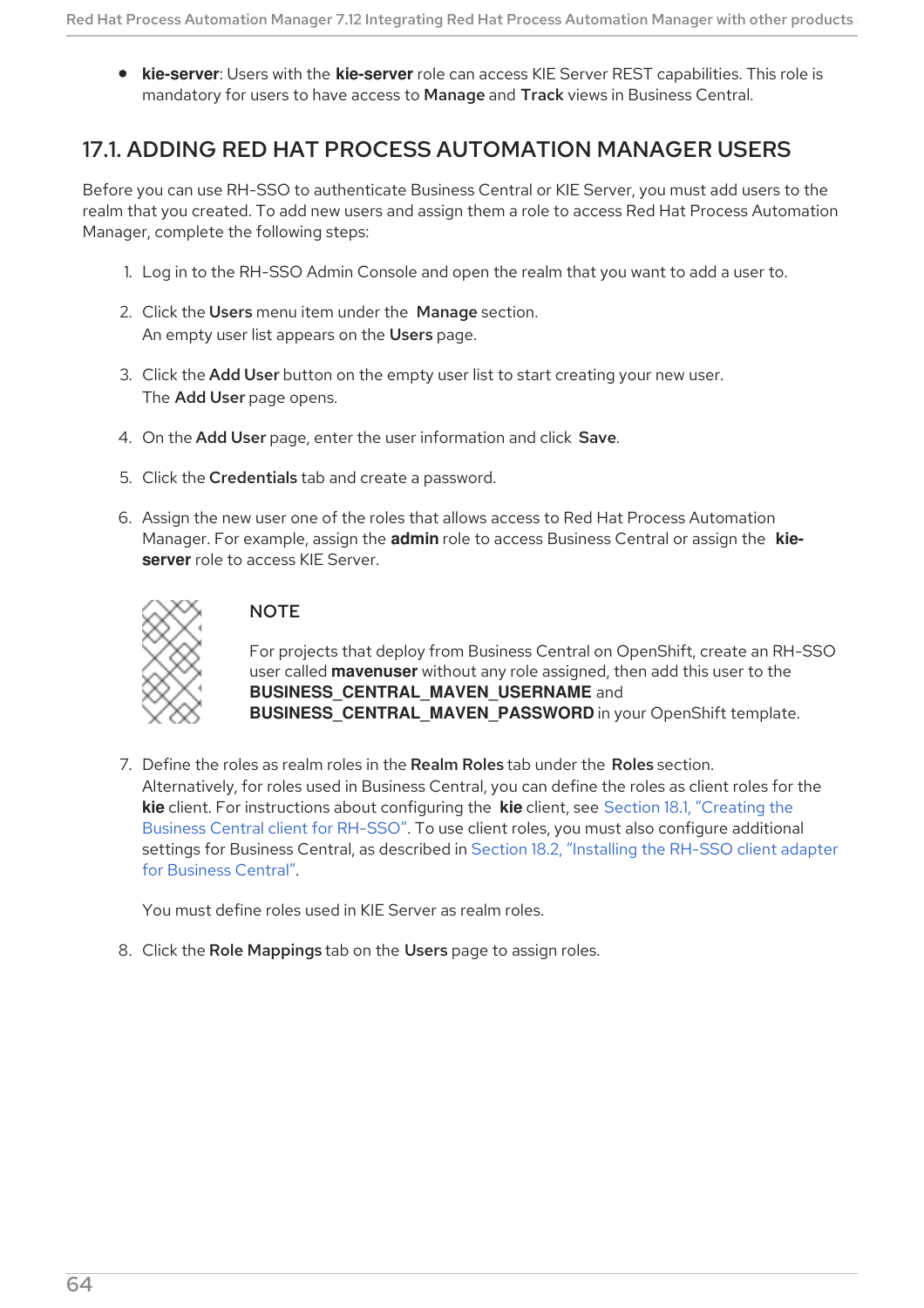**kie-server**: Users with the **kie-server** role can access KIE Server REST capabilities. This role is mandatory for users to have access to Manage and Track views in Business Central.

## <span id="page-67-0"></span>17.1. ADDING RED HAT PROCESS AUTOMATION MANAGER USERS

Before you can use RH-SSO to authenticate Business Central or KIE Server, you must add users to the realm that you created. To add new users and assign them a role to access Red Hat Process Automation Manager, complete the following steps:

- 1. Log in to the RH-SSO Admin Console and open the realm that you want to add a user to.
- 2. Click the Users menu item under the Manage section. An empty user list appears on the Users page.
- 3. Click the Add User button on the empty user list to start creating your new user. The Add User page opens.
- 4. On the Add User page, enter the user information and click Save.
- 5. Click the Credentials tab and create a password.
- 6. Assign the new user one of the roles that allows access to Red Hat Process Automation Manager. For example, assign the **admin** role to access Business Central or assign the **kieserver** role to access KIE Server.



## **NOTE**

For projects that deploy from Business Central on OpenShift, create an RH-SSO user called **mavenuser** without any role assigned, then add this user to the **BUSINESS CENTRAL MAVEN USERNAME** and **BUSINESS\_CENTRAL\_MAVEN\_PASSWORD** in your OpenShift template.

7. Define the roles as realm roles in the Realm Roles tab under the Roles section. Alternatively, for roles used in Business Central, you can define the roles as client roles for the **kie** client. For [instructions](#page-69-0) about configuring the **kie** client, see Section 18.1, "Creating the Business Central client for RH-SSO". To use client roles, you must also configure additional settings for Business Central, as [described](#page-71-1) in Section 18.2, "Installing the RH-SSO client adapter for Business Central".

You must define roles used in KIE Server as realm roles.

8. Click the Role Mappings tab on the Users page to assign roles.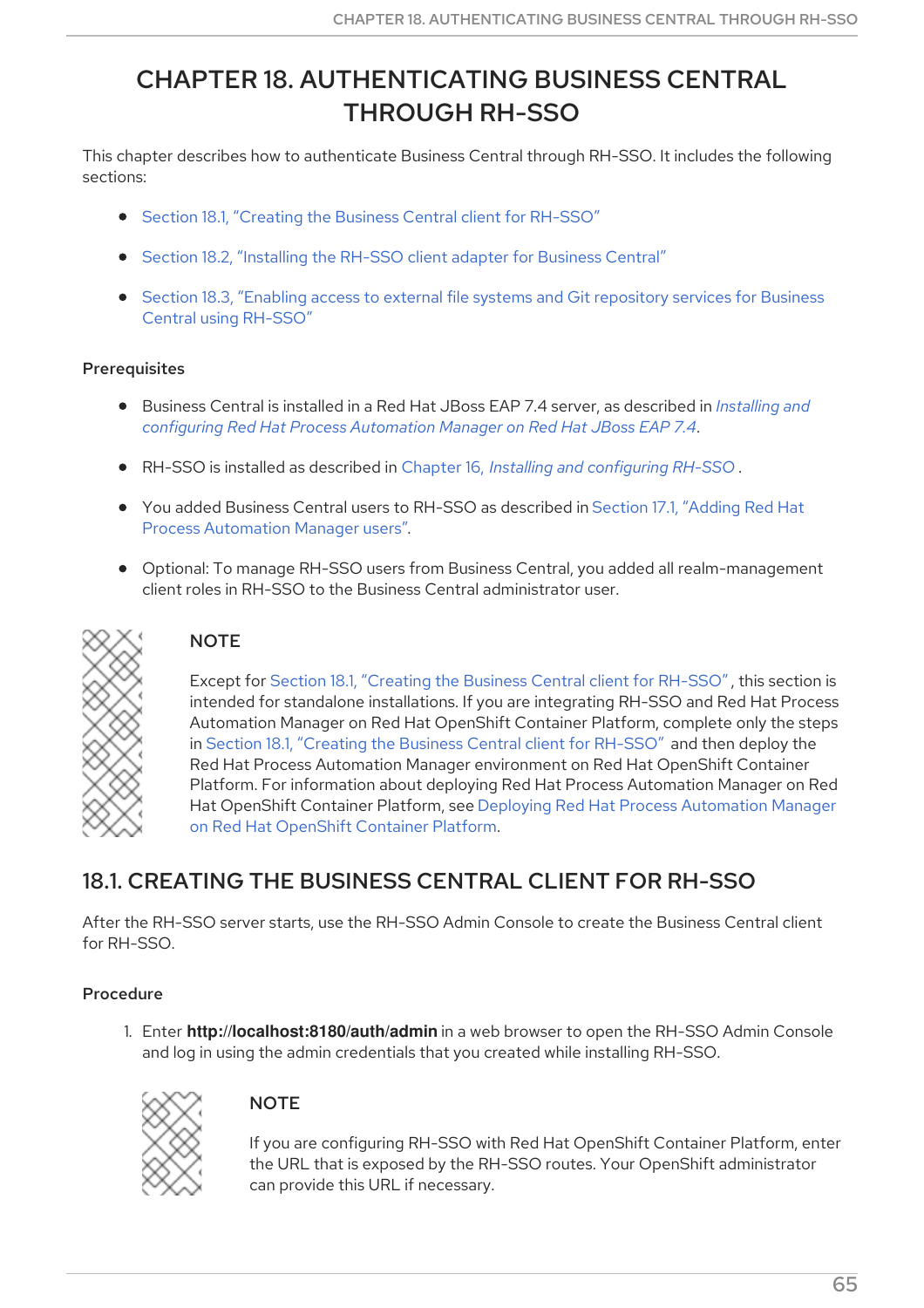# CHAPTER 18. AUTHENTICATING BUSINESS CENTRAL THROUGH RH-SSO

This chapter describes how to authenticate Business Central through RH-SSO. It includes the following sections:

- Section 18.1, ["Creating](#page-69-0) the Business Central client for RH-SSO"
- Section 18.2, ["Installing](#page-71-1) the RH-SSO client adapter for Business Central"
- Section 18.3, "Enabling access to external file systems and Git [repository](#page-74-0) services for Business Central using RH-SSO"

### **Prerequisites**

- Business Central is installed in a Red Hat JBoss EAP 7.4 server, as described in *Installing and configuring Red Hat Process [Automation](https://access.redhat.com/documentation/en-us/red_hat_process_automation_manager/7.12/html-single/installing_and_configuring_red_hat_process_automation_manager#assembly-install-on-eap) Manager on Red Hat JBoss EAP 7.4*.
- RH-SSO is installed as described in Chapter 16, *Installing and [configuring](#page-65-0) RH-SSO* .
- You added Business Central users to RH-SSO as described in Section 17.1, "Adding Red Hat Process [Automation](#page-67-0) Manager users".
- Optional: To manage RH-SSO users from Business Central, you added all realm-management client roles in RH-SSO to the Business Central administrator user.



## **NOTE**

Except for Section 18.1, "Creating the Business Central client for [RH-SSO",](#page-69-0) this section is intended for standalone installations. If you are integrating RH-SSO and Red Hat Process Automation Manager on Red Hat OpenShift Container Platform, complete only the steps in Section 18.1, ["Creating](#page-69-0) the Business Central client for RH-SSO" and then deploy the Red Hat Process Automation Manager environment on Red Hat OpenShift Container Platform. For information about deploying Red Hat Process Automation Manager on Red Hat OpenShift Container Platform, see Deploying Red Hat Process [Automation](https://access.redhat.com/documentation/en-us/red_hat_process_automation_manager/7.12/html-single/deploying_red_hat_process_automation_manager_on_red_hat_openshift_container_platform) Manager on Red Hat OpenShift Container Platform.

## 18.1. CREATING THE BUSINESS CENTRAL CLIENT FOR RH-SSO

After the RH-SSO server starts, use the RH-SSO Admin Console to create the Business Central client for RH-SSO.

## Procedure

1. Enter **http://localhost:8180/auth/admin** in a web browser to open the RH-SSO Admin Console and log in using the admin credentials that you created while installing RH-SSO.



## **NOTE**

If you are configuring RH-SSO with Red Hat OpenShift Container Platform, enter the URL that is exposed by the RH-SSO routes. Your OpenShift administrator can provide this URL if necessary.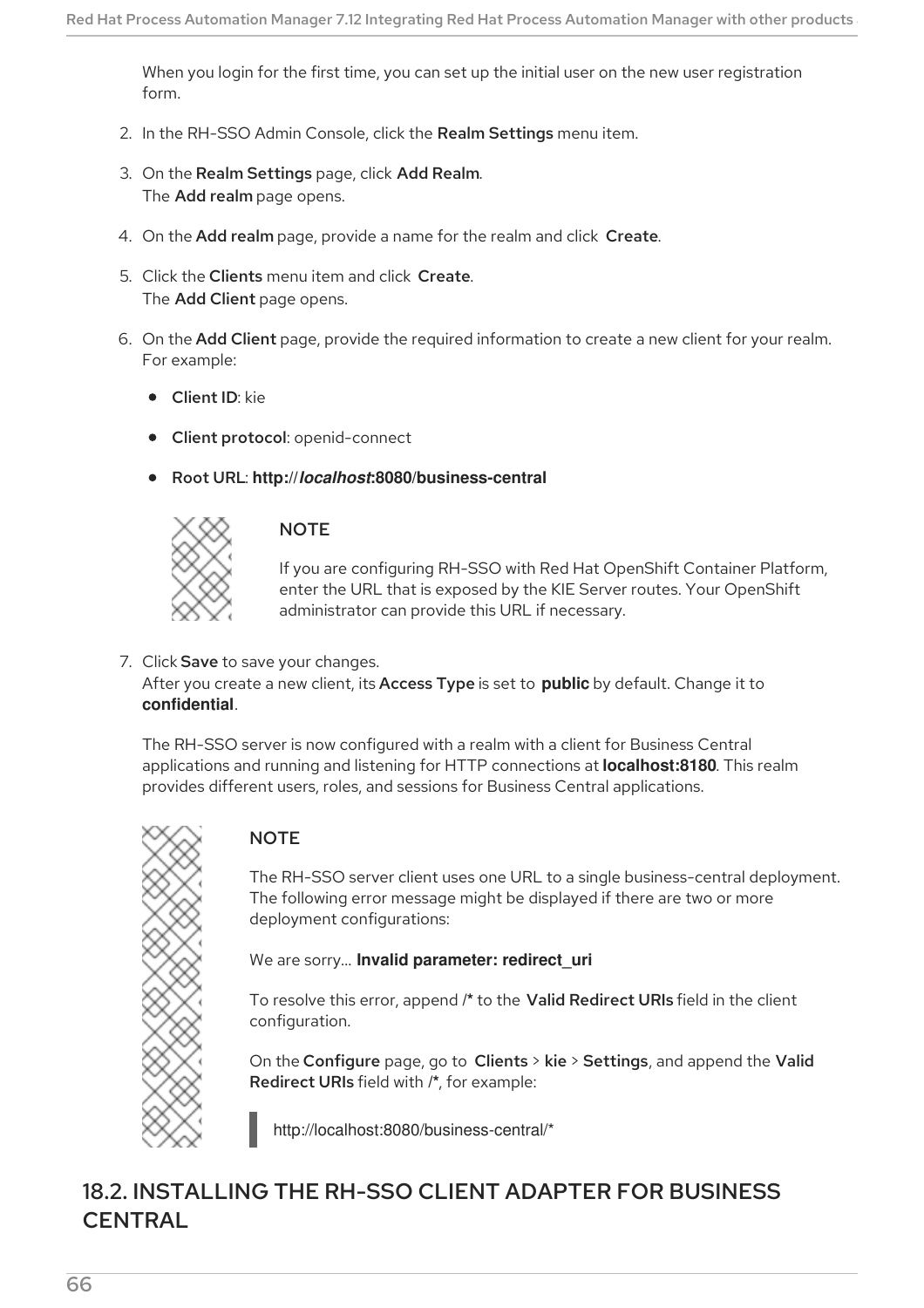<span id="page-69-0"></span>When you login for the first time, you can set up the initial user on the new user registration form.

- 2. In the RH-SSO Admin Console, click the Realm Settings menu item.
- 3. On the Realm Settings page, click Add Realm. The Add realm page opens.
- 4. On the Add realm page, provide a name for the realm and click Create.
- 5. Click the Clients menu item and click Create. The Add Client page opens.
- 6. On the Add Client page, provide the required information to create a new client for your realm. For example:
	- **•** Client ID: kie
	- Client protocol: openid-connect
	- Root URL: **http://***localhost***:8080/business-central**



### **NOTE**

If you are configuring RH-SSO with Red Hat OpenShift Container Platform, enter the URL that is exposed by the KIE Server routes. Your OpenShift administrator can provide this URL if necessary.

#### 7. Click Save to save your changes. After you create a new client, its Access Type is set to **public** by default. Change it to **confidential**.

The RH-SSO server is now configured with a realm with a client for Business Central applications and running and listening for HTTP connections at **localhost:8180**. This realm provides different users, roles, and sessions for Business Central applications.



## **NOTE**

The RH-SSO server client uses one URL to a single business-central deployment. The following error message might be displayed if there are two or more deployment configurations:

We are sorry… **Invalid parameter: redirect\_uri**

To resolve this error, append **/\*** to the Valid Redirect URIs field in the client configuration.

On the Configure page, go to Clients > kie > Settings, and append the Valid Redirect URIs field with **/\***, for example:

http://localhost:8080/business-central/\*

## 18.2. INSTALLING THE RH-SSO CLIENT ADAPTER FOR BUSINESS **CENTRAL**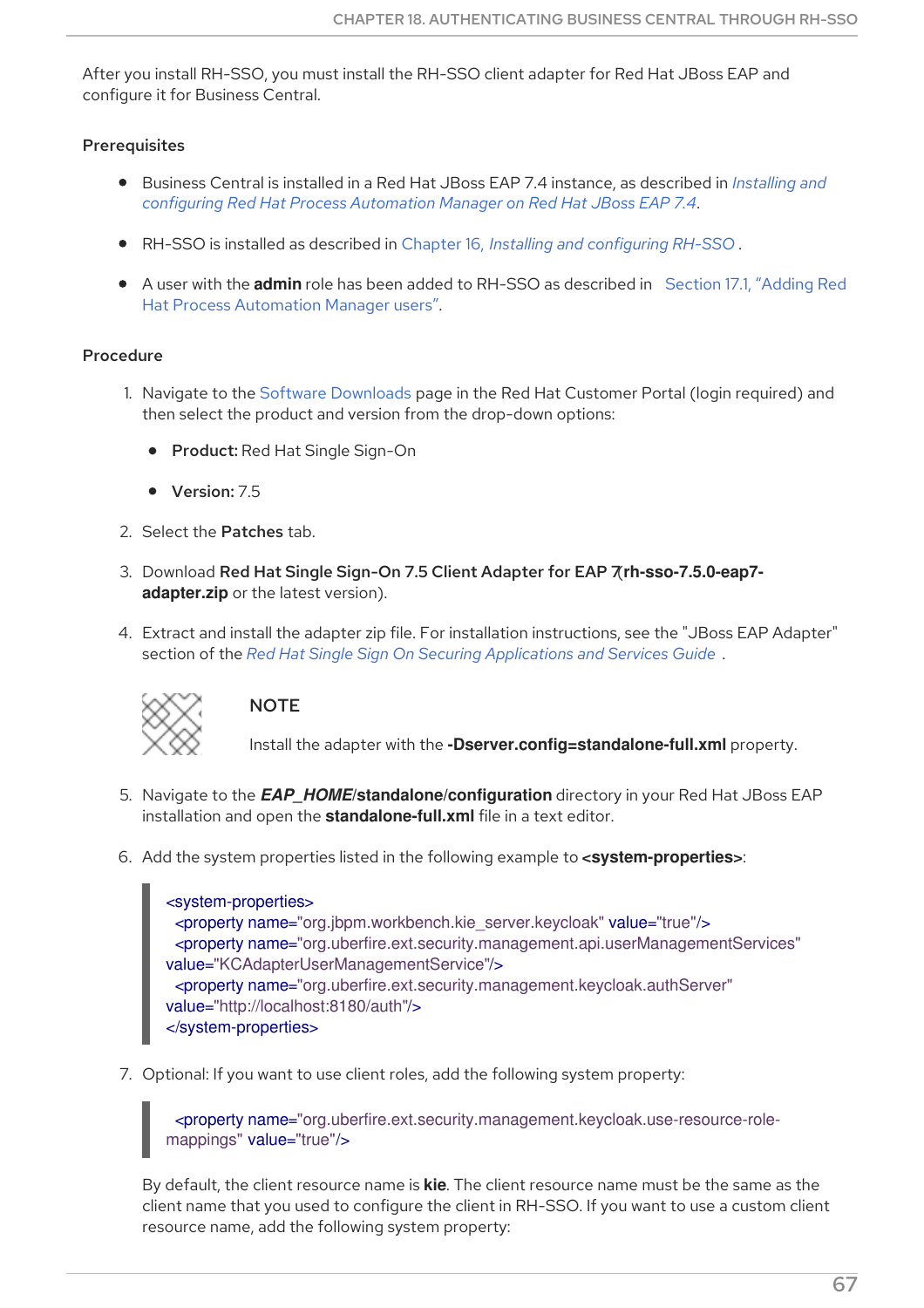After you install RH-SSO, you must install the RH-SSO client adapter for Red Hat JBoss EAP and configure it for Business Central.

#### Prerequisites

- Business Central is installed in a Red Hat JBoss EAP 7.4 instance, as described in *Installing and configuring Red Hat Process [Automation](https://access.redhat.com/documentation/en-us/red_hat_process_automation_manager/7.12/html-single/installing_and_configuring_red_hat_process_automation_manager#assembly-install-on-eap) Manager on Red Hat JBoss EAP 7.4*.
- RH-SSO is installed as described in Chapter 16, *Installing and [configuring](#page-65-0) RH-SSO* .
- A user with the **admin** role has been added to RH-SSO as described in Section 17.1, "Adding Red Hat Process [Automation](#page-67-0) Manager users".

#### Procedure

- 1. Navigate to the Software [Downloads](https://access.redhat.com/jbossnetwork/restricted/listSoftware.html) page in the Red Hat Customer Portal (login required) and then select the product and version from the drop-down options:
	- Product: Red Hat Single Sign-On
	- Version: 7.5
- 2. Select the Patches tab.
- 3. Download Red Hat Single Sign-On 7.5 Client Adapter for EAP 7(**rh-sso-7.5.0-eap7 adapter.zip** or the latest version).
- 4. Extract and install the adapter zip file. For installation instructions, see the "JBoss EAP Adapter" section of the *Red Hat Single Sign On Securing [Applications](https://access.redhat.com/documentation/en-us/red_hat_single_sign-on/7.5/html-single/securing_applications_and_services_guide) and Services Guide* .



## **NOTE**

Install the adapter with the **-Dserver.config=standalone-full.xml** property.

- 5. Navigate to the *EAP\_HOME***/standalone/configuration** directory in your Red Hat JBoss EAP installation and open the **standalone-full.xml** file in a text editor.
- 6. Add the system properties listed in the following example to **<system-properties>**:

```
<system-properties>
 <property name="org.jbpm.workbench.kie_server.keycloak" value="true"/>
 <property name="org.uberfire.ext.security.management.api.userManagementServices"
value="KCAdapterUserManagementService"/>
 <property name="org.uberfire.ext.security.management.keycloak.authServer"
value="http://localhost:8180/auth"/>
</system-properties>
```
7. Optional: If you want to use client roles, add the following system property:

<property name="org.uberfire.ext.security.management.keycloak.use-resource-rolemappings" value="true"/>

By default, the client resource name is **kie**. The client resource name must be the same as the client name that you used to configure the client in RH-SSO. If you want to use a custom client resource name, add the following system property: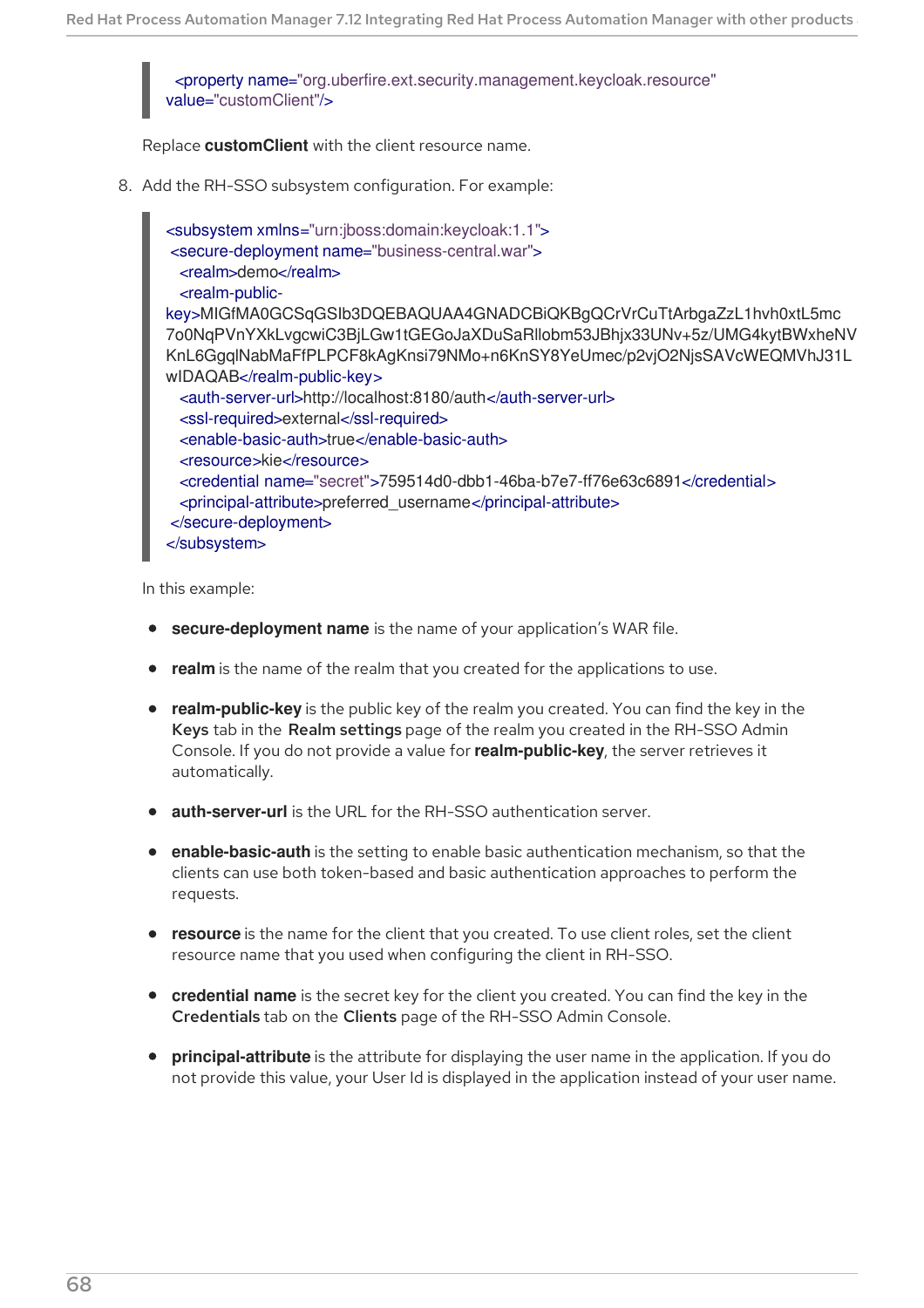<span id="page-71-1"></span><span id="page-71-0"></span><property name="org.uberfire.ext.security.management.keycloak.resource" value="customClient"/>

Replace **customClient** with the client resource name.

8. Add the RH-SSO subsystem configuration. For example:

<subsystem xmlns="urn:jboss:domain:keycloak:1.1"> <secure-deployment name="business-central.war"> <realm>demo</realm> <realm-publickey>MIGfMA0GCSqGSIb3DQEBAQUAA4GNADCBiQKBgQCrVrCuTtArbgaZzL1hvh0xtL5mc 7o0NqPVnYXkLvgcwiC3BjLGw1tGEGoJaXDuSaRllobm53JBhjx33UNv+5z/UMG4kytBWxheNV KnL6GgqlNabMaFfPLPCF8kAgKnsi79NMo+n6KnSY8YeUmec/p2vjO2NjsSAVcWEQMVhJ31L wIDAQAB</realm-public-key> <auth-server-url>http://localhost:8180/auth</auth-server-url> <ssl-required>external</ssl-required> <enable-basic-auth>true</enable-basic-auth> <resource>kie</resource> <credential name="secret">759514d0-dbb1-46ba-b7e7-ff76e63c6891</credential> <principal-attribute>preferred\_username</principal-attribute> </secure-deployment> </subsystem>

In this example:

- **secure-deployment name** is the name of your application's WAR file.
- **realm** is the name of the realm that you created for the applications to use.
- **realm-public-key** is the public key of the realm you created. You can find the key in the Keys tab in the Realm settings page of the realm you created in the RH-SSO Admin Console. If you do not provide a value for **realm-public-key**, the server retrieves it automatically.
- **auth-server-url** is the URL for the RH-SSO authentication server.
- **enable-basic-auth** is the setting to enable basic authentication mechanism, so that the clients can use both token-based and basic authentication approaches to perform the requests.
- **resource** is the name for the client that you created. To use client roles, set the client resource name that you used when configuring the client in RH-SSO.
- **credential name** is the secret key for the client you created. You can find the key in the Credentials tab on the Clients page of the RH-SSO Admin Console.
- **principal-attribute** is the attribute for displaying the user name in the application. If you do not provide this value, your User Id is displayed in the application instead of your user name.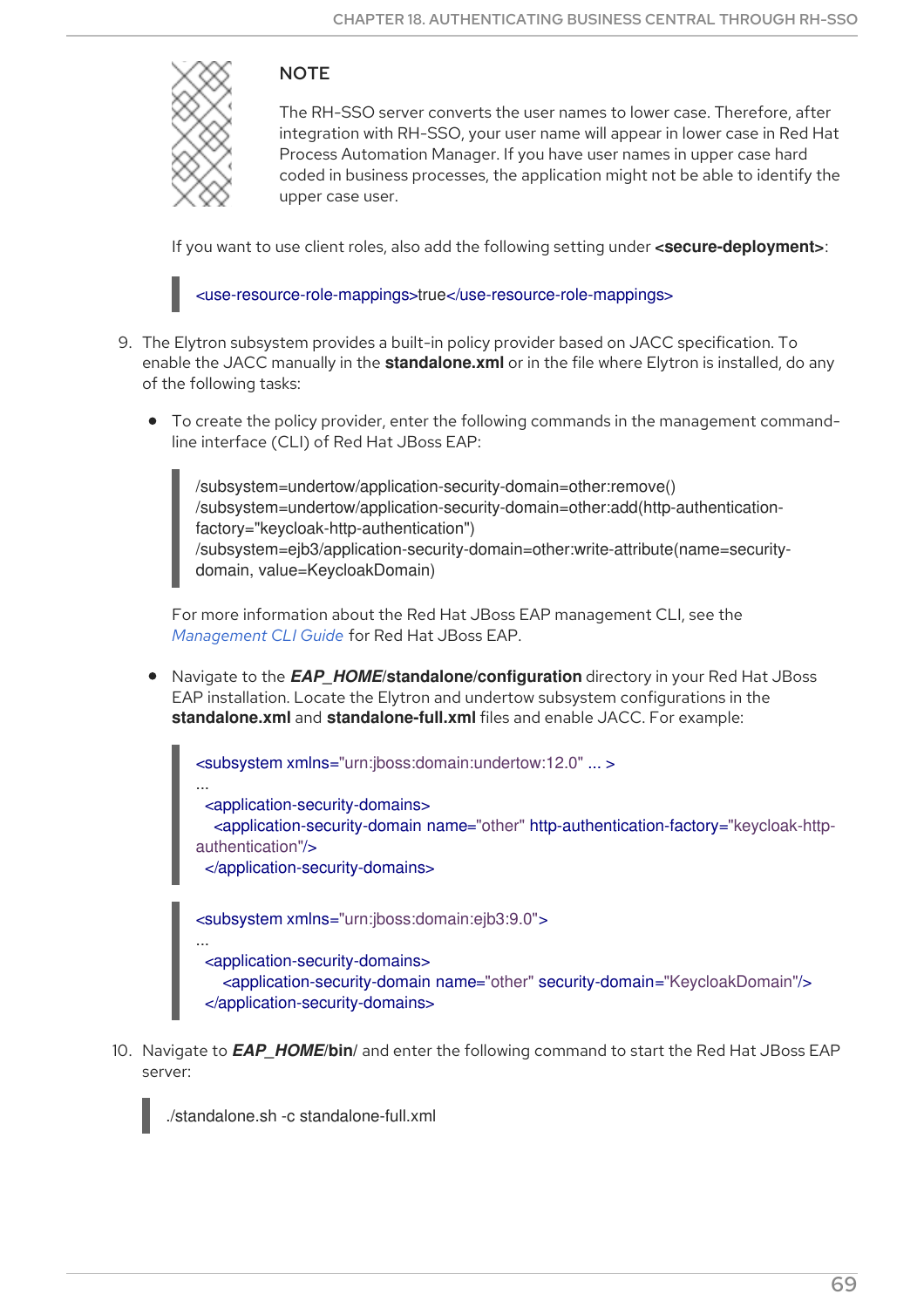

## **NOTE**

The RH-SSO server converts the user names to lower case. Therefore, after integration with RH-SSO, your user name will appear in lower case in Red Hat Process Automation Manager. If you have user names in upper case hard coded in business processes, the application might not be able to identify the upper case user.

If you want to use client roles, also add the following setting under **<secure-deployment>**:



- 9. The Elytron subsystem provides a built-in policy provider based on JACC specification. To enable the JACC manually in the **standalone.xml** or in the file where Elytron is installed, do any of the following tasks:
	- To create the policy provider, enter the following commands in the management commandline interface (CLI) of Red Hat JBoss EAP:

/subsystem=undertow/application-security-domain=other:remove() /subsystem=undertow/application-security-domain=other:add(http-authenticationfactory="keycloak-http-authentication") /subsystem=ejb3/application-security-domain=other:write-attribute(name=securitydomain, value=KeycloakDomain)

For more information about the Red Hat JBoss EAP management CLI, see the *[Management](https://access.redhat.com/documentation/en-us/red_hat_jboss_enterprise_application_platform/7.4/html-single/management_cli_guide/index) CLI Guide* for Red Hat JBoss EAP.

Navigate to the *EAP\_HOME***/standalone/configuration** directory in your Red Hat JBoss EAP installation. Locate the Elytron and undertow subsystem configurations in the **standalone.xml** and **standalone-full.xml** files and enable JACC. For example:

<subsystem xmlns="urn:jboss:domain:undertow:12.0" ... >

... <application-security-domains>

<application-security-domain name="other" http-authentication-factory="keycloak-httpauthentication"/>

</application-security-domains>

<subsystem xmlns="urn:jboss:domain:ejb3:9.0">

... <application-security-domains>

<application-security-domain name="other" security-domain="KeycloakDomain"/>

</application-security-domains>

10. Navigate to *EAP\_HOME***/bin/** and enter the following command to start the Red Hat JBoss EAP server:



./standalone.sh -c standalone-full.xml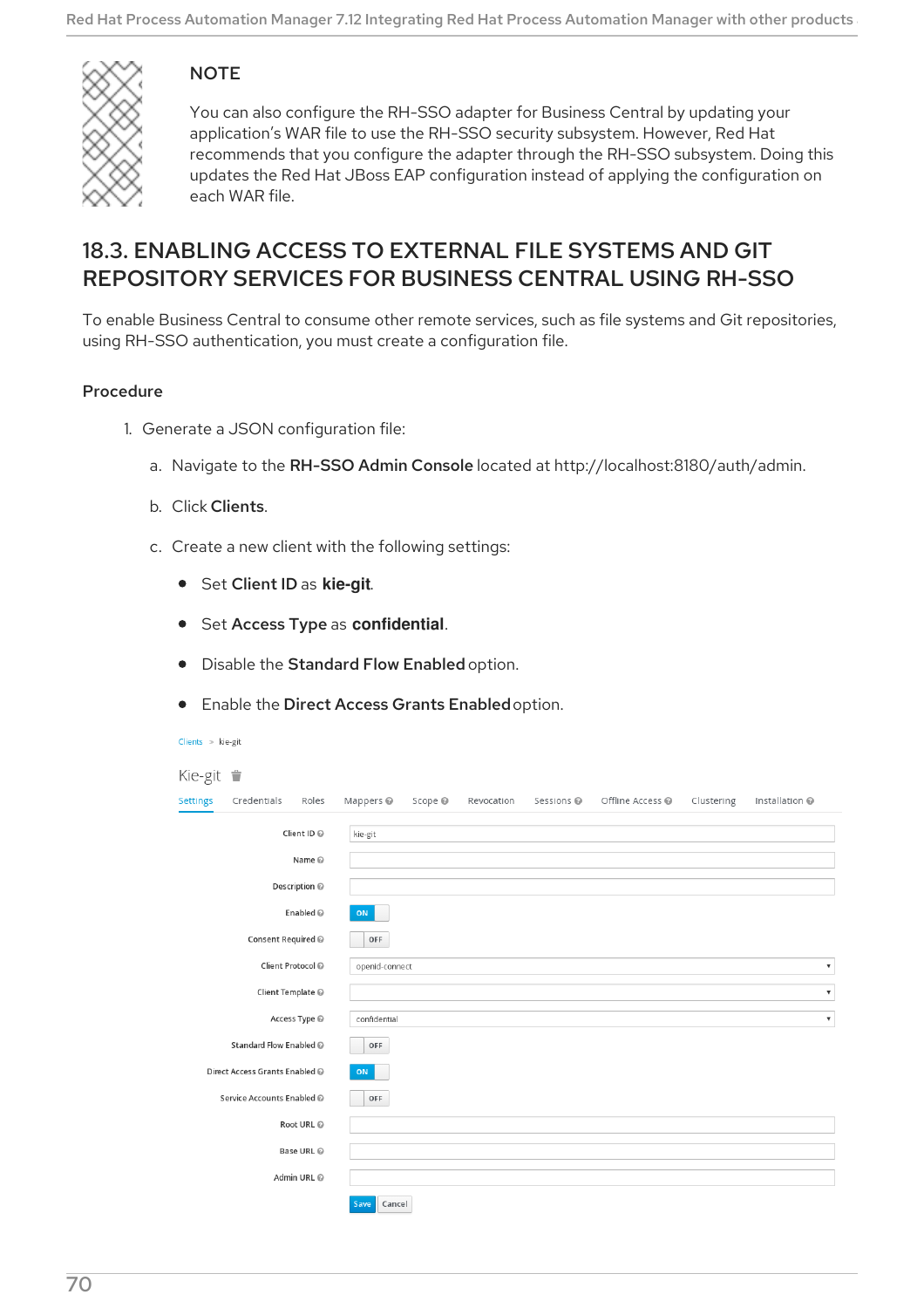

## **NOTE**

You can also configure the RH-SSO adapter for Business Central by updating your application's WAR file to use the RH-SSO security subsystem. However, Red Hat recommends that you configure the adapter through the RH-SSO subsystem. Doing this updates the Red Hat JBoss EAP configuration instead of applying the configuration on each WAR file.

## 18.3. ENABLING ACCESS TO EXTERNAL FILE SYSTEMS AND GIT REPOSITORY SERVICES FOR BUSINESS CENTRAL USING RH-SSO

To enable Business Central to consume other remote services, such as file systems and Git repositories, using RH-SSO authentication, you must create a configuration file.

- 1. Generate a JSON configuration file:
	- a. Navigate to the RH-SSO Admin Console located at http://localhost:8180/auth/admin.
	- b. Click Clients.
	- c. Create a new client with the following settings:
		- Set Client ID as **kie-git**.
		- **•** Set Access Type as **confidential**.
		- **•** Disable the Standard Flow Enabled option.
		- Enable the Direct Access Grants Enabled option.

| Clients | il |
|---------|----|
|         |    |

| Kie-git $\blacksquare$ |                                |                   |                      |         |            |                       |                  |            |                           |
|------------------------|--------------------------------|-------------------|----------------------|---------|------------|-----------------------|------------------|------------|---------------------------|
| <b>Settings</b>        | Credentials                    | Roles             | Mappers <sup>@</sup> | Scope @ | Revocation | Sessions <sup>®</sup> | Offline Access @ | Clustering | Installation @            |
| Client ID @            |                                |                   | kie-git              |         |            |                       |                  |            |                           |
|                        |                                | Name @            |                      |         |            |                       |                  |            |                           |
|                        |                                | Description @     |                      |         |            |                       |                  |            |                           |
|                        |                                | Enabled @         | ON                   |         |            |                       |                  |            |                           |
|                        | Consent Required @             |                   | OFF                  |         |            |                       |                  |            |                           |
|                        |                                | Client Protocol @ | openid-connect       |         |            |                       |                  |            | $\boldsymbol{\mathrm{v}}$ |
|                        | Client Template @              |                   |                      |         |            |                       |                  |            | $\pmb{\mathbb{v}}$        |
|                        |                                | Access Type @     | confidential         |         |            |                       |                  |            | $\boldsymbol{\mathrm{v}}$ |
|                        | Standard Flow Enabled @        |                   | OFF                  |         |            |                       |                  |            |                           |
|                        | Direct Access Grants Enabled @ |                   | ON                   |         |            |                       |                  |            |                           |
|                        | Service Accounts Enabled @     |                   | OFF                  |         |            |                       |                  |            |                           |
|                        |                                | Root URL @        |                      |         |            |                       |                  |            |                           |
|                        |                                | Base URL @        |                      |         |            |                       |                  |            |                           |
|                        |                                | Admin URL @       |                      |         |            |                       |                  |            |                           |
|                        |                                |                   | Save<br>Cancel       |         |            |                       |                  |            |                           |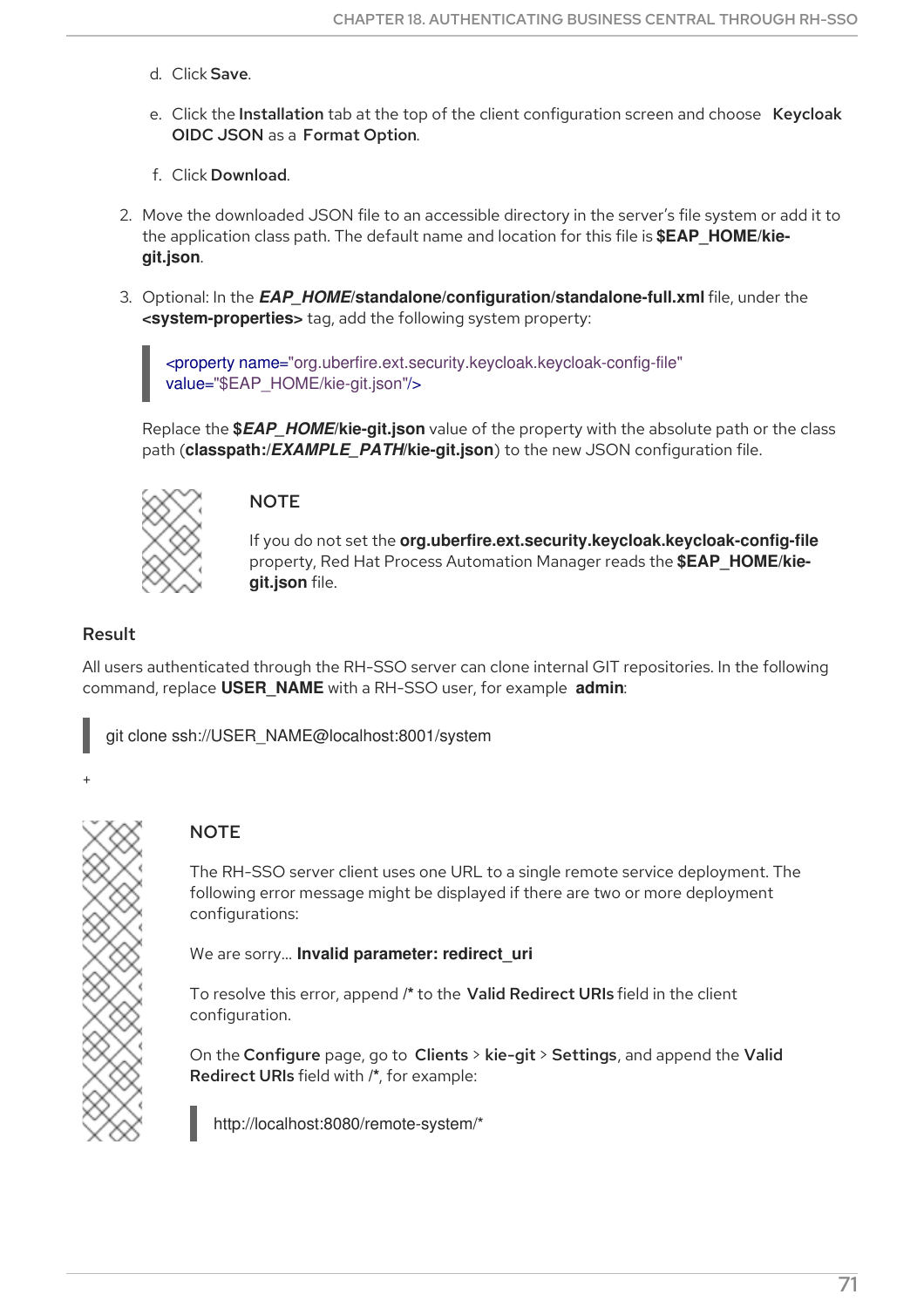- d. Click Save.
- e. Click the Installation tab at the top of the client configuration screen and choose Keycloak OIDC JSON as a Format Option.
- f. Click Download.
- 2. Move the downloaded JSON file to an accessible directory in the server's file system or add it to the application class path. The default name and location for this file is **\$EAP\_HOME/kiegit.json**.
- 3. Optional: In the *EAP\_HOME***/standalone/configuration/standalone-full.xml** file, under the **<system-properties>** tag, add the following system property:

<property name="org.uberfire.ext.security.keycloak.keycloak-config-file" value="\$EAP\_HOME/kie-git.json"/>

Replace the **\$***EAP\_HOME***/kie-git.json** value of the property with the absolute path or the class path (**classpath:/***EXAMPLE\_PATH***/kie-git.json**) to the new JSON configuration file.



### **NOTE**

If you do not set the **org.uberfire.ext.security.keycloak.keycloak-config-file** property, Red Hat Process Automation Manager reads the **\$EAP\_HOME/kiegit.json** file.

### Result

+

All users authenticated through the RH-SSO server can clone internal GIT repositories. In the following command, replace **USER\_NAME** with a RH-SSO user, for example **admin**:

git clone ssh://USER\_NAME@localhost:8001/system

## **NOTE**

The RH-SSO server client uses one URL to a single remote service deployment. The following error message might be displayed if there are two or more deployment configurations:

We are sorry… **Invalid parameter: redirect\_uri**

To resolve this error, append **/\*** to the Valid Redirect URIs field in the client configuration.

On the Configure page, go to Clients > kie-git > Settings, and append the Valid Redirect URIs field with **/\***, for example:

http://localhost:8080/remote-system/\*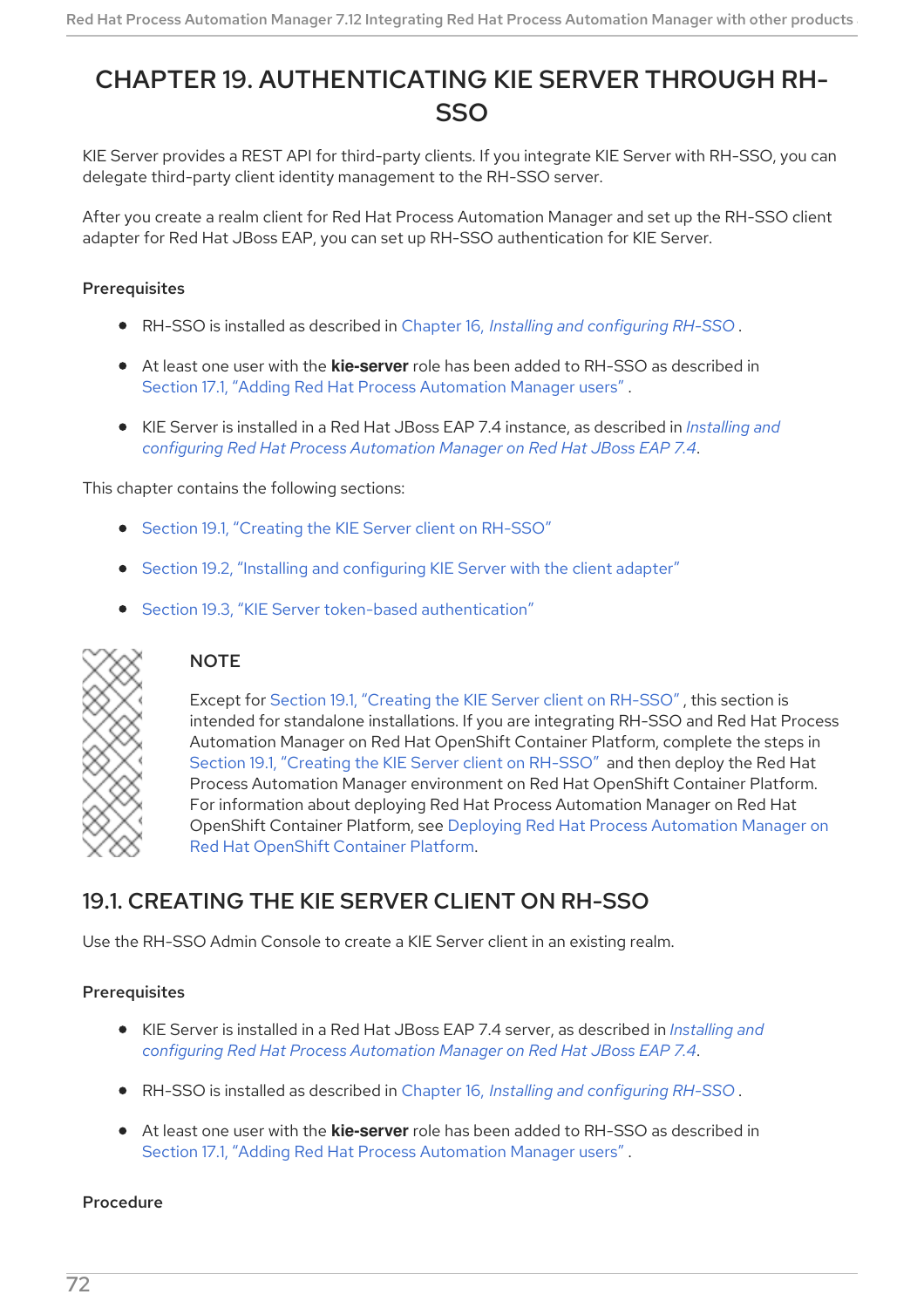# CHAPTER 19. AUTHENTICATING KIE SERVER THROUGH RH-SSO

KIE Server provides a REST API for third-party clients. If you integrate KIE Server with RH-SSO, you can delegate third-party client identity management to the RH-SSO server.

After you create a realm client for Red Hat Process Automation Manager and set up the RH-SSO client adapter for Red Hat JBoss EAP, you can set up RH-SSO authentication for KIE Server.

### Prerequisites

- RH-SSO is installed as described in Chapter 16, *Installing and [configuring](#page-65-0) RH-SSO* .
- At least one user with the **kie-server** role has been added to RH-SSO as described in Section 17.1, "Adding Red Hat Process [Automation](#page-67-0) Manager users" .
- KIE Server is installed in a Red Hat JBoss EAP 7.4 instance, as described in *Installing and configuring Red Hat Process [Automation](https://access.redhat.com/documentation/en-us/red_hat_process_automation_manager/7.12/html-single/installing_and_configuring_red_hat_process_automation_manager#assembly-install-on-eap) Manager on Red Hat JBoss EAP 7.4*.

### This chapter contains the following sections:

- Section 19.1, ["Creating](#page-76-0) the KIE Server client on RH-SSO"
- Section 19.2, "Installing and [configuring](#page-77-0) KIE Server with the client adapter"
- Section 19.3, "KIE Server token-based [authentication"](#page-79-0)



## **NOTE**

Except for Section 19.1, ["Creating](#page-76-0) the KIE Server client on RH-SSO" , this section is intended for standalone installations. If you are integrating RH-SSO and Red Hat Process Automation Manager on Red Hat OpenShift Container Platform, complete the steps in Section 19.1, ["Creating](#page-76-0) the KIE Server client on RH-SSO" and then deploy the Red Hat Process Automation Manager environment on Red Hat OpenShift Container Platform. For information about deploying Red Hat Process Automation Manager on Red Hat OpenShift Container Platform, see Deploying Red Hat Process [Automation](https://access.redhat.com/documentation/en-us/red_hat_process_automation_manager/7.12/html-single/deploying_red_hat_process_automation_manager_on_red_hat_openshift_container_platform) Manager on Red Hat OpenShift Container Platform.

## 19.1. CREATING THE KIE SERVER CLIENT ON RH-SSO

Use the RH-SSO Admin Console to create a KIE Server client in an existing realm.

## Prerequisites

- KIE Server is installed in a Red Hat JBoss EAP 7.4 server, as described in *Installing and configuring Red Hat Process [Automation](https://access.redhat.com/documentation/en-us/red_hat_process_automation_manager/7.12/html-single/installing_and_configuring_red_hat_process_automation_manager#assembly-install-on-eap) Manager on Red Hat JBoss EAP 7.4*.
- RH-SSO is installed as described in Chapter 16, *Installing and [configuring](#page-65-0) RH-SSO* .
- At least one user with the **kie-server** role has been added to RH-SSO as described in Section 17.1, "Adding Red Hat Process [Automation](#page-67-0) Manager users" .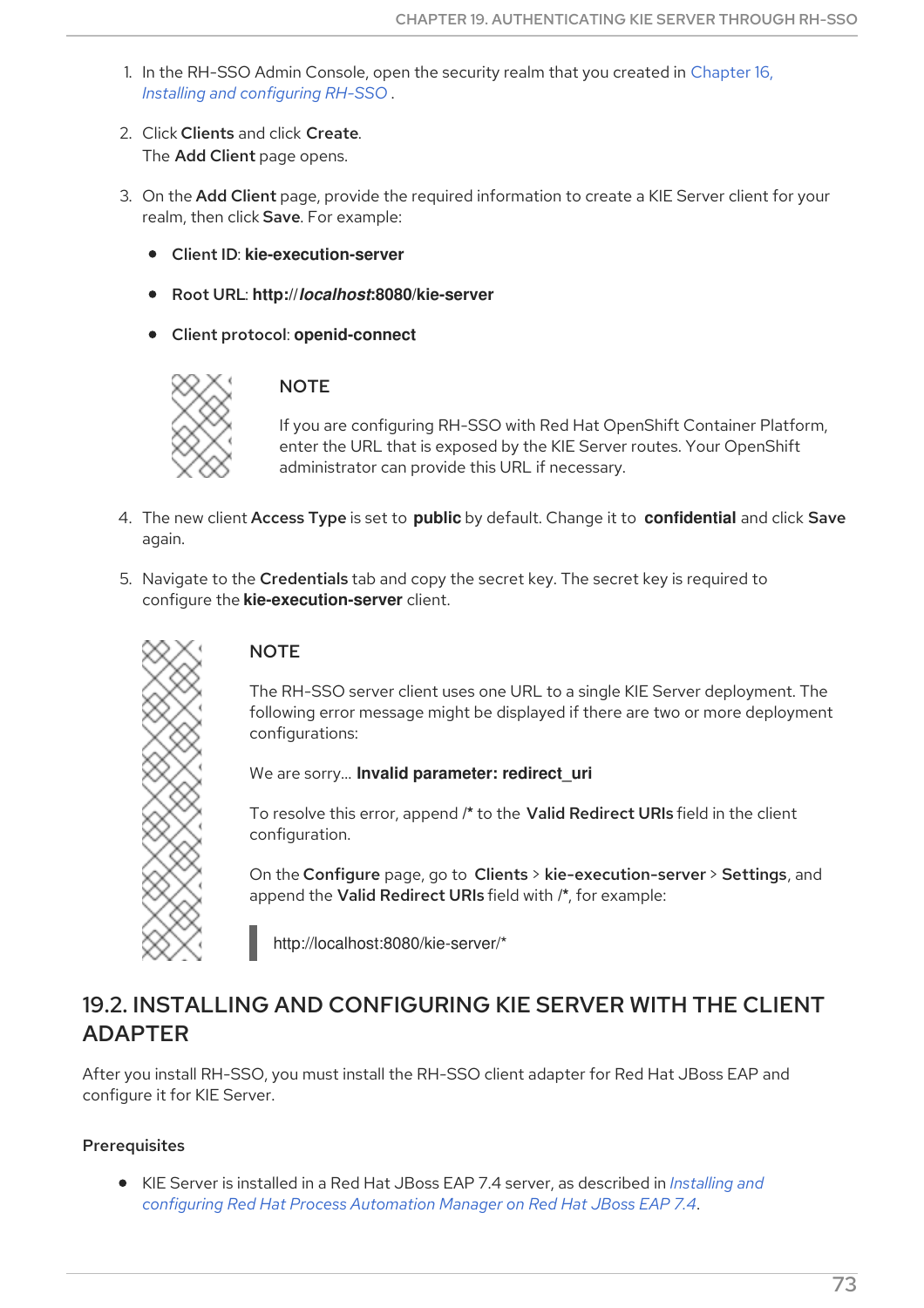- <span id="page-76-0"></span>1. In the RH-SSO Admin Console, open the security realm that you created in Chapter 16, *Installing and [configuring](#page-65-0) RH-SSO* .
- 2. Click Clients and click Create. The Add Client page opens.
- 3. On the Add Client page, provide the required information to create a KIE Server client for your realm, then click Save. For example:
	- Client ID: **kie-execution-server**
	- Root URL: **http://***localhost***:8080/kie-server**
	- Client protocol: **openid-connect**



## **NOTE**

If you are configuring RH-SSO with Red Hat OpenShift Container Platform, enter the URL that is exposed by the KIE Server routes. Your OpenShift administrator can provide this URL if necessary.

- 4. The new client Access Type is set to **public** by default. Change it to **confidential** and click Save again.
- 5. Navigate to the Credentials tab and copy the secret key. The secret key is required to configure the **kie-execution-server** client.



## **NOTE**

The RH-SSO server client uses one URL to a single KIE Server deployment. The following error message might be displayed if there are two or more deployment configurations:

We are sorry… **Invalid parameter: redirect\_uri**

To resolve this error, append **/\*** to the Valid Redirect URIs field in the client configuration.

On the Configure page, go to Clients > kie-execution-server > Settings, and append the Valid Redirect URIs field with **/\***, for example:

http://localhost:8080/kie-server/\*

## 19.2. INSTALLING AND CONFIGURING KIE SERVER WITH THE CLIENT ADAPTER

After you install RH-SSO, you must install the RH-SSO client adapter for Red Hat JBoss EAP and configure it for KIE Server.

## Prerequisites

KIE Server is installed in a Red Hat JBoss EAP 7.4 server, as described in *Installing and configuring Red Hat Process [Automation](https://access.redhat.com/documentation/en-us/red_hat_process_automation_manager/7.12/html-single/installing_and_configuring_red_hat_process_automation_manager#assembly-install-on-eap) Manager on Red Hat JBoss EAP 7.4*.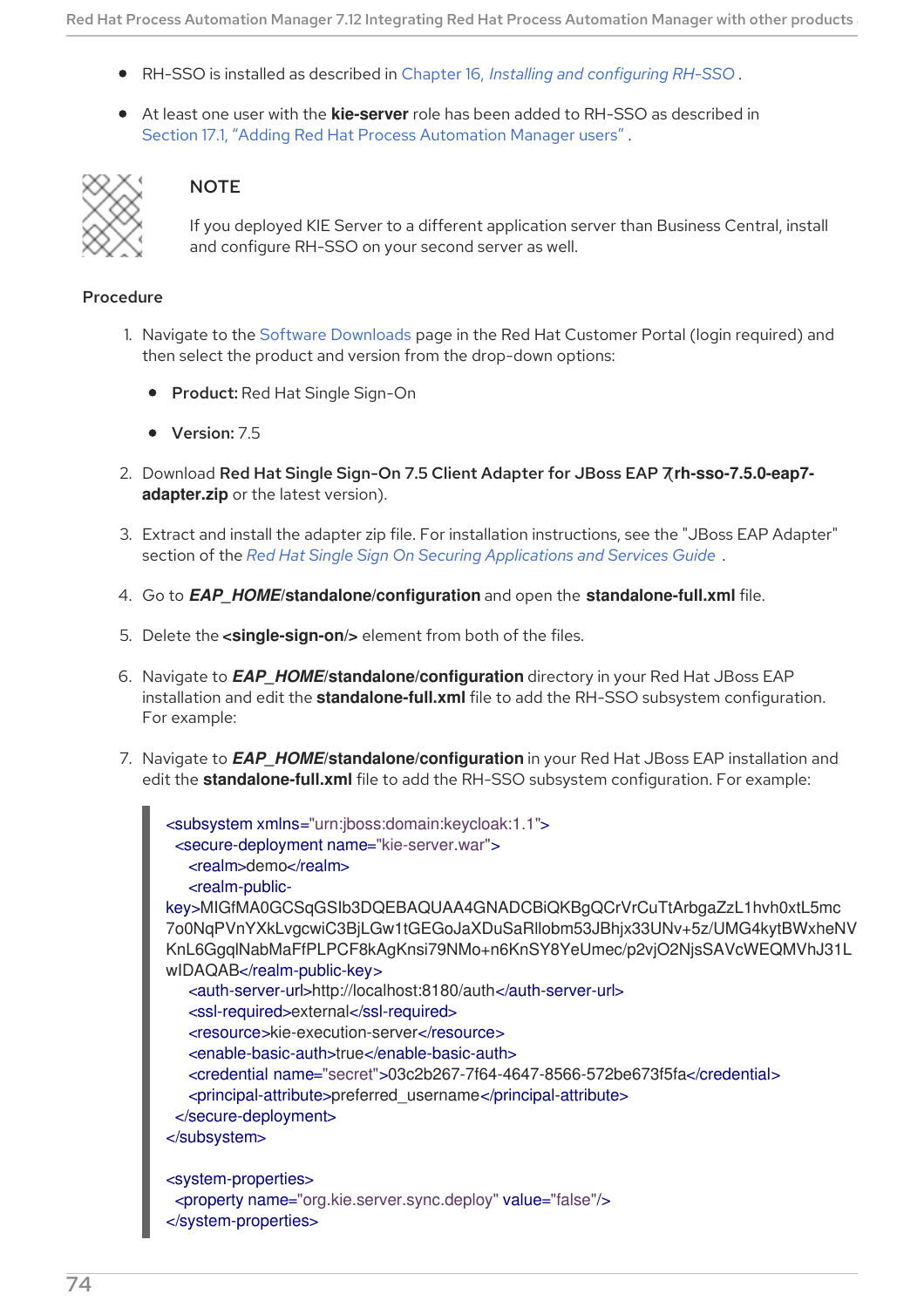- <span id="page-77-0"></span>RH-SSO is installed as described in Chapter 16, *Installing and [configuring](#page-65-0) RH-SSO* .
- At least one user with the **kie-server** role has been added to RH-SSO as described in Section 17.1, "Adding Red Hat Process [Automation](#page-67-0) Manager users" .



## **NOTE**

If you deployed KIE Server to a different application server than Business Central, install and configure RH-SSO on your second server as well.

- 1. Navigate to the Software [Downloads](https://access.redhat.com/jbossnetwork/restricted/listSoftware.html) page in the Red Hat Customer Portal (login required) and then select the product and version from the drop-down options:
	- **Product: Red Hat Single Sign-On**
	- Version: 7.5
- 2. Download Red Hat Single Sign-On 7.5 Client Adapter for JBoss EAP 7(**rh-sso-7.5.0-eap7 adapter.zip** or the latest version).
- 3. Extract and install the adapter zip file. For installation instructions, see the "JBoss EAP Adapter" section of the *Red Hat Single Sign On Securing [Applications](https://access.redhat.com/documentation/en-us/red_hat_single_sign-on/7.5/html-single/securing_applications_and_services_guide/#jboss_adapter) and Services Guide* .
- 4. Go to *EAP\_HOME***/standalone/configuration** and open the **standalone-full.xml** file.
- 5. Delete the **<single-sign-on/>** element from both of the files.
- 6. Navigate to *EAP\_HOME***/standalone/configuration** directory in your Red Hat JBoss EAP installation and edit the **standalone-full.xml** file to add the RH-SSO subsystem configuration. For example:
- 7. Navigate to *EAP\_HOME***/standalone/configuration** in your Red Hat JBoss EAP installation and edit the **standalone-full.xml** file to add the RH-SSO subsystem configuration. For example:

```
<subsystem xmlns="urn:jboss:domain:keycloak:1.1">
 <secure-deployment name="kie-server.war">
  <realm>demo</realm>
  <realm-public-
key>MIGfMA0GCSqGSIb3DQEBAQUAA4GNADCBiQKBgQCrVrCuTtArbgaZzL1hvh0xtL5mc
7o0NqPVnYXkLvgcwiC3BjLGw1tGEGoJaXDuSaRllobm53JBhjx33UNv+5z/UMG4kytBWxheNV
KnL6GgqlNabMaFfPLPCF8kAgKnsi79NMo+n6KnSY8YeUmec/p2vjO2NjsSAVcWEQMVhJ31L
wIDAQAB</realm-public-key>
  <auth-server-url>http://localhost:8180/auth</auth-server-url>
  <ssl-required>external</ssl-required>
  <resource>kie-execution-server</resource>
  <enable-basic-auth>true</enable-basic-auth>
  <credential name="secret">03c2b267-7f64-4647-8566-572be673f5fa</credential>
  <principal-attribute>preferred_username</principal-attribute>
 </secure-deployment>
</subsystem>
<system-properties>
 <property name="org.kie.server.sync.deploy" value="false"/>
</system-properties>
```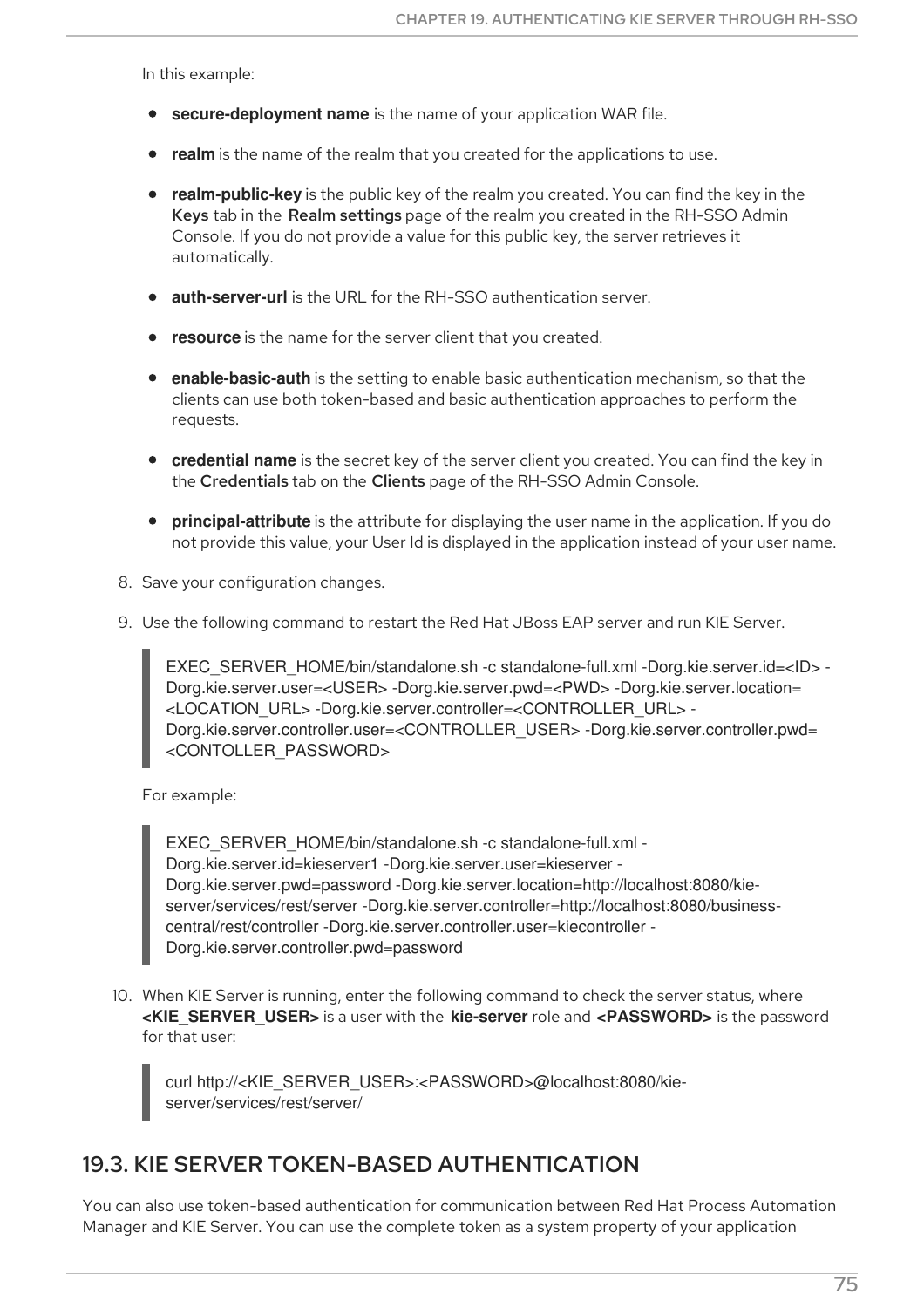In this example:

- **secure-deployment name** is the name of your application WAR file.
- **realm** is the name of the realm that you created for the applications to use.
- **realm-public-key** is the public key of the realm you created. You can find the key in the Keys tab in the Realm settings page of the realm you created in the RH-SSO Admin Console. If you do not provide a value for this public key, the server retrieves it automatically.
- **auth-server-url** is the URL for the RH-SSO authentication server.
- **resource** is the name for the server client that you created.
- **enable-basic-auth** is the setting to enable basic authentication mechanism, so that the clients can use both token-based and basic authentication approaches to perform the requests.
- **credential name** is the secret key of the server client you created. You can find the key in the Credentials tab on the Clients page of the RH-SSO Admin Console.
- **principal-attribute** is the attribute for displaying the user name in the application. If you do not provide this value, your User Id is displayed in the application instead of your user name.
- 8. Save your configuration changes.
- 9. Use the following command to restart the Red Hat JBoss EAP server and run KIE Server.

EXEC\_SERVER\_HOME/bin/standalone.sh -c standalone-full.xml -Dorg.kie.server.id=<ID> - Dorg.kie.server.user=<USER> -Dorg.kie.server.pwd=<PWD> -Dorg.kie.server.location= <LOCATION\_URL> -Dorg.kie.server.controller=<CONTROLLER\_URL> - Dorg.kie.server.controller.user=<CONTROLLER\_USER> -Dorg.kie.server.controller.pwd= <CONTOLLER\_PASSWORD>

For example:

EXEC\_SERVER\_HOME/bin/standalone.sh -c standalone-full.xml -Dorg.kie.server.id=kieserver1 -Dorg.kie.server.user=kieserver - Dorg.kie.server.pwd=password -Dorg.kie.server.location=http://localhost:8080/kieserver/services/rest/server -Dorg.kie.server.controller=http://localhost:8080/businesscentral/rest/controller -Dorg.kie.server.controller.user=kiecontroller - Dorg.kie.server.controller.pwd=password

10. When KIE Server is running, enter the following command to check the server status, where **<KIE\_SERVER\_USER>** is a user with the **kie-server** role and **<PASSWORD>** is the password for that user:

curl http://<KIE\_SERVER\_USER>:<PASSWORD>@localhost:8080/kieserver/services/rest/server/

## 19.3. KIE SERVER TOKEN-BASED AUTHENTICATION

You can also use token-based authentication for communication between Red Hat Process Automation Manager and KIE Server. You can use the complete token as a system property of your application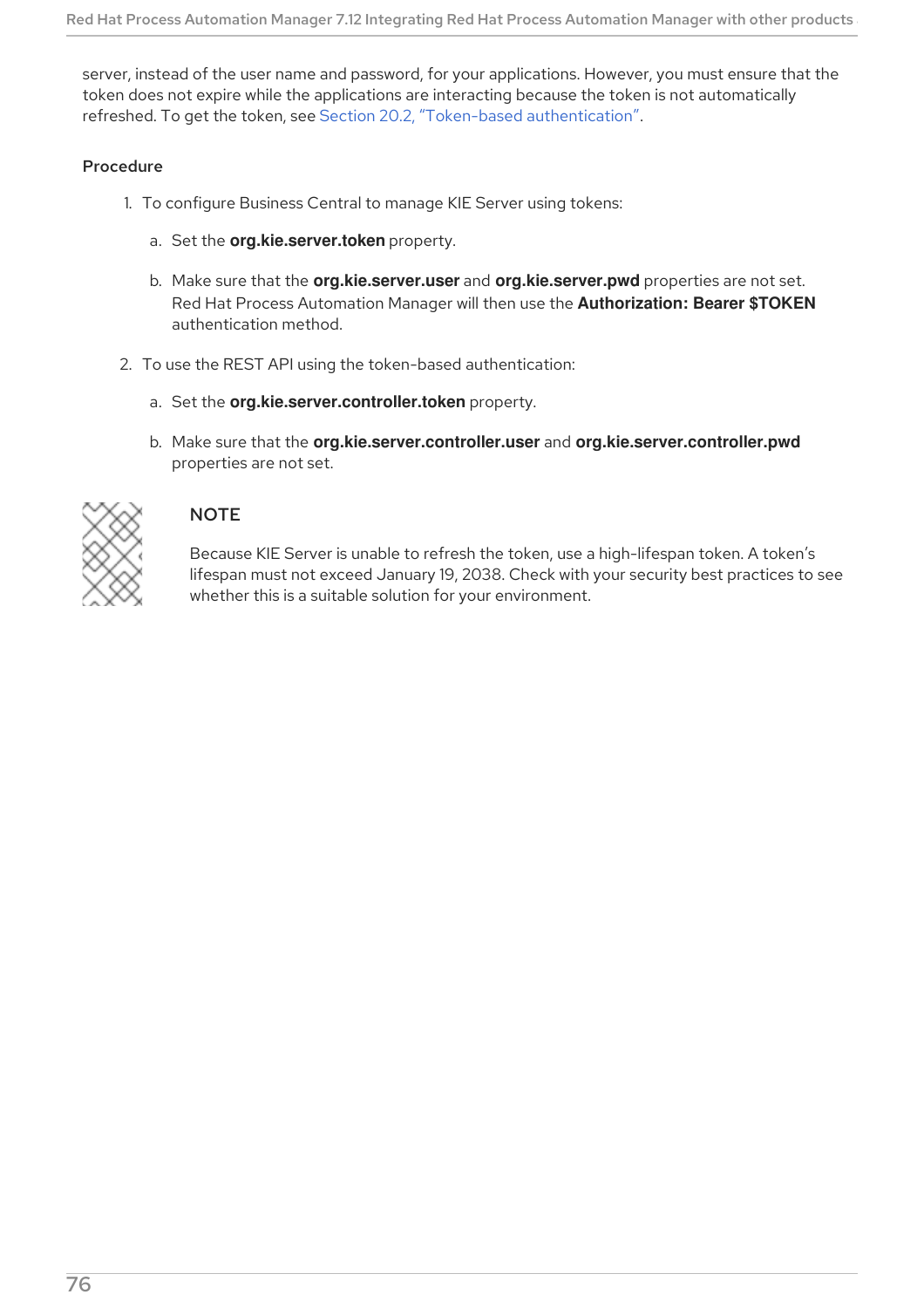<span id="page-79-0"></span>server, instead of the user name and password, for your applications. However, you must ensure that the token does not expire while the applications are interacting because the token is not automatically refreshed. To get the token, see Section 20.2, "Token-based [authentication"](#page-81-0).

### Procedure

- 1. To configure Business Central to manage KIE Server using tokens:
	- a. Set the **org.kie.server.token** property.
	- b. Make sure that the **org.kie.server.user** and **org.kie.server.pwd** properties are not set. Red Hat Process Automation Manager will then use the **Authorization: Bearer \$TOKEN** authentication method.
- 2. To use the REST API using the token-based authentication:
	- a. Set the **org.kie.server.controller.token** property.
	- b. Make sure that the **org.kie.server.controller.user** and **org.kie.server.controller.pwd** properties are not set.



## **NOTE**

Because KIE Server is unable to refresh the token, use a high-lifespan token. A token's lifespan must not exceed January 19, 2038. Check with your security best practices to see whether this is a suitable solution for your environment.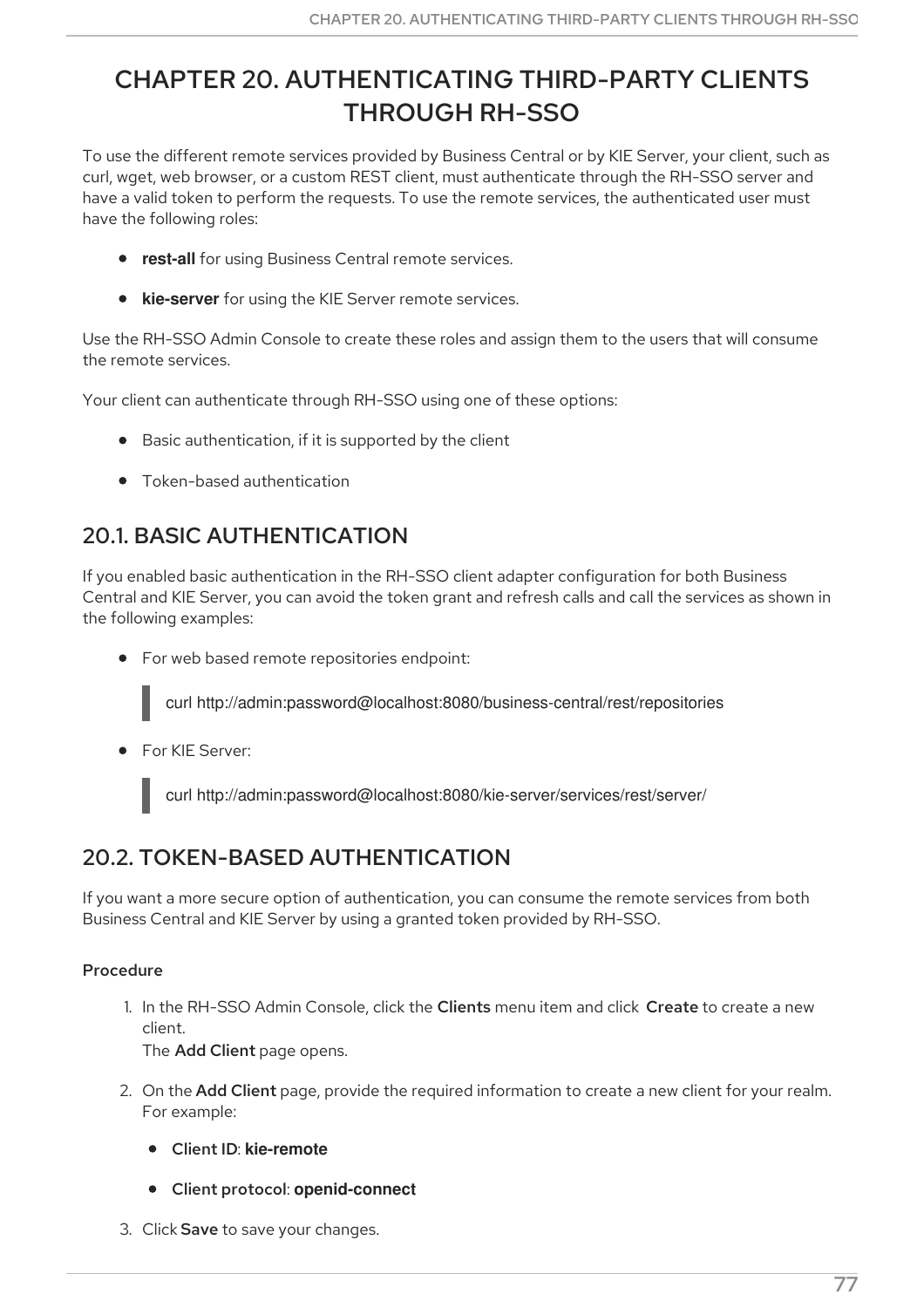# CHAPTER 20. AUTHENTICATING THIRD-PARTY CLIENTS THROUGH RH-SSO

To use the different remote services provided by Business Central or by KIE Server, your client, such as curl, wget, web browser, or a custom REST client, must authenticate through the RH-SSO server and have a valid token to perform the requests. To use the remote services, the authenticated user must have the following roles:

- **rest-all** for using Business Central remote services.
- **kie-server** for using the KIE Server remote services.

Use the RH-SSO Admin Console to create these roles and assign them to the users that will consume the remote services.

Your client can authenticate through RH-SSO using one of these options:

- Basic authentication, if it is supported by the client
- Token-based authentication

## 20.1. BASIC AUTHENTICATION

If you enabled basic authentication in the RH-SSO client adapter configuration for both Business Central and KIE Server, you can avoid the token grant and refresh calls and call the services as shown in the following examples:

• For web based remote repositories endpoint:

curl http://admin:password@localhost:8080/business-central/rest/repositories

**•** For KIE Server:

curl http://admin:password@localhost:8080/kie-server/services/rest/server/

## 20.2. TOKEN-BASED AUTHENTICATION

If you want a more secure option of authentication, you can consume the remote services from both Business Central and KIE Server by using a granted token provided by RH-SSO.

## Procedure

1. In the RH-SSO Admin Console, click the Clients menu item and click Create to create a new client.

The Add Client page opens.

- 2. On the Add Client page, provide the required information to create a new client for your realm. For example:
	- Client ID: **kie-remote**
	- Client protocol: **openid-connect**
- 3. Click Save to save your changes.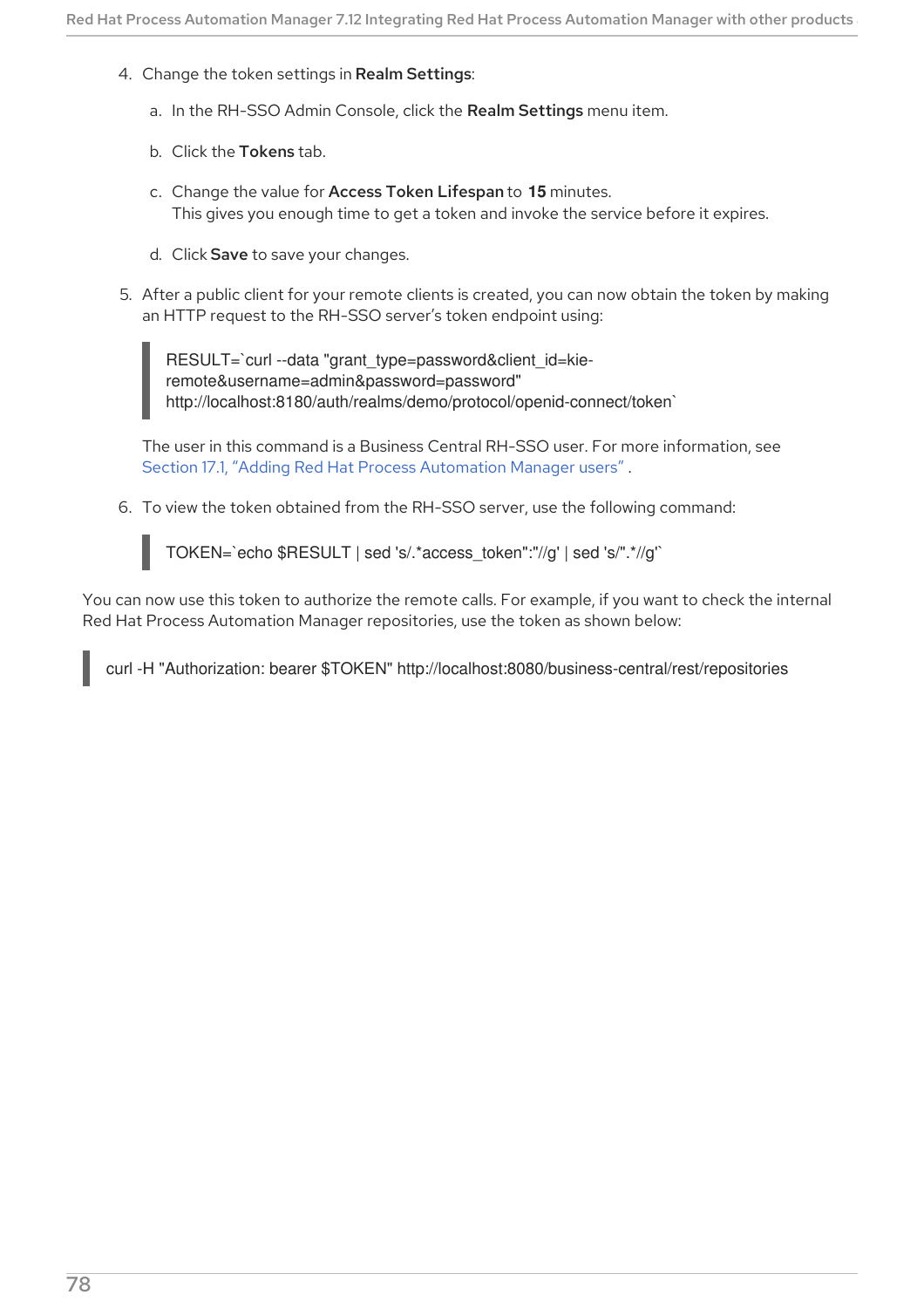- <span id="page-81-0"></span>4. Change the token settings in Realm Settings:
	- a. In the RH-SSO Admin Console, click the Realm Settings menu item.
	- b. Click the Tokens tab.
	- c. Change the value for Access Token Lifespan to **15** minutes. This gives you enough time to get a token and invoke the service before it expires.
	- d. Click Save to save your changes.
- 5. After a public client for your remote clients is created, you can now obtain the token by making an HTTP request to the RH-SSO server's token endpoint using:

RESULT=`curl --data "grant\_type=password&client\_id=kieremote&username=admin&password=password" http://localhost:8180/auth/realms/demo/protocol/openid-connect/token`

The user in this command is a Business Central RH-SSO user. For more information, see Section 17.1, "Adding Red Hat Process [Automation](#page-67-0) Manager users" .

6. To view the token obtained from the RH-SSO server, use the following command:

TOKEN=`echo \$RESULT | sed 's/.\*access\_token":"//g' | sed 's/".\*//g'`

You can now use this token to authorize the remote calls. For example, if you want to check the internal Red Hat Process Automation Manager repositories, use the token as shown below:

curl -H "Authorization: bearer \$TOKEN" http://localhost:8080/business-central/rest/repositories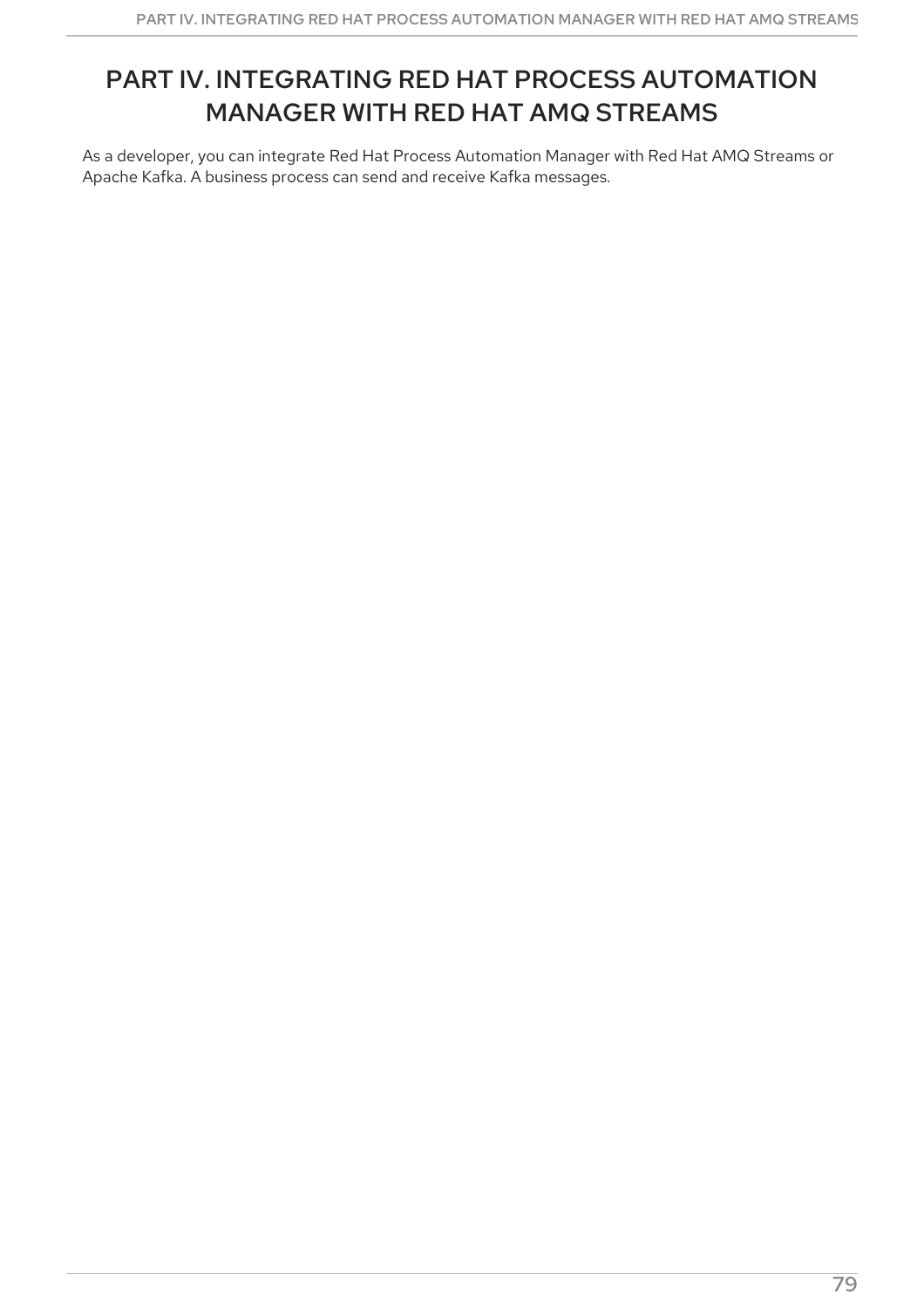# PART IV. INTEGRATING RED HAT PROCESS AUTOMATION MANAGER WITH RED HAT AMQ STREAMS

As a developer, you can integrate Red Hat Process Automation Manager with Red Hat AMQ Streams or Apache Kafka. A business process can send and receive Kafka messages.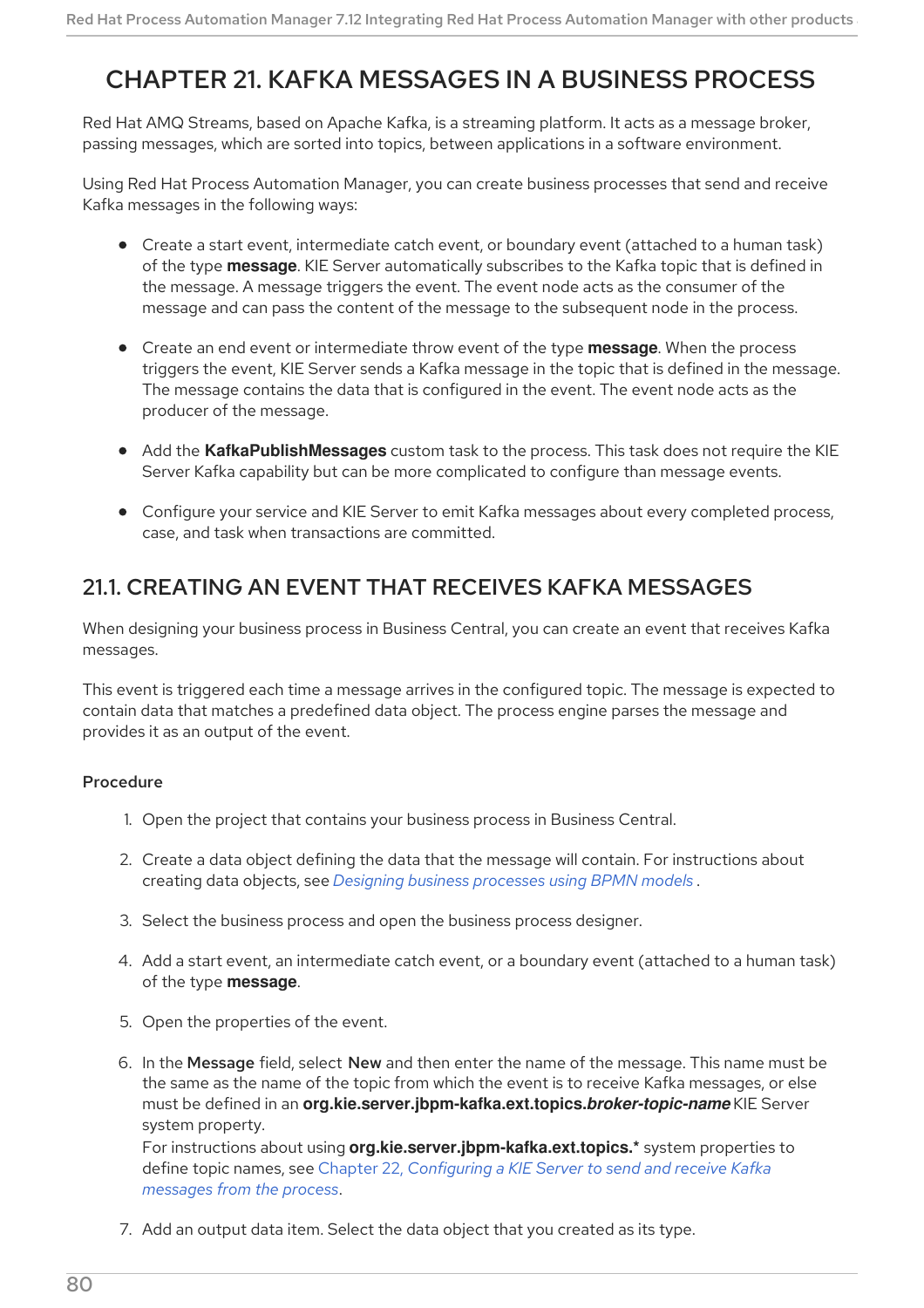# CHAPTER 21. KAFKA MESSAGES IN A BUSINESS PROCESS

Red Hat AMQ Streams, based on Apache Kafka, is a streaming platform. It acts as a message broker, passing messages, which are sorted into topics, between applications in a software environment.

Using Red Hat Process Automation Manager, you can create business processes that send and receive Kafka messages in the following ways:

- Create a start event, intermediate catch event, or boundary event (attached to a human task) of the type **message**. KIE Server automatically subscribes to the Kafka topic that is defined in the message. A message triggers the event. The event node acts as the consumer of the message and can pass the content of the message to the subsequent node in the process.
- Create an end event or intermediate throw event of the type **message**. When the process triggers the event, KIE Server sends a Kafka message in the topic that is defined in the message. The message contains the data that is configured in the event. The event node acts as the producer of the message.
- Add the **KafkaPublishMessages** custom task to the process. This task does not require the KIE Server Kafka capability but can be more complicated to configure than message events.
- Configure your service and KIE Server to emit Kafka messages about every completed process, case, and task when transactions are committed.

## 21.1. CREATING AN EVENT THAT RECEIVES KAFKA MESSAGES

When designing your business process in Business Central, you can create an event that receives Kafka messages.

This event is triggered each time a message arrives in the configured topic. The message is expected to contain data that matches a predefined data object. The process engine parses the message and provides it as an output of the event.

### Procedure

- 1. Open the project that contains your business process in Business Central.
- 2. Create a data object defining the data that the message will contain. For instructions about creating data objects, see *Designing business [processes](https://access.redhat.com/documentation/en-us/red_hat_process_automation_manager/7.12/html-single/developing_process_services_in_red_hat_process_automation_manager#assembly-designing-business-processes) using BPMN models* .
- 3. Select the business process and open the business process designer.
- 4. Add a start event, an intermediate catch event, or a boundary event (attached to a human task) of the type **message**.
- 5. Open the properties of the event.
- 6. In the Message field, select New and then enter the name of the message. This name must be the same as the name of the topic from which the event is to receive Kafka messages, or else must be defined in an **org.kie.server.jbpm-kafka.ext.topics.***broker-topic-name* KIE Server system property.

For instructions about using **org.kie.server.jbpm-kafka.ext.topics.\*** system properties to define topic names, see Chapter 22, *[Configuring](#page-87-0) a KIE Server to send and receive Kafka messages from the process*.

7. Add an output data item. Select the data object that you created as its type.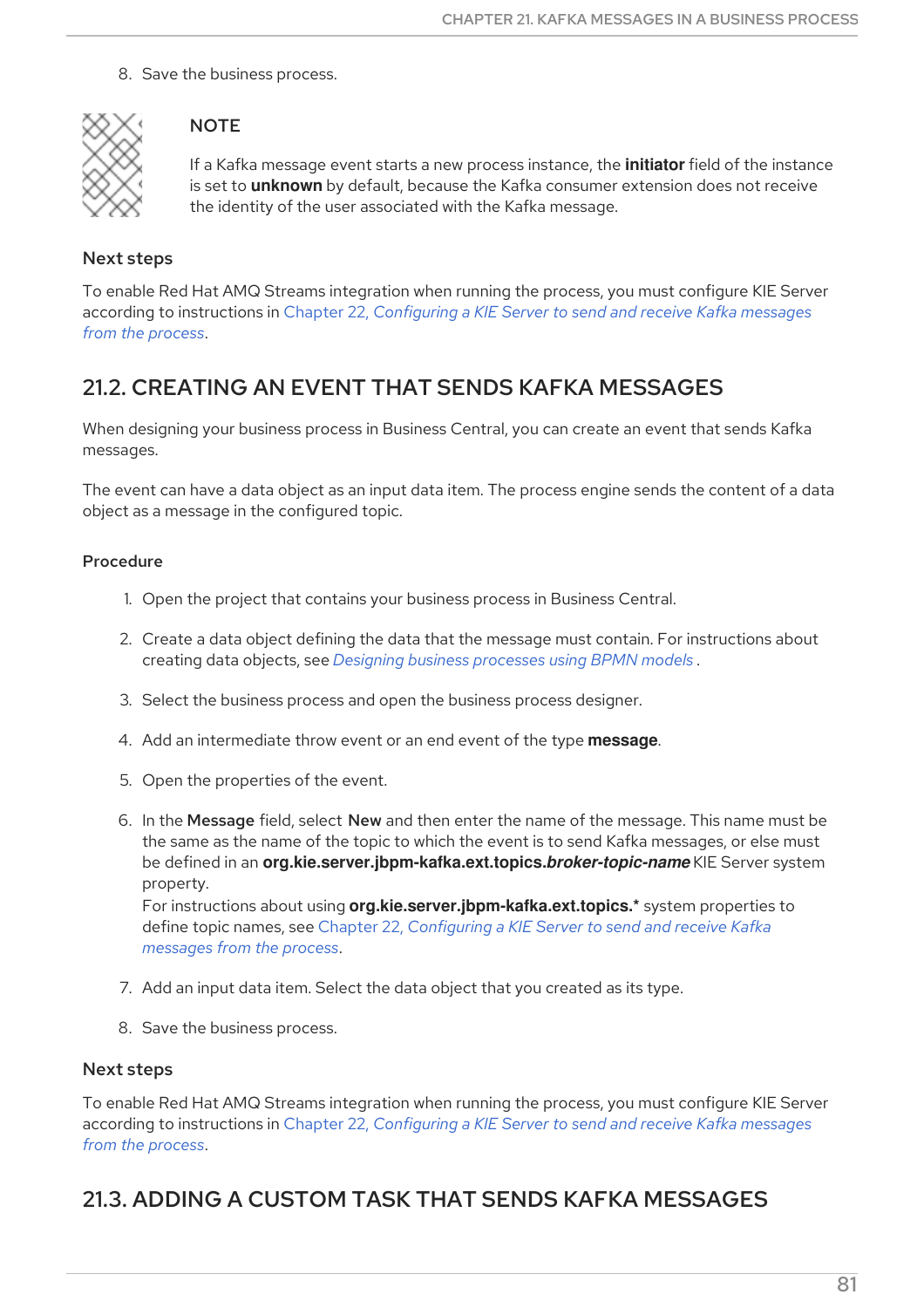8. Save the business process.



## **NOTE**

If a Kafka message event starts a new process instance, the **initiator** field of the instance is set to **unknown** by default, because the Kafka consumer extension does not receive the identity of the user associated with the Kafka message.

## Next steps

To enable Red Hat AMQ Streams integration when running the process, you must configure KIE Server according to [instructions](#page-87-0) in Chapter 22, *Configuring a KIE Server to send and receive Kafka messages from the process*.

## 21.2. CREATING AN EVENT THAT SENDS KAFKA MESSAGES

When designing your business process in Business Central, you can create an event that sends Kafka messages.

The event can have a data object as an input data item. The process engine sends the content of a data object as a message in the configured topic.

## Procedure

- 1. Open the project that contains your business process in Business Central.
- 2. Create a data object defining the data that the message must contain. For instructions about creating data objects, see *Designing business [processes](https://access.redhat.com/documentation/en-us/red_hat_process_automation_manager/7.12/html-single/developing_process_services_in_red_hat_process_automation_manager#assembly-designing-business-processes) using BPMN models* .
- 3. Select the business process and open the business process designer.
- 4. Add an intermediate throw event or an end event of the type **message**.
- 5. Open the properties of the event.
- 6. In the Message field, select New and then enter the name of the message. This name must be the same as the name of the topic to which the event is to send Kafka messages, or else must be defined in an **org.kie.server.jbpm-kafka.ext.topics.***broker-topic-name* KIE Server system property.

For instructions about using **org.kie.server.jbpm-kafka.ext.topics.\*** system properties to define topic names, see Chapter 22, *[Configuring](#page-87-0) a KIE Server to send and receive Kafka messages from the process*.

- 7. Add an input data item. Select the data object that you created as its type.
- 8. Save the business process.

## Next steps

To enable Red Hat AMQ Streams integration when running the process, you must configure KIE Server according to [instructions](#page-87-0) in Chapter 22, *Configuring a KIE Server to send and receive Kafka messages from the process*.

## 21.3. ADDING A CUSTOM TASK THAT SENDS KAFKA MESSAGES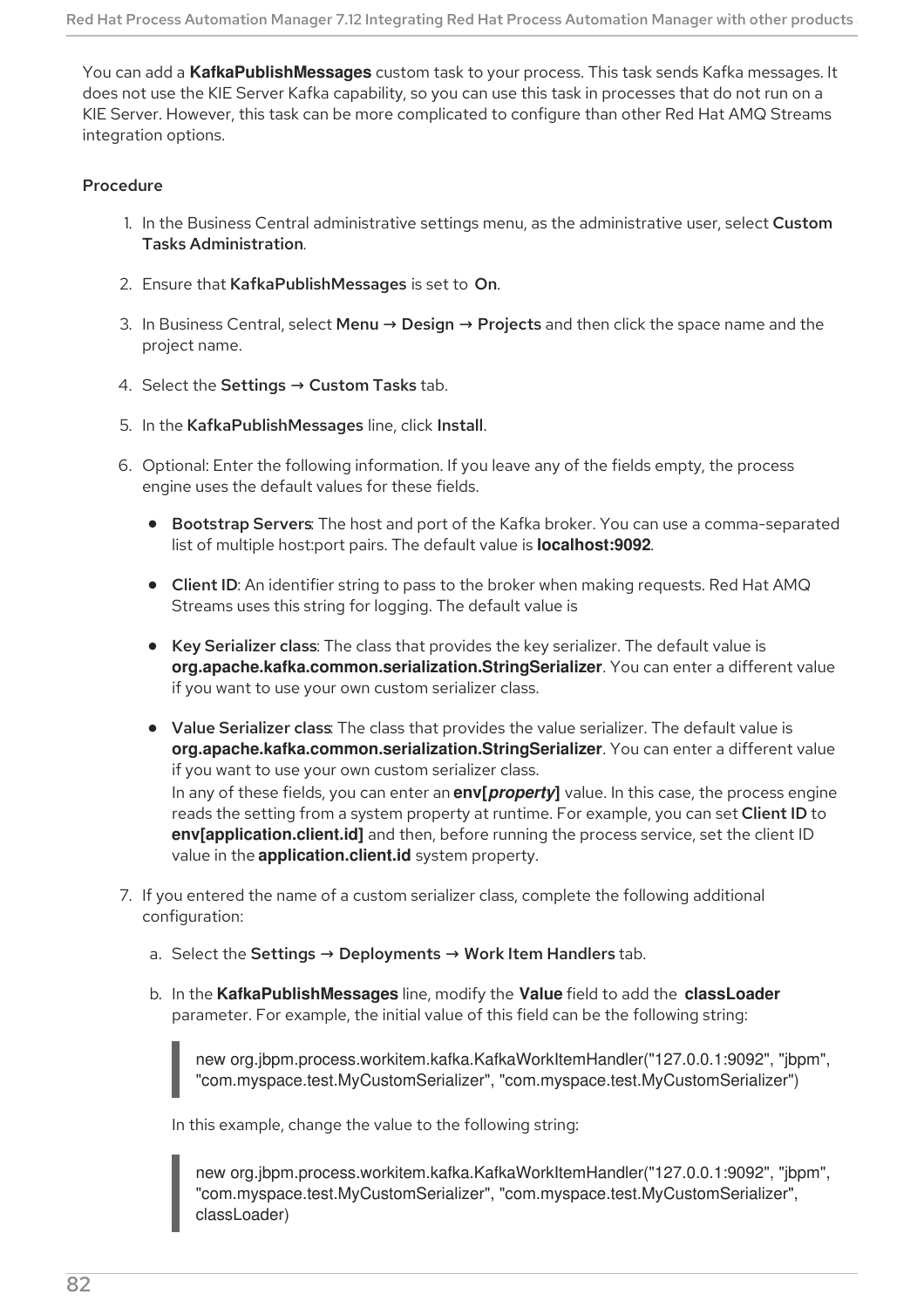You can add a **KafkaPublishMessages** custom task to your process. This task sends Kafka messages. It does not use the KIE Server Kafka capability, so you can use this task in processes that do not run on a KIE Server. However, this task can be more complicated to configure than other Red Hat AMQ Streams integration options.

### Procedure

- 1. In the Business Central administrative settings menu, as the administrative user, select Custom Tasks Administration.
- 2. Ensure that KafkaPublishMessages is set to On.
- 3. In Business Central, select Menu → Design → Projects and then click the space name and the project name.
- 4. Select the Settings → Custom Tasks tab.
- 5. In the KafkaPublishMessages line, click Install.
- 6. Optional: Enter the following information. If you leave any of the fields empty, the process engine uses the default values for these fields.
	- **Bootstrap Servers:** The host and port of the Kafka broker. You can use a comma-separated list of multiple host:port pairs. The default value is **localhost:9092**.
	- Client ID: An identifier string to pass to the broker when making requests. Red Hat AMQ Streams uses this string for logging. The default value is
	- Key Serializer class: The class that provides the key serializer. The default value is **org.apache.kafka.common.serialization.StringSerializer**. You can enter a different value if you want to use your own custom serializer class.
	- Value Serializer class: The class that provides the value serializer. The default value is **org.apache.kafka.common.serialization.StringSerializer**. You can enter a different value if you want to use your own custom serializer class. In any of these fields, you can enter an **env[***property***]** value. In this case, the process engine reads the setting from a system property at runtime. For example, you can set Client ID to **env[application.client.id]** and then, before running the process service, set the client ID value in the **application.client.id** system property.
- 7. If you entered the name of a custom serializer class, complete the following additional configuration:
	- a. Select the Settings  $\rightarrow$  Deployments  $\rightarrow$  Work Item Handlers tab.
	- b. In the **KafkaPublishMessages** line, modify the **Value** field to add the **classLoader** parameter. For example, the initial value of this field can be the following string:

new org.jbpm.process.workitem.kafka.KafkaWorkItemHandler("127.0.0.1:9092", "jbpm", "com.myspace.test.MyCustomSerializer", "com.myspace.test.MyCustomSerializer")

In this example, change the value to the following string:

new org.jbpm.process.workitem.kafka.KafkaWorkItemHandler("127.0.0.1:9092", "jbpm", "com.myspace.test.MyCustomSerializer", "com.myspace.test.MyCustomSerializer", classLoader)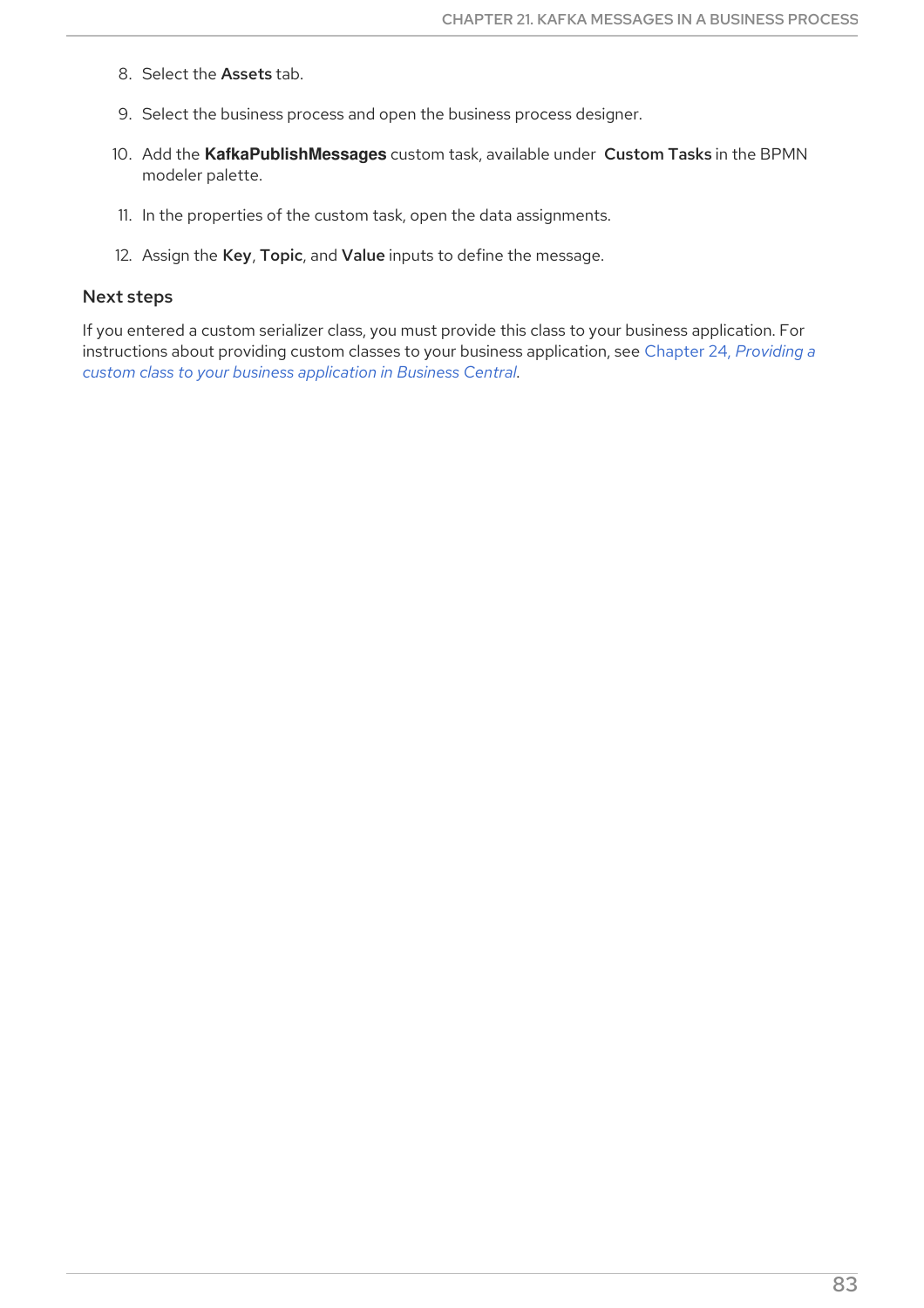- 8. Select the Assets tab.
- 9. Select the business process and open the business process designer.
- 10. Add the **KafkaPublishMessages** custom task, available under Custom Tasks in the BPMN modeler palette.
- 11. In the properties of the custom task, open the data assignments.
- 12. Assign the Key, Topic, and Value inputs to define the message.

### Next steps

If you entered a custom serializer class, you must provide this class to your business application. For [instructions](#page-91-0) about providing custom classes to your business application, see Chapter 24, *Providing a custom class to your business application in Business Central*.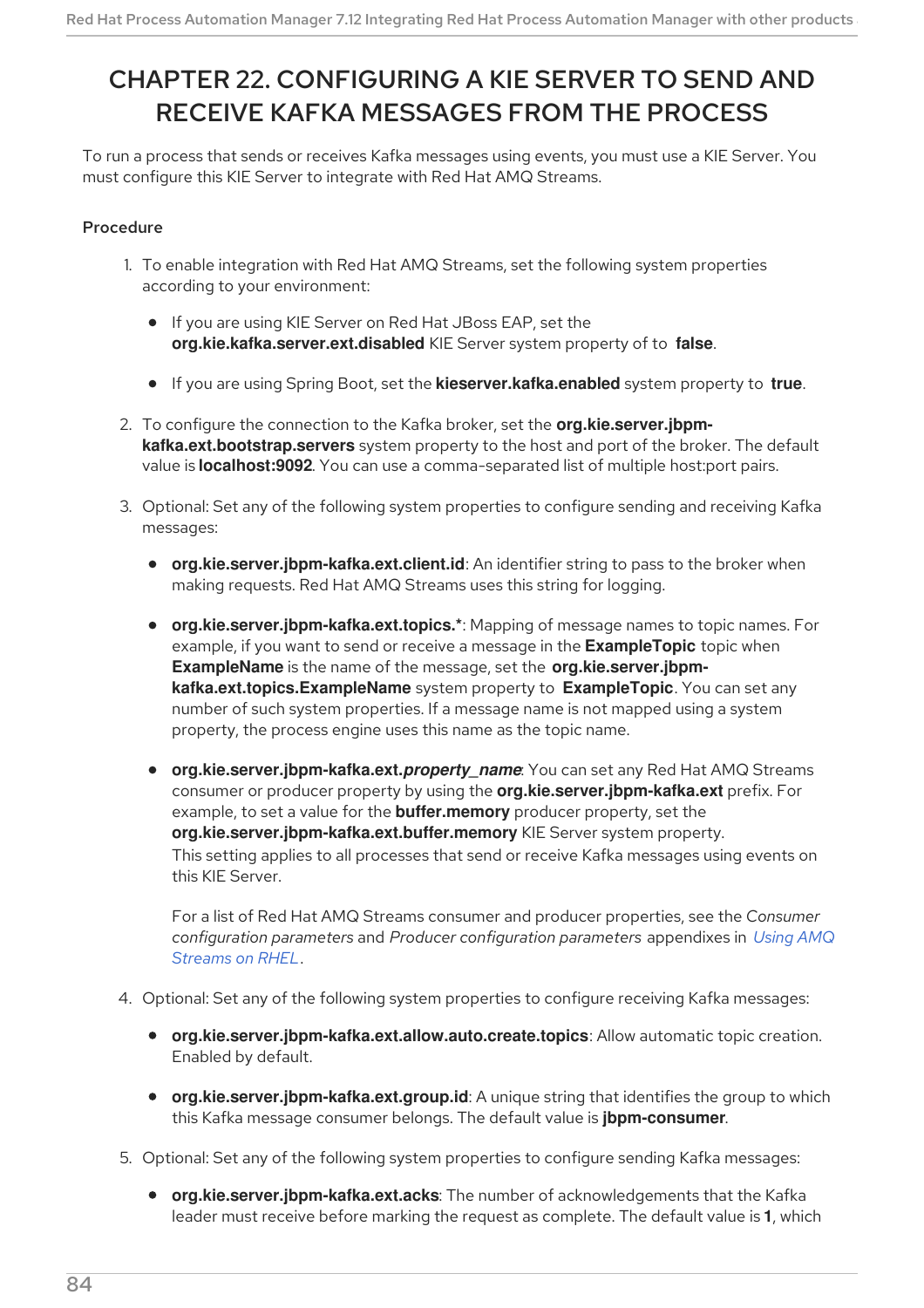# <span id="page-87-0"></span>CHAPTER 22. CONFIGURING A KIE SERVER TO SEND AND RECEIVE KAFKA MESSAGES FROM THE PROCESS

To run a process that sends or receives Kafka messages using events, you must use a KIE Server. You must configure this KIE Server to integrate with Red Hat AMQ Streams.

## Procedure

- 1. To enable integration with Red Hat AMQ Streams, set the following system properties according to your environment:
	- If you are using KIE Server on Red Hat JBoss EAP, set the **org.kie.kafka.server.ext.disabled** KIE Server system property of to **false**.
	- If you are using Spring Boot, set the **kieserver.kafka.enabled** system property to **true**.
- 2. To configure the connection to the Kafka broker, set the **org.kie.server.jbpmkafka.ext.bootstrap.servers** system property to the host and port of the broker. The default value is **localhost:9092**. You can use a comma-separated list of multiple host:port pairs.
- 3. Optional: Set any of the following system properties to configure sending and receiving Kafka messages:
	- **org.kie.server.jbpm-kafka.ext.client.id**: An identifier string to pass to the broker when making requests. Red Hat AMQ Streams uses this string for logging.
	- **org.kie.server.jbpm-kafka.ext.topics.\***: Mapping of message names to topic names. For example, if you want to send or receive a message in the **ExampleTopic** topic when **ExampleName** is the name of the message, set the **org.kie.server.jbpmkafka.ext.topics.ExampleName** system property to **ExampleTopic**. You can set any number of such system properties. If a message name is not mapped using a system property, the process engine uses this name as the topic name.
	- **org.kie.server.jbpm-kafka.ext.***property\_name*: You can set any Red Hat AMQ Streams consumer or producer property by using the **org.kie.server.jbpm-kafka.ext** prefix. For example, to set a value for the **buffer.memory** producer property, set the **org.kie.server.jbpm-kafka.ext.buffer.memory** KIE Server system property. This setting applies to all processes that send or receive Kafka messages using events on this KIE Server.

For a list of Red Hat AMQ Streams consumer and producer properties, see the *Consumer configuration parameters* and *Producer [configuration](https://access.redhat.com/documentation/en-us/red_hat_amq/2020.q4/html-single/using_amq_streams_on_rhel/index) parameters* appendixes in *Using AMQ Streams on RHEL*.

- 4. Optional: Set any of the following system properties to configure receiving Kafka messages:
	- **org.kie.server.jbpm-kafka.ext.allow.auto.create.topics**: Allow automatic topic creation. Enabled by default.
	- **org.kie.server.jbpm-kafka.ext.group.id**: A unique string that identifies the group to which this Kafka message consumer belongs. The default value is **jbpm-consumer**.
- 5. Optional: Set any of the following system properties to configure sending Kafka messages:
	- **org.kie.server.jbpm-kafka.ext.acks**: The number of acknowledgements that the Kafka leader must receive before marking the request as complete. The default value is **1**, which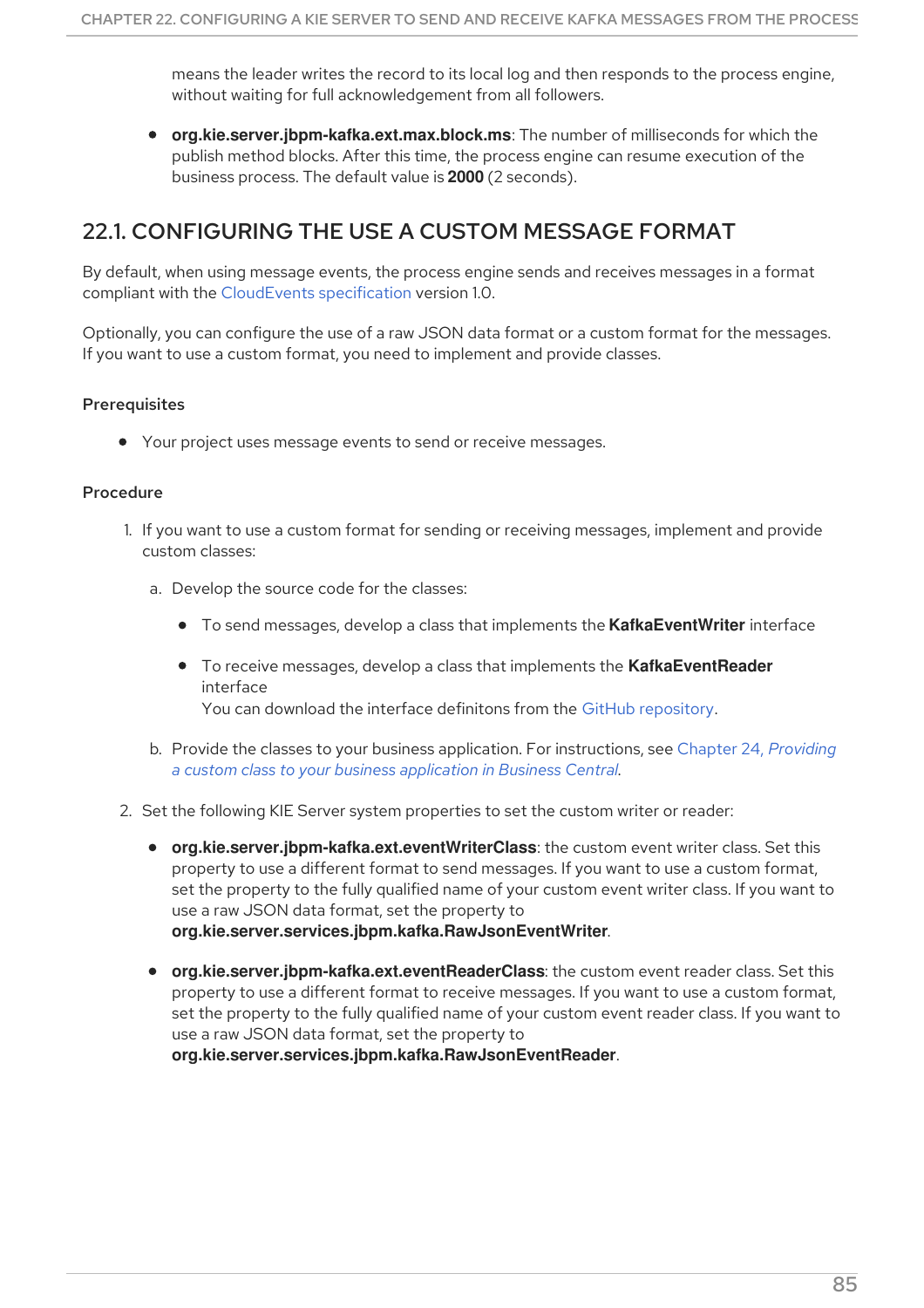means the leader writes the record to its local log and then responds to the process engine, without waiting for full acknowledgement from all followers.

**org.kie.server.jbpm-kafka.ext.max.block.ms**: The number of milliseconds for which the publish method blocks. After this time, the process engine can resume execution of the business process. The default value is **2000** (2 seconds).

## 22.1. CONFIGURING THE USE A CUSTOM MESSAGE FORMAT

By default, when using message events, the process engine sends and receives messages in a format compliant with the [CloudEvents](https://github.com/cloudevents/spec) specification version 1.0.

Optionally, you can configure the use of a raw JSON data format or a custom format for the messages. If you want to use a custom format, you need to implement and provide classes.

### **Prerequisites**

Your project uses message events to send or receive messages.

#### Procedure

- 1. If you want to use a custom format for sending or receiving messages, implement and provide custom classes:
	- a. Develop the source code for the classes:
		- To send messages, develop a class that implements the **KafkaEventWriter** interface
		- To receive messages, develop a class that implements the **KafkaEventReader** interface

You can download the interface definitons from the GitHub [repository](https://github.com/kiegroup/droolsjbpm-integration/tree/7.59.0.Final/kie-server-parent/kie-server-services/kie-server-services-kafka/src/main/java/org/kie/server/services/jbpm/kafka).

- b. Provide the classes to your business application. For [instructions,](#page-91-0) see Chapter 24, *Providing a custom class to your business application in Business Central*.
- 2. Set the following KIE Server system properties to set the custom writer or reader:
	- **org.kie.server.jbpm-kafka.ext.eventWriterClass**: the custom event writer class. Set this property to use a different format to send messages. If you want to use a custom format, set the property to the fully qualified name of your custom event writer class. If you want to use a raw JSON data format, set the property to **org.kie.server.services.jbpm.kafka.RawJsonEventWriter**.
	- **org.kie.server.jbpm-kafka.ext.eventReaderClass**: the custom event reader class. Set this property to use a different format to receive messages. If you want to use a custom format, set the property to the fully qualified name of your custom event reader class. If you want to use a raw JSON data format, set the property to

**org.kie.server.services.jbpm.kafka.RawJsonEventReader**.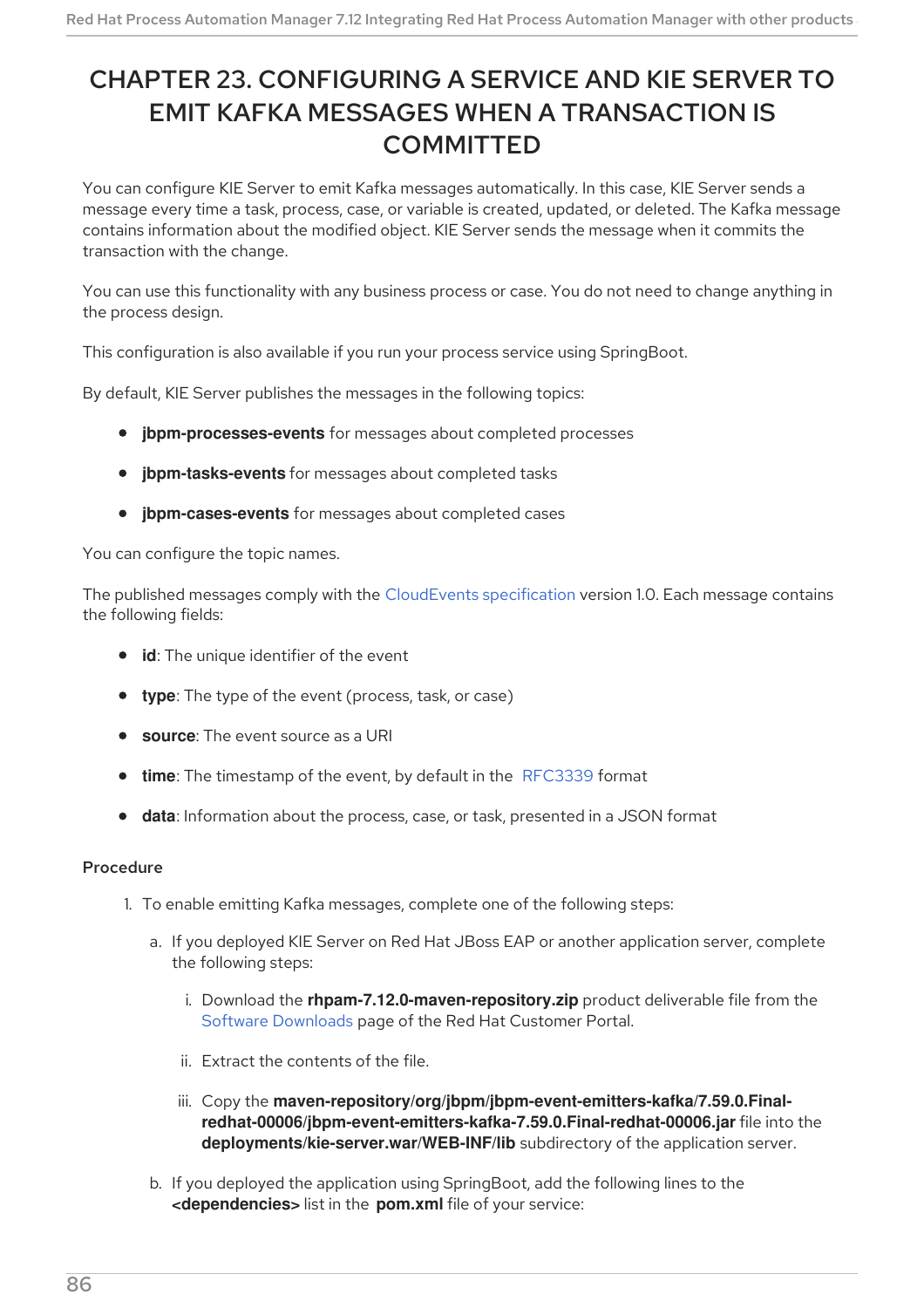# CHAPTER 23. CONFIGURING A SERVICE AND KIE SERVER TO EMIT KAFKA MESSAGES WHEN A TRANSACTION IS **COMMITTED**

You can configure KIE Server to emit Kafka messages automatically. In this case, KIE Server sends a message every time a task, process, case, or variable is created, updated, or deleted. The Kafka message contains information about the modified object. KIE Server sends the message when it commits the transaction with the change.

You can use this functionality with any business process or case. You do not need to change anything in the process design.

This configuration is also available if you run your process service using SpringBoot.

By default, KIE Server publishes the messages in the following topics:

- **jbpm-processes-events** for messages about completed processes
- **jbpm-tasks-events** for messages about completed tasks
- **jbpm-cases-events** for messages about completed cases

You can configure the topic names.

The published messages comply with the [CloudEvents](https://github.com/cloudevents/spec) specification version 1.0. Each message contains the following fields:

- **id**: The unique identifier of the event
- **type**: The type of the event (process, task, or case)
- **source:** The event source as a URI
- **time**: The timestamp of the event, by default in the [RFC3339](https://tools.ietf.org/html/rfc3339) format
- **data**: Information about the process, case, or task, presented in a JSON format

- 1. To enable emitting Kafka messages, complete one of the following steps:
	- a. If you deployed KIE Server on Red Hat JBoss EAP or another application server, complete the following steps:
		- i. Download the **rhpam-7.12.0-maven-repository.zip** product deliverable file from the Software [Downloads](https://access.redhat.com/jbossnetwork/restricted/listSoftware.html?downloadType=distributions&product=rhpam&productChanged=yes) page of the Red Hat Customer Portal.
		- ii. Extract the contents of the file.
		- iii. Copy the **maven-repository/org/jbpm/jbpm-event-emitters-kafka/7.59.0.Finalredhat-00006/jbpm-event-emitters-kafka-7.59.0.Final-redhat-00006.jar** file into the **deployments/kie-server.war/WEB-INF/lib** subdirectory of the application server.
	- b. If you deployed the application using SpringBoot, add the following lines to the **<dependencies>** list in the **pom.xml** file of your service: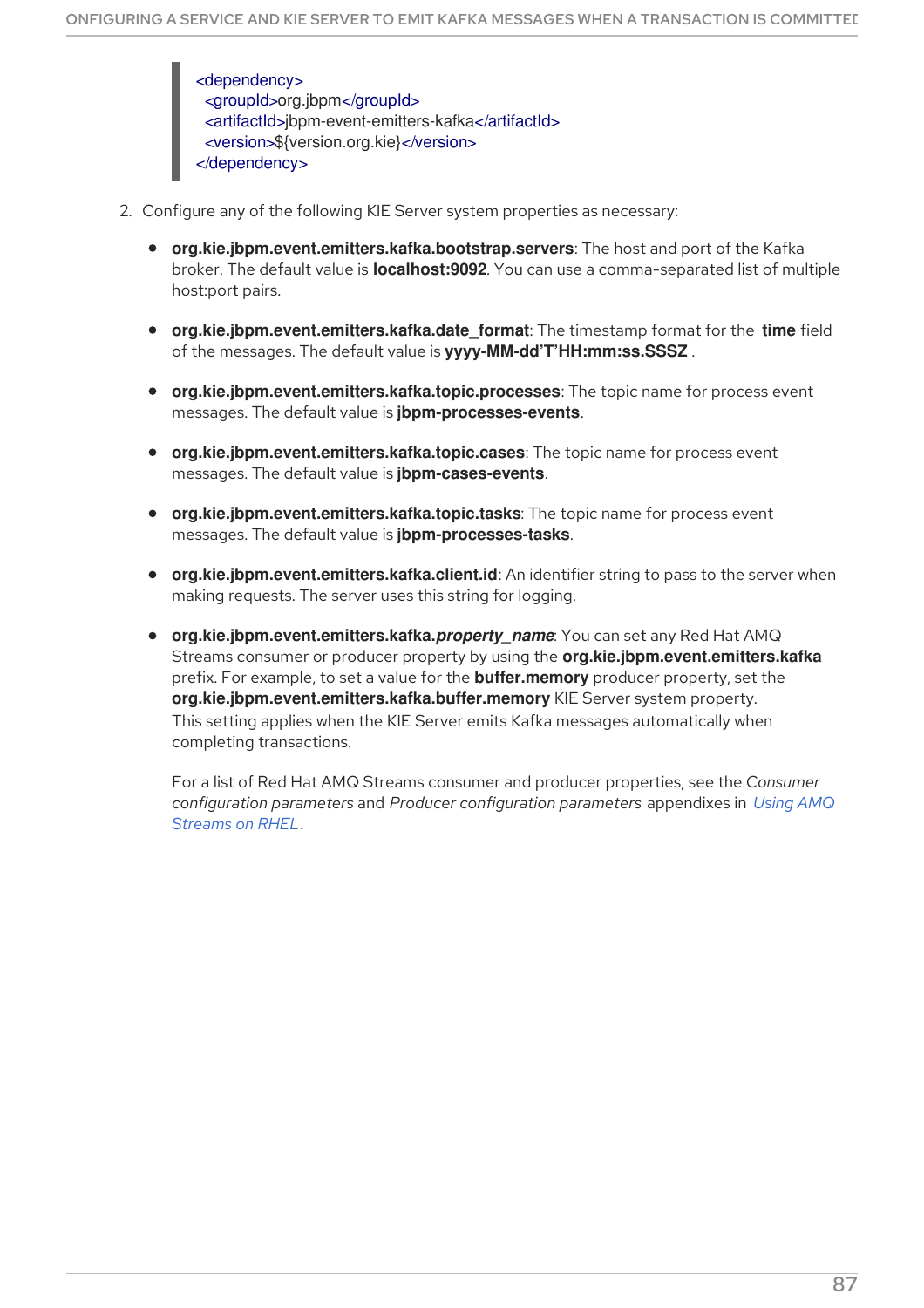<dependency> <groupId>org.jbpm</groupId> <artifactId>jbpm-event-emitters-kafka</artifactId> <version>\${version.org.kie}</version> </dependency>

- 2. Configure any of the following KIE Server system properties as necessary:
	- **org.kie.jbpm.event.emitters.kafka.bootstrap.servers**: The host and port of the Kafka broker. The default value is **localhost:9092**. You can use a comma-separated list of multiple host:port pairs.
	- **org.kie.jbpm.event.emitters.kafka.date format**: The timestamp format for the **time** field of the messages. The default value is **yyyy-MM-dd'T'HH:mm:ss.SSSZ** .
	- **org.kie.jbpm.event.emitters.kafka.topic.processes**: The topic name for process event messages. The default value is **jbpm-processes-events**.
	- **org.kie.jbpm.event.emitters.kafka.topic.cases**: The topic name for process event messages. The default value is **jbpm-cases-events**.
	- **org.kie.jbpm.event.emitters.kafka.topic.tasks**: The topic name for process event messages. The default value is **jbpm-processes-tasks**.
	- **org.kie.jbpm.event.emitters.kafka.client.id**: An identifier string to pass to the server when making requests. The server uses this string for logging.
	- **org.kie.jbpm.event.emitters.kafka.***property\_name*: You can set any Red Hat AMQ Streams consumer or producer property by using the **org.kie.jbpm.event.emitters.kafka** prefix. For example, to set a value for the **buffer.memory** producer property, set the **org.kie.jbpm.event.emitters.kafka.buffer.memory** KIE Server system property. This setting applies when the KIE Server emits Kafka messages automatically when completing transactions.

For a list of Red Hat AMQ Streams consumer and producer properties, see the *Consumer configuration parameters* and *Producer [configuration](https://access.redhat.com/documentation/en-us/red_hat_amq/2020.q4/html-single/using_amq_streams_on_rhel/index) parameters* appendixes in *Using AMQ Streams on RHEL*.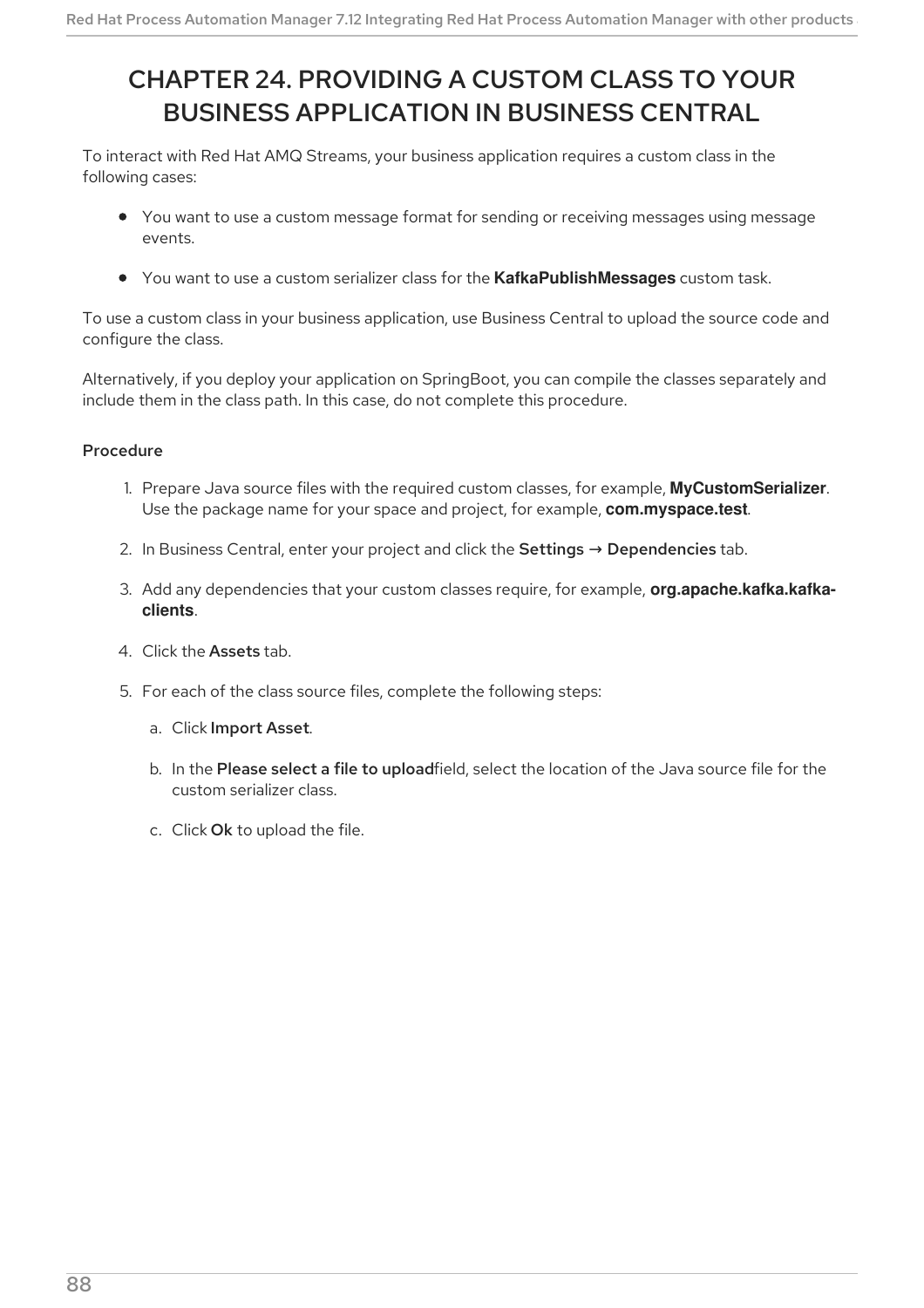# <span id="page-91-0"></span>CHAPTER 24. PROVIDING A CUSTOM CLASS TO YOUR BUSINESS APPLICATION IN BUSINESS CENTRAL

To interact with Red Hat AMQ Streams, your business application requires a custom class in the following cases:

- You want to use a custom message format for sending or receiving messages using message events.
- You want to use a custom serializer class for the **KafkaPublishMessages** custom task.

To use a custom class in your business application, use Business Central to upload the source code and configure the class.

Alternatively, if you deploy your application on SpringBoot, you can compile the classes separately and include them in the class path. In this case, do not complete this procedure.

- 1. Prepare Java source files with the required custom classes, for example, **MyCustomSerializer**. Use the package name for your space and project, for example, **com.myspace.test**.
- 2. In Business Central, enter your project and click the Settings  $\rightarrow$  Dependencies tab.
- 3. Add any dependencies that your custom classes require, for example, **org.apache.kafka.kafkaclients**.
- 4. Click the Assets tab.
- 5. For each of the class source files, complete the following steps:
	- a. Click Import Asset.
	- b. In the Please select a file to uploadfield, select the location of the Java source file for the custom serializer class.
	- c. Click Ok to upload the file.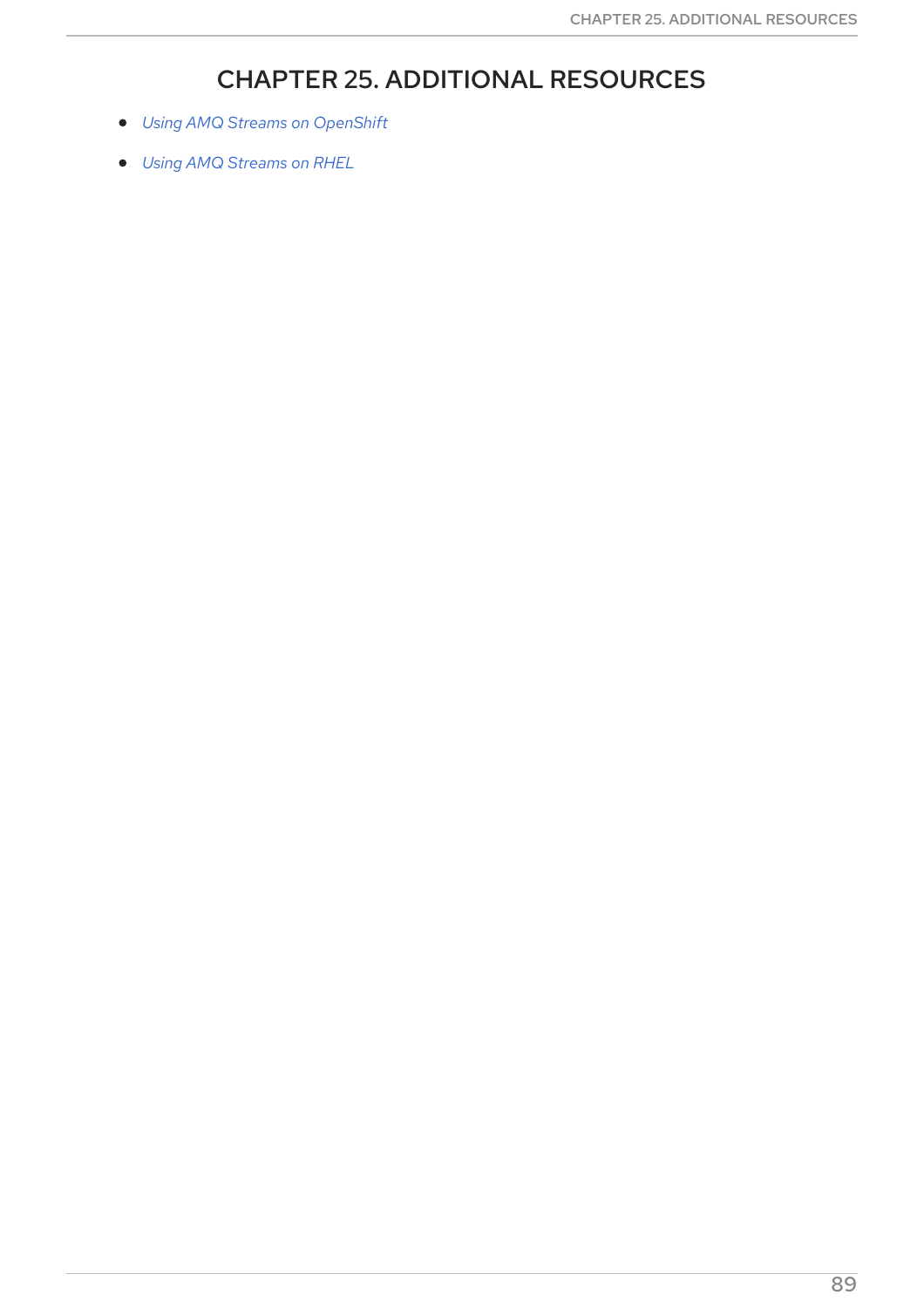# CHAPTER 25. ADDITIONAL RESOURCES

- *Using AMQ Streams on [OpenShift](https://access.redhat.com/documentation/en-us/red_hat_amq/2020.q4/html/using_amq_streams_on_openshift/)*
- *Using AMQ [Streams](https://access.redhat.com/documentation/en-us/red_hat_amq/2020.q4/html/using_amq_streams_on_rhel/) on RHEL*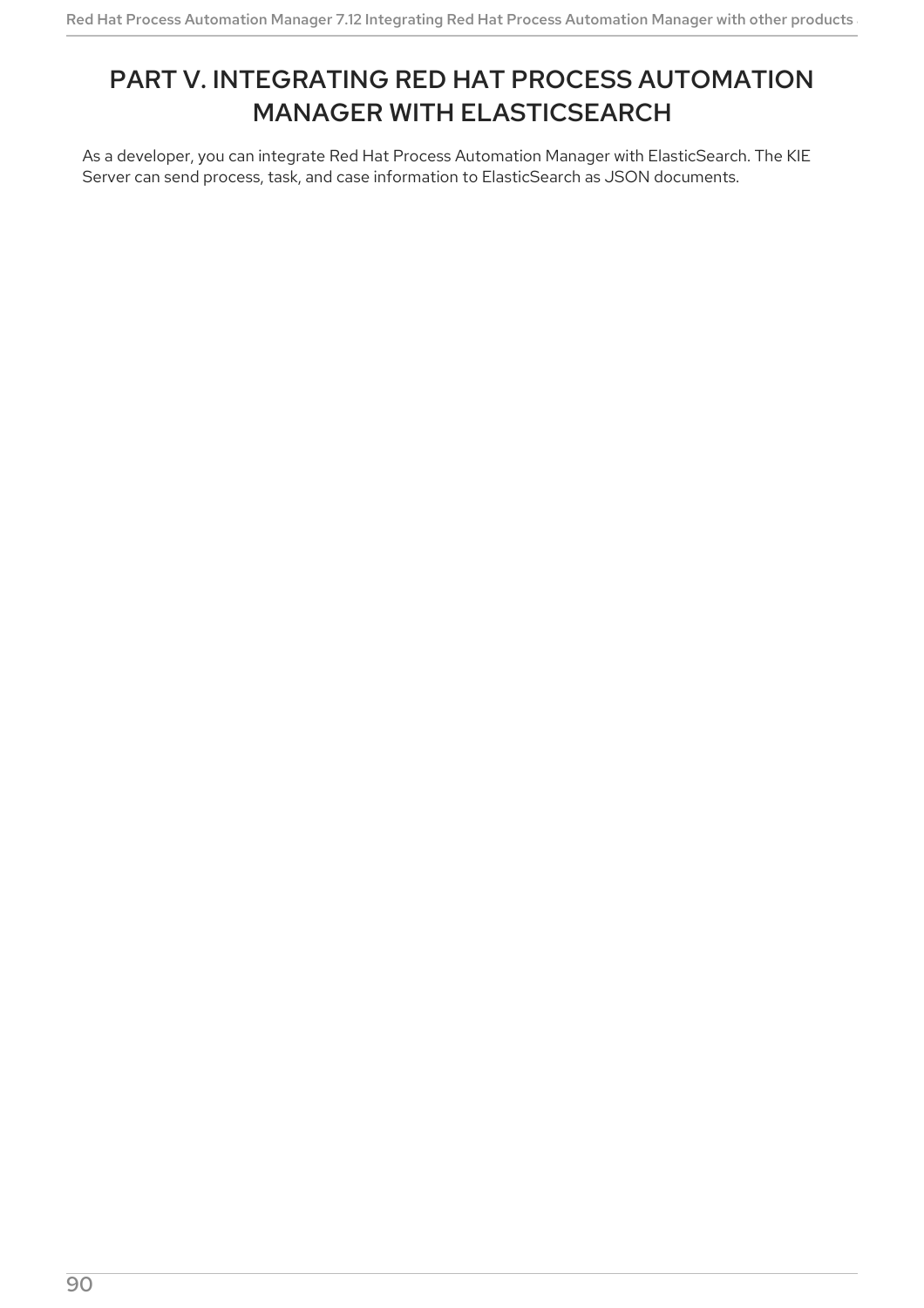# PART V. INTEGRATING RED HAT PROCESS AUTOMATION MANAGER WITH ELASTICSEARCH

As a developer, you can integrate Red Hat Process Automation Manager with ElasticSearch. The KIE Server can send process, task, and case information to ElasticSearch as JSON documents.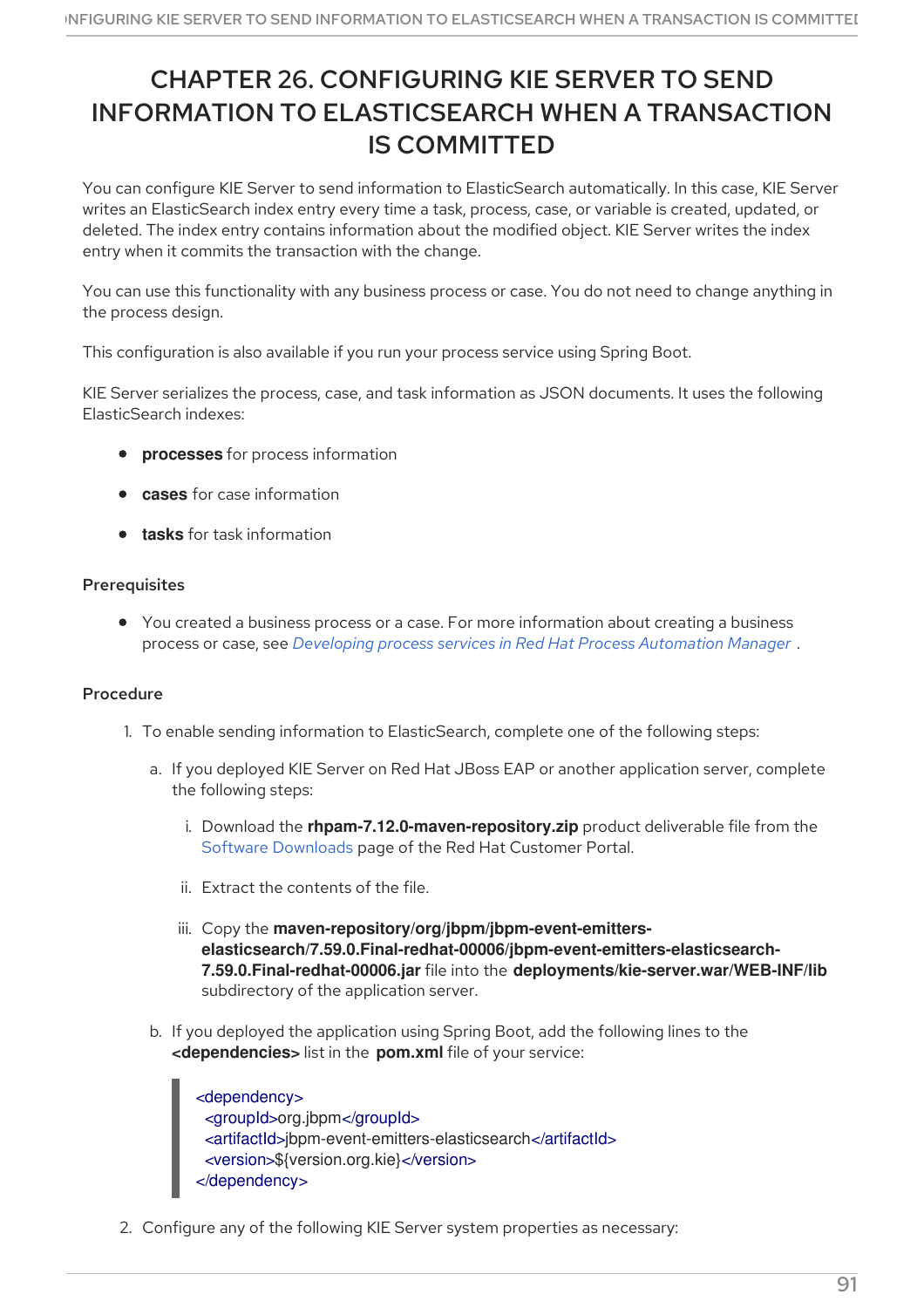# CHAPTER 26. CONFIGURING KIE SERVER TO SEND INFORMATION TO ELASTICSEARCH WHEN A TRANSACTION IS COMMITTED

You can configure KIE Server to send information to ElasticSearch automatically. In this case, KIE Server writes an ElasticSearch index entry every time a task, process, case, or variable is created, updated, or deleted. The index entry contains information about the modified object. KIE Server writes the index entry when it commits the transaction with the change.

You can use this functionality with any business process or case. You do not need to change anything in the process design.

This configuration is also available if you run your process service using Spring Boot.

KIE Server serializes the process, case, and task information as JSON documents. It uses the following ElasticSearch indexes:

- **processes** for process information
- **cases** for case information
- **tasks** for task information

#### Prerequisites

You created a business process or a case. For more information about creating a business process or case, see *Developing process services in Red Hat Process [Automation](https://access.redhat.com/documentation/en-us/red_hat_process_automation_manager/7.12/html-single/developing_process_services_in_red_hat_process_automation_manager) Manager* .

### Procedure

- 1. To enable sending information to ElasticSearch, complete one of the following steps:
	- a. If you deployed KIE Server on Red Hat JBoss EAP or another application server, complete the following steps:
		- i. Download the **rhpam-7.12.0-maven-repository.zip** product deliverable file from the Software [Downloads](https://access.redhat.com/jbossnetwork/restricted/listSoftware.html?downloadType=distributions&product=rhpam&productChanged=yes) page of the Red Hat Customer Portal.
		- ii. Extract the contents of the file.
		- iii. Copy the **maven-repository/org/jbpm/jbpm-event-emitterselasticsearch/7.59.0.Final-redhat-00006/jbpm-event-emitters-elasticsearch-7.59.0.Final-redhat-00006.jar** file into the **deployments/kie-server.war/WEB-INF/lib** subdirectory of the application server.
	- b. If you deployed the application using Spring Boot, add the following lines to the **<dependencies>** list in the **pom.xml** file of your service:

<dependency> <groupId>org.jbpm</groupId> <artifactId>jbpm-event-emitters-elasticsearch</artifactId> <version>\${version.org.kie}</version> </dependency>

2. Configure any of the following KIE Server system properties as necessary: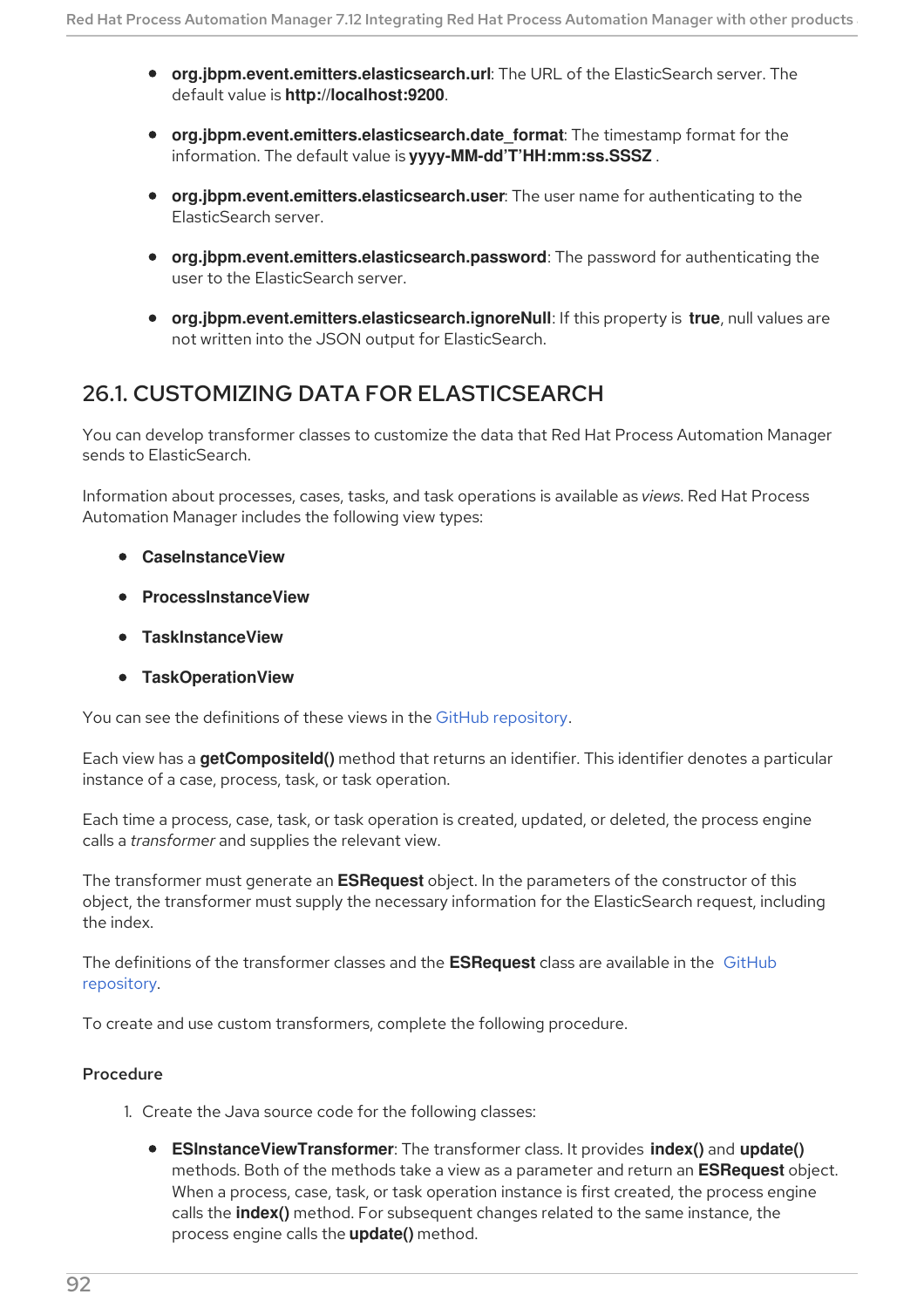- **org.jbpm.event.emitters.elasticsearch.url**: The URL of the ElasticSearch server. The default value is **http://localhost:9200**.
- **org.jbpm.event.emitters.elasticsearch.date format:** The timestamp format for the information. The default value is **yyyy-MM-dd'T'HH:mm:ss.SSSZ** .
- **org.jbpm.event.emitters.elasticsearch.user**: The user name for authenticating to the ElasticSearch server.
- **org.jbpm.event.emitters.elasticsearch.password**: The password for authenticating the user to the ElasticSearch server.
- **org.jbpm.event.emitters.elasticsearch.ignoreNull**: If this property is **true**, null values are not written into the JSON output for ElasticSearch.

## 26.1. CUSTOMIZING DATA FOR ELASTICSEARCH

You can develop transformer classes to customize the data that Red Hat Process Automation Manager sends to ElasticSearch.

Information about processes, cases, tasks, and task operations is available as *views*. Red Hat Process Automation Manager includes the following view types:

- **CaseInstanceView**
- **ProcessInstanceView**
- **TaskInstanceView**
- **TaskOperationView**

You can see the definitions of these views in the GitHub [repository](https://github.com/kiegroup/jbpm/tree/7.59.0.Final/jbpm-persistence/jbpm-persistence-api/src/main/java/org/jbpm/persistence/api/integration/model).

Each view has a **getCompositeId()** method that returns an identifier. This identifier denotes a particular instance of a case, process, task, or task operation.

Each time a process, case, task, or task operation is created, updated, or deleted, the process engine calls a *transformer* and supplies the relevant view.

The transformer must generate an **ESRequest** object. In the parameters of the constructor of this object, the transformer must supply the necessary information for the ElasticSearch request, including the index.

The definitions of the [transformer](https://github.com/kiegroup/jbpm/tree/7.59.0.Final/jbpm-event-emitters/jbpm-event-emitters-elasticsearch/src/main/java/org/jbpm/event/emitters/elasticsearch) classes and the **ESRequest** class are available in the GitHub repository.

To create and use custom transformers, complete the following procedure.

- 1. Create the Java source code for the following classes:
	- **ESInstanceViewTransformer**: The transformer class. It provides **index()** and **update()** methods. Both of the methods take a view as a parameter and return an **ESRequest** object. When a process, case, task, or task operation instance is first created, the process engine calls the **index()** method. For subsequent changes related to the same instance, the process engine calls the **update()** method.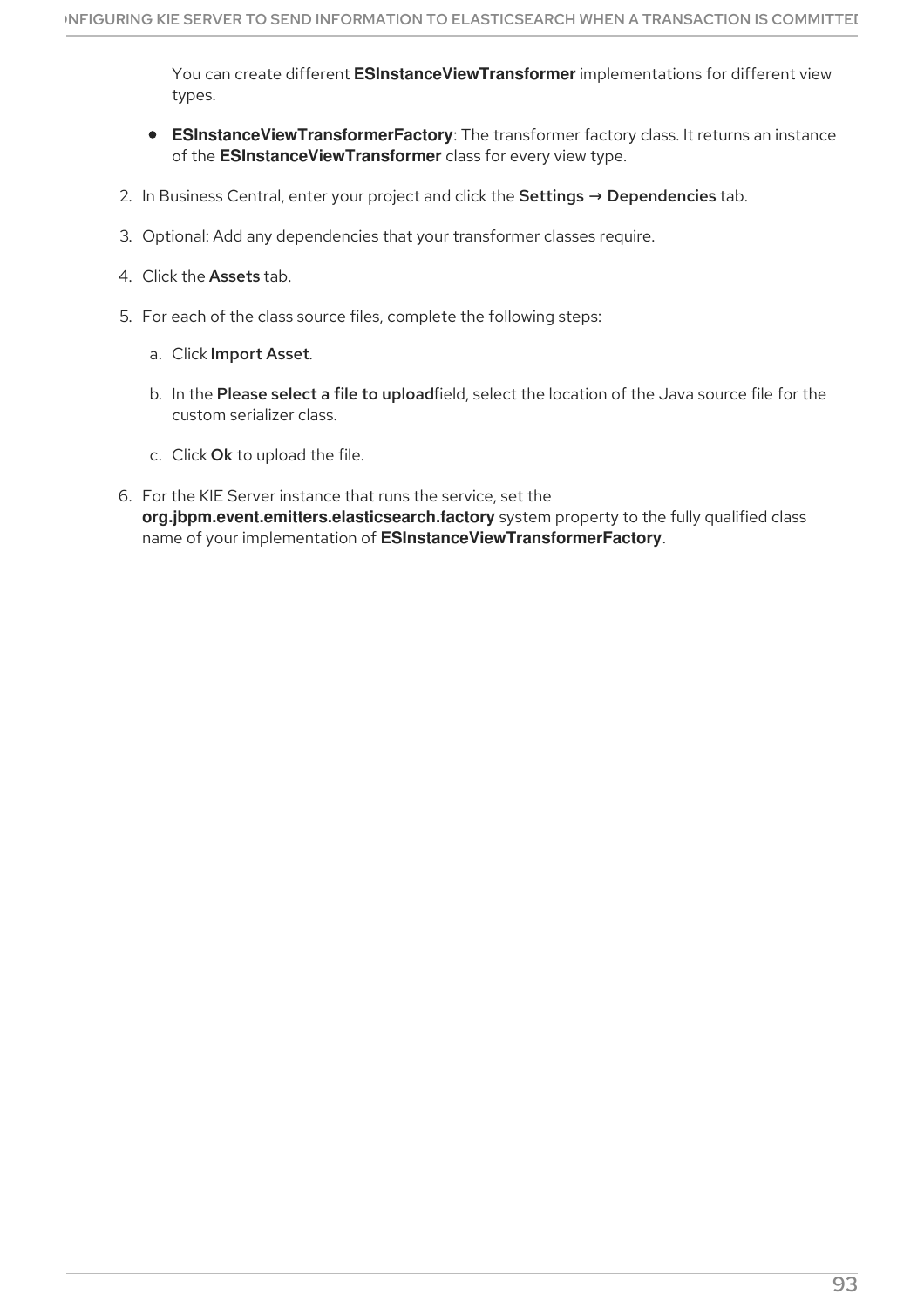You can create different **ESInstanceViewTransformer** implementations for different view types.

- **ESInstanceViewTransformerFactory**: The transformer factory class. It returns an instance of the **ESInstanceViewTransformer** class for every view type.
- 2. In Business Central, enter your project and click the Settings  $\rightarrow$  Dependencies tab.
- 3. Optional: Add any dependencies that your transformer classes require.
- 4. Click the Assets tab.
- 5. For each of the class source files, complete the following steps:
	- a. Click Import Asset.
	- b. In the Please select a file to uploadfield, select the location of the Java source file for the custom serializer class.
	- c. Click Ok to upload the file.
- 6. For the KIE Server instance that runs the service, set the **org.jbpm.event.emitters.elasticsearch.factory** system property to the fully qualified class name of your implementation of **ESInstanceViewTransformerFactory**.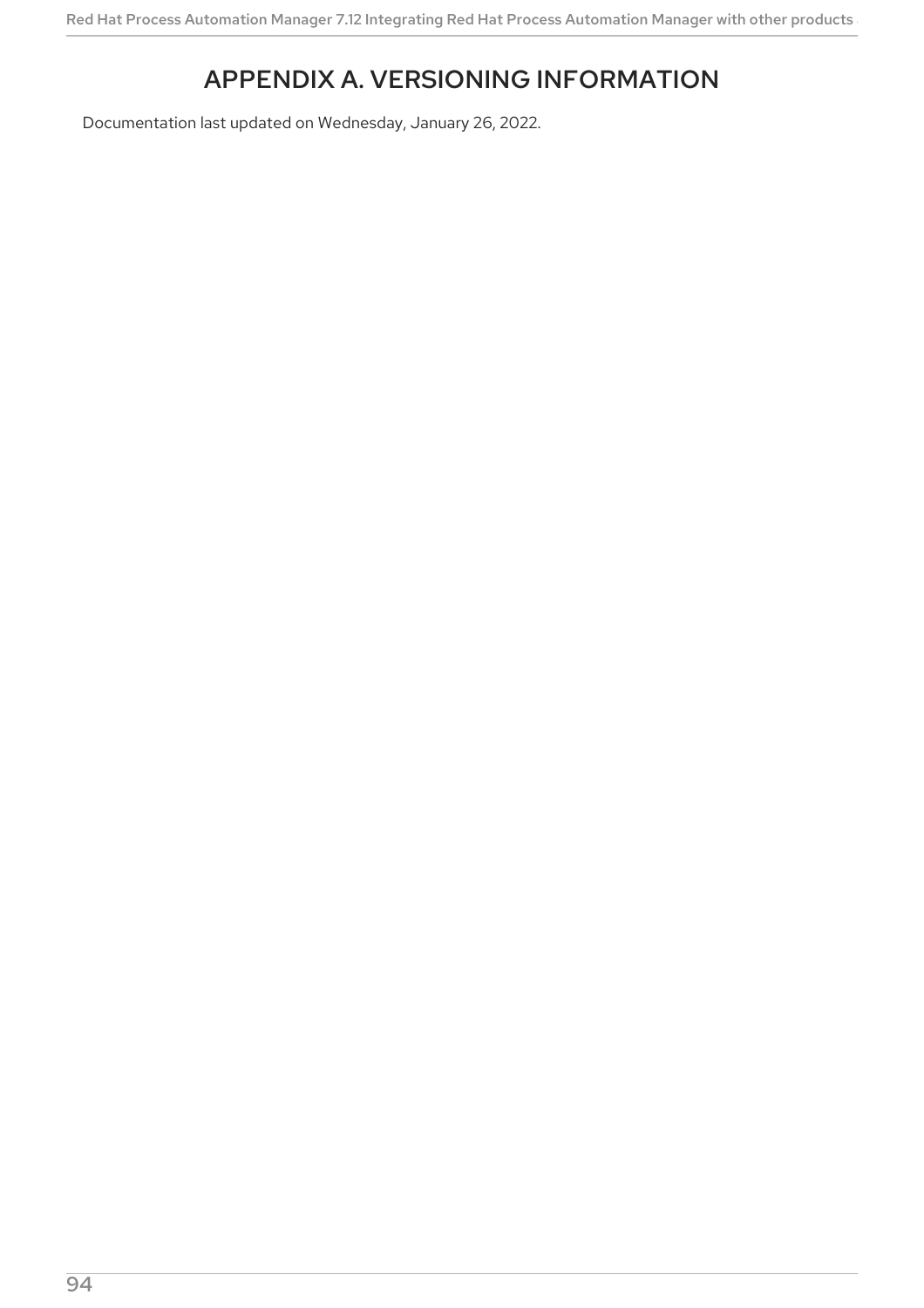# APPENDIX A. VERSIONING INFORMATION

Documentation last updated on Wednesday, January 26, 2022.